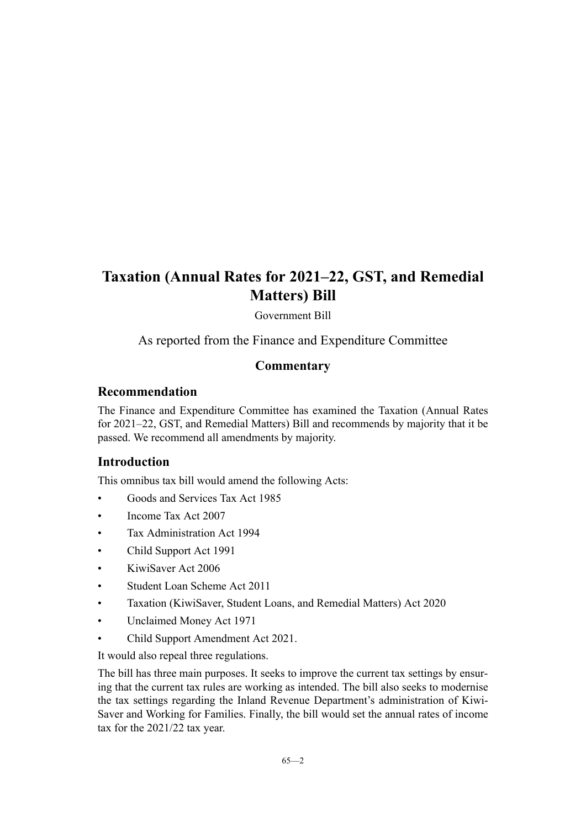Government Bill

As reported from the Finance and Expenditure Committee

# **Commentary**

# **Recommendation**

The Finance and Expenditure Committee has examined the Taxation (Annual Rates for 2021–22, GST, and Remedial Matters) Bill and recommends by majority that it be passed. We recommend all amendments by majority.

# **Introduction**

This omnibus tax bill would amend the following Acts:

- Goods and Services Tax Act 1985
- Income Tax Act 2007
- Tax Administration Act 1994
- Child Support Act 1991
- KiwiSaver Act 2006
- Student Loan Scheme Act 2011
- Taxation (KiwiSaver, Student Loans, and Remedial Matters) Act 2020
- Unclaimed Money Act 1971
- Child Support Amendment Act 2021.

It would also repeal three regulations.

The bill has three main purposes. It seeks to improve the current tax settings by ensuring that the current tax rules are working as intended. The bill also seeks to modernise the tax settings regarding the Inland Revenue Department's administration of Kiwi-Saver and Working for Families. Finally, the bill would set the annual rates of income tax for the 2021/22 tax year.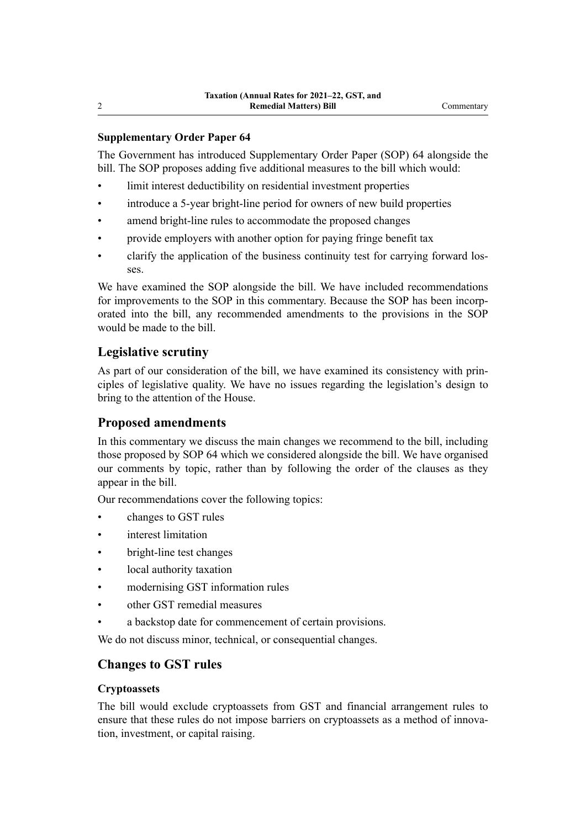# **Supplementary Order Paper 64**

The Government has introduced Supplementary Order Paper (SOP) 64 alongside the bill. The SOP proposes adding five additional measures to the bill which would:

- limit interest deductibility on residential investment properties
- introduce a 5-year bright-line period for owners of new build properties
- amend bright-line rules to accommodate the proposed changes
- provide employers with another option for paying fringe benefit tax
- clarify the application of the business continuity test for carrying forward los‐ ses.

We have examined the SOP alongside the bill. We have included recommendations for improvements to the SOP in this commentary. Because the SOP has been incorporated into the bill, any recommended amendments to the provisions in the SOP would be made to the bill.

# **Legislative scrutiny**

As part of our consideration of the bill, we have examined its consistency with principles of legislative quality. We have no issues regarding the legislation's design to bring to the attention of the House.

# **Proposed amendments**

In this commentary we discuss the main changes we recommend to the bill, including those proposed by SOP 64 which we considered alongside the bill. We have organised our comments by topic, rather than by following the order of the clauses as they appear in the bill.

Our recommendations cover the following topics:

- changes to GST rules
- interest limitation
- bright-line test changes
- local authority taxation
- modernising GST information rules
- other GST remedial measures
- a backstop date for commencement of certain provisions.

We do not discuss minor, technical, or consequential changes.

# **Changes to GST rules**

## **Cryptoassets**

The bill would exclude cryptoassets from GST and financial arrangement rules to ensure that these rules do not impose barriers on cryptoassets as a method of innovation, investment, or capital raising.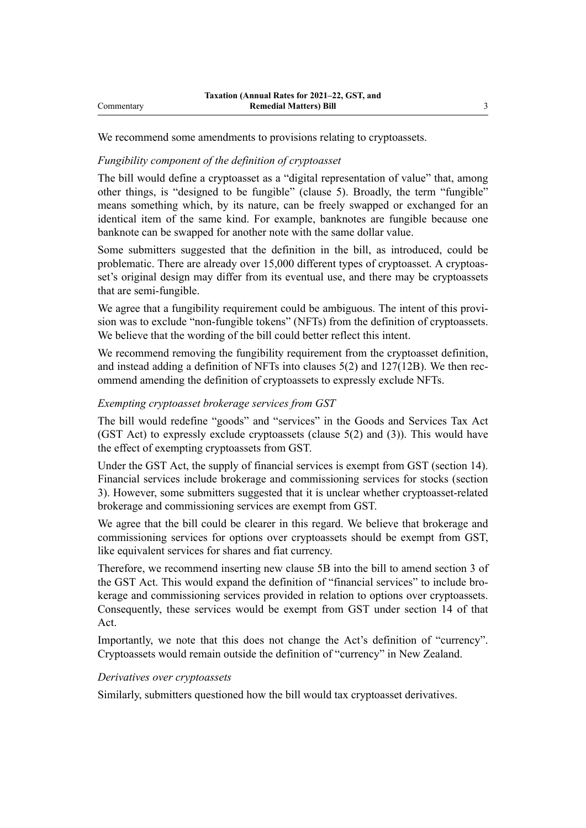We recommend some amendments to provisions relating to cryptoassets.

#### *Fungibility component of the definition of cryptoasset*

The bill would define a cryptoasset as a "digital representation of value" that, among other things, is "designed to be fungible" (clause 5). Broadly, the term "fungible" means something which, by its nature, can be freely swapped or exchanged for an identical item of the same kind. For example, banknotes are fungible because one banknote can be swapped for another note with the same dollar value.

Some submitters suggested that the definition in the bill, as introduced, could be problematic. There are already over 15,000 different types of cryptoasset. A cryptoasset's original design may differ from its eventual use, and there may be cryptoassets that are semi-fungible.

We agree that a fungibility requirement could be ambiguous. The intent of this provision was to exclude "non-fungible tokens" (NFTs) from the definition of cryptoassets. We believe that the wording of the bill could better reflect this intent.

We recommend removing the fungibility requirement from the cryptoasset definition, and instead adding a definition of NFTs into clauses  $5(2)$  and  $127(12B)$ . We then recommend amending the definition of cryptoassets to expressly exclude NFTs.

## *Exempting cryptoasset brokerage services from GST*

The bill would redefine "goods" and "services" in the Goods and Services Tax Act (GST Act) to expressly exclude cryptoassets (clause  $5(2)$  and  $(3)$ ). This would have the effect of exempting cryptoassets from GST.

Under the GST Act, the supply of financial services is exempt from GST (section 14). Financial services include brokerage and commissioning services for stocks (section 3). However, some submitters suggested that it is unclear whether cryptoasset-related brokerage and commissioning services are exempt from GST.

We agree that the bill could be clearer in this regard. We believe that brokerage and commissioning services for options over cryptoassets should be exempt from GST, like equivalent services for shares and fiat currency.

Therefore, we recommend inserting new clause 5B into the bill to amend section 3 of the GST Act. This would expand the definition of "financial services" to include brokerage and commissioning services provided in relation to options over cryptoassets. Consequently, these services would be exempt from GST under section 14 of that Act.

Importantly, we note that this does not change the Act's definition of "currency". Cryptoassets would remain outside the definition of "currency" in New Zealand.

#### *Derivatives over cryptoassets*

Similarly, submitters questioned how the bill would tax cryptoasset derivatives.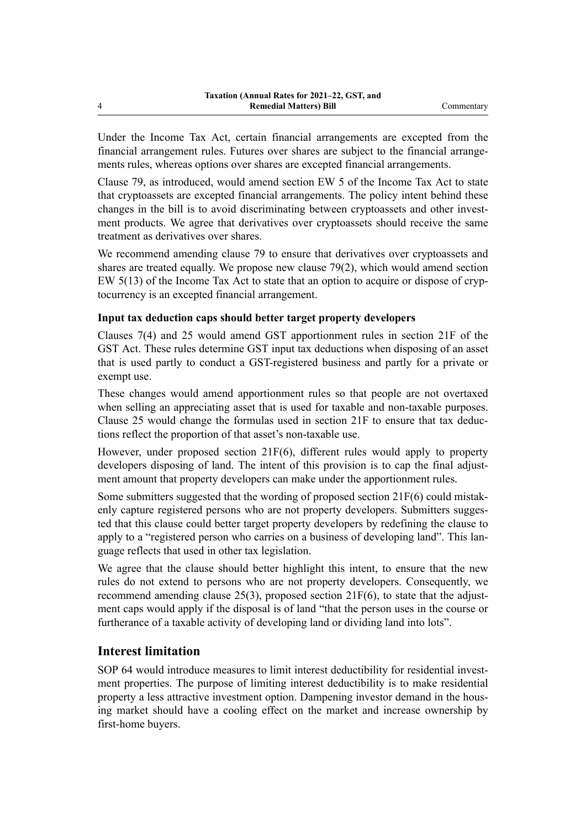Under the Income Tax Act, certain financial arrangements are excepted from the financial arrangement rules. Futures over shares are subject to the financial arrange‐ ments rules, whereas options over shares are excepted financial arrangements.

Clause 79, as introduced, would amend section EW 5 of the Income Tax Act to state that cryptoassets are excepted financial arrangements. The policy intent behind these changes in the bill is to avoid discriminating between cryptoassets and other investment products. We agree that derivatives over cryptoassets should receive the same treatment as derivatives over shares.

We recommend amending clause 79 to ensure that derivatives over cryptoassets and shares are treated equally. We propose new clause 79(2), which would amend section EW 5(13) of the Income Tax Act to state that an option to acquire or dispose of cryp‐ tocurrency is an excepted financial arrangement.

# **Input tax deduction caps should better target property developers**

Clauses 7(4) and 25 would amend GST apportionment rules in section 21F of the GST Act. These rules determine GST input tax deductions when disposing of an asset that is used partly to conduct a GST-registered business and partly for a private or exempt use.

These changes would amend apportionment rules so that people are not overtaxed when selling an appreciating asset that is used for taxable and non-taxable purposes. Clause 25 would change the formulas used in section 21F to ensure that tax deduc‐ tions reflect the proportion of that asset's non-taxable use.

However, under proposed section  $21F(6)$ , different rules would apply to property developers disposing of land. The intent of this provision is to cap the final adjustment amount that property developers can make under the apportionment rules.

Some submitters suggested that the wording of proposed section  $21F(6)$  could mistakenly capture registered persons who are not property developers. Submitters suggested that this clause could better target property developers by redefining the clause to apply to a "registered person who carries on a business of developing land". This language reflects that used in other tax legislation.

We agree that the clause should better highlight this intent, to ensure that the new rules do not extend to persons who are not property developers. Consequently, we recommend amending clause  $25(3)$ , proposed section  $21F(6)$ , to state that the adjustment caps would apply if the disposal is of land "that the person uses in the course or furtherance of a taxable activity of developing land or dividing land into lots".

# **Interest limitation**

SOP 64 would introduce measures to limit interest deductibility for residential investment properties. The purpose of limiting interest deductibility is to make residential property a less attractive investment option. Dampening investor demand in the housing market should have a cooling effect on the market and increase ownership by first-home buyers.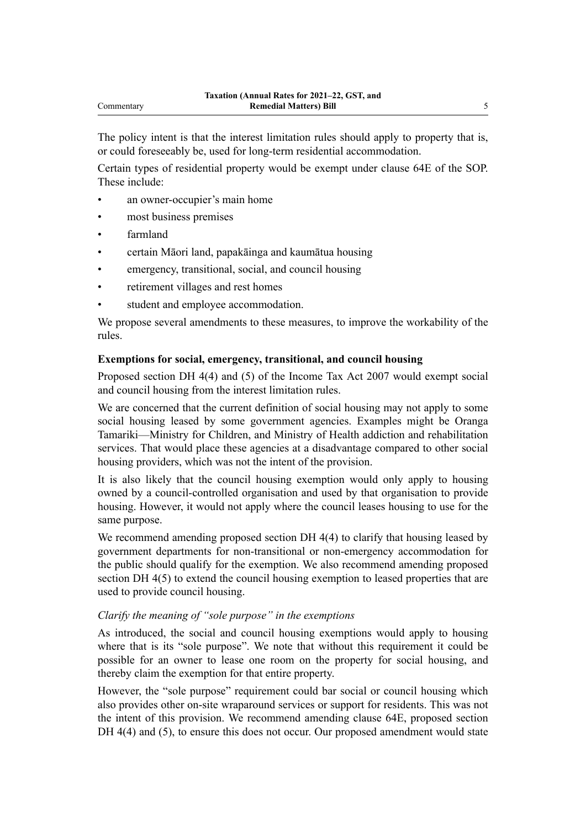The policy intent is that the interest limitation rules should apply to property that is, or could foreseeably be, used for long-term residential accommodation.

Certain types of residential property would be exempt under clause 64E of the SOP. These include:

- an owner-occupier's main home
- most business premises
- farmland
- certain Māori land, papakāinga and kaumātua housing
- emergency, transitional, social, and council housing
- retirement villages and rest homes
- student and employee accommodation.

We propose several amendments to these measures, to improve the workability of the rules.

#### **Exemptions for social, emergency, transitional, and council housing**

Proposed section DH 4(4) and (5) of the Income Tax Act 2007 would exempt social and council housing from the interest limitation rules.

We are concerned that the current definition of social housing may not apply to some social housing leased by some government agencies. Examples might be Oranga Tamariki—Ministry for Children, and Ministry of Health addiction and rehabilitation services. That would place these agencies at a disadvantage compared to other social housing providers, which was not the intent of the provision.

It is also likely that the council housing exemption would only apply to housing owned by a council-controlled organisation and used by that organisation to provide housing. However, it would not apply where the council leases housing to use for the same purpose.

We recommend amending proposed section DH 4(4) to clarify that housing leased by government departments for non-transitional or non-emergency accommodation for the public should qualify for the exemption. We also recommend amending proposed section DH 4(5) to extend the council housing exemption to leased properties that are used to provide council housing.

#### *Clarify the meaning of "sole purpose" in the exemptions*

As introduced, the social and council housing exemptions would apply to housing where that is its "sole purpose". We note that without this requirement it could be possible for an owner to lease one room on the property for social housing, and thereby claim the exemption for that entire property.

However, the "sole purpose" requirement could bar social or council housing which also provides other on-site wraparound services or support for residents. This was not the intent of this provision. We recommend amending clause 64E, proposed section DH 4(4) and (5), to ensure this does not occur. Our proposed amendment would state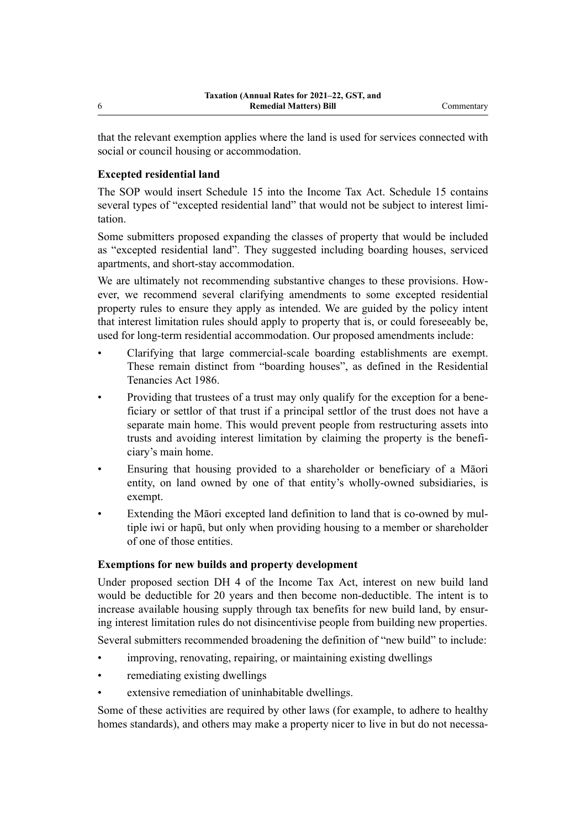that the relevant exemption applies where the land is used for services connected with social or council housing or accommodation.

# **Excepted residential land**

The SOP would insert Schedule 15 into the Income Tax Act. Schedule 15 contains several types of "excepted residential land" that would not be subject to interest limitation.

Some submitters proposed expanding the classes of property that would be included as "excepted residential land". They suggested including boarding houses, serviced apartments, and short-stay accommodation.

We are ultimately not recommending substantive changes to these provisions. However, we recommend several clarifying amendments to some excepted residential property rules to ensure they apply as intended. We are guided by the policy intent that interest limitation rules should apply to property that is, or could foreseeably be, used for long-term residential accommodation. Our proposed amendments include:

- Clarifying that large commercial-scale boarding establishments are exempt. These remain distinct from "boarding houses", as defined in the Residential Tenancies Act 1986.
- Providing that trustees of a trust may only qualify for the exception for a bene‐ ficiary or settlor of that trust if a principal settlor of the trust does not have a separate main home. This would prevent people from restructuring assets into trusts and avoiding interest limitation by claiming the property is the beneficiary's main home.
- Ensuring that housing provided to a shareholder or beneficiary of a Māori entity, on land owned by one of that entity's wholly-owned subsidiaries, is exempt.
- Extending the Māori excepted land definition to land that is co-owned by mul‐ tiple iwi or hapū, but only when providing housing to a member or shareholder of one of those entities.

# **Exemptions for new builds and property development**

Under proposed section DH 4 of the Income Tax Act, interest on new build land would be deductible for 20 years and then become non-deductible. The intent is to increase available housing supply through tax benefits for new build land, by ensuring interest limitation rules do not disincentivise people from building new properties. Several submitters recommended broadening the definition of "new build" to include:

- improving, renovating, repairing, or maintaining existing dwellings
- remediating existing dwellings
- extensive remediation of uninhabitable dwellings.

Some of these activities are required by other laws (for example, to adhere to healthy homes standards), and others may make a property nicer to live in but do not necessa-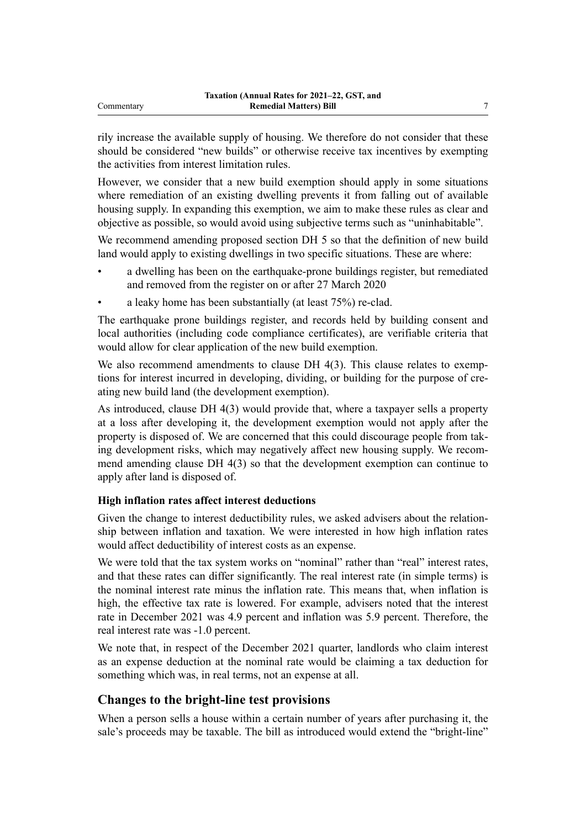rily increase the available supply of housing. We therefore do not consider that these should be considered "new builds" or otherwise receive tax incentives by exempting the activities from interest limitation rules.

However, we consider that a new build exemption should apply in some situations where remediation of an existing dwelling prevents it from falling out of available housing supply. In expanding this exemption, we aim to make these rules as clear and objective as possible, so would avoid using subjective terms such as "uninhabitable".

We recommend amending proposed section DH 5 so that the definition of new build land would apply to existing dwellings in two specific situations. These are where:

- a dwelling has been on the earthquake-prone buildings register, but remediated and removed from the register on or after 27 March 2020
- a leaky home has been substantially (at least 75%) re-clad.

The earthquake prone buildings register, and records held by building consent and local authorities (including code compliance certificates), are verifiable criteria that would allow for clear application of the new build exemption.

We also recommend amendments to clause DH 4(3). This clause relates to exemptions for interest incurred in developing, dividing, or building for the purpose of creating new build land (the development exemption).

As introduced, clause DH 4(3) would provide that, where a taxpayer sells a property at a loss after developing it, the development exemption would not apply after the property is disposed of. We are concerned that this could discourage people from tak‐ ing development risks, which may negatively affect new housing supply. We recommend amending clause DH 4(3) so that the development exemption can continue to apply after land is disposed of.

# **High inflation rates affect interest deductions**

Given the change to interest deductibility rules, we asked advisers about the relationship between inflation and taxation. We were interested in how high inflation rates would affect deductibility of interest costs as an expense.

We were told that the tax system works on "nominal" rather than "real" interest rates, and that these rates can differ significantly. The real interest rate (in simple terms) is the nominal interest rate minus the inflation rate. This means that, when inflation is high, the effective tax rate is lowered. For example, advisers noted that the interest rate in December 2021 was 4.9 percent and inflation was 5.9 percent. Therefore, the real interest rate was -1.0 percent.

We note that, in respect of the December 2021 quarter, landlords who claim interest as an expense deduction at the nominal rate would be claiming a tax deduction for something which was, in real terms, not an expense at all.

# **Changes to the bright-line test provisions**

When a person sells a house within a certain number of years after purchasing it, the sale's proceeds may be taxable. The bill as introduced would extend the "bright-line"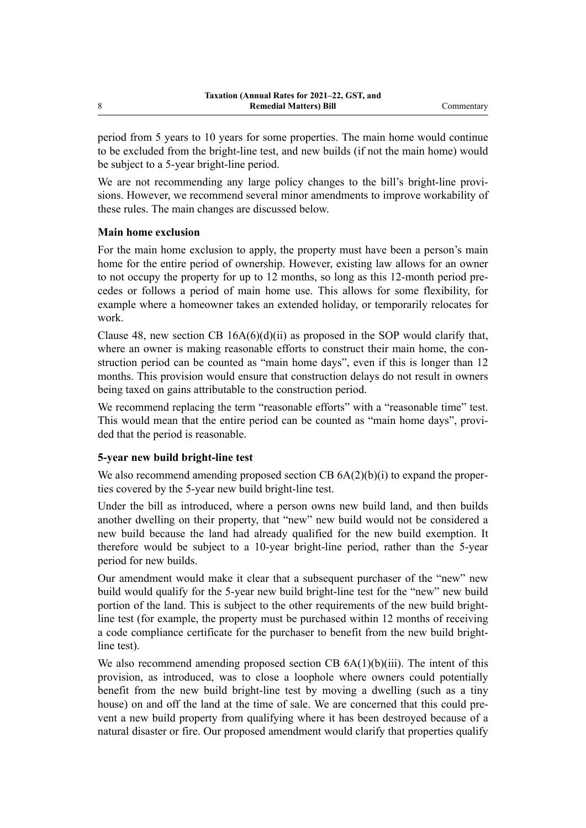period from 5 years to 10 years for some properties. The main home would continue to be excluded from the bright-line test, and new builds (if not the main home) would be subject to a 5-year bright-line period.

We are not recommending any large policy changes to the bill's bright-line provisions. However, we recommend several minor amendments to improve workability of these rules. The main changes are discussed below.

## **Main home exclusion**

For the main home exclusion to apply, the property must have been a person's main home for the entire period of ownership. However, existing law allows for an owner to not occupy the property for up to 12 months, so long as this 12-month period precedes or follows a period of main home use. This allows for some flexibility, for example where a homeowner takes an extended holiday, or temporarily relocates for work.

Clause 48, new section CB  $16A(6)(d)(ii)$  as proposed in the SOP would clarify that, where an owner is making reasonable efforts to construct their main home, the construction period can be counted as "main home days", even if this is longer than 12 months. This provision would ensure that construction delays do not result in owners being taxed on gains attributable to the construction period.

We recommend replacing the term "reasonable efforts" with a "reasonable time" test. This would mean that the entire period can be counted as "main home days", provided that the period is reasonable.

## **5-year new build bright-line test**

We also recommend amending proposed section CB  $6A(2)(b)(i)$  to expand the properties covered by the 5-year new build bright-line test.

Under the bill as introduced, where a person owns new build land, and then builds another dwelling on their property, that "new" new build would not be considered a new build because the land had already qualified for the new build exemption. It therefore would be subject to a 10-year bright-line period, rather than the 5-year period for new builds.

Our amendment would make it clear that a subsequent purchaser of the "new" new build would qualify for the 5-year new build bright-line test for the "new" new build portion of the land. This is subject to the other requirements of the new build brightline test (for example, the property must be purchased within 12 months of receiving a code compliance certificate for the purchaser to benefit from the new build brightline test).

We also recommend amending proposed section CB  $6A(1)(b)(iii)$ . The intent of this provision, as introduced, was to close a loophole where owners could potentially benefit from the new build bright-line test by moving a dwelling (such as a tiny house) on and off the land at the time of sale. We are concerned that this could prevent a new build property from qualifying where it has been destroyed because of a natural disaster or fire. Our proposed amendment would clarify that properties qualify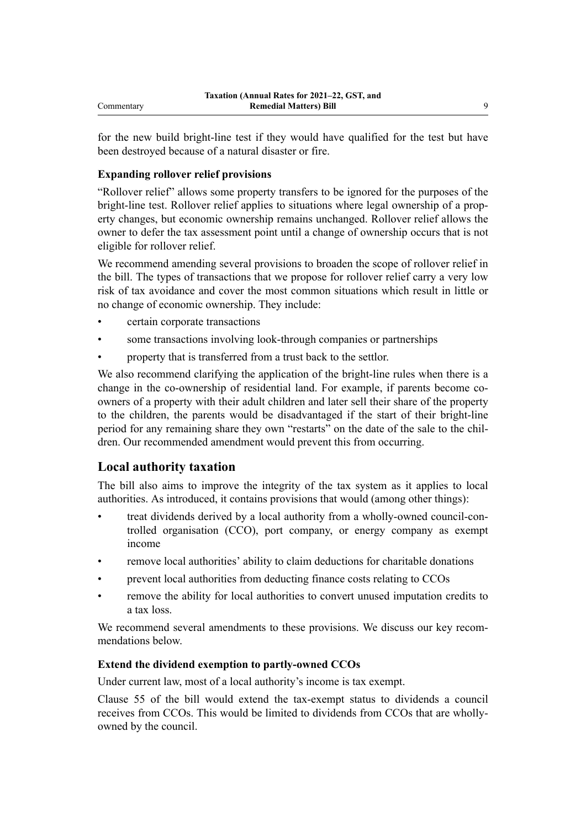for the new build bright-line test if they would have qualified for the test but have been destroyed because of a natural disaster or fire.

# **Expanding rollover relief provisions**

"Rollover relief" allows some property transfers to be ignored for the purposes of the bright-line test. Rollover relief applies to situations where legal ownership of a property changes, but economic ownership remains unchanged. Rollover relief allows the owner to defer the tax assessment point until a change of ownership occurs that is not eligible for rollover relief.

We recommend amending several provisions to broaden the scope of rollover relief in the bill. The types of transactions that we propose for rollover relief carry a very low risk of tax avoidance and cover the most common situations which result in little or no change of economic ownership. They include:

- certain corporate transactions
- some transactions involving look-through companies or partnerships
- property that is transferred from a trust back to the settlor.

We also recommend clarifying the application of the bright-line rules when there is a change in the co-ownership of residential land. For example, if parents become coowners of a property with their adult children and later sell their share of the property to the children, the parents would be disadvantaged if the start of their bright-line period for any remaining share they own "restarts" on the date of the sale to the children. Our recommended amendment would prevent this from occurring.

# **Local authority taxation**

The bill also aims to improve the integrity of the tax system as it applies to local authorities. As introduced, it contains provisions that would (among other things):

- treat dividends derived by a local authority from a wholly-owned council-controlled organisation (CCO), port company, or energy company as exempt income
- remove local authorities' ability to claim deductions for charitable donations
- prevent local authorities from deducting finance costs relating to CCOs
- remove the ability for local authorities to convert unused imputation credits to a tax loss.

We recommend several amendments to these provisions. We discuss our key recommendations below.

# **Extend the dividend exemption to partly-owned CCOs**

Under current law, most of a local authority's income is tax exempt.

Clause 55 of the bill would extend the tax-exempt status to dividends a council receives from CCOs. This would be limited to dividends from CCOs that are whollyowned by the council.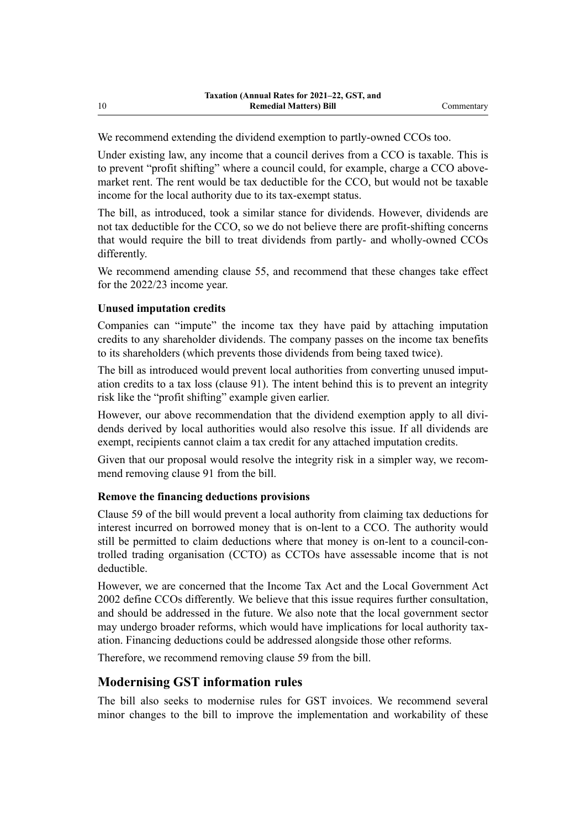We recommend extending the dividend exemption to partly-owned CCOs too.

Under existing law, any income that a council derives from a CCO is taxable. This is to prevent "profit shifting" where a council could, for example, charge a CCO abovemarket rent. The rent would be tax deductible for the CCO, but would not be taxable income for the local authority due to its tax-exempt status.

The bill, as introduced, took a similar stance for dividends. However, dividends are not tax deductible for the CCO, so we do not believe there are profit-shifting concerns that would require the bill to treat dividends from partly- and wholly-owned CCOs differently.

We recommend amending clause 55, and recommend that these changes take effect for the 2022/23 income year.

#### **Unused imputation credits**

Companies can "impute" the income tax they have paid by attaching imputation credits to any shareholder dividends. The company passes on the income tax benefits to its shareholders (which prevents those dividends from being taxed twice).

The bill as introduced would prevent local authorities from converting unused imputation credits to a tax loss (clause 91). The intent behind this is to prevent an integrity risk like the "profit shifting" example given earlier.

However, our above recommendation that the dividend exemption apply to all dividends derived by local authorities would also resolve this issue. If all dividends are exempt, recipients cannot claim a tax credit for any attached imputation credits.

Given that our proposal would resolve the integrity risk in a simpler way, we recommend removing clause 91 from the bill.

#### **Remove the financing deductions provisions**

Clause 59 of the bill would prevent a local authority from claiming tax deductions for interest incurred on borrowed money that is on-lent to a CCO. The authority would still be permitted to claim deductions where that money is on-lent to a council-controlled trading organisation (CCTO) as CCTOs have assessable income that is not deductible.

However, we are concerned that the Income Tax Act and the Local Government Act 2002 define CCOs differently. We believe that this issue requires further consultation, and should be addressed in the future. We also note that the local government sector may undergo broader reforms, which would have implications for local authority tax– ation. Financing deductions could be addressed alongside those other reforms.

Therefore, we recommend removing clause 59 from the bill.

# **Modernising GST information rules**

The bill also seeks to modernise rules for GST invoices. We recommend several minor changes to the bill to improve the implementation and workability of these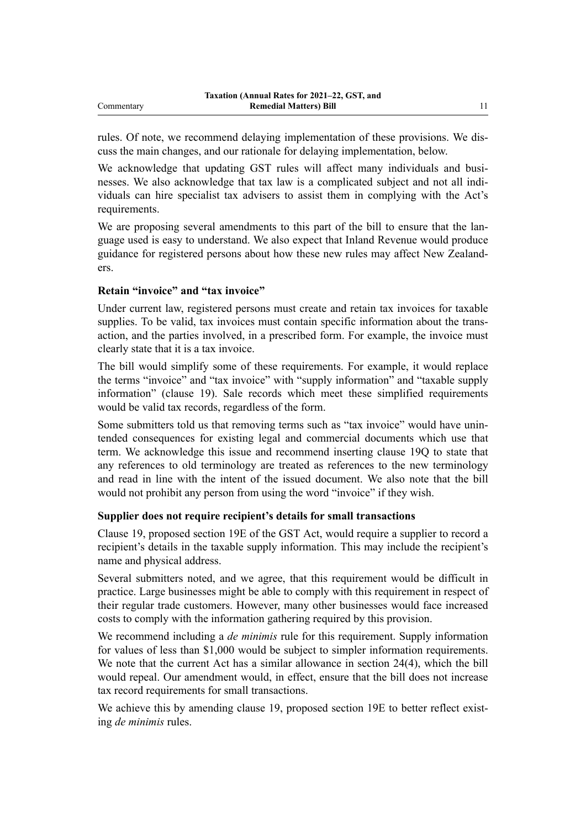rules. Of note, we recommend delaying implementation of these provisions. We dis‐ cuss the main changes, and our rationale for delaying implementation, below.

We acknowledge that updating GST rules will affect many individuals and businesses. We also acknowledge that tax law is a complicated subject and not all indi‐ viduals can hire specialist tax advisers to assist them in complying with the Act's requirements.

We are proposing several amendments to this part of the bill to ensure that the language used is easy to understand. We also expect that Inland Revenue would produce guidance for registered persons about how these new rules may affect New Zealand‐ ers.

## **Retain "invoice" and "tax invoice"**

Under current law, registered persons must create and retain tax invoices for taxable supplies. To be valid, tax invoices must contain specific information about the transaction, and the parties involved, in a prescribed form. For example, the invoice must clearly state that it is a tax invoice.

The bill would simplify some of these requirements. For example, it would replace the terms "invoice" and "tax invoice" with "supply information" and "taxable supply information" (clause 19). Sale records which meet these simplified requirements would be valid tax records, regardless of the form.

Some submitters told us that removing terms such as "tax invoice" would have unintended consequences for existing legal and commercial documents which use that term. We acknowledge this issue and recommend inserting clause 19Q to state that any references to old terminology are treated as references to the new terminology and read in line with the intent of the issued document. We also note that the bill would not prohibit any person from using the word "invoice" if they wish.

#### **Supplier does not require recipient's details for small transactions**

Clause 19, proposed section 19E of the GST Act, would require a supplier to record a recipient's details in the taxable supply information. This may include the recipient's name and physical address.

Several submitters noted, and we agree, that this requirement would be difficult in practice. Large businesses might be able to comply with this requirement in respect of their regular trade customers. However, many other businesses would face increased costs to comply with the information gathering required by this provision.

We recommend including a *de minimis* rule for this requirement. Supply information for values of less than \$1,000 would be subject to simpler information requirements. We note that the current Act has a similar allowance in section 24(4), which the bill would repeal. Our amendment would, in effect, ensure that the bill does not increase tax record requirements for small transactions.

We achieve this by amending clause 19, proposed section 19E to better reflect existing *de minimis* rules.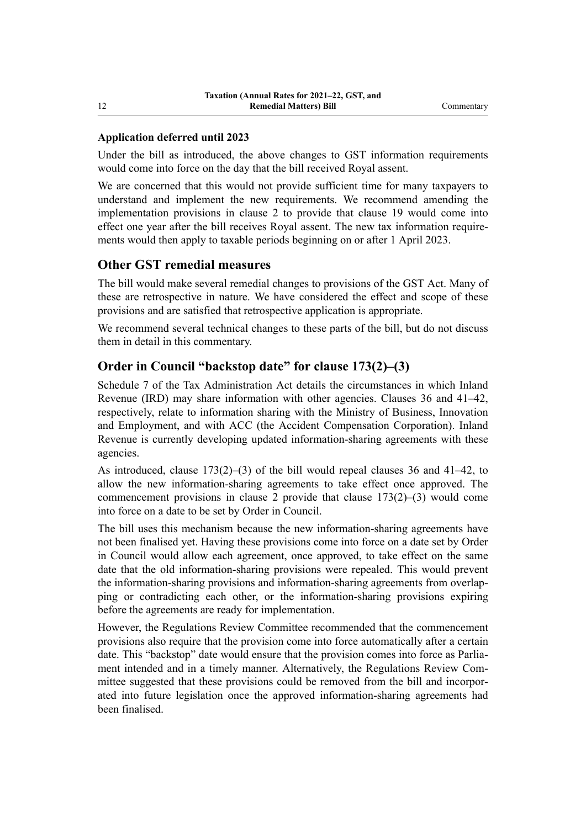# **Application deferred until 2023**

Under the bill as introduced, the above changes to GST information requirements would come into force on the day that the bill received Royal assent.

We are concerned that this would not provide sufficient time for many taxpayers to understand and implement the new requirements. We recommend amending the implementation provisions in clause 2 to provide that clause 19 would come into effect one year after the bill receives Royal assent. The new tax information require‐ ments would then apply to taxable periods beginning on or after 1 April 2023.

# **Other GST remedial measures**

The bill would make several remedial changes to provisions of the GST Act. Many of these are retrospective in nature. We have considered the effect and scope of these provisions and are satisfied that retrospective application is appropriate.

We recommend several technical changes to these parts of the bill, but do not discuss them in detail in this commentary.

# **Order in Council "backstop date" for clause 173(2)–(3)**

Schedule 7 of the Tax Administration Act details the circumstances in which Inland Revenue (IRD) may share information with other agencies. Clauses 36 and 41–42, respectively, relate to information sharing with the Ministry of Business, Innovation and Employment, and with ACC (the Accident Compensation Corporation). Inland Revenue is currently developing updated information-sharing agreements with these agencies.

As introduced, clause 173(2)–(3) of the bill would repeal clauses 36 and 41–42, to allow the new information-sharing agreements to take effect once approved. The commencement provisions in clause 2 provide that clause 173(2)–(3) would come into force on a date to be set by Order in Council.

The bill uses this mechanism because the new information-sharing agreements have not been finalised yet. Having these provisions come into force on a date set by Order in Council would allow each agreement, once approved, to take effect on the same date that the old information-sharing provisions were repealed. This would prevent the information-sharing provisions and information-sharing agreements from overlapping or contradicting each other, or the information-sharing provisions expiring before the agreements are ready for implementation.

However, the Regulations Review Committee recommended that the commencement provisions also require that the provision come into force automatically after a certain date. This "backstop" date would ensure that the provision comes into force as Parliament intended and in a timely manner. Alternatively, the Regulations Review Committee suggested that these provisions could be removed from the bill and incorpor‐ ated into future legislation once the approved information-sharing agreements had been finalised.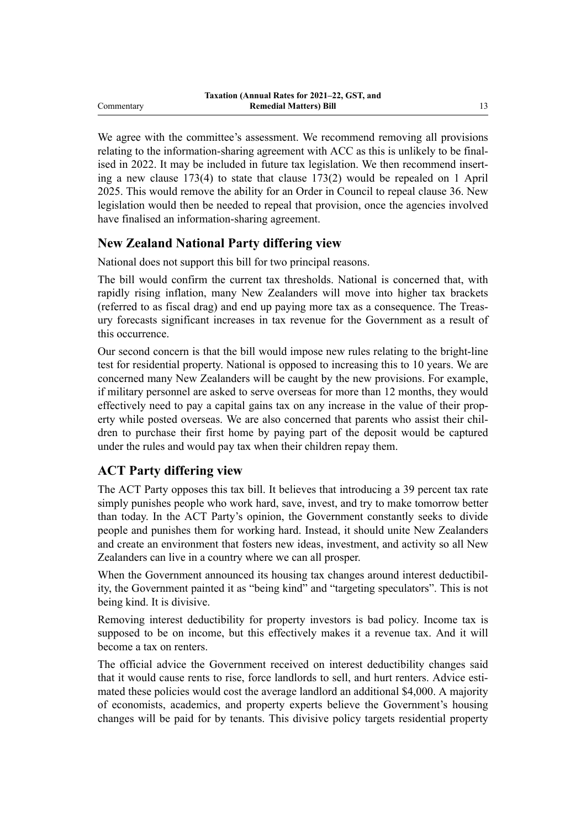We agree with the committee's assessment. We recommend removing all provisions relating to the information-sharing agreement with ACC as this is unlikely to be final‐ ised in 2022. It may be included in future tax legislation. We then recommend inserting a new clause 173(4) to state that clause 173(2) would be repealed on 1 April 2025. This would remove the ability for an Order in Council to repeal clause 36. New legislation would then be needed to repeal that provision, once the agencies involved have finalised an information-sharing agreement.

# **New Zealand National Party differing view**

National does not support this bill for two principal reasons.

The bill would confirm the current tax thresholds. National is concerned that, with rapidly rising inflation, many New Zealanders will move into higher tax brackets (referred to as fiscal drag) and end up paying more tax as a consequence. The Treas‐ ury forecasts significant increases in tax revenue for the Government as a result of this occurrence.

Our second concern is that the bill would impose new rules relating to the bright-line test for residential property. National is opposed to increasing this to 10 years. We are concerned many New Zealanders will be caught by the new provisions. For example, if military personnel are asked to serve overseas for more than 12 months, they would effectively need to pay a capital gains tax on any increase in the value of their property while posted overseas. We are also concerned that parents who assist their chil‐ dren to purchase their first home by paying part of the deposit would be captured under the rules and would pay tax when their children repay them.

# **ACT Party differing view**

The ACT Party opposes this tax bill. It believes that introducing a 39 percent tax rate simply punishes people who work hard, save, invest, and try to make tomorrow better than today. In the ACT Party's opinion, the Government constantly seeks to divide people and punishes them for working hard. Instead, it should unite New Zealanders and create an environment that fosters new ideas, investment, and activity so all New Zealanders can live in a country where we can all prosper.

When the Government announced its housing tax changes around interest deductibility, the Government painted it as "being kind" and "targeting speculators". This is not being kind. It is divisive.

Removing interest deductibility for property investors is bad policy. Income tax is supposed to be on income, but this effectively makes it a revenue tax. And it will become a tax on renters.

The official advice the Government received on interest deductibility changes said that it would cause rents to rise, force landlords to sell, and hurt renters. Advice estimated these policies would cost the average landlord an additional \$4,000. A majority of economists, academics, and property experts believe the Government's housing changes will be paid for by tenants. This divisive policy targets residential property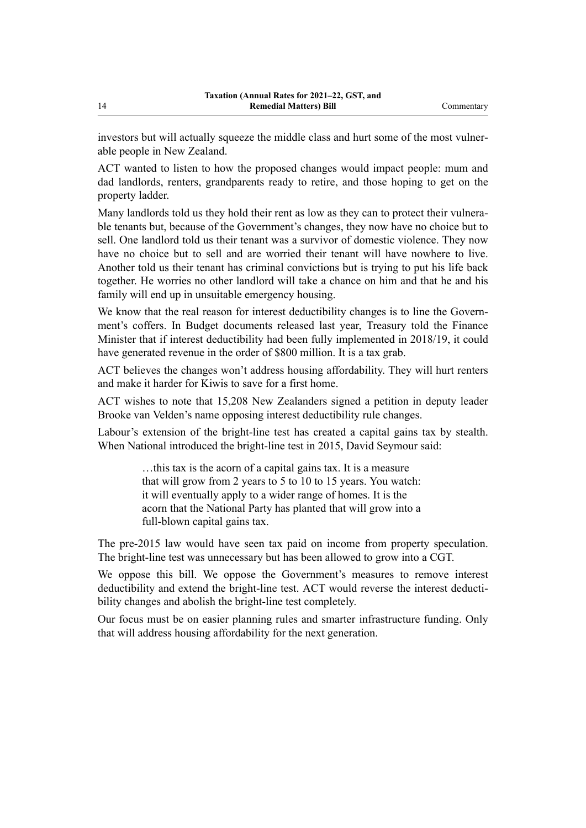investors but will actually squeeze the middle class and hurt some of the most vulner‐ able people in New Zealand.

ACT wanted to listen to how the proposed changes would impact people: mum and dad landlords, renters, grandparents ready to retire, and those hoping to get on the property ladder.

Many landlords told us they hold their rent as low as they can to protect their vulnerable tenants but, because of the Government's changes, they now have no choice but to sell. One landlord told us their tenant was a survivor of domestic violence. They now have no choice but to sell and are worried their tenant will have nowhere to live. Another told us their tenant has criminal convictions but is trying to put his life back together. He worries no other landlord will take a chance on him and that he and his family will end up in unsuitable emergency housing.

We know that the real reason for interest deductibility changes is to line the Government's coffers. In Budget documents released last year, Treasury told the Finance Minister that if interest deductibility had been fully implemented in 2018/19, it could have generated revenue in the order of \$800 million. It is a tax grab.

ACT believes the changes won't address housing affordability. They will hurt renters and make it harder for Kiwis to save for a first home.

ACT wishes to note that 15,208 New Zealanders signed a petition in deputy leader Brooke van Velden's name opposing interest deductibility rule changes.

Labour's extension of the bright-line test has created a capital gains tax by stealth. When National introduced the bright-line test in 2015, David Seymour said:

> …this tax is the acorn of a capital gains tax. It is a measure that will grow from 2 years to 5 to 10 to 15 years. You watch: it will eventually apply to a wider range of homes. It is the acorn that the National Party has planted that will grow into a full-blown capital gains tax.

The pre-2015 law would have seen tax paid on income from property speculation. The bright-line test was unnecessary but has been allowed to grow into a CGT.

We oppose this bill. We oppose the Government's measures to remove interest deductibility and extend the bright-line test. ACT would reverse the interest deductibility changes and abolish the bright-line test completely.

Our focus must be on easier planning rules and smarter infrastructure funding. Only that will address housing affordability for the next generation.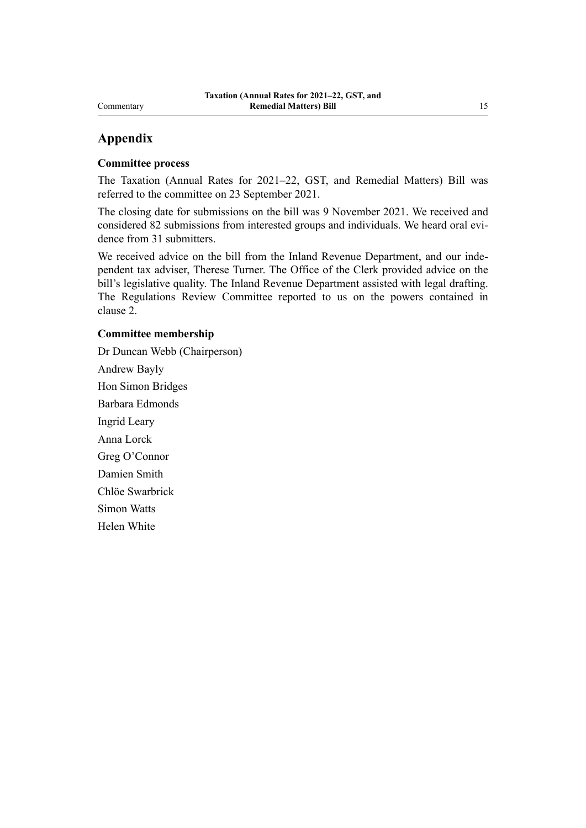# Commentary

# **Appendix**

# **Committee process**

The Taxation (Annual Rates for 2021–22, GST, and Remedial Matters) Bill was referred to the committee on 23 September 2021.

The closing date for submissions on the bill was 9 November 2021. We received and considered 82 submissions from interested groups and individuals. We heard oral evidence from 31 submitters.

We received advice on the bill from the Inland Revenue Department, and our independent tax adviser, Therese Turner. The Office of the Clerk provided advice on the bill's legislative quality. The Inland Revenue Department assisted with legal drafting. The Regulations Review Committee reported to us on the powers contained in clause 2.

## **Committee membership**

Dr Duncan Webb (Chairperson) Andrew Bayly Hon Simon Bridges Barbara Edmonds Ingrid Leary Anna Lorck Greg O'Connor Damien Smith Chlöe Swarbrick Simon Watts Helen White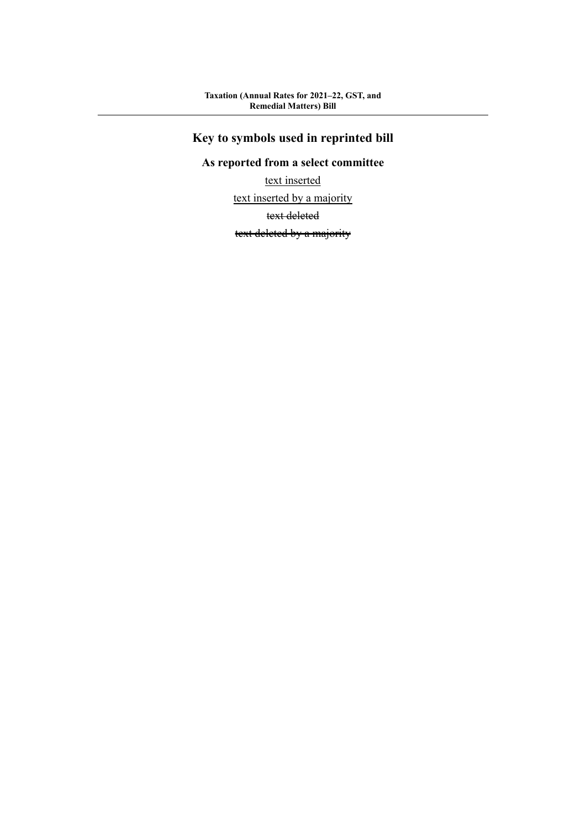# **Key to symbols used in reprinted bill**

# **As reported from a select committee**

text inserted

text inserted by a majority

text deleted

text deleted by a majority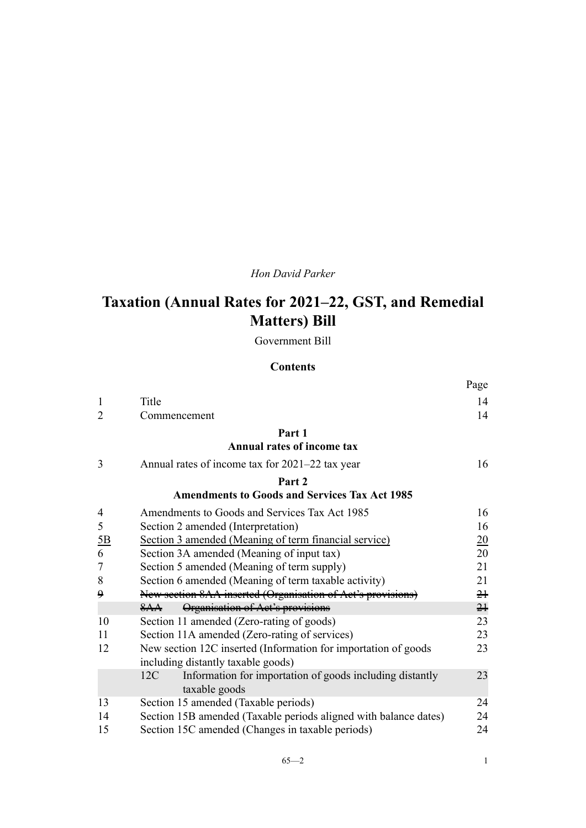# *Hon David Parker*

# **Taxation (Annual Rates for 2021–22, GST, and Remedial Matters) Bill**

Government Bill

# **Contents**

|                |                                                                                                      | Page             |
|----------------|------------------------------------------------------------------------------------------------------|------------------|
| 1              | Title                                                                                                | 14               |
| $\overline{2}$ | Commencement                                                                                         | 14               |
|                | Part 1                                                                                               |                  |
|                | <b>Annual rates of income tax</b>                                                                    |                  |
| 3              | Annual rates of income tax for 2021–22 tax year                                                      | 16               |
|                | Part <sub>2</sub>                                                                                    |                  |
|                | <b>Amendments to Goods and Services Tax Act 1985</b>                                                 |                  |
| $\overline{4}$ | Amendments to Goods and Services Tax Act 1985                                                        | 16               |
| 5              | Section 2 amended (Interpretation)                                                                   | 16               |
| 5B             | Section 3 amended (Meaning of term financial service)                                                | $\underline{20}$ |
| 6              | Section 3A amended (Meaning of input tax)                                                            | 20               |
| 7              | Section 5 amended (Meaning of term supply)                                                           | 21               |
| 8              | Section 6 amended (Meaning of term taxable activity)                                                 | 21               |
| ۅ              | New section 8AA inserted (Organisation of Act's provisions)                                          | $2+$             |
|                | Organisation of Act's provisions<br>8AA                                                              | $2+$             |
| 10             | Section 11 amended (Zero-rating of goods)                                                            | 23               |
| 11             | Section 11A amended (Zero-rating of services)                                                        | 23               |
| 12             | New section 12C inserted (Information for importation of goods<br>including distantly taxable goods) | 23               |
|                | Information for importation of goods including distantly<br>12C<br>taxable goods                     | 23               |
| 13             | Section 15 amended (Taxable periods)                                                                 | 24               |
| 14             | Section 15B amended (Taxable periods aligned with balance dates)                                     | 24               |
| 15             | Section 15C amended (Changes in taxable periods)                                                     | 24               |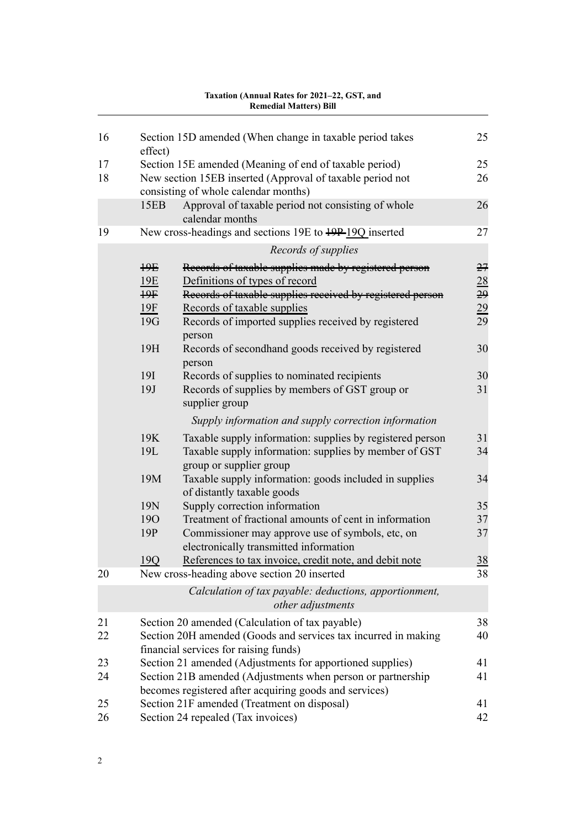|          |                                                    | <b>Remedial Matters) Bill</b>                                                                                                                                                                                                              |                                          |
|----------|----------------------------------------------------|--------------------------------------------------------------------------------------------------------------------------------------------------------------------------------------------------------------------------------------------|------------------------------------------|
| 16       | effect)                                            | Section 15D amended (When change in taxable period takes                                                                                                                                                                                   | 25                                       |
| 17       |                                                    | Section 15E amended (Meaning of end of taxable period)                                                                                                                                                                                     | 25                                       |
| 18       |                                                    | New section 15EB inserted (Approval of taxable period not<br>consisting of whole calendar months)                                                                                                                                          | 26                                       |
|          | 15EB                                               | Approval of taxable period not consisting of whole<br>calendar months                                                                                                                                                                      | 26                                       |
| 19       |                                                    | New cross-headings and sections 19E to 49P-19Q inserted                                                                                                                                                                                    | 27                                       |
|          |                                                    | Records of supplies                                                                                                                                                                                                                        |                                          |
|          | $\frac{1}{2}$<br>19E<br>$+9F$<br><u>19F</u><br>19G | Records of taxable supplies made by registered person<br>Definitions of types of record<br>Records of taxable supplies received by registered person<br>Records of taxable supplies<br>Records of imported supplies received by registered | 27<br>$\frac{28}{29}$<br>$\frac{29}{29}$ |
|          | 19H                                                | person<br>Records of secondhand goods received by registered<br>person                                                                                                                                                                     | 30                                       |
|          | <b>19I</b><br>19J                                  | Records of supplies to nominated recipients<br>Records of supplies by members of GST group or<br>supplier group                                                                                                                            | 30<br>31                                 |
|          |                                                    | Supply information and supply correction information                                                                                                                                                                                       |                                          |
|          | 19K<br>19L                                         | Taxable supply information: supplies by registered person<br>Taxable supply information: supplies by member of GST<br>group or supplier group                                                                                              | 31<br>34                                 |
|          | 19M                                                | Taxable supply information: goods included in supplies<br>of distantly taxable goods                                                                                                                                                       | 34                                       |
|          | 19N                                                | Supply correction information                                                                                                                                                                                                              | 35                                       |
|          | <b>190</b><br>19P                                  | Treatment of fractional amounts of cent in information<br>Commissioner may approve use of symbols, etc, on<br>electronically transmitted information                                                                                       | 37<br>37                                 |
|          | 19Q                                                | References to tax invoice, credit note, and debit note                                                                                                                                                                                     | <u>38</u>                                |
| 20       |                                                    | New cross-heading above section 20 inserted                                                                                                                                                                                                | 38                                       |
|          |                                                    | Calculation of tax payable: deductions, apportionment,<br>other adjustments                                                                                                                                                                |                                          |
| 21<br>22 |                                                    | Section 20 amended (Calculation of tax payable)<br>Section 20H amended (Goods and services tax incurred in making<br>financial services for raising funds)                                                                                 | 38<br>40                                 |
| 23       |                                                    | Section 21 amended (Adjustments for apportioned supplies)                                                                                                                                                                                  | 41                                       |
| 24       |                                                    | Section 21B amended (Adjustments when person or partnership<br>becomes registered after acquiring goods and services)                                                                                                                      | 41                                       |
| 25       |                                                    | Section 21F amended (Treatment on disposal)                                                                                                                                                                                                | 41                                       |
| 26       |                                                    | Section 24 repealed (Tax invoices)                                                                                                                                                                                                         | 42                                       |

# **Taxation (Annual Rates for 2021–22, GST, and**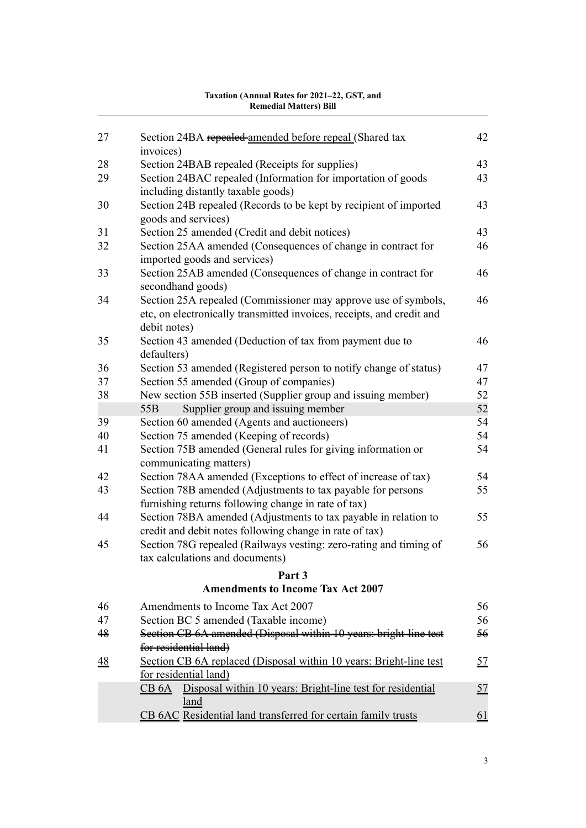| 27             | Section 24BA repealed amended before repeal (Shared tax<br>invoices)                   | 42       |
|----------------|----------------------------------------------------------------------------------------|----------|
| 28             | Section 24BAB repealed (Receipts for supplies)                                         | 43       |
| 29             | Section 24BAC repealed (Information for importation of goods                           | 43       |
|                | including distantly taxable goods)                                                     |          |
| 30             | Section 24B repealed (Records to be kept by recipient of imported                      | 43       |
|                | goods and services)                                                                    |          |
| 31             | Section 25 amended (Credit and debit notices)                                          | 43       |
| 32             | Section 25AA amended (Consequences of change in contract for                           | 46       |
|                | imported goods and services)                                                           |          |
| 33             | Section 25AB amended (Consequences of change in contract for                           | 46       |
|                | secondhand goods)                                                                      |          |
| 34             | Section 25A repealed (Commissioner may approve use of symbols,                         | 46       |
|                | etc, on electronically transmitted invoices, receipts, and credit and                  |          |
|                | debit notes)                                                                           |          |
| 35             | Section 43 amended (Deduction of tax from payment due to                               | 46       |
|                | defaulters)                                                                            |          |
| 36             | Section 53 amended (Registered person to notify change of status)                      | 47       |
| 37             | Section 55 amended (Group of companies)                                                | 47       |
| 38             | New section 55B inserted (Supplier group and issuing member)                           | 52       |
| 39             | Supplier group and issuing member<br>55 <sub>B</sub>                                   | 52<br>54 |
| 40             | Section 60 amended (Agents and auctioneers)<br>Section 75 amended (Keeping of records) | 54       |
| 41             | Section 75B amended (General rules for giving information or                           | 54       |
|                | communicating matters)                                                                 |          |
| 42             | Section 78AA amended (Exceptions to effect of increase of tax)                         | 54       |
| 43             | Section 78B amended (Adjustments to tax payable for persons                            | 55       |
|                | furnishing returns following change in rate of tax)                                    |          |
| 44             | Section 78BA amended (Adjustments to tax payable in relation to                        | 55       |
|                | credit and debit notes following change in rate of tax)                                |          |
| 45             | Section 78G repealed (Railways vesting: zero-rating and timing of                      | 56       |
|                | tax calculations and documents)                                                        |          |
|                | Part <sub>3</sub>                                                                      |          |
|                | <b>Amendments to Income Tax Act 2007</b>                                               |          |
| 46             | Amendments to Income Tax Act 2007                                                      | 56       |
| 47             | Section BC 5 amended (Taxable income)                                                  | 56       |
| 48             | Section CB 6A amended (Disposal within 10 years: bright line test                      | 56       |
|                | for residential land)                                                                  |          |
| $\frac{48}{5}$ | Section CB 6A replaced (Disposal within 10 years: Bright-line test                     | 57       |
|                | for residential land)                                                                  |          |
|                | Disposal within 10 years: Bright-line test for residential<br>CB 6A                    | 57       |
|                | land                                                                                   |          |
|                | CB 6AC Residential land transferred for certain family trusts                          | 61       |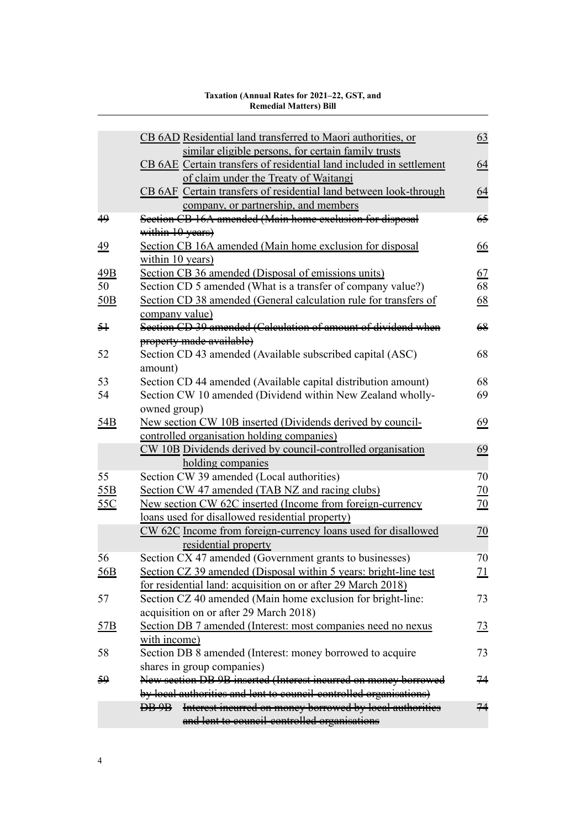|                 | CB 6AD Residential land transferred to Maori authorities, or        | 63              |
|-----------------|---------------------------------------------------------------------|-----------------|
|                 | similar eligible persons, for certain family trusts                 |                 |
|                 | CB 6AE Certain transfers of residential land included in settlement | 64              |
|                 | of claim under the Treaty of Waitangi                               |                 |
|                 | CB 6AF Certain transfers of residential land between look-through   | 64              |
|                 | company, or partnership, and members                                |                 |
| 49              | Section CB 16A amended (Main home exclusion for disposal            | 65              |
|                 | within 10 years)                                                    |                 |
| <u>49</u>       | Section CB 16A amended (Main home exclusion for disposal            | 66              |
|                 | within 10 years)                                                    |                 |
| 49B             | Section CB 36 amended (Disposal of emissions units)                 | 67              |
| 50              | Section CD 5 amended (What is a transfer of company value?)         | 68              |
| 50B             | Section CD 38 amended (General calculation rule for transfers of    | 68              |
|                 | company value)                                                      |                 |
| $\frac{5}{7}$   | Section CD 39 amended (Calculation of amount of dividend when       | 68              |
|                 | property made available)                                            |                 |
| 52              | Section CD 43 amended (Available subscribed capital (ASC)           | 68              |
|                 | amount)                                                             |                 |
| 53              | Section CD 44 amended (Available capital distribution amount)       | 68              |
| 54              | Section CW 10 amended (Dividend within New Zealand wholly-          | 69              |
|                 | owned group)                                                        |                 |
| 54 <sub>B</sub> | New section CW 10B inserted (Dividends derived by council-          | 69              |
|                 | controlled organisation holding companies)                          |                 |
|                 | CW 10B Dividends derived by council-controlled organisation         | 69              |
|                 | holding companies                                                   |                 |
| 55              | Section CW 39 amended (Local authorities)                           | 70              |
| 55B             | Section CW 47 amended (TAB NZ and racing clubs)                     | $\overline{20}$ |
| <u>55C</u>      | New section CW 62C inserted (Income from foreign-currency           | $\overline{20}$ |
|                 | loans used for disallowed residential property)                     |                 |
|                 | CW 62C Income from foreign-currency loans used for disallowed       | 70              |
|                 | residential property                                                |                 |
| 56              | Section CX 47 amended (Government grants to businesses)             | 70              |
| <u>56B</u>      | Section CZ 39 amended (Disposal within 5 years: bright-line test    | <u>71</u>       |
|                 | for residential land: acquisition on or after 29 March 2018)        |                 |
| 57              | Section CZ 40 amended (Main home exclusion for bright-line:         | 73              |
|                 | acquisition on or after 29 March 2018)                              |                 |
| <u>57B</u>      | Section DB 7 amended (Interest: most companies need no nexus        | <u>73</u>       |
|                 | with income)                                                        |                 |
| 58              | Section DB 8 amended (Interest: money borrowed to acquire           | 73              |
|                 | shares in group companies)                                          |                 |
| <del>59</del>   | New section DB 9B inserted (Interest incurred on money borrowed     | 74              |
|                 | by local authorities and lent to council controlled organisations)  |                 |
|                 | DB 9B Interest ineurred on money borrowed by local authorities      | 74              |
|                 |                                                                     |                 |
|                 | and lent to council-controlled organisations                        |                 |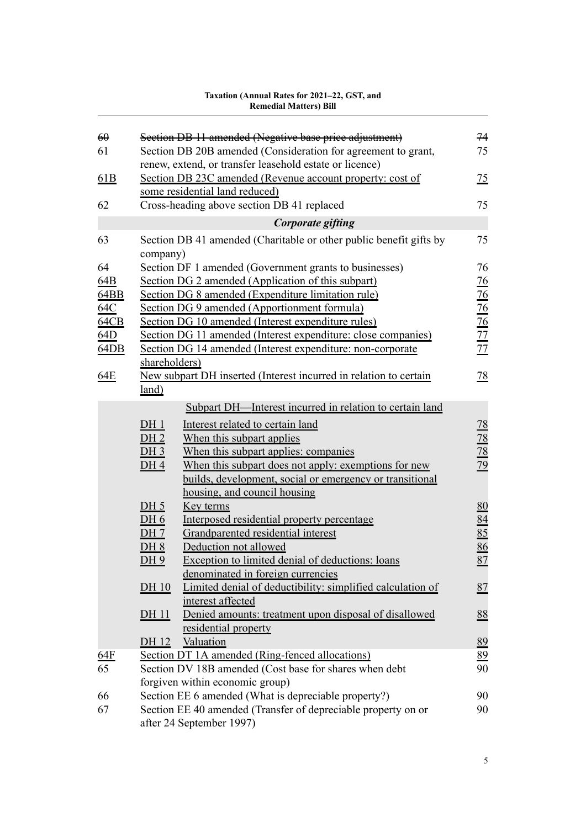| $\Theta$ |                 | Section DB 11 amended (Negative base price adjustment)                                      | 74                                                    |
|----------|-----------------|---------------------------------------------------------------------------------------------|-------------------------------------------------------|
| 61       |                 | Section DB 20B amended (Consideration for agreement to grant,                               | 75                                                    |
|          |                 | renew, extend, or transfer leasehold estate or licence)                                     |                                                       |
| 61B      |                 | Section DB 23C amended (Revenue account property: cost of<br>some residential land reduced) | $\frac{75}{2}$                                        |
| 62       |                 | Cross-heading above section DB 41 replaced                                                  | 75                                                    |
|          |                 |                                                                                             |                                                       |
|          |                 | Corporate gifting                                                                           |                                                       |
| 63       | company)        | Section DB 41 amended (Charitable or other public benefit gifts by                          | 75                                                    |
| 64       |                 | Section DF 1 amended (Government grants to businesses)                                      | 76                                                    |
| 64B      |                 | Section DG 2 amended (Application of this subpart)                                          | $\frac{76}{2}$                                        |
| 64BB     |                 | Section DG 8 amended (Expenditure limitation rule)                                          |                                                       |
| 64C      |                 | Section DG 9 amended (Apportionment formula)                                                | $\frac{76}{76}$<br>$\frac{76}{77}$<br>$\frac{77}{77}$ |
| 64CB     |                 | Section DG 10 amended (Interest expenditure rules)                                          |                                                       |
| 64D      |                 | Section DG 11 amended (Interest expenditure: close companies)                               |                                                       |
| 64DB     |                 | Section DG 14 amended (Interest expenditure: non-corporate                                  |                                                       |
|          | shareholders)   |                                                                                             |                                                       |
| 64E      |                 | New subpart DH inserted (Interest incurred in relation to certain                           | 78                                                    |
|          | <u>land)</u>    |                                                                                             |                                                       |
|          |                 | Subpart DH—Interest incurred in relation to certain land                                    |                                                       |
|          | $DH_1$          | Interest related to certain land                                                            |                                                       |
|          | DH <sub>2</sub> | When this subpart applies                                                                   |                                                       |
|          | $DH 3$          | When this subpart applies: companies                                                        | $\frac{78}{78}$<br>$\frac{78}{79}$                    |
|          | DH <sub>4</sub> | When this subpart does not apply: exemptions for new                                        |                                                       |
|          |                 | builds, development, social or emergency or transitional                                    |                                                       |
|          |                 | housing, and council housing                                                                |                                                       |
|          | $DH_5$          | Key terms                                                                                   | 80                                                    |
|          | DH 6            | Interposed residential property percentage                                                  |                                                       |
|          | DH 7            | Grandparented residential interest                                                          |                                                       |
|          | $DH 8$          | Deduction not allowed                                                                       |                                                       |
|          | DH 9            | Exception to limited denial of deductions: loans                                            | $\frac{84}{85}$ $\frac{86}{87}$                       |
|          |                 | denominated in foreign currencies                                                           |                                                       |
|          | $DH 10$         | Limited denial of deductibility: simplified calculation of                                  | 87                                                    |
|          |                 | interest affected                                                                           |                                                       |
|          | <u>DH 11</u>    | Denied amounts: treatment upon disposal of disallowed                                       | 88                                                    |
|          |                 | residential property                                                                        |                                                       |
|          | DH 12           | Valuation                                                                                   | 89                                                    |
| 64F      |                 | Section DT 1A amended (Ring-fenced allocations)                                             | 89                                                    |
| 65       |                 | Section DV 18B amended (Cost base for shares when debt                                      | 90                                                    |
|          |                 | forgiven within economic group)                                                             |                                                       |
| 66       |                 | Section EE 6 amended (What is depreciable property?)                                        | 90                                                    |
| 67       |                 | Section EE 40 amended (Transfer of depreciable property on or                               | 90                                                    |
|          |                 | after 24 September 1997)                                                                    |                                                       |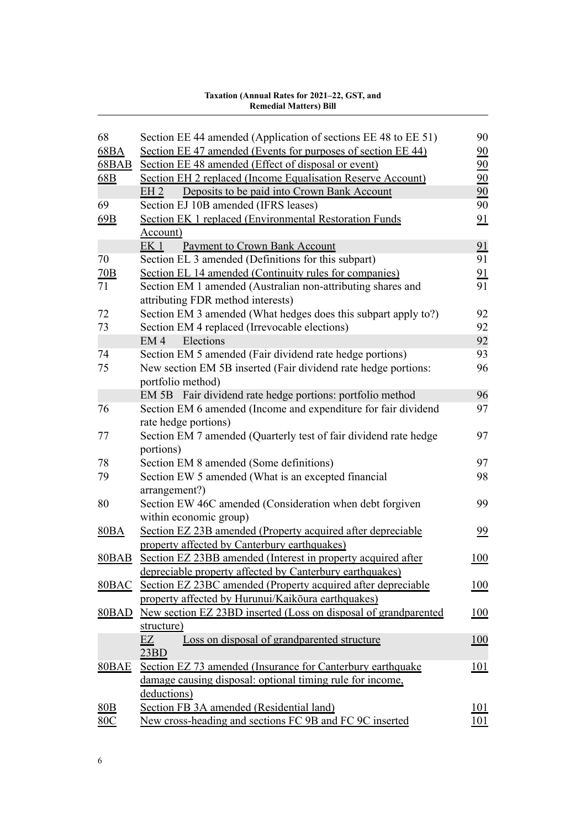| 68               | Section EE 44 amended (Application of sections EE 48 to EE 51)   | 90               |
|------------------|------------------------------------------------------------------|------------------|
| 68BA             | Section EE 47 amended (Events for purposes of section EE 44)     | 90               |
| $68$ BAB         | Section EE 48 amended (Effect of disposal or event)              | $\underline{90}$ |
| 68B              | Section EH 2 replaced (Income Equalisation Reserve Account)      | 90               |
|                  | EH <sub>2</sub><br>Deposits to be paid into Crown Bank Account   | 90               |
| 69               | Section EJ 10B amended (IFRS leases)                             | 90               |
| 69B              | Section EK 1 replaced (Environmental Restoration Funds           | 91               |
|                  | Account)                                                         |                  |
|                  | Payment to Crown Bank Account<br>EK <sub>1</sub>                 | 91               |
| 70               | Section EL 3 amended (Definitions for this subpart)              | 91               |
| $\overline{20B}$ | Section EL 14 amended (Continuity rules for companies)           | 91               |
| 71               | Section EM 1 amended (Australian non-attributing shares and      | 91               |
|                  | attributing FDR method interests)                                |                  |
| 72               | Section EM 3 amended (What hedges does this subpart apply to?)   | 92               |
| 73               | Section EM 4 replaced (Irrevocable elections)                    | 92               |
|                  | Elections<br>EM <sub>4</sub>                                     | 92               |
| 74               | Section EM 5 amended (Fair dividend rate hedge portions)         | 93               |
| 75               | New section EM 5B inserted (Fair dividend rate hedge portions:   | 96               |
|                  | portfolio method)                                                |                  |
|                  | EM 5B Fair dividend rate hedge portions: portfolio method        | 96               |
| 76               | Section EM 6 amended (Income and expenditure for fair dividend   | 97               |
|                  | rate hedge portions)                                             |                  |
| 77               | Section EM 7 amended (Quarterly test of fair dividend rate hedge | 97               |
|                  | portions)                                                        |                  |
| 78               | Section EM 8 amended (Some definitions)                          | 97               |
| 79               | Section EW 5 amended (What is an excepted financial              | 98               |
|                  | arrangement?)                                                    |                  |
| 80               | Section EW 46C amended (Consideration when debt forgiven         | 99               |
|                  | within economic group)                                           |                  |
| 80BA             | Section EZ 23B amended (Property acquired after depreciable      | 99               |
|                  | property affected by Canterbury earthquakes)                     |                  |
| $80$ BAB         | Section EZ 23BB amended (Interest in property acquired after     | 100              |
|                  | depreciable property affected by Canterbury earthquakes)         |                  |
| $80$ BAC         | Section EZ 23BC amended (Property acquired after depreciable     | 100              |
|                  | property affected by Hurunui/Kaikoura earthquakes)               |                  |
| 80BAD            | New section EZ 23BD inserted (Loss on disposal of grandparented  | 100              |
|                  | structure)                                                       |                  |
|                  | Loss on disposal of grandparented structure<br>EZ                | <u>100</u>       |
|                  | 23BD                                                             |                  |
| <b>80BAE</b>     | Section EZ 73 amended (Insurance for Canterbury earthquake       | <u> 101</u>      |
|                  | damage causing disposal: optional timing rule for income,        |                  |
|                  | deductions)                                                      |                  |
| 80B              | Section FB 3A amended (Residential land)                         | 101              |
| 80C              | New cross-heading and sections FC 9B and FC 9C inserted          | <u> 101</u>      |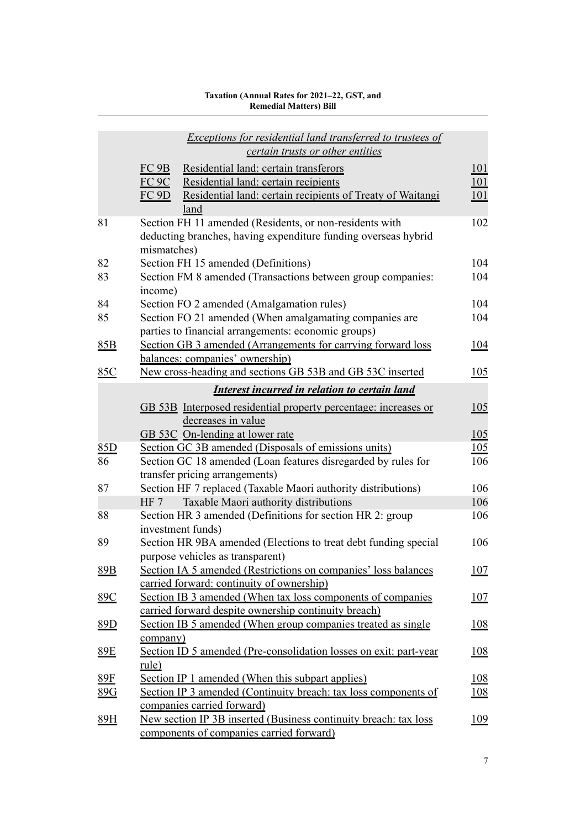|            | Exceptions for residential land transferred to trustees of<br>certain trusts or other entities     |             |
|------------|----------------------------------------------------------------------------------------------------|-------------|
|            | FC <sub>9B</sub><br>Residential land: certain transferors                                          | 101         |
|            | $FC$ 9 $C$<br>Residential land: certain recipients                                                 | <u> 101</u> |
|            | Residential land: certain recipients of Treaty of Waitangi<br>FC 9D                                | <u>101</u>  |
|            | land                                                                                               |             |
| 81         | Section FH 11 amended (Residents, or non-residents with                                            | 102         |
|            | deducting branches, having expenditure funding overseas hybrid<br>mismatches)                      |             |
| 82         | Section FH 15 amended (Definitions)                                                                | 104         |
| 83         | Section FM 8 amended (Transactions between group companies:<br>income)                             | 104         |
| 84         | Section FO 2 amended (Amalgamation rules)                                                          | 104         |
| 85         | Section FO 21 amended (When amalgamating companies are                                             | 104         |
|            | parties to financial arrangements: economic groups)                                                |             |
| 85B        | Section GB 3 amended (Arrangements for carrying forward loss                                       | 104         |
|            | balances: companies' ownership)                                                                    |             |
| 85C        | New cross-heading and sections GB 53B and GB 53C inserted                                          | 105         |
|            | <b>Interest incurred in relation to certain land</b>                                               |             |
|            | GB 53B Interposed residential property percentage: increases or                                    | 105         |
|            | decreases in value                                                                                 |             |
|            | GB 53C On-lending at lower rate                                                                    | 105         |
| 85D        | Section GC 3B amended (Disposals of emissions units)                                               | 105         |
| 86         | Section GC 18 amended (Loan features disregarded by rules for                                      | 106         |
|            | transfer pricing arrangements)                                                                     | 106         |
| 87         | Section HF 7 replaced (Taxable Maori authority distributions)<br>HF 7                              | 106         |
| 88         | Taxable Maori authority distributions<br>Section HR 3 amended (Definitions for section HR 2: group | 106         |
|            | investment funds)                                                                                  |             |
| 89         | Section HR 9BA amended (Elections to treat debt funding special                                    | 106         |
|            | purpose vehicles as transparent)                                                                   |             |
| 89B        | Section IA 5 amended (Restrictions on companies' loss balances                                     | 107         |
|            | carried forward: continuity of ownership)                                                          |             |
| <u>89C</u> | Section IB 3 amended (When tax loss components of companies                                        | 107         |
|            | carried forward despite ownership continuity breach)                                               |             |
| <u>89D</u> | Section IB 5 amended (When group companies treated as single                                       | 108         |
| <u>89E</u> | company)<br>Section ID 5 amended (Pre-consolidation losses on exit: part-year                      | 108         |
|            | rule)                                                                                              |             |
| <u>89F</u> | Section IP 1 amended (When this subpart applies)                                                   | <u>108</u>  |
| 89G        | Section IP 3 amended (Continuity breach: tax loss components of                                    | 108         |
|            | companies carried forward)                                                                         |             |
| 89H        | New section IP 3B inserted (Business continuity breach: tax loss                                   | 109         |
|            | <u>components of companies carried forward)</u>                                                    |             |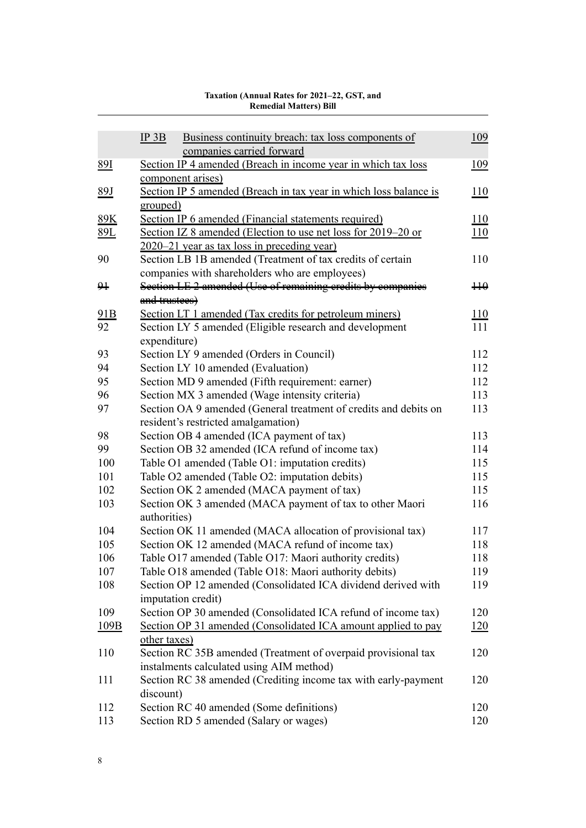#### [IP 3B](#page-126-0) [Business continuity breach: tax loss components of](#page-126-0) [companies carried forward](#page-126-0) [89I](#page-126-0) [Section IP 4 amended \(Breach in income year in which tax loss](#page-126-0) [component arises\)](#page-126-0) [89J](#page-127-0) [Section IP 5 amended \(Breach in tax year in which loss balance is](#page-127-0) [grouped\)](#page-127-0) [89K](#page-127-0) [Section IP 6 amended \(Financial statements required\)](#page-127-0) [110](#page-127-0) [89L](#page-127-0) [Section IZ 8 amended \(Election to use net loss for 2019–20 or](#page-127-0) [2020–21 year as tax loss in preceding year\)](#page-127-0) [Section LB 1B amended \(Treatment of tax credits of certain](#page-127-0) [companies with shareholders who are employees\)](#page-127-0) [Section LE 2 amended \(Use of remaining credits by companies](#page-127-0) [and trustees\)](#page-127-0)  $H\theta$ [91B](#page-127-0) [Section LT 1 amended \(Tax credits for petroleum miners\)](#page-127-0) [110](#page-127-0) [Section LY 5 amended \(Eligible research and development](#page-128-0) [expenditure\)](#page-128-0) [Section LY 9 amended \(Orders in Council\)](#page-129-0) [112](#page-129-0) [Section LY 10 amended \(Evaluation\)](#page-129-0) [112](#page-129-0) [Section MD 9 amended \(Fifth requirement: earner\)](#page-129-0) [112](#page-129-0) [Section MX 3 amended \(Wage intensity criteria\)](#page-130-0) [113](#page-130-0) [Section OA 9 amended \(General treatment of credits and debits on](#page-130-0) [resident's restricted amalgamation\)](#page-130-0) [Section OB 4 amended \(ICA payment of tax\)](#page-130-0) [113](#page-130-0) [Section OB 32 amended \(ICA refund of income tax\)](#page-131-0) [114](#page-131-0) [Table O1 amended \(Table O1: imputation credits\)](#page-132-0) [115](#page-132-0) [Table O2 amended \(Table O2: imputation debits\)](#page-132-0) [115](#page-132-0) [Section OK 2 amended \(MACA payment of tax\)](#page-132-0) [115](#page-132-0) [Section OK 3 amended \(MACA payment of tax to other Maori](#page-133-0) [authorities\)](#page-133-0) [Section OK 11 amended \(MACA allocation of provisional tax\)](#page-134-0) [117](#page-134-0) [Section OK 12 amended \(MACA refund of income tax\)](#page-135-0) [118](#page-135-0) [Table O17 amended \(Table O17: Maori authority credits\)](#page-135-0) [118](#page-135-0) [Table O18 amended \(Table O18: Maori authority debits\)](#page-136-0) [119](#page-136-0) [Section OP 12 amended \(Consolidated ICA dividend derived with](#page-136-0) [imputation credit\)](#page-136-0) [Section OP 30 amended \(Consolidated ICA refund of income tax\)](#page-137-0) [120](#page-137-0) [109B](#page-137-0) [Section OP 31 amended \(Consolidated ICA amount applied to pay](#page-137-0) [other taxes\)](#page-137-0) [Section RC 35B amended \(Treatment of overpaid provisional tax](#page-137-0) [instalments calculated using AIM method\)](#page-137-0) [Section RC 38 amended \(Crediting income tax with early-payment](#page-137-0) [discount\)](#page-137-0) [Section RC 40 amended \(Some definitions\)](#page-137-0) [120](#page-137-0) [Section RD 5 amended \(Salary or wages\)](#page-137-0) [120](#page-137-0)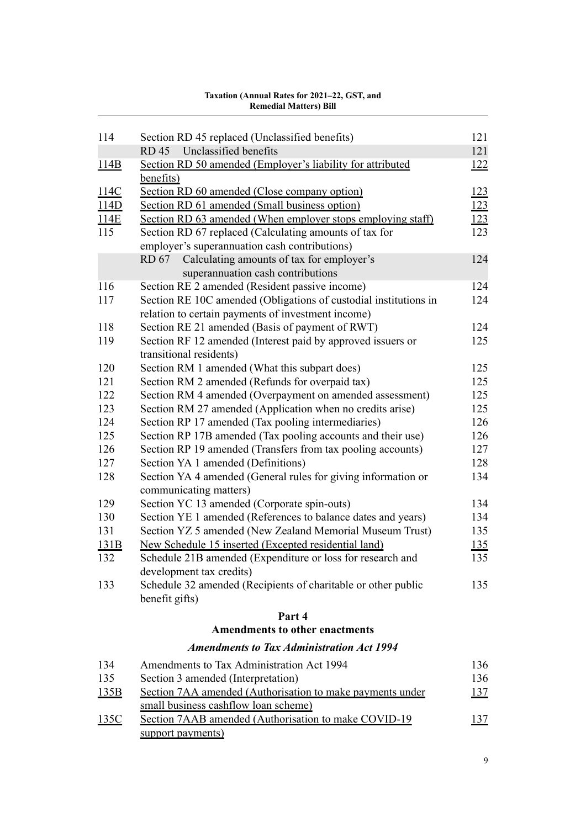| 114  | Section RD 45 replaced (Unclassified benefits)                   | 121         |
|------|------------------------------------------------------------------|-------------|
|      | Unclassified benefits<br><b>RD</b> 45                            | 121         |
| 114B | Section RD 50 amended (Employer's liability for attributed       | <u> 122</u> |
|      | benefits)                                                        |             |
| 114C | Section RD 60 amended (Close company option)                     | 123         |
| 114D | Section RD 61 amended (Small business option)                    | <u>123</u>  |
| 114E | Section RD 63 amended (When employer stops employing staff)      | <u>123</u>  |
| 115  | Section RD 67 replaced (Calculating amounts of tax for           | 123         |
|      | employer's superannuation cash contributions)                    |             |
|      | Calculating amounts of tax for employer's<br>RD 67               | 124         |
|      | superannuation cash contributions                                |             |
| 116  | Section RE 2 amended (Resident passive income)                   | 124         |
| 117  | Section RE 10C amended (Obligations of custodial institutions in | 124         |
|      | relation to certain payments of investment income)               |             |
| 118  | Section RE 21 amended (Basis of payment of RWT)                  | 124         |
| 119  | Section RF 12 amended (Interest paid by approved issuers or      | 125         |
|      | transitional residents)                                          |             |
| 120  | Section RM 1 amended (What this subpart does)                    | 125         |
| 121  | Section RM 2 amended (Refunds for overpaid tax)                  | 125         |
| 122  | Section RM 4 amended (Overpayment on amended assessment)         | 125         |
| 123  | Section RM 27 amended (Application when no credits arise)        | 125         |
| 124  | Section RP 17 amended (Tax pooling intermediaries)               | 126         |
| 125  | Section RP 17B amended (Tax pooling accounts and their use)      | 126         |
| 126  | Section RP 19 amended (Transfers from tax pooling accounts)      | 127         |
| 127  | Section YA 1 amended (Definitions)                               | 128         |
| 128  | Section YA 4 amended (General rules for giving information or    | 134         |
|      | communicating matters)                                           |             |
| 129  | Section YC 13 amended (Corporate spin-outs)                      | 134         |
| 130  | Section YE 1 amended (References to balance dates and years)     | 134         |
| 131  | Section YZ 5 amended (New Zealand Memorial Museum Trust)         | 135         |
| 131B | New Schedule 15 inserted (Excepted residential land)             | <u>135</u>  |
| 132  | Schedule 21B amended (Expenditure or loss for research and       | 135         |
|      | development tax credits)                                         |             |
| 133  | Schedule 32 amended (Recipients of charitable or other public    | 135         |
|      | benefit gifts)                                                   |             |
|      | Part 4                                                           |             |
|      | <b>Amendments to other enactments</b>                            |             |
|      | <b>Amendments to Tax Administration Act 1994</b>                 |             |
| 134  | Amendments to Tax Administration Act 1994                        | 136         |

# [135](#page-153-0) [Section 3 amended \(Interpretation\)](#page-153-0) [136](#page-153-0)

| 135B | Section 7AA amended (Authorisation to make payments under | 137 |
|------|-----------------------------------------------------------|-----|
|      | small business cashflow loan scheme)                      |     |
| 135C | Section 7AAB amended (Authorisation to make COVID-19)     | 137 |
|      | support payments)                                         |     |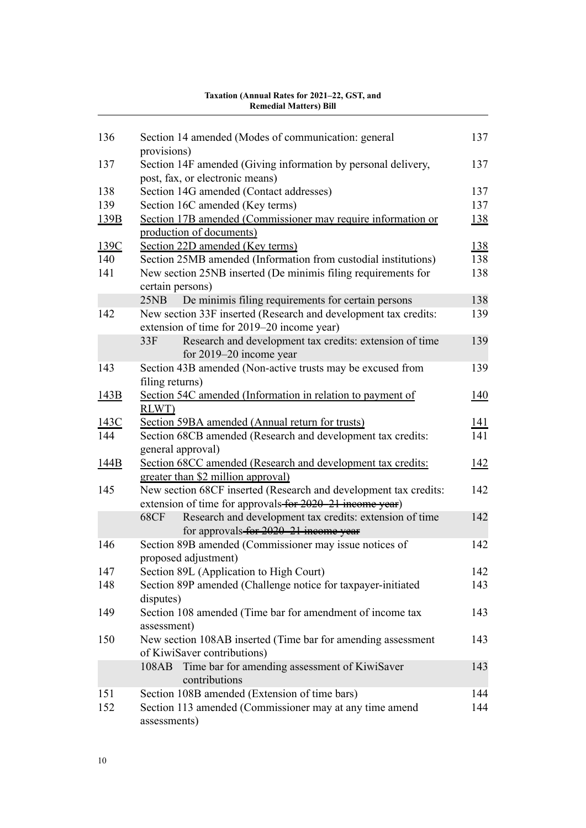| 136  | Section 14 amended (Modes of communication: general                                                      | 137        |
|------|----------------------------------------------------------------------------------------------------------|------------|
|      | provisions)                                                                                              |            |
| 137  | Section 14F amended (Giving information by personal delivery,                                            | 137        |
|      | post, fax, or electronic means)                                                                          |            |
| 138  | Section 14G amended (Contact addresses)                                                                  | 137        |
| 139  | Section 16C amended (Key terms)                                                                          | 137        |
| 139B | Section 17B amended (Commissioner may require information or                                             | 138        |
|      | production of documents)                                                                                 |            |
| 139C | Section 22D amended (Key terms)                                                                          | 138        |
| 140  | Section 25MB amended (Information from custodial institutions)                                           | 138        |
| 141  | New section 25NB inserted (De minimis filing requirements for                                            | 138        |
|      | certain persons)                                                                                         |            |
|      | De minimis filing requirements for certain persons<br>25NB                                               | 138        |
| 142  | New section 33F inserted (Research and development tax credits:                                          | 139        |
|      | extension of time for 2019–20 income year)                                                               |            |
|      | Research and development tax credits: extension of time<br>33F                                           | 139        |
|      | for $2019-20$ income year                                                                                |            |
| 143  | Section 43B amended (Non-active trusts may be excused from                                               | 139        |
|      | filing returns)                                                                                          |            |
| 143B | Section 54C amended (Information in relation to payment of                                               | 140        |
|      | RLWT)                                                                                                    |            |
| 143C | Section 59BA amended (Annual return for trusts)                                                          | 141        |
| 144  | Section 68CB amended (Research and development tax credits:                                              | 141        |
|      | general approval)                                                                                        |            |
| 144B | Section 68CC amended (Research and development tax credits:                                              | <u>142</u> |
|      | greater than \$2 million approval)                                                                       |            |
| 145  | New section 68CF inserted (Research and development tax credits:                                         | 142        |
|      | extension of time for approvals-for 2020-21 income year)                                                 |            |
|      | Research and development tax credits: extension of time<br>68CF<br>for approvals-for 2020-21 income year | 142        |
| 146  | Section 89B amended (Commissioner may issue notices of                                                   | 142        |
|      | proposed adjustment)                                                                                     |            |
| 147  | Section 89L (Application to High Court)                                                                  | 142        |
| 148  | Section 89P amended (Challenge notice for taxpayer-initiated                                             | 143        |
|      | disputes)                                                                                                |            |
| 149  | Section 108 amended (Time bar for amendment of income tax                                                | 143        |
|      | assessment)                                                                                              |            |
| 150  | New section 108AB inserted (Time bar for amending assessment                                             | 143        |
|      | of KiwiSaver contributions)                                                                              |            |
|      | Time bar for amending assessment of KiwiSaver<br>108AB                                                   | 143        |
|      | contributions                                                                                            |            |
| 151  | Section 108B amended (Extension of time bars)                                                            | 144        |
| 152  | Section 113 amended (Commissioner may at any time amend                                                  | 144        |
|      | assessments)                                                                                             |            |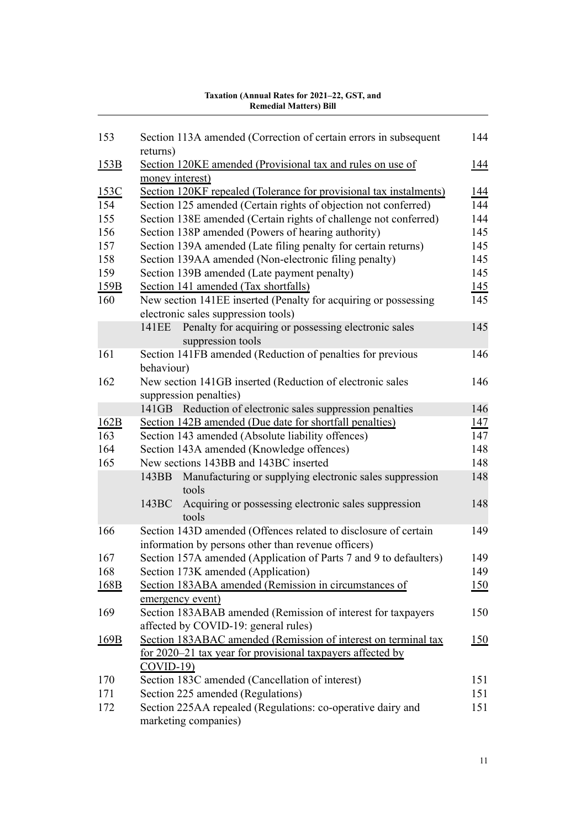#### [153](#page-161-0) [Section 113A amended \(Correction of certain errors in subsequent](#page-161-0) [returns\)](#page-161-0) [144](#page-161-0) [153B](#page-161-0) [Section 120KE amended \(Provisional tax and rules on use of](#page-161-0) [money interest\)](#page-161-0) [144](#page-161-0) [153C](#page-161-0) [Section 120KF repealed \(Tolerance for provisional tax instalments\)](#page-161-0) [144](#page-161-0) [154](#page-161-0) [Section 125 amended \(Certain rights of objection not conferred\)](#page-161-0) [144](#page-161-0) [155](#page-161-0) [Section 138E amended \(Certain rights of challenge not conferred\)](#page-161-0) [144](#page-161-0) [156](#page-162-0) [Section 138P amended \(Powers of hearing authority\)](#page-162-0) [145](#page-162-0) [157](#page-162-0) [Section 139A amended \(Late filing penalty for certain returns\)](#page-162-0) [145](#page-162-0) [158](#page-162-0) [Section 139AA amended \(Non-electronic filing penalty\)](#page-162-0) [145](#page-162-0) [159](#page-162-0) [Section 139B amended \(Late payment penalty\)](#page-162-0) [145](#page-162-0) [159B](#page-162-0) [Section 141 amended \(Tax shortfalls\)](#page-162-0) [145](#page-162-0) [160](#page-162-0) [New section 141EE inserted \(Penalty for acquiring or possessing](#page-162-0) [electronic sales suppression tools\)](#page-162-0) [145](#page-162-0) [141EE](#page-162-0) [Penalty for acquiring or possessing electronic sales](#page-162-0) [suppression tools](#page-162-0) [145](#page-162-0) [161](#page-163-0) [Section 141FB amended \(Reduction of penalties for previous](#page-163-0) [behaviour\)](#page-163-0) [146](#page-163-0) [162](#page-163-0) [New section 141GB inserted \(Reduction of electronic sales](#page-163-0) [suppression penalties\)](#page-163-0) [146](#page-163-0) [141GB](#page-163-0) [Reduction of electronic sales suppression penalties](#page-163-0) [146](#page-163-0) [162B](#page-164-0) [Section 142B amended \(Due date for shortfall penalties\)](#page-164-0) [147](#page-164-0) [163](#page-164-0) [Section 143 amended \(Absolute liability offences\)](#page-164-0) [147](#page-164-0) [164](#page-165-0) [Section 143A amended \(Knowledge offences\)](#page-165-0) [148](#page-165-0) [165](#page-165-0) [New sections 143BB and 143BC inserted](#page-165-0) [148](#page-165-0) [143BB](#page-165-0) [Manufacturing or supplying electronic sales suppression](#page-165-0) [tools](#page-165-0) [148](#page-165-0) [143BC](#page-165-0) [Acquiring or possessing electronic sales suppression](#page-165-0) [tools](#page-165-0) [148](#page-165-0) [166](#page-166-0) [Section 143D amended \(Offences related to disclosure of certain](#page-166-0) [information by persons other than revenue officers\)](#page-166-0) [149](#page-166-0) [167](#page-166-0) [Section 157A amended \(Application of Parts 7 and 9 to defaulters\)](#page-166-0) [149](#page-166-0) [168](#page-166-0) [Section 173K amended \(Application\)](#page-166-0) [149](#page-166-0) [168B](#page-167-0) [Section 183ABA amended \(Remission in circumstances of](#page-167-0) [emergency event\)](#page-167-0) [150](#page-167-0) [169](#page-167-0) [Section 183ABAB amended \(Remission of interest for taxpayers](#page-167-0) [affected by COVID-19: general rules\)](#page-167-0) [150](#page-167-0) [169B](#page-167-0) [Section 183ABAC amended \(Remission of interest on terminal tax](#page-167-0) [for 2020–21 tax year for provisional taxpayers affected by](#page-167-0) [COVID-19\)](#page-167-0) [150](#page-167-0) [170](#page-168-0) [Section 183C amended \(Cancellation of interest\)](#page-168-0) [151](#page-168-0) [171](#page-168-0) [Section 225 amended \(Regulations\)](#page-168-0) [151](#page-168-0) [172](#page-168-0) [Section 225AA repealed \(Regulations: co-operative dairy and](#page-168-0) [marketing companies\)](#page-168-0) [151](#page-168-0)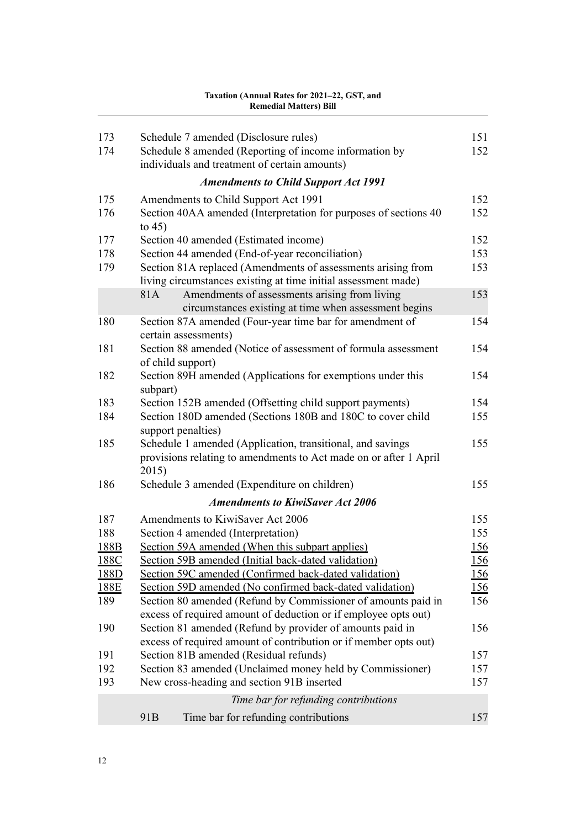#### [173](#page-168-0) [Schedule 7 amended \(Disclosure rules\)](#page-168-0) [151](#page-168-0) [174](#page-169-0) [Schedule 8 amended \(Reporting of income information by](#page-169-0) [individuals and treatment of certain amounts\)](#page-169-0) [152](#page-169-0) *[Amendments to Child Support Act 1991](#page-169-0)* [175](#page-169-0) [Amendments to Child Support Act 1991](#page-169-0) [152](#page-169-0) [176](#page-169-0) [Section 40AA amended \(Interpretation for purposes of sections 40](#page-169-0) [to 45\)](#page-169-0) [152](#page-169-0) [177](#page-169-0) [Section 40 amended \(Estimated income\)](#page-169-0) [152](#page-169-0) [178](#page-170-0) [Section 44 amended \(End-of-year reconciliation\)](#page-170-0) [153](#page-170-0) [179](#page-170-0) [Section 81A replaced \(Amendments of assessments arising from](#page-170-0) [living circumstances existing at time initial assessment made\)](#page-170-0) [153](#page-170-0) [81A](#page-170-0) [Amendments of assessments arising from living](#page-170-0) [circumstances existing at time when assessment begins](#page-170-0) [153](#page-170-0) [180](#page-171-0) [Section 87A amended \(Four-year time bar for amendment of](#page-171-0) [certain assessments\)](#page-171-0) [154](#page-171-0) [181](#page-171-0) [Section 88 amended \(Notice of assessment of formula assessment](#page-171-0) [of child support\)](#page-171-0) [154](#page-171-0) [182](#page-171-0) [Section 89H amended \(Applications for exemptions under this](#page-171-0) [subpart\)](#page-171-0) [154](#page-171-0) [183](#page-171-0) [Section 152B amended \(Offsetting child support payments\)](#page-171-0) [154](#page-171-0) [184](#page-172-0) [Section 180D amended \(Sections 180B and 180C to cover child](#page-172-0) [support penalties\)](#page-172-0) [155](#page-172-0) [185](#page-172-0) [Schedule 1 amended \(Application, transitional, and savings](#page-172-0) [provisions relating to amendments to Act made on or after 1 April](#page-172-0) [2015\)](#page-172-0) [155](#page-172-0) [186](#page-172-0) [Schedule 3 amended \(Expenditure on children\)](#page-172-0) [155](#page-172-0) *[Amendments to KiwiSaver Act 2006](#page-172-0)* [187](#page-172-0) [Amendments to KiwiSaver Act 2006](#page-172-0) [155](#page-172-0) [188](#page-172-0) [Section 4 amended \(Interpretation\)](#page-172-0) [155](#page-172-0) [188B](#page-173-0) [Section 59A amended \(When this subpart applies\)](#page-173-0) [156](#page-173-0) [188C](#page-173-0) [Section 59B amended \(Initial back-dated validation\)](#page-173-0) [156](#page-173-0) [188D](#page-173-0) [Section 59C amended \(Confirmed back-dated validation\)](#page-173-0) [156](#page-173-0) [188E](#page-173-0) [Section 59D amended \(No confirmed back-dated validation\)](#page-173-0) [156](#page-173-0) [189](#page-173-0) [Section 80 amended \(Refund by Commissioner of amounts paid in](#page-173-0) [excess of required amount of deduction or if employee opts out\)](#page-173-0) [156](#page-173-0) [190](#page-173-0) [Section 81 amended \(Refund by provider of amounts paid in](#page-173-0) [excess of required amount of contribution or if member opts out\)](#page-173-0) [156](#page-173-0) [191](#page-174-0) [Section 81B amended \(Residual refunds\)](#page-174-0) [157](#page-174-0) [192](#page-174-0) [Section 83 amended \(Unclaimed money held by Commissioner\)](#page-174-0) [157](#page-174-0) [193](#page-174-0) [New cross-heading and section 91B inserted](#page-174-0) [157](#page-174-0) *[Time bar for refunding contributions](#page-174-0)* [91B](#page-174-0) [Time bar for refunding contributions](#page-174-0) [157](#page-174-0)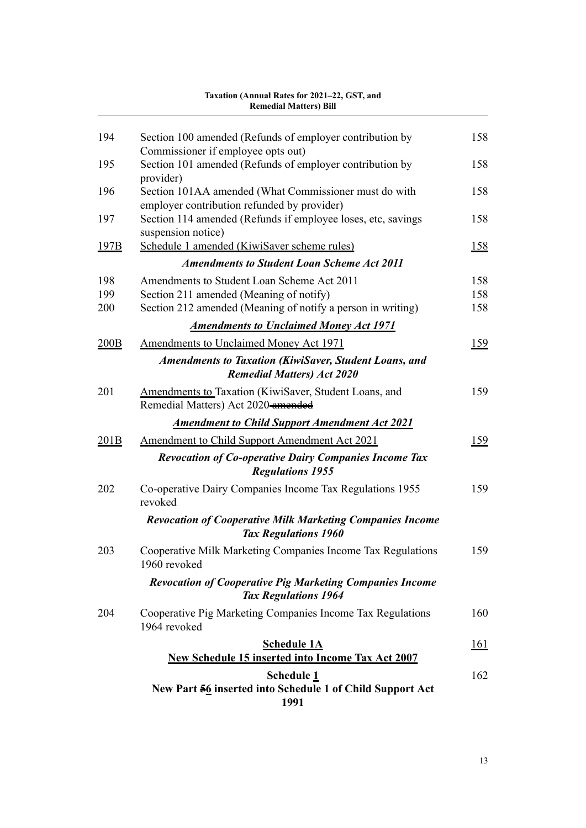|                  | Remedial Matters) Bill                                                                            |             |
|------------------|---------------------------------------------------------------------------------------------------|-------------|
| 194              | Section 100 amended (Refunds of employer contribution by                                          | 158         |
|                  | Commissioner if employee opts out)                                                                |             |
| 195              | Section 101 amended (Refunds of employer contribution by<br>provider)                             | 158         |
| 196              | Section 101AA amended (What Commissioner must do with                                             | 158         |
|                  | employer contribution refunded by provider)                                                       |             |
| 197              | Section 114 amended (Refunds if employee loses, etc, savings<br>suspension notice)                | 158         |
| 197B             | Schedule 1 amended (KiwiSaver scheme rules)                                                       | <u> 158</u> |
|                  | <b>Amendments to Student Loan Scheme Act 2011</b>                                                 |             |
| 198              | Amendments to Student Loan Scheme Act 2011                                                        | 158         |
| 199              | Section 211 amended (Meaning of notify)                                                           | 158         |
| 200              | Section 212 amended (Meaning of notify a person in writing)                                       | 158         |
|                  | <b>Amendments to Unclaimed Money Act 1971</b>                                                     |             |
| 200B             | <b>Amendments to Unclaimed Money Act 1971</b>                                                     | 159         |
|                  | <b>Amendments to Taxation (KiwiSaver, Student Loans, and</b><br><b>Remedial Matters) Act 2020</b> |             |
| 201              | Amendments to Taxation (KiwiSaver, Student Loans, and<br>Remedial Matters) Act 2020-amended       | 159         |
|                  | <b>Amendment to Child Support Amendment Act 2021</b>                                              |             |
| 201 <sub>B</sub> | Amendment to Child Support Amendment Act 2021                                                     | 159         |
|                  | <b>Revocation of Co-operative Dairy Companies Income Tax</b><br><b>Regulations 1955</b>           |             |
| 202              | Co-operative Dairy Companies Income Tax Regulations 1955<br>revoked                               | 159         |
|                  | <b>Revocation of Cooperative Milk Marketing Companies Income</b><br><b>Tax Regulations 1960</b>   |             |
| 203              | Cooperative Milk Marketing Companies Income Tax Regulations<br>1960 revoked                       | 159         |
|                  | <b>Revocation of Cooperative Pig Marketing Companies Income</b><br><b>Tax Regulations 1964</b>    |             |
| 204              | Cooperative Pig Marketing Companies Income Tax Regulations<br>1964 revoked                        | 160         |
|                  | <b>Schedule 1A</b>                                                                                | <u> 161</u> |
|                  | <b>New Schedule 15 inserted into Income Tax Act 2007</b>                                          |             |
|                  | <b>Schedule 1</b><br>New Part 56 inserted into Schedule 1 of Child Support Act<br>1991            | 162         |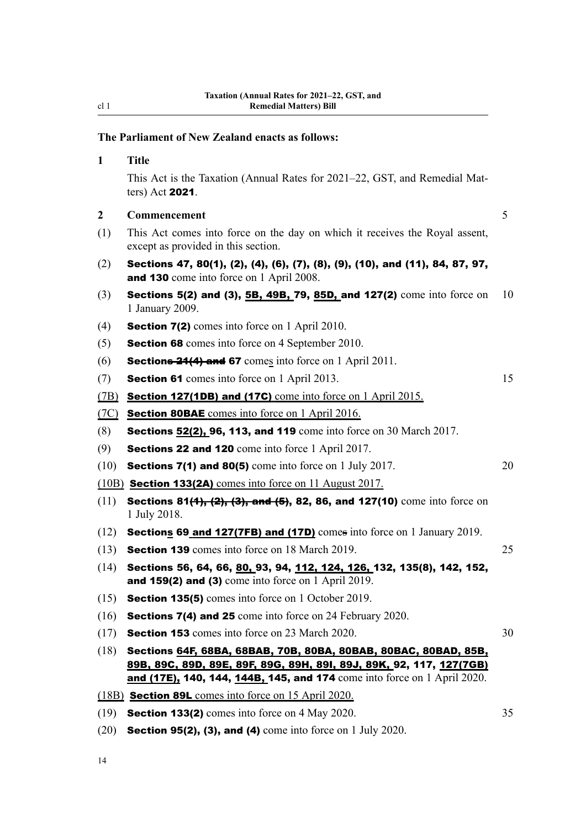# **The Parliament of New Zealand enacts as follows:**

<span id="page-31-0"></span>cl 1

| $\mathbf{1}$ | <b>Title</b>                                                                                                                                                                                                       |    |
|--------------|--------------------------------------------------------------------------------------------------------------------------------------------------------------------------------------------------------------------|----|
|              | This Act is the Taxation (Annual Rates for 2021–22, GST, and Remedial Mat-<br>ters) Act $2021$ .                                                                                                                   |    |
| $\mathbf{2}$ | Commencement                                                                                                                                                                                                       | 5  |
| (1)          | This Act comes into force on the day on which it receives the Royal assent,<br>except as provided in this section.                                                                                                 |    |
| (2)          | Sections 47, 80(1), (2), (4), (6), (7), (8), (9), (10), and (11), 84, 87, 97,<br><b>and 130</b> come into force on 1 April 2008.                                                                                   |    |
| (3)          | <b>Sections 5(2) and (3), <math>\underline{5B}</math>, <math>\underline{49B}</math>, <math>\overline{79}</math>, <math>\underline{85D}</math>, and <math>127(2)</math> come into force on</b><br>1 January 2009.   | 10 |
| (4)          | <b>Section 7(2)</b> comes into force on 1 April 2010.                                                                                                                                                              |    |
| (5)          | <b>Section 68</b> comes into force on 4 September 2010.                                                                                                                                                            |    |
| (6)          | <b>Sections 24(4) and 67</b> comes into force on 1 April 2011.                                                                                                                                                     |    |
| (7)          | <b>Section 61</b> comes into force on 1 April 2013.                                                                                                                                                                | 15 |
| (7B)         | <b>Section 127(1DB) and (17C)</b> come into force on 1 April 2015.                                                                                                                                                 |    |
| (7C)         | <b>Section 80BAE</b> comes into force on 1 April 2016.                                                                                                                                                             |    |
| (8)          | Sections 52(2), 96, 113, and 119 come into force on 30 March 2017.                                                                                                                                                 |    |
| (9)          | <b>Sections 22 and 120</b> come into force 1 April 2017.                                                                                                                                                           |    |
| (10)         | <b>Sections 7(1) and 80(5)</b> come into force on 1 July 2017.                                                                                                                                                     | 20 |
|              | $(10B)$ <b>Section 133(2A)</b> comes into force on 11 August 2017.                                                                                                                                                 |    |
| (11)         | Sections 81(4), (2), (3), and (5), 82, 86, and 127(10) come into force on<br>1 July 2018.                                                                                                                          |    |
| (12)         | <b>Sections 69 and 127(7FB) and (17D)</b> comes into force on 1 January 2019.                                                                                                                                      |    |
| (13)         | <b>Section 139</b> comes into force on 18 March 2019.                                                                                                                                                              | 25 |
| (14)         | Sections 56, 64, 66, 80, 93, 94, 112, 124, 126, 132, 135(8), 142, 152,<br>and 159(2) and (3) come into force on 1 April 2019.                                                                                      |    |
| (15)         | Section 135(5) comes into force on 1 October 2019.                                                                                                                                                                 |    |
| (16)         | <b>Sections 7(4) and 25</b> come into force on 24 February 2020.                                                                                                                                                   |    |
| (17)         | <b>Section 153</b> comes into force on 23 March 2020.                                                                                                                                                              | 30 |
| (18)         | Sections 64F, 68BA, 68BAB, 70B, 80BA, 80BAB, 80BAC, 80BAD, 85B,<br>89B, 89C, 89D, 89E, 89F, 89G, 89H, 89I, 89J, 89K, 92, 117, 127(7GB)<br>and (17E), 140, 144, 144B, 145, and 174 come into force on 1 April 2020. |    |
|              | (18B) Section 89L comes into force on 15 April 2020.                                                                                                                                                               |    |
| (19)         | <b>Section 133(2)</b> comes into force on 4 May 2020.                                                                                                                                                              | 35 |

(20) Section 95(2), (3), and (4) come into force on 1 July 2020.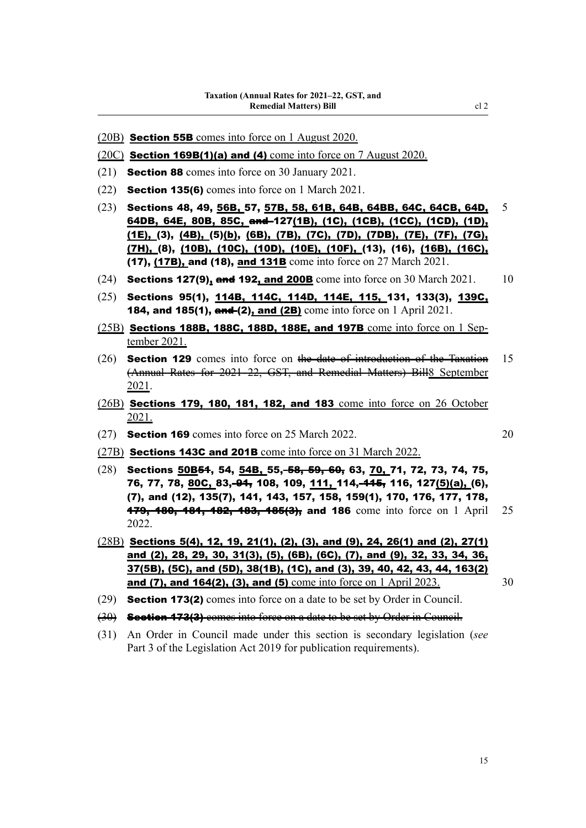- (20B) Section 55B comes into force on 1 August 2020.
- (20C) Section 169B(1)(a) and (4) come into force on 7 August 2020.
- (21) Section 88 comes into force on 30 January 2021.
- (22) Section 135(6) comes into force on 1 March 2021.
- (23) Sections 48, 49,  $\frac{56B}{57}$ ,  $\frac{57B}{536}$ ,  $\frac{64B}{564B}$ ,  $\frac{64B}{564C}$ ,  $\frac{64CB}{564D}$ ,  $\frac{5}{566}$ 64DB, 64E, 80B, 85C, and 127(1B), (1C), (1CB), (1CC), (1CD), (1D), (1E), (3), (4B), (5)(b), (6B), (7B), (7C), (7D), (7DB), (7E), (7F), (7G), (7H), (8), (10B), (10C), (10D), (10E), (10F), (13), (16), (16B), (16C), (17), (17B), and (18), and 131B come into force on 27 March 2021.
- (24) Sections 127(9), and 192, and 200B come into force on 30 March 2021.  $10$
- (25) Sections 95(1), 114B, 114C, 114D, 114E, 115, 131, 133(3), 139C, **184, and 185(1), and (2), and (2B)** come into force on 1 April 2021.
- $(25B)$  Sections 188B, 188C, 188D, 188E, and 197B come into force on 1 September 2021.
- $(26)$  Section 129 comes into force on the date of introduction of the Taxation 15 (Annual Rates for 2021–22, GST, and Remedial Matters) Bill8 September 2021.
- (26B) Sections 179, 180, 181, 182, and 183 come into force on 26 October 2021.
- (27) Section 169 comes into force on 25 March 2022. 20
- (27B) Sections 143C and 201B come into force on 31 March 2022.
- (28) Sections 50B<del>51</del>, 54, 54B, 55, 58, 59, 60, 63, 70, 71, 72, 73, 74, 75, 76, 77, 78, 80C, 83, 94, 108, 109, 111, 114, 445, 116, 127(5)(a), (6), (7), and (12), 135(7), 141, 143, 157, 158, 159(1), 170, 176, 177, 178, **479, 180, 181, 182, 183, 185(3), and 186** come into force on 1 April 25 2022.
- $(28B)$  Sections 5(4), 12, 19, 21(1), (2), (3), and (9), 24, 26(1) and (2), 27(1) and (2), 28, 29, 30, 31(3), (5), (6B), (6C), (7), and (9), 32, 33, 34, 36, 37(5B), (5C), and (5D), 38(1B), (1C), and (3), 39, 40, 42, 43, 44, 163(2) and (7), and 164(2), (3), and (5) come into force on  $1$  April 2023. 30
	-
- (29) Section 173(2) comes into force on a date to be set by Order in Council.
- (30) Section 173(3) comes into force on a date to be set by Order in Council.
- (31) An Order in Council made under this section is secondary legislation (*see* Part 3 of the Legislation Act 2019 for publication requirements).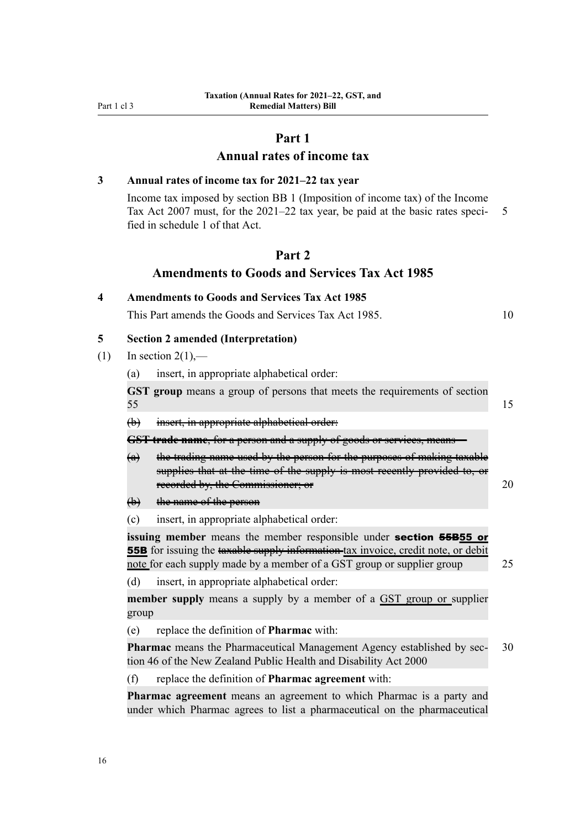# **Part 1**

# **Annual rates of income tax**

# <span id="page-33-0"></span>**3 Annual rates of income tax for 2021–22 tax year**

**4 Amendments to Goods and Services Tax Act 1985**

Income tax imposed by section BB 1 (Imposition of income tax) of the Income Tax Act 2007 must, for the  $2021-22$  tax year, be paid at the basic rates speci- 5 fied in schedule 1 of that Act.

# **Part 2**

## **Amendments to Goods and Services Tax Act 1985**

|     |                                           | This Part amends the Goods and Services Tax Act 1985.                                                                                                                                   | 10 |  |
|-----|-------------------------------------------|-----------------------------------------------------------------------------------------------------------------------------------------------------------------------------------------|----|--|
| 5   | <b>Section 2 amended (Interpretation)</b> |                                                                                                                                                                                         |    |  |
| (1) | In section $2(1)$ ,—                      |                                                                                                                                                                                         |    |  |
|     | (a)                                       | insert, in appropriate alphabetical order:                                                                                                                                              |    |  |
|     | 55                                        | GST group means a group of persons that meets the requirements of section                                                                                                               | 15 |  |
|     | $\leftrightarrow$                         | insert, in appropriate alphabetical order:                                                                                                                                              |    |  |
|     |                                           | <b>GST trade name</b> , for a person and a supply of goods or services, means                                                                                                           |    |  |
|     | $\left(\mathbf{a}\right)$                 | the trading name used by the person for the purposes of making taxable<br>supplies that at the time of the supply is most recently provided to, or<br>recorded by, the Commissioner; or | 20 |  |
|     | <del>(b)</del>                            | the name of the person                                                                                                                                                                  |    |  |
|     | $\left( c\right)$                         | insert, in appropriate alphabetical order:                                                                                                                                              |    |  |

**issuing member** means the member responsible under **section 55B55** or **55B** for issuing the taxable supply information tax invoice, credit note, or debit note for each supply made by a member of a GST group or supplier group 25

(d) insert, in appropriate alphabetical order:

**member supply** means a supply by a member of a GST group or supplier group

(e) replace the definition of **Pharmac** with:

**Pharmac** means the Pharmaceutical Management Agency established by sec- 30 tion 46 of the New Zealand Public Health and Disability Act 2000

(f) replace the definition of **Pharmac agreement** with:

**Pharmac agreement** means an agreement to which Pharmac is a party and under which Pharmac agrees to list a pharmaceutical on the pharmaceutical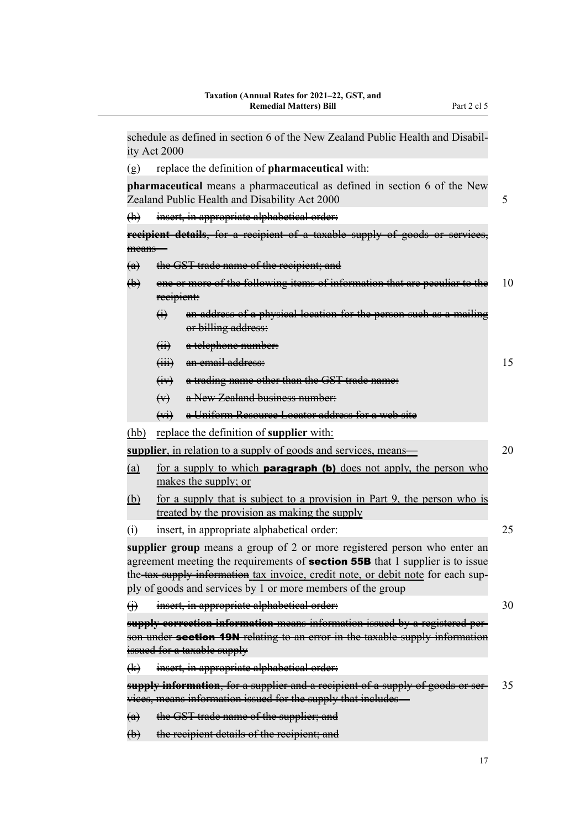schedule as defined in section 6 of the New Zealand Public Health and Disabil‐ ity Act 2000 (g) replace the definition of **pharmaceutical** with: **pharmaceutical** means a pharmaceutical as defined in section 6 of the New Zealand Public Health and Disability Act 2000 5 (h) insert, in appropriate alphabetical order: **recipient details, for a recipient of a taxable supply of goods** means— (a) the GST trade name of the recipient; and (b) one or more of the following items of information that are peculiar to the  $10$ recipient: (i) an address of a physical location for the person such as a mailing or billing address: (ii) a telephone number: (iii) an email address: 15 (iv) a trading name other than the GST trade name: (v) a New Zealand business number: (vi) a Uniform Resource Locator address for a web site (hb) replace the definition of **supplier** with: **supplier**, in relation to a supply of goods and services, means— 20 (a) for a supply to which **paragraph (b)** does not apply, the person who makes the supply; or (b) for a supply that is subject to a provision in Part 9, the person who is treated by the provision as making the supply (i) insert, in appropriate alphabetical order: 25 **supplier group** means a group of 2 or more registered person who enter an agreement meeting the requirements of **section 55B** that 1 supplier is to issue the tax supply information tax invoice, credit note, or debit note for each supply of goods and services by 1 or more members of the group (i) insert, in appropriate alphabetical order: 30 **supply correction information** means information issued by a registered per‐ son under **section 19N** relating to an error in the taxable supply information issued for a taxable supply (k) insert, in appropriate alphabetical order: **supply information**, for a supplier and a recipient of a supply of goods or ser– 35 vices, means information issued for the supply that includes— (a) the GST trade name of the supplier; and (b) the recipient details of the recipient; and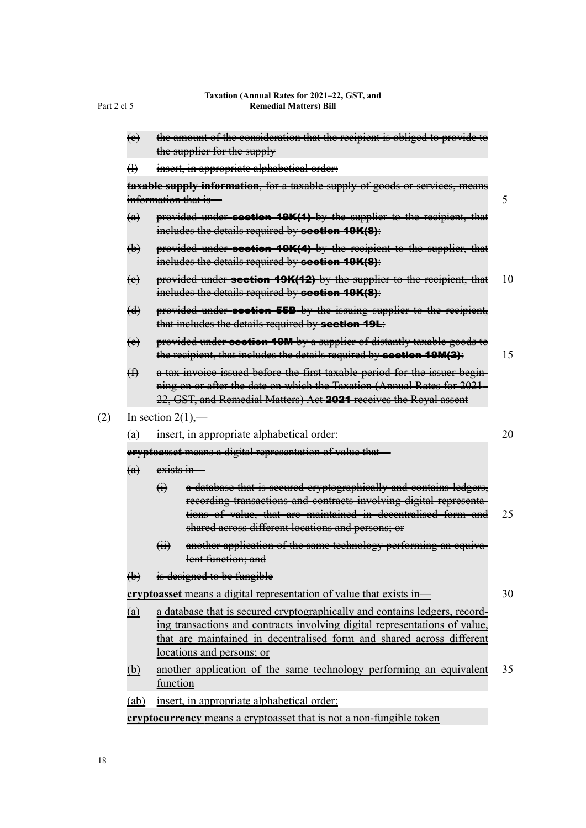|     | $\leftrightarrow$                                        | the amount of the consideration that the recipient is obliged to provide to<br>the supplier for the supply                                                                                                                                                                    |    |  |  |  |
|-----|----------------------------------------------------------|-------------------------------------------------------------------------------------------------------------------------------------------------------------------------------------------------------------------------------------------------------------------------------|----|--|--|--|
|     | $\bigoplus$                                              | msert, in appropriate alphabetical order:                                                                                                                                                                                                                                     |    |  |  |  |
|     |                                                          | taxable supply information, for a taxable supply of goods or services, means                                                                                                                                                                                                  |    |  |  |  |
|     |                                                          | information that is                                                                                                                                                                                                                                                           | 5  |  |  |  |
|     | $\left(\alpha\right)$                                    | provided under section 19K(1) by the supplier to the recipient, that<br>includes the details required by section 19K(8):                                                                                                                                                      |    |  |  |  |
|     | $\biguplus$                                              | provided under section 19K(4) by the recipient to the supplier, that<br>ineludes the details required by section 19K(8):                                                                                                                                                      |    |  |  |  |
|     | $\leftrightarrow$                                        | provided under section 19K(12) by the supplier to the recipient, that<br>includes the details required by section 19K(8):                                                                                                                                                     | 10 |  |  |  |
|     | $\bigoplus$                                              | provided under section 55B by the issuing supplier to the recipient,<br>that includes the details required by <b>section 19L</b> :                                                                                                                                            |    |  |  |  |
|     | $\leftrightarrow$                                        | provided under section 19M-by a supplier of distantly taxable goods to<br>the recipient, that includes the details required by section 19M(2):                                                                                                                                | 15 |  |  |  |
|     | $\bigoplus$                                              | a tax invoice issued before the first taxable period for the issuer begin-<br>ning on or after the date on which the Taxation (Annual Rates for 2021<br>22, GST, and Remedial Matters) Aet 2024 receives the Royal assent                                                     |    |  |  |  |
| (2) | In section $2(1)$ ,—                                     |                                                                                                                                                                                                                                                                               |    |  |  |  |
|     | (a)                                                      | insert, in appropriate alphabetical order:                                                                                                                                                                                                                                    | 20 |  |  |  |
|     | eryptoasset means a digital representation of value that |                                                                                                                                                                                                                                                                               |    |  |  |  |
|     | $\left(\alpha\right)$                                    | <del>exists in</del>                                                                                                                                                                                                                                                          |    |  |  |  |
|     |                                                          | a database that is secured cryptographically and contains ledgers,<br>$\bigoplus$<br>recording transactions and contracts involving digital representa-<br>tions of value, that are maintained in decentralised form and<br>shared aeross different locations and persons; or | 25 |  |  |  |
|     |                                                          | another application of the same technology performing an equiva-<br>$\overline{(\overline{H})}$<br>lent function; and                                                                                                                                                         |    |  |  |  |
|     | $\biguplus$                                              | is designed to be fungible                                                                                                                                                                                                                                                    |    |  |  |  |
|     |                                                          | cryptoasset means a digital representation of value that exists in-                                                                                                                                                                                                           | 30 |  |  |  |
|     | (a)                                                      | a database that is secured cryptographically and contains ledgers, record-<br>ing transactions and contracts involving digital representations of value,<br>that are maintained in decentralised form and shared across different<br>locations and persons; or                |    |  |  |  |
|     | <u>(b)</u>                                               | another application of the same technology performing an equivalent<br>function                                                                                                                                                                                               | 35 |  |  |  |
|     | (ab)                                                     | insert, in appropriate alphabetical order:                                                                                                                                                                                                                                    |    |  |  |  |

**cryptocurrency** means a cryptoasset that is not a non-fungible token

Part 2 cl 5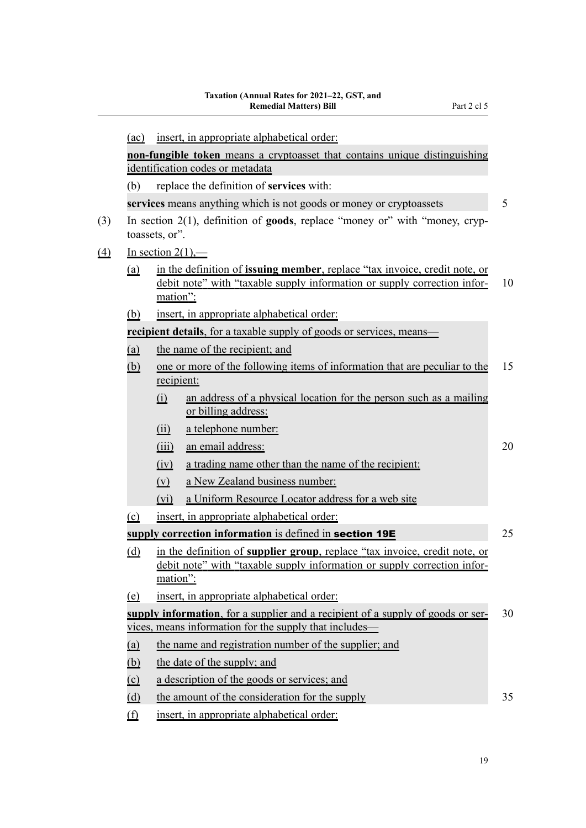|          | insert, in appropriate alphabetical order:<br>(ac)                                                       |                                                                                                                                                                    |                                                                                                                                                                |    |  |  |  |
|----------|----------------------------------------------------------------------------------------------------------|--------------------------------------------------------------------------------------------------------------------------------------------------------------------|----------------------------------------------------------------------------------------------------------------------------------------------------------------|----|--|--|--|
|          |                                                                                                          | non-fungible token means a cryptoasset that contains unique distinguishing                                                                                         |                                                                                                                                                                |    |  |  |  |
|          |                                                                                                          |                                                                                                                                                                    | identification codes or metadata                                                                                                                               |    |  |  |  |
|          | (b)                                                                                                      |                                                                                                                                                                    | replace the definition of services with:                                                                                                                       |    |  |  |  |
|          |                                                                                                          | 5<br>services means anything which is not goods or money or cryptoassets                                                                                           |                                                                                                                                                                |    |  |  |  |
| (3)      | In section $2(1)$ , definition of <b>goods</b> , replace "money or" with "money, cryp-<br>toassets, or". |                                                                                                                                                                    |                                                                                                                                                                |    |  |  |  |
| $\Delta$ |                                                                                                          | In section $2(1)$ ,—                                                                                                                                               |                                                                                                                                                                |    |  |  |  |
|          | <u>(a)</u>                                                                                               | <u>mation":</u>                                                                                                                                                    | in the definition of <b>issuing member</b> , replace "tax invoice, credit note, or<br>debit note" with "taxable supply information or supply correction infor- | 10 |  |  |  |
|          | <u>(b)</u>                                                                                               |                                                                                                                                                                    | insert, in appropriate alphabetical order:                                                                                                                     |    |  |  |  |
|          |                                                                                                          |                                                                                                                                                                    | <b>recipient details</b> , for a taxable supply of goods or services, means                                                                                    |    |  |  |  |
|          | (a)                                                                                                      |                                                                                                                                                                    | the name of the recipient; and                                                                                                                                 |    |  |  |  |
|          | <u>(b)</u>                                                                                               | recipient:                                                                                                                                                         | one or more of the following items of information that are peculiar to the                                                                                     | 15 |  |  |  |
|          |                                                                                                          | (i)                                                                                                                                                                | an address of a physical location for the person such as a mailing<br>or billing address:                                                                      |    |  |  |  |
|          |                                                                                                          | (ii)                                                                                                                                                               | a telephone number:                                                                                                                                            |    |  |  |  |
|          |                                                                                                          | (iii)                                                                                                                                                              | an email address:                                                                                                                                              | 20 |  |  |  |
|          |                                                                                                          | (iv)                                                                                                                                                               | a trading name other than the name of the recipient:                                                                                                           |    |  |  |  |
|          |                                                                                                          | $(\underline{v})$                                                                                                                                                  | a New Zealand business number:                                                                                                                                 |    |  |  |  |
|          |                                                                                                          | $(v_i)$                                                                                                                                                            | a Uniform Resource Locator address for a web site                                                                                                              |    |  |  |  |
|          | (c)                                                                                                      |                                                                                                                                                                    | insert, in appropriate alphabetical order:                                                                                                                     |    |  |  |  |
|          |                                                                                                          |                                                                                                                                                                    | supply correction information is defined in section 19E                                                                                                        | 25 |  |  |  |
|          | <u>(d)</u>                                                                                               | in the definition of supplier group, replace "tax invoice, credit note, or<br>debit note" with "taxable supply information or supply correction infor-<br>mation": |                                                                                                                                                                |    |  |  |  |
|          | (e)                                                                                                      |                                                                                                                                                                    | insert, in appropriate alphabetical order:                                                                                                                     |    |  |  |  |
|          |                                                                                                          | supply information, for a supplier and a recipient of a supply of goods or ser-<br>30                                                                              |                                                                                                                                                                |    |  |  |  |
|          |                                                                                                          | vices, means information for the supply that includes—                                                                                                             |                                                                                                                                                                |    |  |  |  |
|          | (a)                                                                                                      | the name and registration number of the supplier; and                                                                                                              |                                                                                                                                                                |    |  |  |  |
|          | (b)                                                                                                      | the date of the supply; and                                                                                                                                        |                                                                                                                                                                |    |  |  |  |
|          | $\overline{c}$                                                                                           |                                                                                                                                                                    | a description of the goods or services; and                                                                                                                    |    |  |  |  |
|          | (d)                                                                                                      |                                                                                                                                                                    | the amount of the consideration for the supply                                                                                                                 | 35 |  |  |  |
|          | $\underline{\textcircled{f}}$                                                                            |                                                                                                                                                                    | insert, in appropriate alphabetical order:                                                                                                                     |    |  |  |  |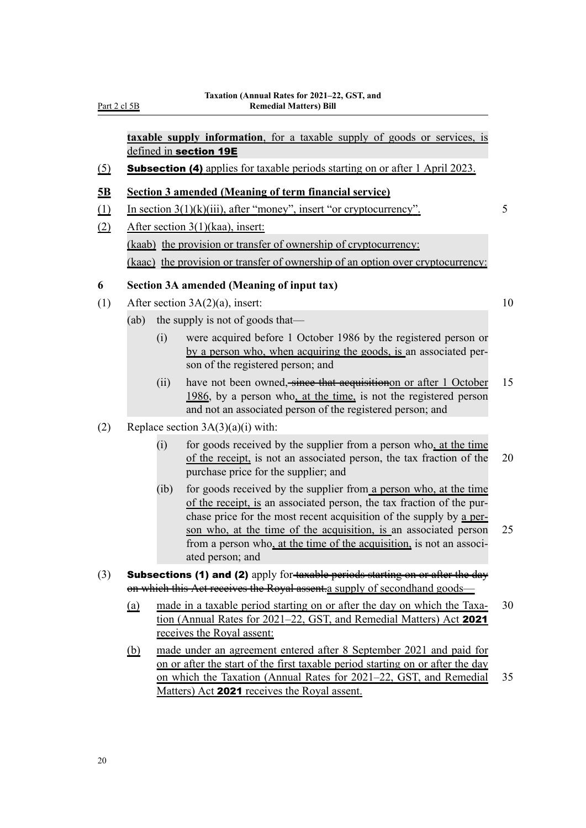**taxable supply information**, for a taxable supply of goods or services, is defined in section 19E

(5) Subsection (4) applies for taxable periods starting on or after 1 April 2023.

## **5B Section 3 amended (Meaning of term financial service)**

- (1) In section  $3(1)(k)(iii)$ , after "money", insert "or cryptocurrency". 5
- (2) After section 3(1)(kaa), insert: (kaab) the provision or transfer of ownership of cryptocurrency: (kaac) the provision or transfer of ownership of an option over cryptocurrency:

## **6 Section 3A amended (Meaning of input tax)**

- (1) After section  $3A(2)(a)$ , insert: 10
	- (ab) the supply is not of goods that—
		- (i) were acquired before 1 October 1986 by the registered person or by a person who, when acquiring the goods, is an associated per‐ son of the registered person; and
		- (ii) have not been owned, since that acquisition on after 1 October  $15$ 1986, by a person who, at the time, is not the registered person and not an associated person of the registered person; and
- (2) Replace section  $3A(3)(a)(i)$  with:
	- (i) for goods received by the supplier from a person who, at the time of the receipt, is not an associated person, the tax fraction of the 20 purchase price for the supplier; and
	- (ib) for goods received by the supplier from a person who, at the time of the receipt, is an associated person, the tax fraction of the pur‐ chase price for the most recent acquisition of the supply by a per‐ son who, at the time of the acquisition, is an associated person 25 from a person who, at the time of the acquisition, is not an associated person; and
- (3) Subsections (1) and (2) apply for-taxable periods starting on or after the day on which this Act receives the Royal assent.a supply of secondhand goods—
	- (a) made in a taxable period starting on or after the day on which the Taxa- 30 tion (Annual Rates for 2021–22, GST, and Remedial Matters) Act 2021 receives the Royal assent:
	- (b) made under an agreement entered after 8 September 2021 and paid for on or after the start of the first taxable period starting on or after the day on which the Taxation (Annual Rates for 2021–22, GST, and Remedial 35 Matters) Act 2021 receives the Royal assent.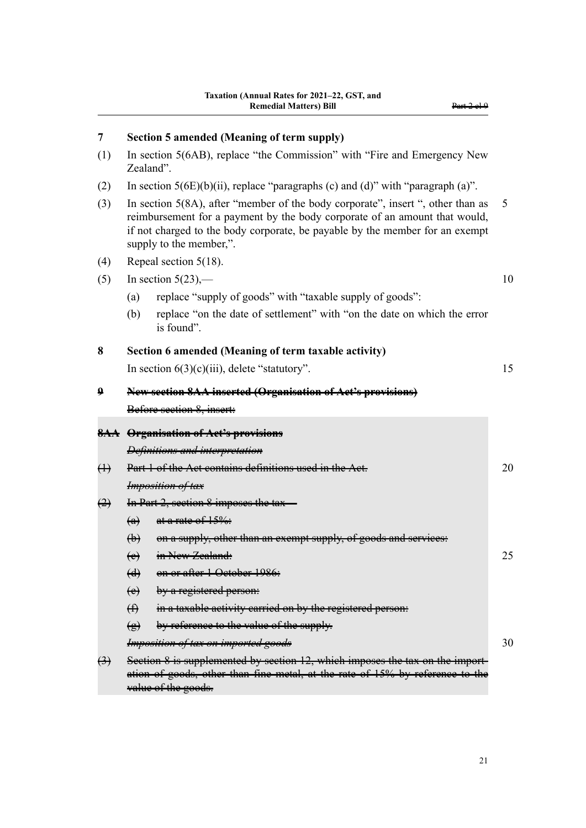| 7                 | Section 5 amended (Meaning of term supply)                                                                                                                                                                                                                               |    |
|-------------------|--------------------------------------------------------------------------------------------------------------------------------------------------------------------------------------------------------------------------------------------------------------------------|----|
| (1)               | In section 5(6AB), replace "the Commission" with "Fire and Emergency New<br>Zealand".                                                                                                                                                                                    |    |
| (2)               | In section $5(6E)(b)(ii)$ , replace "paragraphs (c) and (d)" with "paragraph (a)".                                                                                                                                                                                       |    |
| (3)               | In section 5(8A), after "member of the body corporate", insert ", other than as<br>reimbursement for a payment by the body corporate of an amount that would,<br>if not charged to the body corporate, be payable by the member for an exempt<br>supply to the member,". | 5  |
| (4)               | Repeal section $5(18)$ .                                                                                                                                                                                                                                                 |    |
| (5)               | In section $5(23)$ ,—                                                                                                                                                                                                                                                    | 10 |
|                   | replace "supply of goods" with "taxable supply of goods":<br>(a)                                                                                                                                                                                                         |    |
|                   | replace "on the date of settlement" with "on the date on which the error<br>(b)<br>is found".                                                                                                                                                                            |    |
| 8                 | Section 6 amended (Meaning of term taxable activity)                                                                                                                                                                                                                     |    |
|                   | In section $6(3)(c)(iii)$ , delete "statutory".                                                                                                                                                                                                                          | 15 |
| 9                 | New section 8AA inserted (Organisation of Act's provisions)                                                                                                                                                                                                              |    |
|                   | Before section 8, insert:                                                                                                                                                                                                                                                |    |
|                   | <b>8AA</b> Organisation of Act's provisions                                                                                                                                                                                                                              |    |
|                   | Definitions and interpretation                                                                                                                                                                                                                                           |    |
| $\leftrightarrow$ | Part 1 of the Act contains definitions us                                                                                                                                                                                                                                | 20 |
|                   | <b>Imposition of tax</b>                                                                                                                                                                                                                                                 |    |
| $\leftrightarrow$ | In Part 2, section 8 imposes the tax-                                                                                                                                                                                                                                    |    |
|                   | at a rate of 15%:<br>$\left(\mathbf{a}\right)$                                                                                                                                                                                                                           |    |
|                   | $\bigoplus$<br><del>on a supply, other than an exempt su</del>                                                                                                                                                                                                           |    |
|                   | (e) in New Zealand:                                                                                                                                                                                                                                                      | 25 |
|                   | on or after 1 October 1986:<br>$\left(\frac{d}{ } \right)$                                                                                                                                                                                                               |    |
|                   | by a registered person:<br>$\leftrightarrow$                                                                                                                                                                                                                             |    |
|                   | $\bigoplus$<br>in a taxable activity carried on by the registered person:                                                                                                                                                                                                |    |
|                   | by reference to the value of the supply.<br>$\bigcirc$                                                                                                                                                                                                                   |    |
|                   | <b>Imposition of tax on imported goods</b>                                                                                                                                                                                                                               | 30 |
| $\bigoplus$       | Section 8 is supplemented by section 12, which imposes the tax on the import-                                                                                                                                                                                            |    |

ation of goods, other than fine metal, at the rate of 15% by reference to the

value of the goods.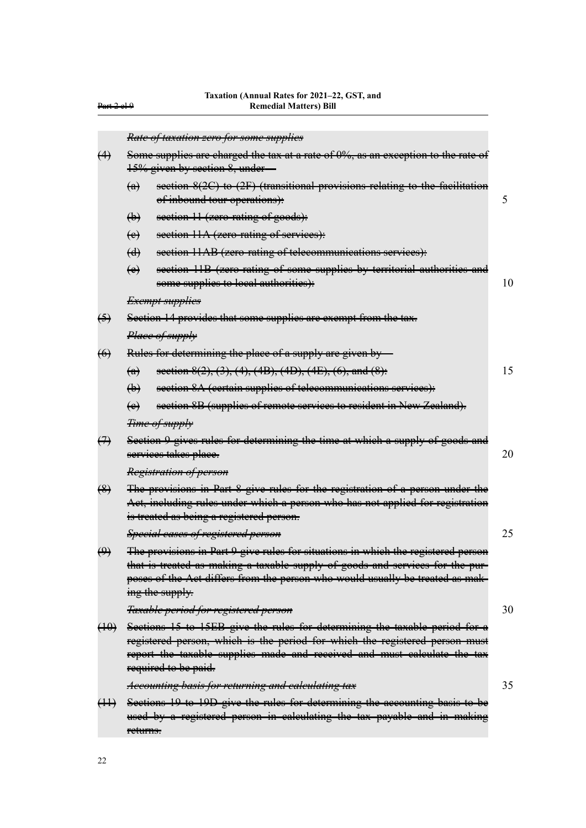|                   | Rate of taxation zero for some supplies                                                                                                                                                                                                                                |    |  |  |  |
|-------------------|------------------------------------------------------------------------------------------------------------------------------------------------------------------------------------------------------------------------------------------------------------------------|----|--|--|--|
| $\leftrightarrow$ | Some supplies are charged the tax at a rate of 0%, as an exception to the rate of                                                                                                                                                                                      |    |  |  |  |
|                   | 15% given by section 8, under-                                                                                                                                                                                                                                         |    |  |  |  |
|                   | section 8(2C) to (2F) (transitional provisions relating to the facilitation<br>$\leftrightarrow$<br>of inbound tour operations):                                                                                                                                       | 5  |  |  |  |
|                   | $\biguplus$<br>section 11 (zero-rating of goods):                                                                                                                                                                                                                      |    |  |  |  |
|                   | section 11A (zero rating of services):<br>$\leftrightarrow$                                                                                                                                                                                                            |    |  |  |  |
|                   | section 11AB (zero-rating of telecommunications services):<br>$\bigoplus$                                                                                                                                                                                              |    |  |  |  |
|                   | section 11B (zero rating of some supplies by territorial authorities and<br>$\leftrightarrow$<br>some supplies to local authorities):                                                                                                                                  | 10 |  |  |  |
|                   | <del>Exempt supplies</del>                                                                                                                                                                                                                                             |    |  |  |  |
| $\bigoplus$       | Section 14 provides that some supplies are exempt from the tax.                                                                                                                                                                                                        |    |  |  |  |
|                   | Place of supply                                                                                                                                                                                                                                                        |    |  |  |  |
| $\leftrightarrow$ | Rules for determining the place of a supply are given by                                                                                                                                                                                                               |    |  |  |  |
|                   | section 8(2), (3), (4), (4B), (4D), (4E), (6), and (8):<br>$\leftrightarrow$                                                                                                                                                                                           | 15 |  |  |  |
|                   | section 8A (certain supplies of telecommunications services):<br>$\bigoplus$                                                                                                                                                                                           |    |  |  |  |
|                   | section 8B (supplies of remote services to resident in New Zealand).<br>$\leftrightarrow$                                                                                                                                                                              |    |  |  |  |
|                   | Time of supply                                                                                                                                                                                                                                                         |    |  |  |  |
| $\leftrightarrow$ | Section 9 gives rules for determining the time at which a supply of goods and<br>services takes place.                                                                                                                                                                 | 20 |  |  |  |
|                   | Registration of person                                                                                                                                                                                                                                                 |    |  |  |  |
| $\bigcirc$        | The provisions in Part 8 give rules for the registration of a person under the<br>Act, including rules under which a person who has not applied for registration<br>is treated as being a registered person.                                                           |    |  |  |  |
|                   | Special cases of registered person                                                                                                                                                                                                                                     | 25 |  |  |  |
| $\bigoplus$       | The provisions in Part 9 give rules for situations in which the registered person<br>that is treated as making a taxable supply of goods and services for the pur-<br>poses of the Aet differs from the person who would usually be treated as mak-<br>ing the supply. |    |  |  |  |
|                   | Taxable period for registered person                                                                                                                                                                                                                                   | 30 |  |  |  |
| (10)              | Sections 15 to 15EB give the rules for determining the taxable period for a<br>registered person, which is the period for which the registered person must<br>report the taxable supplies made and received and must calculate the<br>required to be paid.             |    |  |  |  |
|                   | Accounting basis for returning and ealculating tax                                                                                                                                                                                                                     | 35 |  |  |  |

(11) Sections 19 to 19D give the rules for determining the accounting basis to be used by a registered person in calculating the tax payable and in making returns.

Part 2 cl 9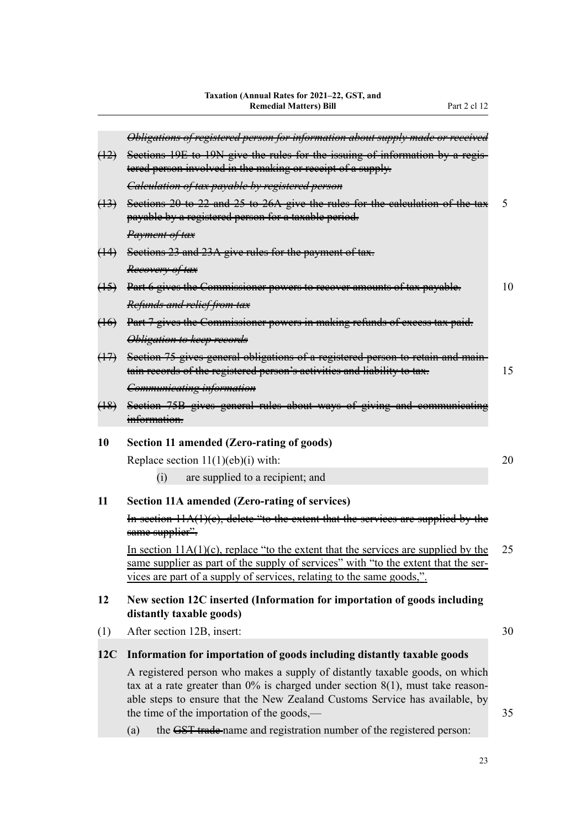|                             | Obligations of registered person for information about supply made or                                                                                                                                                                                                                            |    |
|-----------------------------|--------------------------------------------------------------------------------------------------------------------------------------------------------------------------------------------------------------------------------------------------------------------------------------------------|----|
| $\left(\frac{12}{2}\right)$ | Sections 19E to 19N give the rules for the issuing of information by a regis-                                                                                                                                                                                                                    |    |
|                             | tered person involved in the making or receipt of a supply.                                                                                                                                                                                                                                      |    |
|                             | Calculation of tax payable by registered person                                                                                                                                                                                                                                                  |    |
| $\left(\frac{13}{2}\right)$ | Sections 20 to 22 and 25 to 26A give the rules for the calculation of the tax<br>payable by a registered person for a taxable period.                                                                                                                                                            | 5  |
|                             | Payment of tax                                                                                                                                                                                                                                                                                   |    |
| (14)                        | Sections 23 and 23A give rules for the payment of tax.                                                                                                                                                                                                                                           |    |
|                             | Reeovery of tax                                                                                                                                                                                                                                                                                  |    |
| $(15)$                      | Part 6 gives the Commissioner powers to recover amounts of tax payable.                                                                                                                                                                                                                          | 10 |
|                             | Refunds and relief from tax                                                                                                                                                                                                                                                                      |    |
| $\left(16\right)$           | Part 7 gives the Commissioner powers in making refunds of excess tax paid.                                                                                                                                                                                                                       |    |
|                             | Obligation to keep records                                                                                                                                                                                                                                                                       |    |
| (17)                        | Section 75 gives general obligations of a registered person to retain and main-                                                                                                                                                                                                                  |    |
|                             | tain records of the registered person's activities and liability to tax.                                                                                                                                                                                                                         | 15 |
|                             | Communicating information                                                                                                                                                                                                                                                                        |    |
| (18)                        | Section 75B gives general rules about ways of giving and communicating<br>information.                                                                                                                                                                                                           |    |
| 10                          | Section 11 amended (Zero-rating of goods)                                                                                                                                                                                                                                                        |    |
|                             | Replace section $11(1)(eb)(i)$ with:                                                                                                                                                                                                                                                             | 20 |
|                             | are supplied to a recipient; and<br>(i)                                                                                                                                                                                                                                                          |    |
| 11                          | <b>Section 11A amended (Zero-rating of services)</b>                                                                                                                                                                                                                                             |    |
|                             | In section $11A(1)(e)$ , delete "to the extent that the services are supplied by the<br>same supplier".                                                                                                                                                                                          |    |
|                             | In section $11A(1)(c)$ , replace "to the extent that the services are supplied by the<br>same supplier as part of the supply of services" with "to the extent that the ser-<br>vices are part of a supply of services, relating to the same goods,".                                             | 25 |
| 12                          | New section 12C inserted (Information for importation of goods including<br>distantly taxable goods)                                                                                                                                                                                             |    |
| (1)                         | After section 12B, insert:                                                                                                                                                                                                                                                                       | 30 |
| 12C                         | Information for importation of goods including distantly taxable goods                                                                                                                                                                                                                           |    |
|                             | A registered person who makes a supply of distantly taxable goods, on which<br>tax at a rate greater than $0\%$ is charged under section $8(1)$ , must take reason-<br>able steps to ensure that the New Zealand Customs Service has available, by<br>the time of the importation of the goods,— | 35 |
|                             | the GST trade-name and registration number of the registered person:<br>(a)                                                                                                                                                                                                                      |    |
|                             |                                                                                                                                                                                                                                                                                                  |    |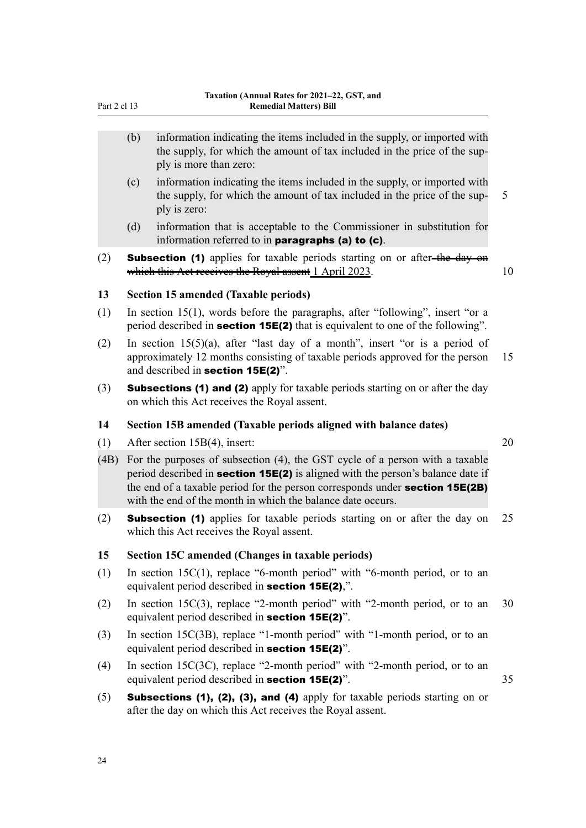- (b) information indicating the items included in the supply, or imported with the supply, for which the amount of tax included in the price of the sup‐ ply is more than zero:
- (c) information indicating the items included in the supply, or imported with the supply, for which the amount of tax included in the price of the supply is zero:
- (d) information that is acceptable to the Commissioner in substitution for information referred to in paragraphs (a) to (c).
- (2) **Subsection (1)** applies for taxable periods starting on or after-the day on which this Act receives the Royal assent 1 April 2023. 10

### **13 Section 15 amended (Taxable periods)**

- (1) In section 15(1), words before the paragraphs, after "following", insert "or a period described in **section 15E(2)** that is equivalent to one of the following".
- (2) In section 15(5)(a), after "last day of a month", insert "or is a period of approximately 12 months consisting of taxable periods approved for the person 15 and described in section 15E(2)".
- (3) Subsections (1) and (2) apply for taxable periods starting on or after the day on which this Act receives the Royal assent.

### **14 Section 15B amended (Taxable periods aligned with balance dates)**

- (1) After section 15B(4), insert: 20
- (4B) For the purposes of subsection (4), the GST cycle of a person with a taxable period described in **section 15E(2)** is aligned with the person's balance date if the end of a taxable period for the person corresponds under **section 15E(2B)** with the end of the month in which the balance date occurs.
- (2) Subsection (1) applies for taxable periods starting on or after the day on 25 which this Act receives the Royal assent.

## **15 Section 15C amended (Changes in taxable periods)**

- (1) In section 15C(1), replace "6-month period" with "6-month period, or to an equivalent period described in section 15E(2),".
- (2) In section 15C(3), replace "2-month period" with "2-month period, or to an 30 equivalent period described in section 15E(2)".
- (3) In section 15C(3B), replace "1-month period" with "1-month period, or to an equivalent period described in section 15E(2)".
- (4) In section 15C(3C), replace "2-month period" with "2-month period, or to an equivalent period described in **section 15E(2)**". 35
- (5) **Subsections (1), (2), (3), and (4)** apply for taxable periods starting on or after the day on which this Act receives the Royal assent.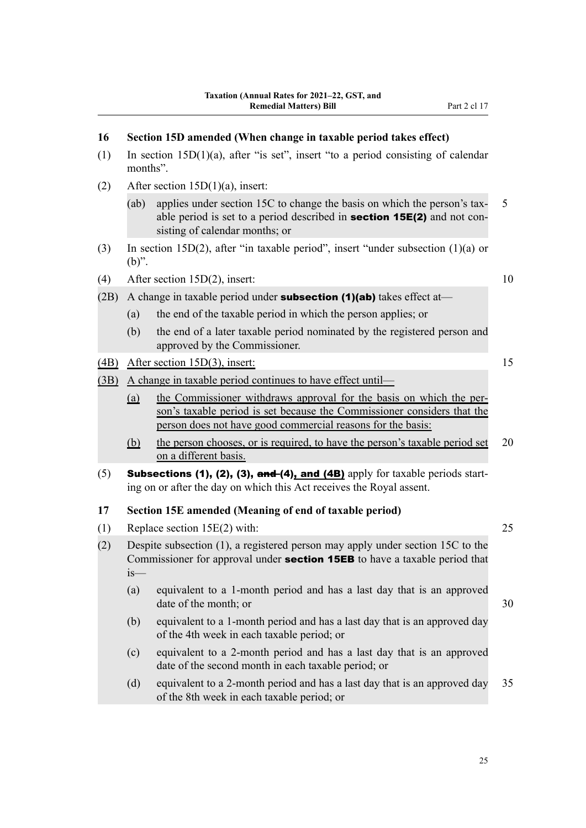(1) In section 15D(1)(a), after "is set", insert "to a period consisting of calendar

**16 Section 15D amended (When change in taxable period takes effect)**

months".

| (2)  | After section $15D(1)(a)$ , insert: |                                                                                                                                                                                                               |    |  |  |
|------|-------------------------------------|---------------------------------------------------------------------------------------------------------------------------------------------------------------------------------------------------------------|----|--|--|
|      | (ab)                                | applies under section 15C to change the basis on which the person's tax-<br>able period is set to a period described in <b>section 15E(2)</b> and not con-<br>sisting of calendar months; or                  | 5  |  |  |
| (3)  | $(b)$ ".                            | In section 15D(2), after "in taxable period", insert "under subsection $(1)(a)$ or                                                                                                                            |    |  |  |
| (4)  |                                     | After section $15D(2)$ , insert:                                                                                                                                                                              | 10 |  |  |
| (2B) |                                     | A change in taxable period under <b>subsection (1)(ab)</b> takes effect at-                                                                                                                                   |    |  |  |
|      | (a)                                 | the end of the taxable period in which the person applies; or                                                                                                                                                 |    |  |  |
|      | (b)                                 | the end of a later taxable period nominated by the registered person and<br>approved by the Commissioner.                                                                                                     |    |  |  |
| (4B) |                                     | After section $15D(3)$ , insert:                                                                                                                                                                              | 15 |  |  |
| (3B) |                                     | A change in taxable period continues to have effect until-                                                                                                                                                    |    |  |  |
|      | <u>(a)</u>                          | the Commissioner withdraws approval for the basis on which the per-<br>son's taxable period is set because the Commissioner considers that the<br>person does not have good commercial reasons for the basis: |    |  |  |
|      | <u>(b)</u>                          | the person chooses, or is required, to have the person's taxable period set<br>on a different basis.                                                                                                          | 20 |  |  |
| (5)  |                                     | <b>Subsections (1), (2), (3), and (4), and (4B)</b> apply for taxable periods start-<br>ing on or after the day on which this Act receives the Royal assent.                                                  |    |  |  |
| 17   |                                     | Section 15E amended (Meaning of end of taxable period)                                                                                                                                                        |    |  |  |
|      |                                     |                                                                                                                                                                                                               |    |  |  |
| (1)  |                                     | Replace section 15E(2) with:                                                                                                                                                                                  | 25 |  |  |
| (2)  | is—                                 | Despite subsection (1), a registered person may apply under section 15C to the<br>Commissioner for approval under section 15EB to have a taxable period that                                                  |    |  |  |
|      | (a)                                 | equivalent to a 1-month period and has a last day that is an approved<br>date of the month; or                                                                                                                | 30 |  |  |
|      | (b)                                 | equivalent to a 1-month period and has a last day that is an approved day<br>of the 4th week in each taxable period; or                                                                                       |    |  |  |
|      | (c)                                 | equivalent to a 2-month period and has a last day that is an approved<br>date of the second month in each taxable period; or                                                                                  |    |  |  |
|      | (d)                                 | equivalent to a 2-month period and has a last day that is an approved day<br>of the 8th week in each taxable period; or                                                                                       | 35 |  |  |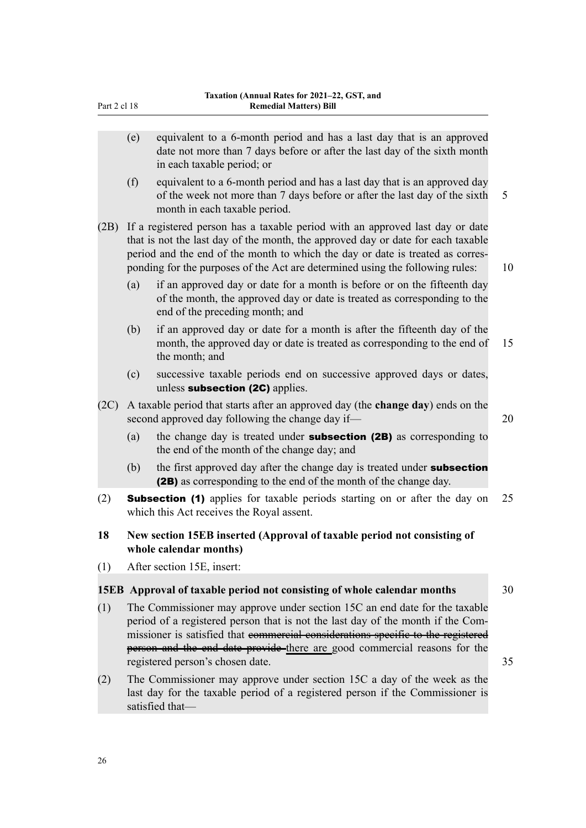| Part 2 cl 18 |                                                                                                                                             | Taxation (Annual Rates for 2021–22, GST, and<br><b>Remedial Matters) Bill</b>                                                                                                                                                                                                                                                                                      |    |
|--------------|---------------------------------------------------------------------------------------------------------------------------------------------|--------------------------------------------------------------------------------------------------------------------------------------------------------------------------------------------------------------------------------------------------------------------------------------------------------------------------------------------------------------------|----|
|              | (e)                                                                                                                                         | equivalent to a 6-month period and has a last day that is an approved<br>date not more than 7 days before or after the last day of the sixth month<br>in each taxable period; or                                                                                                                                                                                   |    |
|              | (f)                                                                                                                                         | equivalent to a 6-month period and has a last day that is an approved day<br>of the week not more than 7 days before or after the last day of the sixth<br>month in each taxable period.                                                                                                                                                                           | 5  |
| (2B)         |                                                                                                                                             | If a registered person has a taxable period with an approved last day or date<br>that is not the last day of the month, the approved day or date for each taxable<br>period and the end of the month to which the day or date is treated as corres-<br>ponding for the purposes of the Act are determined using the following rules:                               | 10 |
|              | (a)                                                                                                                                         | if an approved day or date for a month is before or on the fifteenth day<br>of the month, the approved day or date is treated as corresponding to the<br>end of the preceding month; and                                                                                                                                                                           |    |
|              | (b)                                                                                                                                         | if an approved day or date for a month is after the fifteenth day of the<br>month, the approved day or date is treated as corresponding to the end of<br>the month; and                                                                                                                                                                                            | 15 |
|              | (c)                                                                                                                                         | successive taxable periods end on successive approved days or dates,<br>unless subsection (2C) applies.                                                                                                                                                                                                                                                            |    |
| (2C)         | A taxable period that starts after an approved day (the <b>change day</b> ) ends on the<br>second approved day following the change day if— |                                                                                                                                                                                                                                                                                                                                                                    | 20 |
|              | (a)                                                                                                                                         | the change day is treated under <b>subsection (2B)</b> as corresponding to<br>the end of the month of the change day; and                                                                                                                                                                                                                                          |    |
|              | (b)                                                                                                                                         | the first approved day after the change day is treated under subsection<br>(2B) as corresponding to the end of the month of the change day.                                                                                                                                                                                                                        |    |
| (2)          |                                                                                                                                             | <b>Subsection (1)</b> applies for taxable periods starting on or after the day on<br>which this Act receives the Royal assent.                                                                                                                                                                                                                                     | 25 |
| 18           | New section 15EB inserted (Approval of taxable period not consisting of<br>whole calendar months)                                           |                                                                                                                                                                                                                                                                                                                                                                    |    |
| (1)          |                                                                                                                                             | After section 15E, insert:                                                                                                                                                                                                                                                                                                                                         |    |
|              |                                                                                                                                             | 15EB Approval of taxable period not consisting of whole calendar months                                                                                                                                                                                                                                                                                            | 30 |
| (1)          |                                                                                                                                             | The Commissioner may approve under section 15C an end date for the taxable<br>period of a registered person that is not the last day of the month if the Com-<br>missioner is satisfied that commercial considerations specific to the registered<br>person and the end date provide-there are good commercial reasons for the<br>registered person's chosen date. | 35 |
| (2)          |                                                                                                                                             | The Commissioner may approve under section 15C a day of the week as the<br>last day for the taxable period of a registered person if the Commissioner is<br>satisfied that-                                                                                                                                                                                        |    |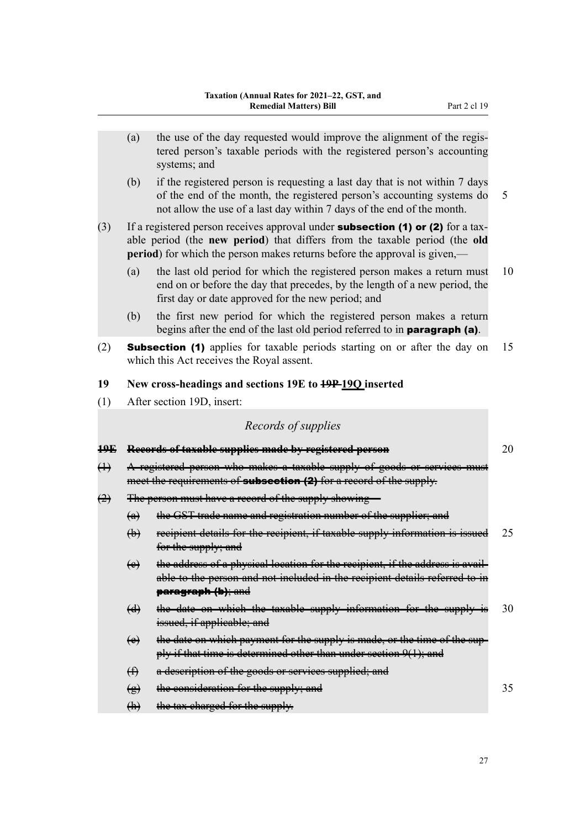- (a) the use of the day requested would improve the alignment of the regis‐ tered person's taxable periods with the registered person's accounting systems; and
- (b) if the registered person is requesting a last day that is not within 7 days of the end of the month, the registered person's accounting systems do 5 not allow the use of a last day within 7 days of the end of the month.

(3) If a registered person receives approval under **subsection (1) or (2)** for a taxable period (the **new period**) that differs from the taxable period (the **old period**) for which the person makes returns before the approval is given,—

- (a) the last old period for which the registered person makes a return must 10 end on or before the day that precedes, by the length of a new period, the first day or date approved for the new period; and
- (b) the first new period for which the registered person makes a return begins after the end of the last old period referred to in paragraph (a).
- (2) Subsection (1) applies for taxable periods starting on or after the day on 15 which this Act receives the Royal assent.

#### **19 New cross-headings and sections 19E to 19P 19Q inserted**

(1) After section 19D, insert:

## *Records of supplies*

| <del>19E</del> |                                                                                                                                                 | Records of taxable supplies made by registered person                                                                                                                                          | 20 |  |  |
|----------------|-------------------------------------------------------------------------------------------------------------------------------------------------|------------------------------------------------------------------------------------------------------------------------------------------------------------------------------------------------|----|--|--|
| $\oplus$       | A registered person who makes a taxable supply of goods or services must<br>meet the requirements of subsection (2) for a record of the supply. |                                                                                                                                                                                                |    |  |  |
| $\bigoplus$    | The person must have a record of the supply showing                                                                                             |                                                                                                                                                                                                |    |  |  |
|                | $\left(\alpha\right)$                                                                                                                           | the GST trade name and registration number of the supplier; and                                                                                                                                |    |  |  |
|                | $\leftrightarrow$                                                                                                                               | recipient details for the recipient, if taxable supply information is issued<br>for the supply; and                                                                                            | 25 |  |  |
|                | $\leftrightarrow$                                                                                                                               | the address of a physical location for the recipient, if the address is avail-<br>able to the person and not included in the recipient details referred to in<br><del>paragraph (b); and</del> |    |  |  |
|                | $\bm{\Theta}$                                                                                                                                   | the date on which the taxable supply information for the supply is<br>issued, if applicable; and                                                                                               | 30 |  |  |
|                | $\leftrightarrow$                                                                                                                               | the date on which payment for the supply is made, or the time of the sup-<br>ply if that time is determined other than under section 9(1); and                                                 |    |  |  |
|                | ⊕                                                                                                                                               | a description of the goods or services supplied; and                                                                                                                                           |    |  |  |
|                | ₩                                                                                                                                               | the consideration for the supply; and                                                                                                                                                          | 35 |  |  |
|                | (h)                                                                                                                                             | the tax charged for the supply.                                                                                                                                                                |    |  |  |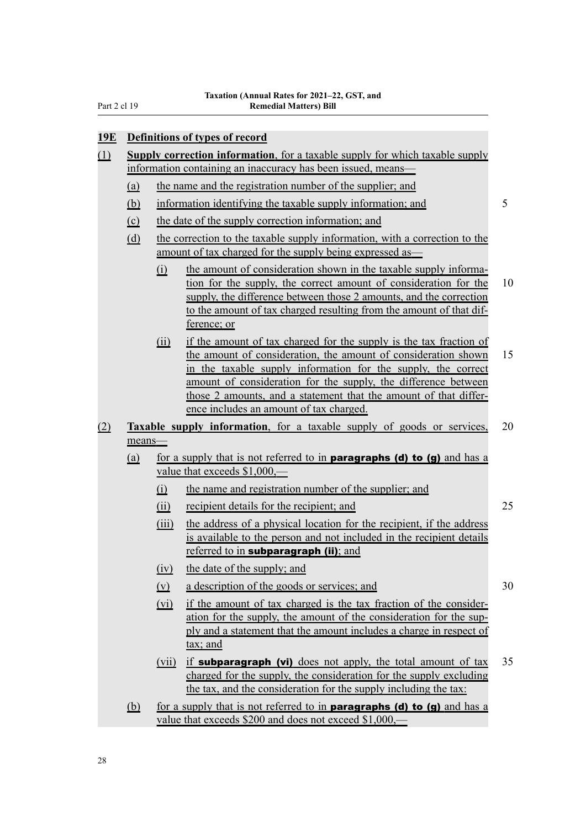Part 2 cl 19

| 19E Definitions of types of record |
|------------------------------------|
|------------------------------------|

- (1) **Supply correction information**, for a taxable supply for which taxable supply information containing an inaccuracy has been issued, means—
	- (a) the name and the registration number of the supplier; and
	- (b) information identifying the taxable supply information; and 5
	- (c) the date of the supply correction information; and

(d) the correction to the taxable supply information, with a correction to the amount of tax charged for the supply being expressed as—

- (i) the amount of consideration shown in the taxable supply information for the supply, the correct amount of consideration for the 10 supply, the difference between those 2 amounts, and the correction to the amount of tax charged resulting from the amount of that dif‐ ference; or
- (ii) if the amount of tax charged for the supply is the tax fraction of the amount of consideration, the amount of consideration shown 15 in the taxable supply information for the supply, the correct amount of consideration for the supply, the difference between those 2 amounts, and a statement that the amount of that differ‐ ence includes an amount of tax charged.
- (2) **Taxable supply information**, for a taxable supply of goods or services, 20 means—
	- (a) for a supply that is not referred to in **paragraphs (d) to (g)** and has a value that exceeds \$1,000,—
		- (i) the name and registration number of the supplier; and
		- (ii) recipient details for the recipient; and 25
		- (iii) the address of a physical location for the recipient, if the address is available to the person and not included in the recipient details referred to in **subparagraph** (ii); and
		- (iv) the date of the supply; and
		- (v) a description of the goods or services; and 30
		- (vi) if the amount of tax charged is the tax fraction of the consider‐ ation for the supply, the amount of the consideration for the sup‐ ply and a statement that the amount includes a charge in respect of tax; and
		- (vii) if **subparagraph (vi)** does not apply, the total amount of tax 35 charged for the supply, the consideration for the supply excluding the tax, and the consideration for the supply including the tax:
	- (b) for a supply that is not referred to in **paragraphs (d) to (g)** and has a value that exceeds \$200 and does not exceed \$1,000,—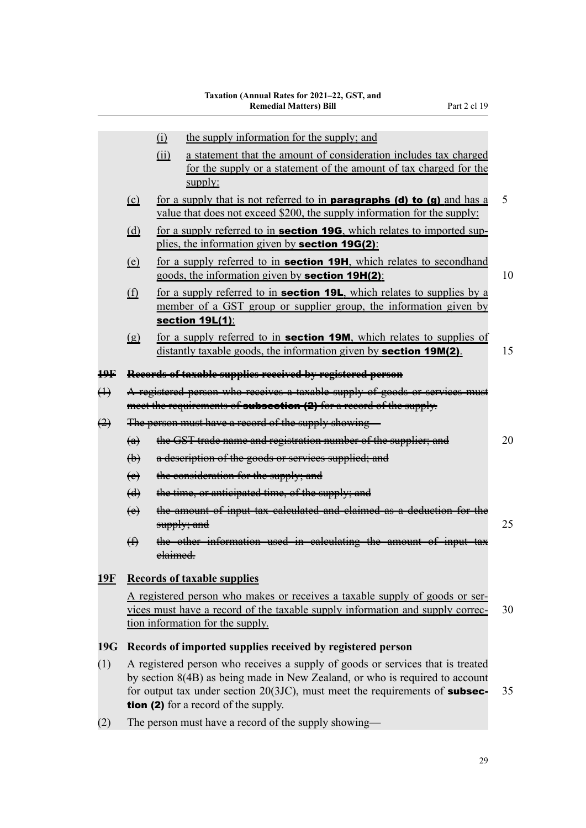|                                  |                                                                                                                                                                                                                                                                                                | the supply information for the supply; and<br>$\Omega$<br>(ii)<br>a statement that the amount of consideration includes tax charged<br>for the supply or a statement of the amount of tax charged for the<br>supply: |    |  |  |  |  |
|----------------------------------|------------------------------------------------------------------------------------------------------------------------------------------------------------------------------------------------------------------------------------------------------------------------------------------------|----------------------------------------------------------------------------------------------------------------------------------------------------------------------------------------------------------------------|----|--|--|--|--|
|                                  | (c)                                                                                                                                                                                                                                                                                            | 5<br>for a supply that is not referred to in <b>paragraphs (d) to (g)</b> and has a<br>value that does not exceed \$200, the supply information for the supply:                                                      |    |  |  |  |  |
|                                  | (d)                                                                                                                                                                                                                                                                                            | for a supply referred to in <b>section 19G</b> , which relates to imported sup-<br>plies, the information given by <b>section 19G(2)</b> :                                                                           |    |  |  |  |  |
|                                  | (e)                                                                                                                                                                                                                                                                                            | for a supply referred to in <b>section 19H</b> , which relates to secondhand<br>10<br>goods, the information given by <b>section 19H(2)</b> :                                                                        |    |  |  |  |  |
| (f)<br>section 19L(1):           |                                                                                                                                                                                                                                                                                                | for a supply referred to in <b>section 19L</b> , which relates to supplies by a<br>member of a GST group or supplier group, the information given by                                                                 |    |  |  |  |  |
|                                  | $\left( \underline{g} \right)$                                                                                                                                                                                                                                                                 | for a supply referred to in <b>section 19M</b> , which relates to supplies of<br>distantly taxable goods, the information given by <b>section 19M(2)</b> .                                                           | 15 |  |  |  |  |
| ₽₽                               | Records of taxable supplies received by registered person                                                                                                                                                                                                                                      |                                                                                                                                                                                                                      |    |  |  |  |  |
| $\leftrightarrow$                | A registered person who receives a taxable supply of goods or services must<br>meet the requirements of <b>subsection (2)</b> for a record of the supply.                                                                                                                                      |                                                                                                                                                                                                                      |    |  |  |  |  |
| $\leftrightarrow$                |                                                                                                                                                                                                                                                                                                | The person must have a record of the supply showing-                                                                                                                                                                 |    |  |  |  |  |
|                                  | $\left(\mathbf{a}\right)$                                                                                                                                                                                                                                                                      | the GST trade name and registration number of the supplier; and                                                                                                                                                      | 20 |  |  |  |  |
|                                  | $\bigoplus$                                                                                                                                                                                                                                                                                    | a description of the goods or services supplied; and                                                                                                                                                                 |    |  |  |  |  |
|                                  | $\leftrightarrow$                                                                                                                                                                                                                                                                              | the consideration for the supply; and                                                                                                                                                                                |    |  |  |  |  |
|                                  | $\left(\frac{d}{ } \right)$                                                                                                                                                                                                                                                                    | the time, or anticipated time, of the supply; and                                                                                                                                                                    |    |  |  |  |  |
| $\leftrightarrow$<br>supply; and |                                                                                                                                                                                                                                                                                                | the amount of input tax calculated and claimed as a deduction for the                                                                                                                                                | 25 |  |  |  |  |
|                                  | $\bigoplus$                                                                                                                                                                                                                                                                                    | the other information used in calculating the amount of input tax<br>elaimed.                                                                                                                                        |    |  |  |  |  |
| <u>19F</u>                       |                                                                                                                                                                                                                                                                                                | <b>Records of taxable supplies</b>                                                                                                                                                                                   |    |  |  |  |  |
|                                  |                                                                                                                                                                                                                                                                                                | A registered person who makes or receives a taxable supply of goods or ser-<br>vices must have a record of the taxable supply information and supply correc-<br>tion information for the supply.                     | 30 |  |  |  |  |
| 19G                              | Records of imported supplies received by registered person                                                                                                                                                                                                                                     |                                                                                                                                                                                                                      |    |  |  |  |  |
| (1)                              | A registered person who receives a supply of goods or services that is treated<br>by section 8(4B) as being made in New Zealand, or who is required to account<br>for output tax under section $20(3JC)$ , must meet the requirements of subsec-<br>35<br>tion (2) for a record of the supply. |                                                                                                                                                                                                                      |    |  |  |  |  |
| (2)                              | The person must have a record of the supply showing—                                                                                                                                                                                                                                           |                                                                                                                                                                                                                      |    |  |  |  |  |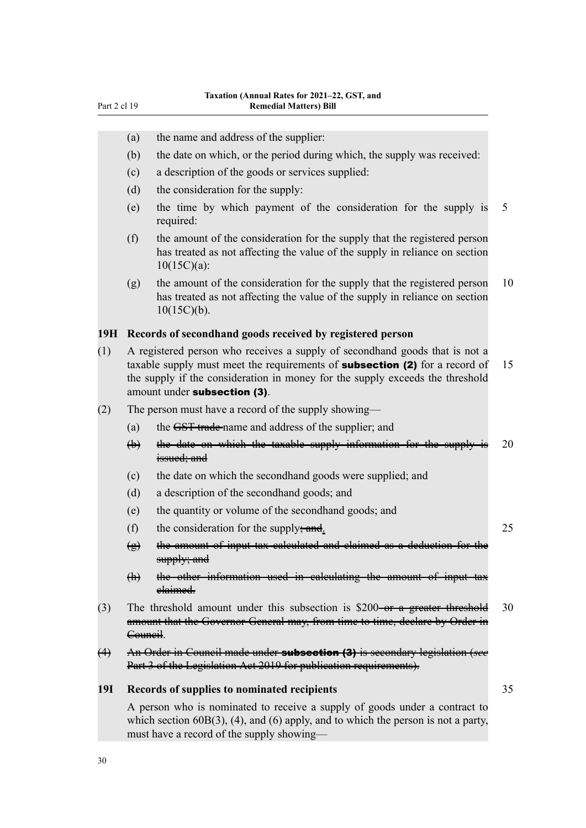| Part 2 cl 19      |                                                                                                                                                                                                                                                                                    | <b>Remedial Matters) Bill</b>                                                                                                                                                                                   |    |  |  |
|-------------------|------------------------------------------------------------------------------------------------------------------------------------------------------------------------------------------------------------------------------------------------------------------------------------|-----------------------------------------------------------------------------------------------------------------------------------------------------------------------------------------------------------------|----|--|--|
|                   |                                                                                                                                                                                                                                                                                    |                                                                                                                                                                                                                 |    |  |  |
|                   | (a)                                                                                                                                                                                                                                                                                | the name and address of the supplier:                                                                                                                                                                           |    |  |  |
|                   | (b)                                                                                                                                                                                                                                                                                | the date on which, or the period during which, the supply was received:                                                                                                                                         |    |  |  |
|                   | (c)                                                                                                                                                                                                                                                                                | a description of the goods or services supplied:                                                                                                                                                                |    |  |  |
|                   | (d)                                                                                                                                                                                                                                                                                | the consideration for the supply:                                                                                                                                                                               |    |  |  |
|                   | (e)                                                                                                                                                                                                                                                                                | the time by which payment of the consideration for the supply is<br>required:                                                                                                                                   | 5  |  |  |
|                   | (f)                                                                                                                                                                                                                                                                                | the amount of the consideration for the supply that the registered person<br>has treated as not affecting the value of the supply in reliance on section<br>$10(15C)(a)$ :                                      |    |  |  |
|                   | (g)                                                                                                                                                                                                                                                                                | the amount of the consideration for the supply that the registered person<br>has treated as not affecting the value of the supply in reliance on section<br>$10(15C)(b)$ .                                      | 10 |  |  |
| 19H               |                                                                                                                                                                                                                                                                                    | Records of secondhand goods received by registered person                                                                                                                                                       |    |  |  |
| (1)               | A registered person who receives a supply of secondhand goods that is not a<br>taxable supply must meet the requirements of <b>subsection (2)</b> for a record of<br>the supply if the consideration in money for the supply exceeds the threshold<br>amount under subsection (3). |                                                                                                                                                                                                                 | 15 |  |  |
| (2)               | The person must have a record of the supply showing—                                                                                                                                                                                                                               |                                                                                                                                                                                                                 |    |  |  |
|                   | (a)                                                                                                                                                                                                                                                                                | the GST trade-name and address of the supplier; and                                                                                                                                                             |    |  |  |
|                   | $\biguplus$                                                                                                                                                                                                                                                                        | the date on which the taxable supply information for the supply<br>issued; and                                                                                                                                  | 20 |  |  |
|                   | (c)                                                                                                                                                                                                                                                                                | the date on which the secondhand goods were supplied; and                                                                                                                                                       |    |  |  |
|                   | (d)                                                                                                                                                                                                                                                                                | a description of the secondhand goods; and                                                                                                                                                                      |    |  |  |
|                   | (e)                                                                                                                                                                                                                                                                                | the quantity or volume of the secondhand goods; and                                                                                                                                                             |    |  |  |
|                   | (f)                                                                                                                                                                                                                                                                                | the consideration for the supply <del>; and</del> .                                                                                                                                                             | 25 |  |  |
|                   | ₩                                                                                                                                                                                                                                                                                  | the amount of input tax calculated and claimed as<br>supply; and                                                                                                                                                |    |  |  |
|                   | $\bigoplus$                                                                                                                                                                                                                                                                        | the other information used in calculating<br>amount of input tax<br><del>elaimed.</del>                                                                                                                         |    |  |  |
| (3)               | 30<br>The threshold amount under this subsection is \$200-or a greater threshold<br>amount that the Governor General may, from time to time, declare by Order in<br><del>Council</del> .                                                                                           |                                                                                                                                                                                                                 |    |  |  |
| $\leftrightarrow$ |                                                                                                                                                                                                                                                                                    | An Order in Council made under subsection (3) is secondary legislation (see<br>Part 3 of the Legislation Act 2019 for publication requirements).                                                                |    |  |  |
| <b>19I</b>        | Records of supplies to nominated recipients                                                                                                                                                                                                                                        |                                                                                                                                                                                                                 |    |  |  |
|                   |                                                                                                                                                                                                                                                                                    | A person who is nominated to receive a supply of goods under a contract to<br>which section $60B(3)$ , (4), and (6) apply, and to which the person is not a party,<br>must have a record of the supply showing- |    |  |  |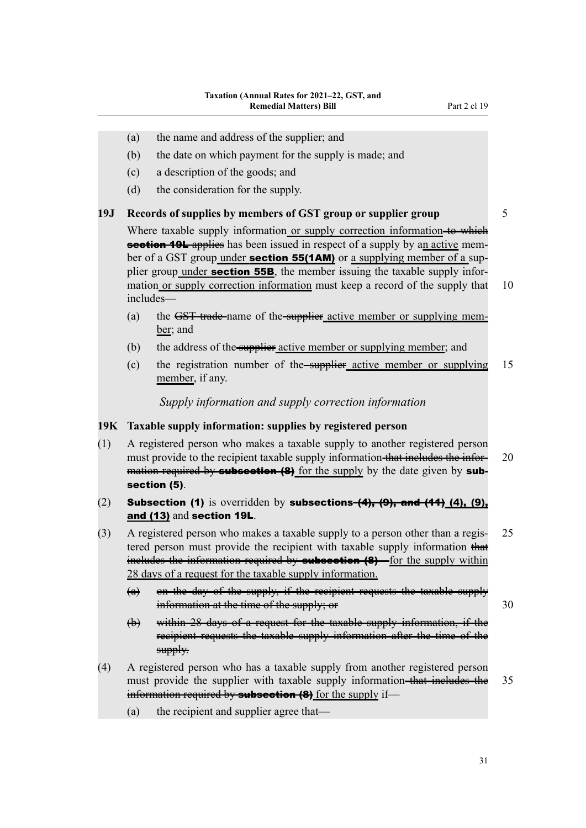- (a) the name and address of the supplier; and
- (b) the date on which payment for the supply is made; and
- (c) a description of the goods; and
- (d) the consideration for the supply.

#### **19J Records of supplies by members of GST group or supplier group** 5

Where taxable supply information or supply correction information-to which section 19L applies has been issued in respect of a supply by an active member of a GST group under **section 55(1AM)** or a supplying member of a supplier group under **section 55B**, the member issuing the taxable supply information or supply correction information must keep a record of the supply that 10 includes—

- (a) the GST trade-name of the supplier active member or supplying member; and
- $(b)$  the address of the supplier active member or supplying member; and
- (c) the registration number of the supplier active member or supplying 15 member, if any.

*Supply information and supply correction information*

## **19K Taxable supply information: supplies by registered person**

- (1) A registered person who makes a taxable supply to another registered person must provide to the recipient taxable supply information that includes the infor-<br>20 mation required by **subsection (8)** for the supply by the date given by **sub**section (5).
- (2) Subsection (1) is overridden by subsections  $(4)$ ,  $(9)$ , and  $(41)$   $(4)$ ,  $(9)$ , and (13) and section 19L.
- (3) A registered person who makes a taxable supply to a person other than a regis‐ 25 tered person must provide the recipient with taxable supply information that includes the information required by **subsection (8)**—for the supply within 28 days of a request for the taxable supply information.
	- (a) on the day of the supply, if the recipient requests the taxable supply information at the time of the supply; or  $30$
	- (b) within 28 days of a request for the taxable supply information, if the recipient requests the taxable supply information after the time of the supply.
- (4) A registered person who has a taxable supply from another registered person must provide the supplier with taxable supply information-that includes the 35 information required by **subsection (8)** for the supply if—
	- (a) the recipient and supplier agree that—

31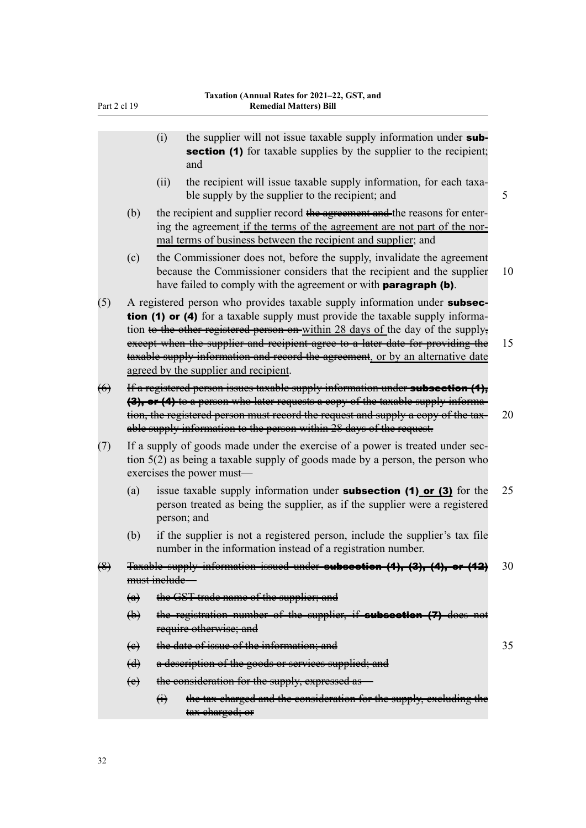|                   |                             | the supplier will not issue taxable supply information under sub-<br>(i)<br><b>section (1)</b> for taxable supplies by the supplier to the recipient;<br>and                                                                                                                                                                    |    |  |  |  |
|-------------------|-----------------------------|---------------------------------------------------------------------------------------------------------------------------------------------------------------------------------------------------------------------------------------------------------------------------------------------------------------------------------|----|--|--|--|
|                   |                             | the recipient will issue taxable supply information, for each taxa-<br>(ii)<br>ble supply by the supplier to the recipient; and                                                                                                                                                                                                 | 5  |  |  |  |
|                   | (b)                         | the recipient and supplier record the agreement and the reasons for enter-<br>ing the agreement if the terms of the agreement are not part of the nor-<br>mal terms of business between the recipient and supplier; and                                                                                                         |    |  |  |  |
|                   | (c)                         | the Commissioner does not, before the supply, invalidate the agreement<br>because the Commissioner considers that the recipient and the supplier<br>have failed to comply with the agreement or with <b>paragraph (b)</b> .                                                                                                     | 10 |  |  |  |
| (5)               |                             | A registered person who provides taxable supply information under subsec-<br>tion (1) or (4) for a taxable supply must provide the taxable supply informa-<br>tion to the other registered person on within 28 days of the day of the supply,<br>except when the supplier and recipient agree to a later date for providing the | 15 |  |  |  |
|                   |                             | taxable supply information and record the agreement, or by an alternative date<br>agreed by the supplier and recipient.                                                                                                                                                                                                         |    |  |  |  |
| $\leftrightarrow$ |                             | If a registered person issues taxable supply information under subsection (4),<br>(3), or (4) to a person who later requests a copy of the taxable supply informa-<br>tion, the registered person must record the request and supply a copy of the tax-<br>able supply information to the person within 28 days of the request. | 20 |  |  |  |
| (7)               |                             | If a supply of goods made under the exercise of a power is treated under sec-<br>tion $5(2)$ as being a taxable supply of goods made by a person, the person who<br>exercises the power must-                                                                                                                                   |    |  |  |  |
|                   | (a)                         | issue taxable supply information under <b>subsection (1) or (3)</b> for the<br>person treated as being the supplier, as if the supplier were a registered<br>person; and                                                                                                                                                        | 25 |  |  |  |
|                   | (b)                         | if the supplier is not a registered person, include the supplier's tax file<br>number in the information instead of a registration number.                                                                                                                                                                                      |    |  |  |  |
| $\bigoplus$       |                             | Taxable supply information issued under subsection (1), (3), (4), or (12)                                                                                                                                                                                                                                                       | 30 |  |  |  |
|                   | must inelude-               |                                                                                                                                                                                                                                                                                                                                 |    |  |  |  |
|                   | $\left(\alpha\right)$       | the GST trade name of the supplier; and                                                                                                                                                                                                                                                                                         |    |  |  |  |
|                   | $\biguplus$                 | the registration number of the supplier, if subscetion (7) does not<br>require otherwise; and                                                                                                                                                                                                                                   |    |  |  |  |
|                   | $\leftrightarrow$           | the date of issue of the information; and                                                                                                                                                                                                                                                                                       | 35 |  |  |  |
|                   | $\left(\frac{d}{ } \right)$ | a description of the goods or services supplied; and                                                                                                                                                                                                                                                                            |    |  |  |  |
|                   | $\leftrightarrow$           | the consideration for the supply, expressed as-                                                                                                                                                                                                                                                                                 |    |  |  |  |
|                   |                             | the tax charged and the consideration for the supply, excluding the<br>$\bigoplus$<br>tax charged; or                                                                                                                                                                                                                           |    |  |  |  |
|                   |                             |                                                                                                                                                                                                                                                                                                                                 |    |  |  |  |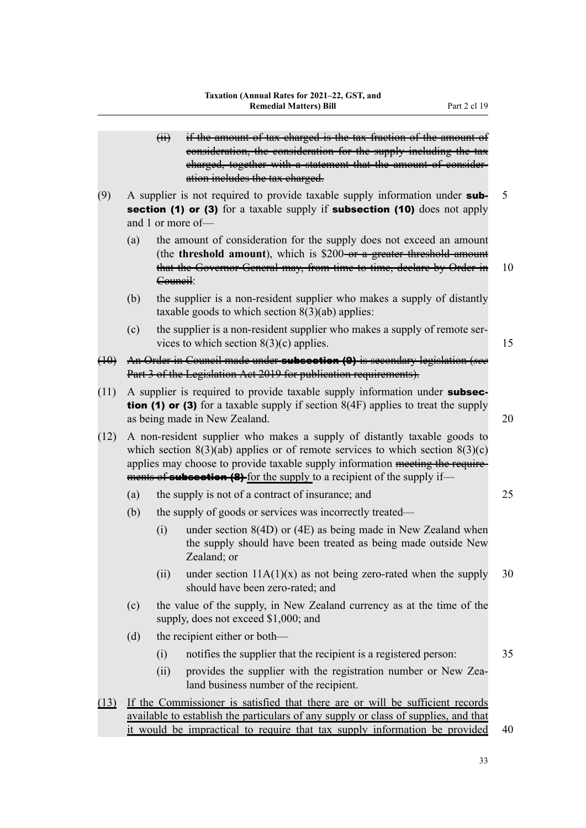(ii) if the amount of tax charged is the tax fraction of the amount of consideration, the consideration for the supply including the tax charged, together with a statement that the amount of consideration includes the tax charged. (9) A supplier is not required to provide taxable supply information under **sub-**  $5$ section (1) or (3) for a taxable supply if subsection (10) does not apply and 1 or more of— (a) the amount of consideration for the supply does not exceed an amount (the **threshold amount**), which is \$200-or a greater threshold amount that the Governor-General may, from time to time, declare by Order in 10 Council: (b) the supplier is a non-resident supplier who makes a supply of distantly taxable goods to which section  $8(3)(ab)$  applies: (c) the supplier is a non-resident supplier who makes a supply of remote ser‐ vices to which section  $8(3)(c)$  applies. 15 (10) An Order in Council made under subsection (9) is secondary legislation (*see* Part 3 of the Legislation Act 2019 for publication requirements).  $(11)$  A supplier is required to provide taxable supply information under **subsection (1) or (3)** for a taxable supply if section  $8(4F)$  applies to treat the supply as being made in New Zealand. 20 (12) A non-resident supplier who makes a supply of distantly taxable goods to which section  $8(3)(ab)$  applies or of remote services to which section  $8(3)(c)$ applies may choose to provide taxable supply information meeting the require– ments of **subsection (8)** for the supply to a recipient of the supply if— (a) the supply is not of a contract of insurance; and 25 (b) the supply of goods or services was incorrectly treated— (i) under section 8(4D) or (4E) as being made in New Zealand when the supply should have been treated as being made outside New Zealand; or (ii) under section  $11A(1)(x)$  as not being zero-rated when the supply 30 should have been zero-rated; and (c) the value of the supply, in New Zealand currency as at the time of the supply, does not exceed \$1,000; and (d) the recipient either or both— (i) notifies the supplier that the recipient is a registered person: 35 (ii) provides the supplier with the registration number or New Zealand business number of the recipient. (13) If the Commissioner is satisfied that there are or will be sufficient records available to establish the particulars of any supply or class of supplies, and that

33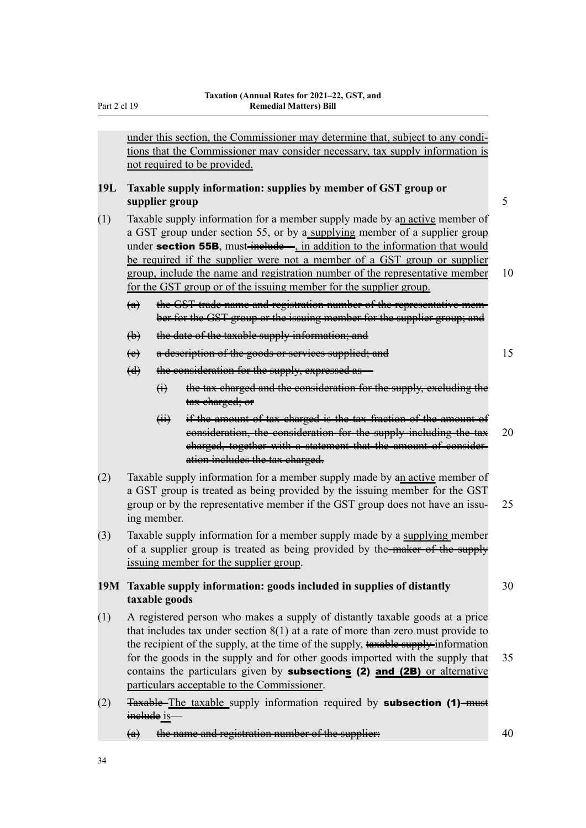under this section, the Commissioner may determine that, subject to any conditions that the Commissioner may consider necessary, tax supply information is not required to be provided.

## **19L Taxable supply information: supplies by member of GST group or supplier group** 5

- (1) Taxable supply information for a member supply made by an active member of a GST group under section 55, or by a supplying member of a supplier group under section 55B, must-include—, in addition to the information that would be required if the supplier were not a member of a GST group or supplier group, include the name and registration number of the representative member 10 for the GST group or of the issuing member for the supplier group.
	- (a) the GST trade name and registration number of the representative member for the GST group or the issuing member for the supplier group; and
	- (b) the date of the taxable supply information; and
	- (c) a description of the goods or services supplied; and 15
	- (d) the consideration for the supply, expressed as—
		- (i) the tax charged and the consideration for the supply, excluding the tax charged; or
		- (ii) if the amount of tax charged is the tax fraction of the amount of consideration, the consideration for the supply including the tax 20 charged, together with a statement that the amount of consideration includes the tax charged.
- (2) Taxable supply information for a member supply made by an active member of a GST group is treated as being provided by the issuing member for the GST group or by the representative member if the GST group does not have an issu-<br>25 ing member.
- (3) Taxable supply information for a member supply made by a supplying member of a supplier group is treated as being provided by the-maker of the supply issuing member for the supplier group.

## **19M Taxable supply information: goods included in supplies of distantly** 30 **taxable goods**

- (1) A registered person who makes a supply of distantly taxable goods at a price that includes tax under section 8(1) at a rate of more than zero must provide to the recipient of the supply, at the time of the supply, taxable supply-information for the goods in the supply and for other goods imported with the supply that 35 contains the particulars given by **subsections (2) and (2B)** or alternative particulars acceptable to the Commissioner.
- (2) Taxable-The taxable supply information required by subsection (1)-must inelude is-
	- $\left( \mathbf{a} \right)$  the name and registration number of the supplier:  $40 \overline{a}$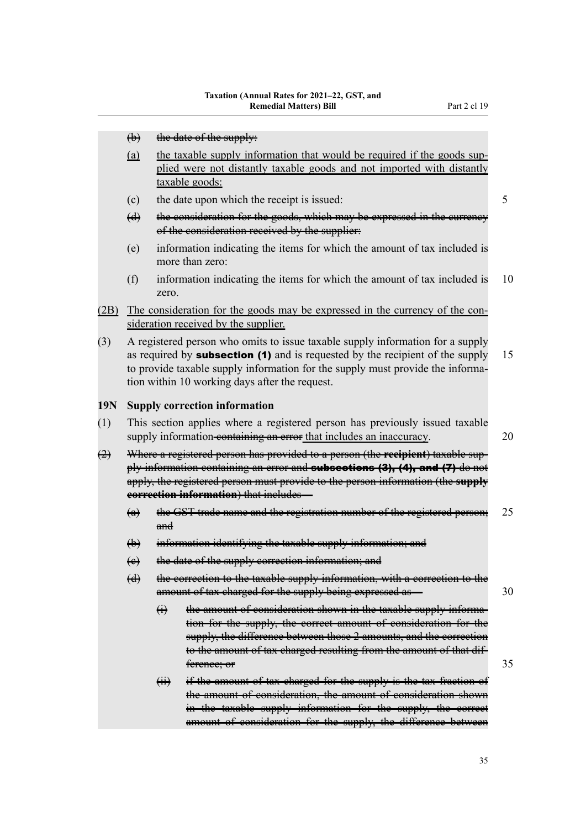- (b) the date of the supply:
- (a) the taxable supply information that would be required if the goods supplied were not distantly taxable goods and not imported with distantly taxable goods:
- (c) the date upon which the receipt is issued: 5
- (d) the consideration for the goods, which may be expressed in the currency of the consideration received by the supplier:
- (e) information indicating the items for which the amount of tax included is more than zero:
- (f) information indicating the items for which the amount of tax included is 10 zero.
- (2B) The consideration for the goods may be expressed in the currency of the consideration received by the supplier.
- (3) A registered person who omits to issue taxable supply information for a supply as required by **subsection (1)** and is requested by the recipient of the supply  $15$ to provide taxable supply information for the supply must provide the information within 10 working days after the request.

#### **19N Supply correction information**

- (1) This section applies where a registered person has previously issued taxable supply information-containing an error that includes an inaccuracy. 20
- (2) Where a registered person has provided to a person (the **recipient**) taxable sup‐ ply information containing an error and **subsections (3), (4), and (7)** do not apply, the registered person must provide to the person information (the **supply correction information**) that includes—
	- (a) the GST trade name and the registration number of the registered person; 25 and
	- (b) information identifying the taxable supply information; and
	- (c) the date of the supply correction information; and
	- (d) the correction to the taxable supply information, with a correction to the amount of tax charged for the supply being expressed as — 30
		- (i) the amount of consideration shown in the taxable supply information for the supply, the correct amount of consideration for the supply, the difference between those 2 amounts, and the correction to the amount of tax charged resulting from the amount of that dif‐ ference; or 35
		- (ii) if the amount of tax charged for the supply is the tax fraction of the amount of consideration, the amount of consideration shown in the taxable supply information for the supply, the correct amount of consideration for the supply, the difference between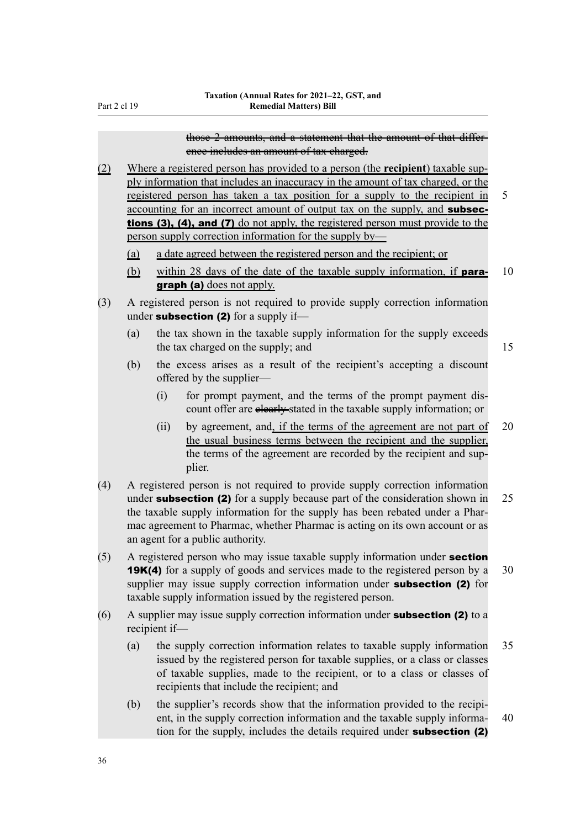### those 2 amounts, and a statement that the amount of that differ‐ ence includes an amount of tax charged.

(2) Where a registered person has provided to a person (the **recipient**) taxable sup‐ ply information that includes an inaccuracy in the amount of tax charged, or the registered person has taken a tax position for a supply to the recipient in 5 accounting for an incorrect amount of output tax on the supply, and subsections (3), (4), and (7) do not apply, the registered person must provide to the person supply correction information for the supply by—

- (a) a date agreed between the registered person and the recipient; or
- (b) within 28 days of the date of the taxable supply information, if **para-** 10 graph (a) does not apply.
- (3) A registered person is not required to provide supply correction information under subsection (2) for a supply if-
	- (a) the tax shown in the taxable supply information for the supply exceeds the tax charged on the supply; and 15
	- (b) the excess arises as a result of the recipient's accepting a discount offered by the supplier—
		- (i) for prompt payment, and the terms of the prompt payment discount offer are elearly-stated in the taxable supply information; or
		- (ii) by agreement, and, if the terms of the agreement are not part of 20 the usual business terms between the recipient and the supplier, the terms of the agreement are recorded by the recipient and supplier.
- (4) A registered person is not required to provide supply correction information under **subsection (2)** for a supply because part of the consideration shown in  $25$ the taxable supply information for the supply has been rebated under a Pharmac agreement to Pharmac, whether Pharmac is acting on its own account or as an agent for a public authority.
- (5) A registered person who may issue taxable supply information under section **19K(4)** for a supply of goods and services made to the registered person by a 30 supplier may issue supply correction information under **subsection (2)** for taxable supply information issued by the registered person.
- (6) A supplier may issue supply correction information under **subsection (2)** to a recipient if—
	- (a) the supply correction information relates to taxable supply information 35 issued by the registered person for taxable supplies, or a class or classes of taxable supplies, made to the recipient, or to a class or classes of recipients that include the recipient; and
	- (b) the supplier's records show that the information provided to the recipient, in the supply correction information and the taxable supply informa- 40 tion for the supply, includes the details required under subsection (2)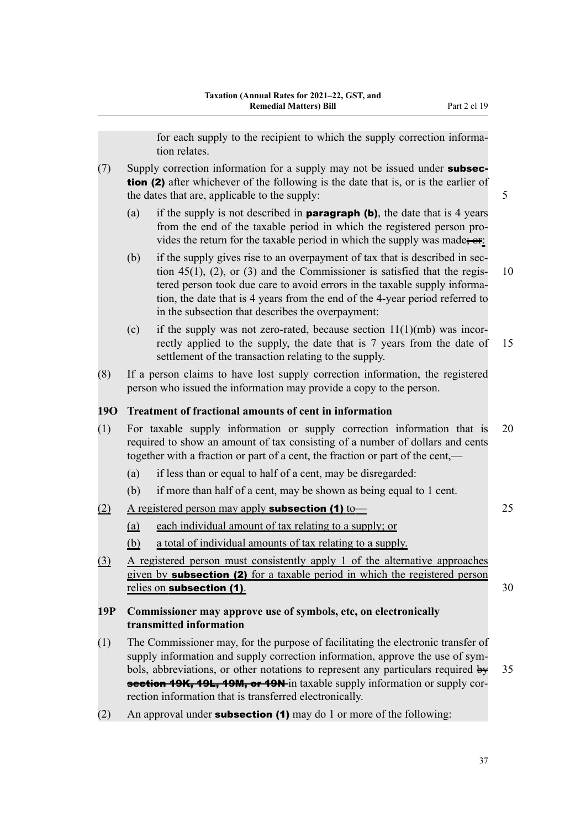for each supply to the recipient to which the supply correction information relates.

- $(7)$  Supply correction information for a supply may not be issued under **subsec**tion (2) after whichever of the following is the date that is, or is the earlier of the dates that are, applicable to the supply: 5
	- (a) if the supply is not described in **paragraph (b)**, the date that is 4 years from the end of the taxable period in which the registered person pro‐ vides the return for the taxable period in which the supply was made;  $er$ :
	- (b) if the supply gives rise to an overpayment of tax that is described in section 45(1), (2), or (3) and the Commissioner is satisfied that the regis-  $10$ tered person took due care to avoid errors in the taxable supply information, the date that is 4 years from the end of the 4-year period referred to in the subsection that describes the overpayment:
	- (c) if the supply was not zero-rated, because section  $11(1)(mb)$  was incorrectly applied to the supply, the date that is 7 years from the date of 15 settlement of the transaction relating to the supply.
- (8) If a person claims to have lost supply correction information, the registered person who issued the information may provide a copy to the person.

## **19O Treatment of fractional amounts of cent in information**

- (1) For taxable supply information or supply correction information that is 20 required to show an amount of tax consisting of a number of dollars and cents together with a fraction or part of a cent, the fraction or part of the cent,—
	- (a) if less than or equal to half of a cent, may be disregarded:
	- (b) if more than half of a cent, may be shown as being equal to 1 cent.
- $\Delta$  registered person may apply **subsection (1)** to  $\overline{\phantom{a}}$  25
	- (a) each individual amount of tax relating to a supply; or
	- (b) a total of individual amounts of tax relating to a supply.
- (3) A registered person must consistently apply 1 of the alternative approaches given by **subsection (2)** for a taxable period in which the registered person relies on **subsection (1)**. 30

## **19P Commissioner may approve use of symbols, etc, on electronically transmitted information**

- (1) The Commissioner may, for the purpose of facilitating the electronic transfer of supply information and supply correction information, approve the use of symbols, abbreviations, or other notations to represent any particulars required  $\frac{dy}{dx}$  35 section 19K, 19L, 19M, or 19N in taxable supply information or supply correction information that is transferred electronically.
- (2) An approval under **subsection (1)** may do 1 or more of the following: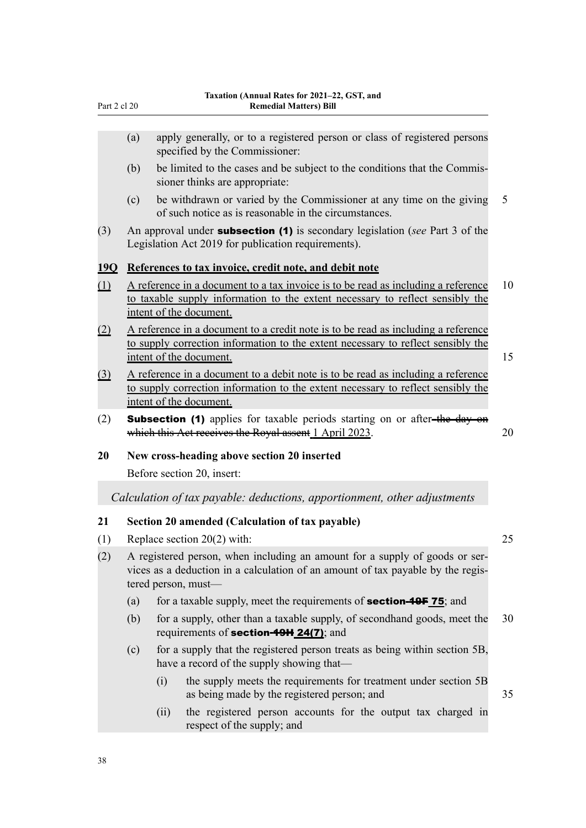| Part 2 cl 20 |  |  |
|--------------|--|--|
|              |  |  |

- (a) apply generally, or to a registered person or class of registered persons specified by the Commissioner:
- (b) be limited to the cases and be subject to the conditions that the Commis‐ sioner thinks are appropriate:
- (c) be withdrawn or varied by the Commissioner at any time on the giving 5 of such notice as is reasonable in the circumstances.
- (3) An approval under subsection (1) is secondary legislation (*see* Part 3 of the Legislation Act 2019 for publication requirements).

## **19Q References to tax invoice, credit note, and debit note**

- $(1)$  A reference in a document to a tax invoice is to be read as including a reference 10 to taxable supply information to the extent necessary to reflect sensibly the intent of the document.
- (2) A reference in a document to a credit note is to be read as including a reference to supply correction information to the extent necessary to reflect sensibly the intent of the document. 15
- (3) A reference in a document to a debit note is to be read as including a reference to supply correction information to the extent necessary to reflect sensibly the intent of the document.
- (2) **Subsection (1)** applies for taxable periods starting on or after-the day on which this Act receives the Royal assent 1 April 2023. 20

### **20 New cross-heading above section 20 inserted**

Before section 20, insert:

*Calculation of tax payable: deductions, apportionment, other adjustments*

## **21 Section 20 amended (Calculation of tax payable)**

- (1) Replace section 20(2) with: 25
- (2) A registered person, when including an amount for a supply of goods or ser‐ vices as a deduction in a calculation of an amount of tax payable by the regis‐ tered person, must—
	- (a) for a taxable supply, meet the requirements of **section-49F 75**; and
	- (b) for a supply, other than a taxable supply, of secondhand goods, meet the 30 requirements of **section-49H 24(7)**; and
	- (c) for a supply that the registered person treats as being within section 5B, have a record of the supply showing that—
		- (i) the supply meets the requirements for treatment under section 5B as being made by the registered person; and 35
		- (ii) the registered person accounts for the output tax charged in respect of the supply; and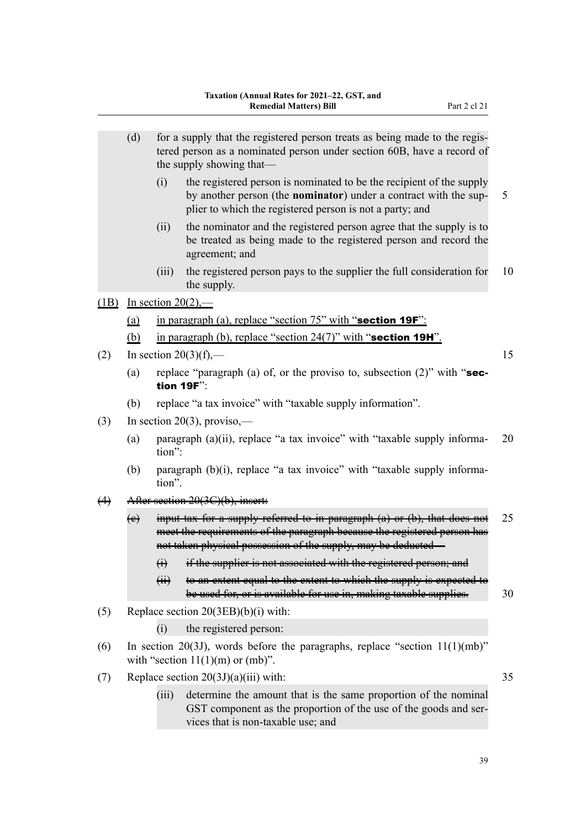|                   | (d)                                          |                                                                                                                         | for a supply that the registered person treats as being made to the regis-<br>tered person as a nominated person under section 60B, have a record of<br>the supply showing that—                                             |    |  |  |  |
|-------------------|----------------------------------------------|-------------------------------------------------------------------------------------------------------------------------|------------------------------------------------------------------------------------------------------------------------------------------------------------------------------------------------------------------------------|----|--|--|--|
|                   |                                              | (i)                                                                                                                     | the registered person is nominated to be the recipient of the supply<br>by another person (the <b>nominator</b> ) under a contract with the sup-<br>plier to which the registered person is not a party; and                 | 5  |  |  |  |
|                   |                                              | (ii)                                                                                                                    | the nominator and the registered person agree that the supply is to<br>be treated as being made to the registered person and record the<br>agreement; and                                                                    |    |  |  |  |
|                   |                                              | (iii)                                                                                                                   | the registered person pays to the supplier the full consideration for<br>the supply.                                                                                                                                         | 10 |  |  |  |
| (1B)              | In section $20(2)$ ,—                        |                                                                                                                         |                                                                                                                                                                                                                              |    |  |  |  |
|                   | <u>(a)</u>                                   | in paragraph (a), replace "section 75" with "section 19F":                                                              |                                                                                                                                                                                                                              |    |  |  |  |
|                   | (b)                                          | in paragraph (b), replace "section $24(7)$ " with "section 19H".                                                        |                                                                                                                                                                                                                              |    |  |  |  |
| (2)               |                                              | 15<br>In section $20(3)(f)$ ,—                                                                                          |                                                                                                                                                                                                                              |    |  |  |  |
|                   | (a)                                          | replace "paragraph (a) of, or the proviso to, subsection $(2)$ " with "sec-<br>tion 19F":                               |                                                                                                                                                                                                                              |    |  |  |  |
|                   | (b)                                          | replace "a tax invoice" with "taxable supply information".                                                              |                                                                                                                                                                                                                              |    |  |  |  |
| (3)               |                                              | In section 20(3), proviso,—                                                                                             |                                                                                                                                                                                                                              |    |  |  |  |
|                   | (a)                                          | paragraph (a)(ii), replace "a tax invoice" with "taxable supply informa-<br>20<br>tion":                                |                                                                                                                                                                                                                              |    |  |  |  |
|                   | (b)                                          | paragraph (b)(i), replace "a tax invoice" with "taxable supply informa-<br>tion".                                       |                                                                                                                                                                                                                              |    |  |  |  |
| $\leftrightarrow$ | After section 20(3C)(b), insert:             |                                                                                                                         |                                                                                                                                                                                                                              |    |  |  |  |
|                   | $\leftrightarrow$                            |                                                                                                                         | input tax for a supply referred to in paragraph $(a)$ or $(b)$ , that does not<br>meet the requirements of the paragraph because the registered person has<br>not taken physical possession of the supply, may be deducted - | 25 |  |  |  |
|                   |                                              | $\bigoplus$                                                                                                             | if the supplier is not associated with the registered person; and                                                                                                                                                            |    |  |  |  |
|                   |                                              | $\overline{(\overline{H})}$                                                                                             | to an extent equal to the extent to which the supply is expected to<br>be used for, or is available for use in, making taxable supplies.                                                                                     | 30 |  |  |  |
| (5)               | Replace section 20(3EB)(b)(i) with:          |                                                                                                                         |                                                                                                                                                                                                                              |    |  |  |  |
|                   |                                              | (i)                                                                                                                     | the registered person:                                                                                                                                                                                                       |    |  |  |  |
| (6)               |                                              | In section 20(3J), words before the paragraphs, replace "section $11(1)(mb)$ "<br>with "section $11(1)(m)$ or $(mb)$ ". |                                                                                                                                                                                                                              |    |  |  |  |
| (7)               | Replace section $20(3J)(a)(iii)$ with:<br>35 |                                                                                                                         |                                                                                                                                                                                                                              |    |  |  |  |
|                   |                                              | (iii)                                                                                                                   | determine the amount that is the same proportion of the nominal<br>GST component as the proportion of the use of the goods and ser-<br>vices that is non-taxable use; and                                                    |    |  |  |  |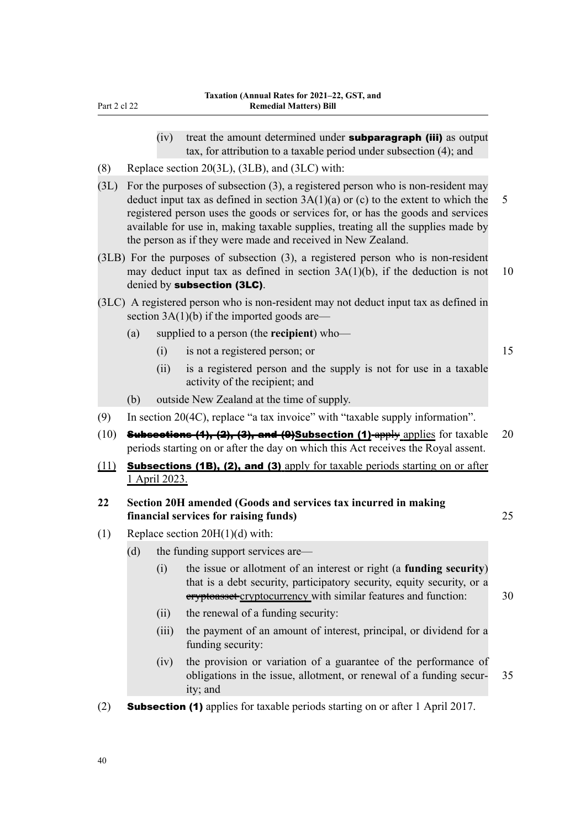- $(iv)$  treat the amount determined under **subparagraph (iii)** as output tax, for attribution to a taxable period under subsection (4); and
- (8) Replace section 20(3L), (3LB), and (3LC) with:
- (3L) For the purposes of subsection (3), a registered person who is non-resident may deduct input tax as defined in section  $3A(1)(a)$  or (c) to the extent to which the 5 registered person uses the goods or services for, or has the goods and services available for use in, making taxable supplies, treating all the supplies made by the person as if they were made and received in New Zealand.
- (3LB) For the purposes of subsection (3), a registered person who is non-resident may deduct input tax as defined in section  $3A(1)(b)$ , if the deduction is not 10 denied by subsection (3LC).
- (3LC) A registered person who is non-resident may not deduct input tax as defined in section 3A(1)(b) if the imported goods are—
	- (a) supplied to a person (the **recipient**) who—
		- (i) is not a registered person; or 15
		- (ii) is a registered person and the supply is not for use in a taxable activity of the recipient; and
	- (b) outside New Zealand at the time of supply.
- (9) In section 20(4C), replace "a tax invoice" with "taxable supply information".
- (10) **Subsections (4), (2), (3), and (9)Subsection (1)**-apply applies for taxable 20 periods starting on or after the day on which this Act receives the Royal assent.
- (11) **Subsections (1B), (2), and (3)** apply for taxable periods starting on or after 1 April 2023.
- **22 Section 20H amended (Goods and services tax incurred in making financial services for raising funds)** 25
	-

- (1) Replace section 20H(1)(d) with:
	- (d) the funding support services are—
		- (i) the issue or allotment of an interest or right (a **funding security**) that is a debt security, participatory security, equity security, or a eryptoasset-cryptocurrency with similar features and function: 30
		- (ii) the renewal of a funding security:
		- (iii) the payment of an amount of interest, principal, or dividend for a funding security:
		- (iv) the provision or variation of a guarantee of the performance of obligations in the issue, allotment, or renewal of a funding secur‐ 35 ity; and
- (2) **Subsection (1)** applies for taxable periods starting on or after 1 April 2017.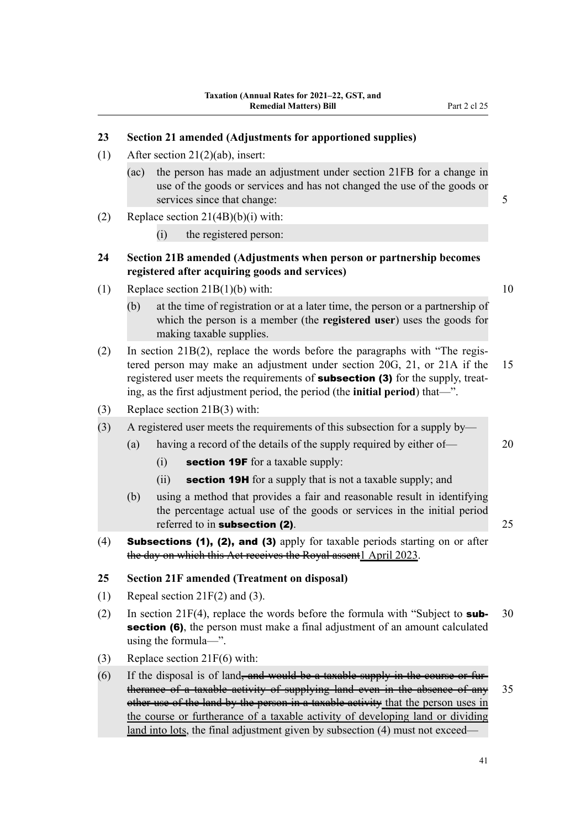# **23 Section 21 amended (Adjustments for apportioned supplies)**

- (1) After section 21(2)(ab), insert:
	- (ac) the person has made an adjustment under section 21FB for a change in use of the goods or services and has not changed the use of the goods or services since that change: 5
- (2) Replace section  $21(4B)(b)(i)$  with:
	- (i) the registered person:

## **24 Section 21B amended (Adjustments when person or partnership becomes registered after acquiring goods and services)**

- (1) Replace section  $21B(1)(b)$  with: 10
	- (b) at the time of registration or at a later time, the person or a partnership of which the person is a member (the **registered user**) uses the goods for making taxable supplies.
- (2) In section 21B(2), replace the words before the paragraphs with "The registered person may make an adjustment under section 20G, 21, or 21A if the 15 registered user meets the requirements of **subsection (3)** for the supply, treating, as the first adjustment period, the period (the **initial period**) that—".
- (3) Replace section 21B(3) with:

(3) A registered user meets the requirements of this subsection for a supply by—

- (a) having a record of the details of the supply required by either of— 20
	- $(i)$  section 19F for a taxable supply:
	- (ii) **section 19H** for a supply that is not a taxable supply; and
- (b) using a method that provides a fair and reasonable result in identifying the percentage actual use of the goods or services in the initial period referred to in **subsection (2)**. 25
- (4) Subsections (1), (2), and (3) apply for taxable periods starting on or after the day on which this Act receives the Royal assent1 April 2023.

### **25 Section 21F amended (Treatment on disposal)**

- (1) Repeal section  $21F(2)$  and (3).
- (2) In section 21 $F(4)$ , replace the words before the formula with "Subject to **sub-** 30 section (6), the person must make a final adjustment of an amount calculated using the formula—".
- (3) Replace section 21F(6) with:
- (6) If the disposal is of land<del>, and would be a taxable supply in the course or fur</del> therance of a taxable activity of supplying land even in the absence of any 35 other use of the land by the person in a taxable activity that the person uses in the course or furtherance of a taxable activity of developing land or dividing land into lots, the final adjustment given by subsection (4) must not exceed—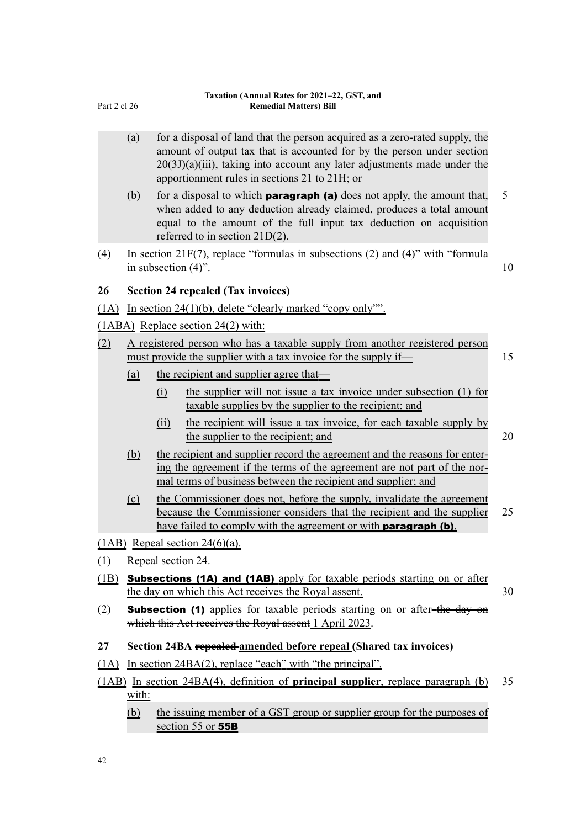- (a) for a disposal of land that the person acquired as a zero-rated supply, the amount of output tax that is accounted for by the person under section  $20(3J)(a)(iii)$ , taking into account any later adjustments made under the apportionment rules in sections 21 to 21H; or
- (b) for a disposal to which **paragraph (a)** does not apply, the amount that,  $\overline{5}$ when added to any deduction already claimed, produces a total amount equal to the amount of the full input tax deduction on acquisition referred to in section 21D(2).
- (4) In section 21F(7), replace "formulas in subsections (2) and (4)" with "formula in subsection  $(4)$ ". 10

**26 Section 24 repealed (Tax invoices)**

(1A) In section 24(1)(b), delete "clearly marked "copy only"".

(1ABA) Replace section 24(2) with:

- (2) A registered person who has a taxable supply from another registered person must provide the supplier with a tax invoice for the supply if— 15
	- (a) the recipient and supplier agree that—
		- (i) the supplier will not issue a tax invoice under subsection (1) for taxable supplies by the supplier to the recipient; and
		- (ii) the recipient will issue a tax invoice, for each taxable supply by the supplier to the recipient; and 20
	- (b) the recipient and supplier record the agreement and the reasons for enter‐ ing the agreement if the terms of the agreement are not part of the normal terms of business between the recipient and supplier; and
	- (c) the Commissioner does not, before the supply, invalidate the agreement because the Commissioner considers that the recipient and the supplier 25 have failed to comply with the agreement or with **paragraph (b)**.
- (1AB) Repeal section  $24(6)(a)$ .
- (1) Repeal section 24.
- (1B) Subsections (1A) and (1AB) apply for taxable periods starting on or after the day on which this Act receives the Royal assent. 30
- (2) **Subsection (1)** applies for taxable periods starting on or after-the day on which this Act receives the Royal assent 1 April 2023.
- **27 Section 24BA repealed amended before repeal (Shared tax invoices)**
- (1A) In section 24BA(2), replace "each" with "the principal".
- (1AB) In section 24BA(4), definition of **principal supplier**, replace paragraph (b) 35 with:
	- (b) the issuing member of a GST group or supplier group for the purposes of section 55 or **55B**

42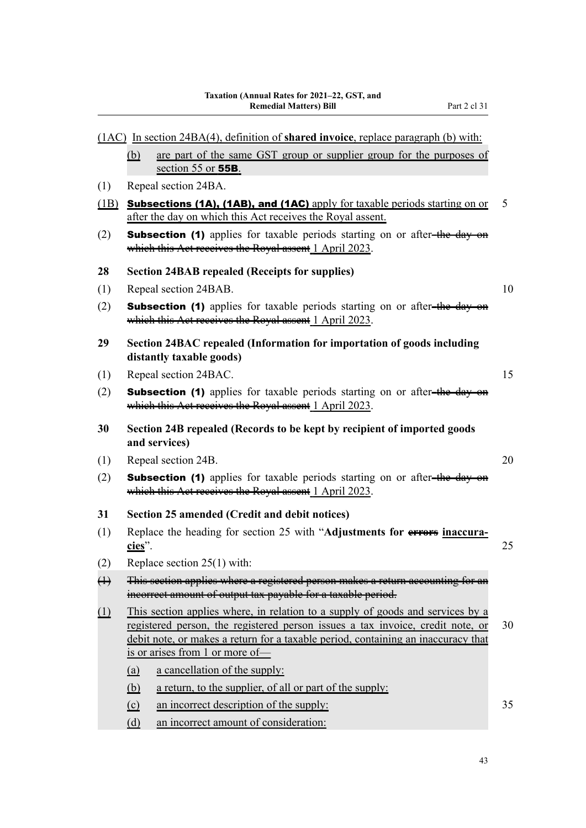(1AC) In section 24BA(4), definition of **shared invoice**, replace paragraph (b) with:

section 55 or 55B.

(b) are part of the same GST group or supplier group for the purposes of

| (1)               | Repeal section 24BA.                                                                                                                                                                                                                                                                     |    |  |  |
|-------------------|------------------------------------------------------------------------------------------------------------------------------------------------------------------------------------------------------------------------------------------------------------------------------------------|----|--|--|
| (1B)              | <b>Subsections (1A), (1AB), and (1AC)</b> apply for taxable periods starting on or<br>5<br>after the day on which this Act receives the Royal assent.                                                                                                                                    |    |  |  |
| (2)               | <b>Subsection (1)</b> applies for taxable periods starting on or after-the day on<br>which this Act receives the Royal assent 1 April 2023.                                                                                                                                              |    |  |  |
| 28                | <b>Section 24BAB repealed (Receipts for supplies)</b>                                                                                                                                                                                                                                    |    |  |  |
| (1)               | Repeal section 24BAB.                                                                                                                                                                                                                                                                    |    |  |  |
| (2)               | <b>Subsection (1)</b> applies for taxable periods starting on or after-the day on<br>which this Act receives the Royal assent 1 April 2023.                                                                                                                                              |    |  |  |
| 29                | Section 24BAC repealed (Information for importation of goods including<br>distantly taxable goods)                                                                                                                                                                                       |    |  |  |
| (1)               | Repeal section 24BAC.                                                                                                                                                                                                                                                                    | 15 |  |  |
| (2)               | <b>Subsection (1)</b> applies for taxable periods starting on or after-the day on<br>which this Act receives the Royal assent 1 April 2023.                                                                                                                                              |    |  |  |
| 30                | Section 24B repealed (Records to be kept by recipient of imported goods<br>and services)                                                                                                                                                                                                 |    |  |  |
| (1)               | Repeal section 24B.                                                                                                                                                                                                                                                                      | 20 |  |  |
| (2)               | <b>Subsection (1)</b> applies for taxable periods starting on or after-the day on<br>which this Act receives the Royal assent 1 April 2023.                                                                                                                                              |    |  |  |
| 31                | Section 25 amended (Credit and debit notices)                                                                                                                                                                                                                                            |    |  |  |
| (1)               | Replace the heading for section 25 with "Adjustments for errors inaccura-<br>cies".                                                                                                                                                                                                      |    |  |  |
| (2)               | Replace section $25(1)$ with:                                                                                                                                                                                                                                                            |    |  |  |
| $\leftrightarrow$ | This section applies where a registered person makes a return accounting for an<br>incorrect amount of output tax payable for a taxable period.                                                                                                                                          |    |  |  |
| $\Box$            | This section applies where, in relation to a supply of goods and services by a<br>registered person, the registered person issues a tax invoice, credit note, or<br>debit note, or makes a return for a taxable period, containing an inaccuracy that<br>is or arises from 1 or more of- |    |  |  |
|                   | a cancellation of the supply:<br>(a)                                                                                                                                                                                                                                                     |    |  |  |
|                   | a return, to the supplier, of all or part of the supply:<br><u>(b)</u>                                                                                                                                                                                                                   |    |  |  |
|                   | an incorrect description of the supply:<br>$\Omega$                                                                                                                                                                                                                                      | 35 |  |  |

(d) an incorrect amount of consideration: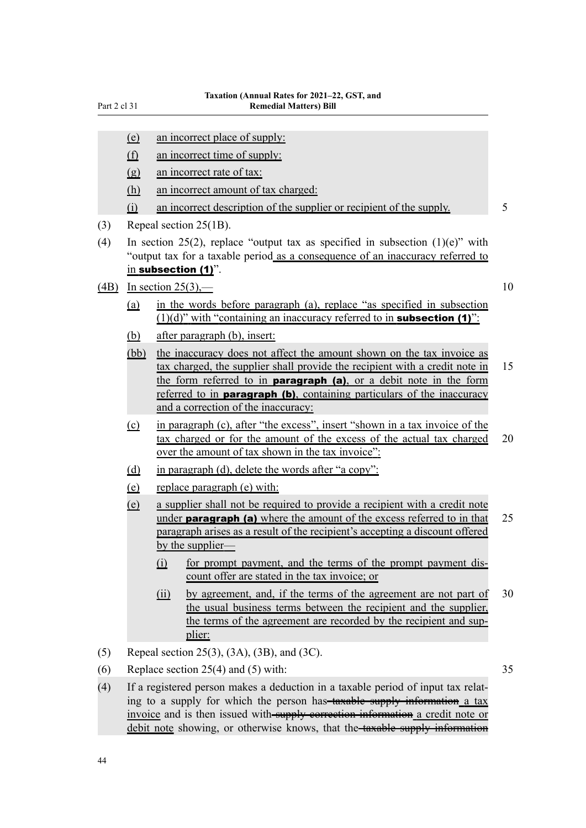- (e) an incorrect place of supply:
- (f) an incorrect time of supply:
- (g) an incorrect rate of tax:
- (h) an incorrect amount of tax charged:
- (i) an incorrect description of the supplier or recipient of the supply. 5
- (3) Repeal section 25(1B).
- (4) In section 25(2), replace "output tax as specified in subsection  $(1)(e)$ " with "output tax for a taxable period as a consequence of an inaccuracy referred to in subsection (1)".
- (4B) In section 25(3),  $-$  10

- (a) in the words before paragraph (a), replace "as specified in subsection  $(1)(d)$ " with "containing an inaccuracy referred to in **subsection (1)**":
- (b) after paragraph (b), insert:
- (bb) the inaccuracy does not affect the amount shown on the tax invoice as tax charged, the supplier shall provide the recipient with a credit note in  $15$ the form referred to in **paragraph** (a), or a debit note in the form referred to in **paragraph (b)**, containing particulars of the inaccuracy and a correction of the inaccuracy:
- (c) in paragraph (c), after "the excess", insert "shown in a tax invoice of the tax charged or for the amount of the excess of the actual tax charged 20 over the amount of tax shown in the tax invoice":
- (d) in paragraph (d), delete the words after "a copy":
- (e) replace paragraph (e) with:
- (e) a supplier shall not be required to provide a recipient with a credit note under **paragraph (a)** where the amount of the excess referred to in that  $25$ paragraph arises as a result of the recipient's accepting a discount offered by the supplier—
	- (i) for prompt payment, and the terms of the prompt payment dis‐ count offer are stated in the tax invoice; or
	- (ii) by agreement, and, if the terms of the agreement are not part of 30 the usual business terms between the recipient and the supplier, the terms of the agreement are recorded by the recipient and supplier:
- (5) Repeal section 25(3), (3A), (3B), and (3C).
- (6) Replace section  $25(4)$  and (5) with: 35
	-
- (4) If a registered person makes a deduction in a taxable period of input tax relat‐ ing to a supply for which the person has-taxable supply information a tax invoice and is then issued with-supply correction information a credit note or debit note showing, or otherwise knows, that the taxable supply information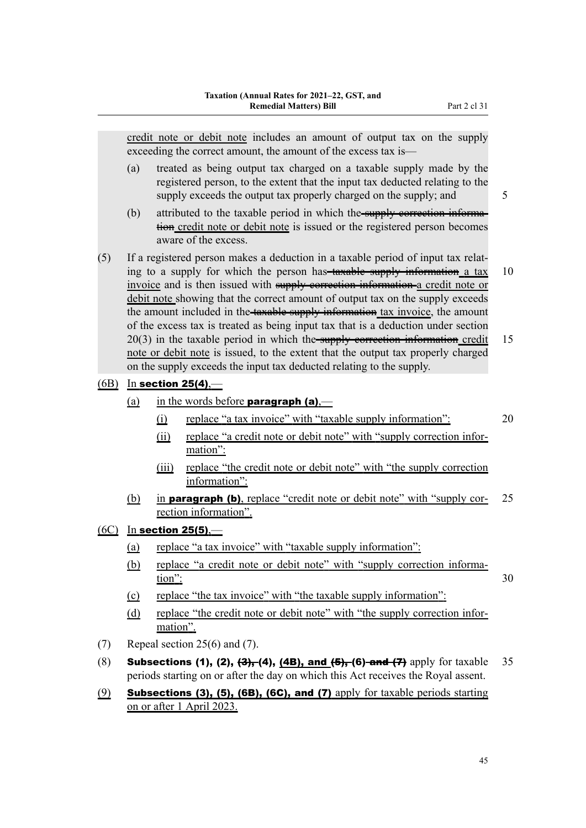credit note or debit note includes an amount of output tax on the supply exceeding the correct amount, the amount of the excess tax is—

- (a) treated as being output tax charged on a taxable supply made by the registered person, to the extent that the input tax deducted relating to the supply exceeds the output tax properly charged on the supply; and  $\frac{5}{5}$
- (b) attributed to the taxable period in which the supply correction information credit note or debit note is issued or the registered person becomes aware of the excess.
- (5) If a registered person makes a deduction in a taxable period of input tax relat‐ ing to a supply for which the person has- $\frac{1}{4}$  tax by information a tax 10 invoice and is then issued with supply correction information a credit note or debit note showing that the correct amount of output tax on the supply exceeds the amount included in the-taxable supply information tax invoice, the amount of the excess tax is treated as being input tax that is a deduction under section  $20(3)$  in the taxable period in which the supply correction information credit 15 note or debit note is issued, to the extent that the output tax properly charged on the supply exceeds the input tax deducted relating to the supply.
- $(6B)$  In section 25(4),—
	- (a) in the words before **paragraph (a)**,—
		- (i) replace "a tax invoice" with "taxable supply information": 20
		- (ii) replace "a credit note or debit note" with "supply correction infor‐ mation":
		- (iii) replace "the credit note or debit note" with "the supply correction information":
	- (b) in **paragraph (b)**, replace "credit note or debit note" with "supply cor- $25$ rection information".
- $(6C)$  In section 25(5),—
	- (a) replace "a tax invoice" with "taxable supply information":
	- (b) replace "a credit note or debit note" with "supply correction informa- $\frac{\text{tion"}}{30}$
	- (c) replace "the tax invoice" with "the taxable supply information":
	- (d) replace "the credit note or debit note" with "the supply correction information".
- (7) Repeal section 25(6) and (7).
- (8) **Subsections (1), (2), <del>(3),</del> (4), (4B), and (5), (6)-and (7)** apply for taxable 35 periods starting on or after the day on which this Act receives the Royal assent.
- $(9)$  Subsections (3), (5), (6B), (6C), and (7) apply for taxable periods starting on or after 1 April 2023.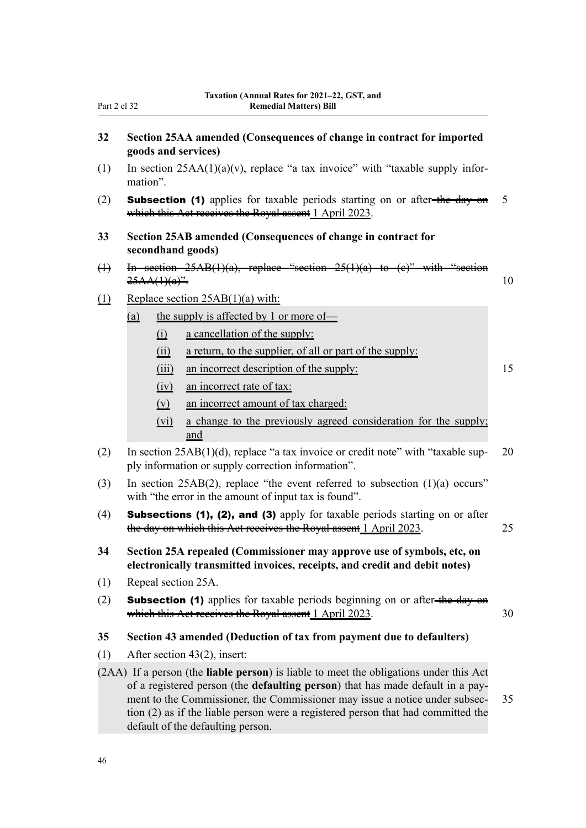| -art > | C.L |  |
|--------|-----|--|
|        |     |  |

- **32 Section 25AA amended (Consequences of change in contract for imported goods and services)**
- (1) In section  $25AA(1)(a)(v)$ , replace "a tax invoice" with "taxable supply information".
- (2) **Subsection (1)** applies for taxable periods starting on or after-the day on  $5$ which this Act receives the Royal assent 1 April 2023.
- **33 Section 25AB amended (Consequences of change in contract for secondhand goods)**
- (1) In section  $25AB(1)(a)$ , replace  $25A(A)(a)^{2}$  10
- (1) Replace section 25AB(1)(a) with:
	- (a) the supply is affected by 1 or more of—
		- (i) a cancellation of the supply:
		- (ii) a return, to the supplier, of all or part of the supply:
		- (iii) an incorrect description of the supply: 15
		- (iv) an incorrect rate of tax:
		- (v) an incorrect amount of tax charged:
		- (vi) a change to the previously agreed consideration for the supply; and
- (2) In section  $25AB(1)(d)$ , replace "a tax invoice or credit note" with "taxable sup- 20 ply information or supply correction information".
- (3) In section 25AB(2), replace "the event referred to subsection (1)(a) occurs" with "the error in the amount of input tax is found".
- (4) Subsections (1), (2), and (3) apply for taxable periods starting on or after the day on which this Act receives the Royal assent 1 April 2023. 25
- **34 Section 25A repealed (Commissioner may approve use of symbols, etc, on electronically transmitted invoices, receipts, and credit and debit notes)**
- (1) Repeal section 25A.
- (2) **Subsection (1)** applies for taxable periods beginning on or after-the day on which this Act receives the Royal assent 1 April 2023. 30

#### **35 Section 43 amended (Deduction of tax from payment due to defaulters)**

- (1) After section 43(2), insert:
- (2AA) If a person (the **liable person**) is liable to meet the obligations under this Act of a registered person (the **defaulting person**) that has made default in a pay‐ ment to the Commissioner, the Commissioner may issue a notice under subsec- 35 tion (2) as if the liable person were a registered person that had committed the default of the defaulting person.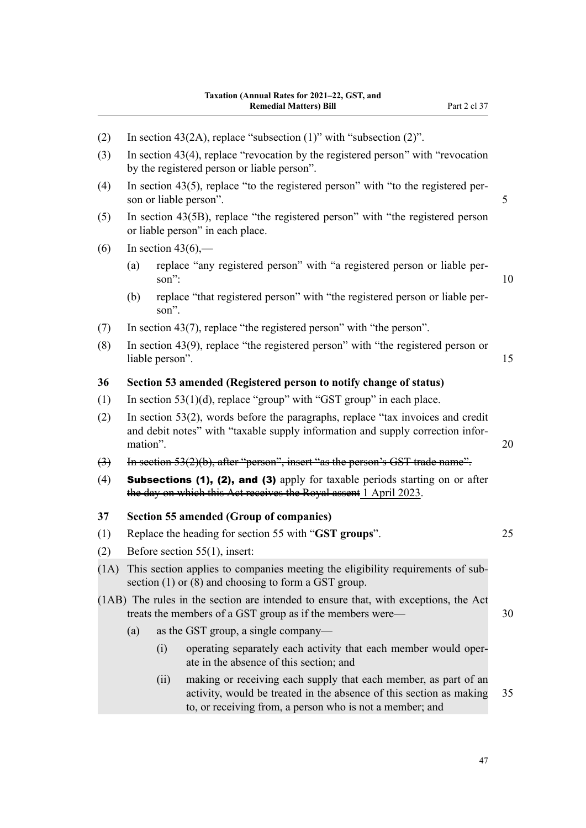| (2)               | In section 43(2A), replace "subsection $(1)$ " with "subsection $(2)$ ".                                                                                                         |       |                                                                                                                                                                                                    |    |  |
|-------------------|----------------------------------------------------------------------------------------------------------------------------------------------------------------------------------|-------|----------------------------------------------------------------------------------------------------------------------------------------------------------------------------------------------------|----|--|
| (3)               | In section $43(4)$ , replace "revocation by the registered person" with "revocation"<br>by the registered person or liable person".                                              |       |                                                                                                                                                                                                    |    |  |
| (4)               | In section $43(5)$ , replace "to the registered person" with "to the registered per-<br>son or liable person".                                                                   |       |                                                                                                                                                                                                    |    |  |
| (5)               | In section 43(5B), replace "the registered person" with "the registered person<br>or liable person" in each place.                                                               |       |                                                                                                                                                                                                    |    |  |
| (6)               |                                                                                                                                                                                  |       | In section $43(6)$ ,—                                                                                                                                                                              |    |  |
|                   | (a)                                                                                                                                                                              | son": | replace "any registered person" with "a registered person or liable per-                                                                                                                           | 10 |  |
|                   | (b)                                                                                                                                                                              | son". | replace "that registered person" with "the registered person or liable per-                                                                                                                        |    |  |
| (7)               |                                                                                                                                                                                  |       | In section 43(7), replace "the registered person" with "the person".                                                                                                                               |    |  |
| (8)               | In section $43(9)$ , replace "the registered person" with "the registered person or<br>liable person".                                                                           |       |                                                                                                                                                                                                    |    |  |
| 36                |                                                                                                                                                                                  |       | Section 53 amended (Registered person to notify change of status)                                                                                                                                  |    |  |
| (1)               | In section $53(1)(d)$ , replace "group" with "GST group" in each place.                                                                                                          |       |                                                                                                                                                                                                    |    |  |
| (2)               | In section $53(2)$ , words before the paragraphs, replace "tax invoices and credit<br>and debit notes" with "taxable supply information and supply correction infor-<br>mation". |       |                                                                                                                                                                                                    |    |  |
| $\leftrightarrow$ | 20<br>In section $53(2)(b)$ , after "person", insert "as the person's GST trade name".                                                                                           |       |                                                                                                                                                                                                    |    |  |
| (4)               |                                                                                                                                                                                  |       | Subsections (1), (2), and (3) apply for taxable periods starting on or after<br>the day on which this Act receives the Royal assent 1 April 2023.                                                  |    |  |
| 37                |                                                                                                                                                                                  |       | Section 55 amended (Group of companies)                                                                                                                                                            |    |  |
| (1)               |                                                                                                                                                                                  |       | Replace the heading for section 55 with "GST groups".                                                                                                                                              | 25 |  |
| (2)               |                                                                                                                                                                                  |       | Before section $55(1)$ , insert:                                                                                                                                                                   |    |  |
| (1A)              | This section applies to companies meeting the eligibility requirements of sub-<br>section $(1)$ or $(8)$ and choosing to form a GST group.                                       |       |                                                                                                                                                                                                    |    |  |
|                   |                                                                                                                                                                                  |       | (1AB) The rules in the section are intended to ensure that, with exceptions, the Act<br>treats the members of a GST group as if the members were—                                                  | 30 |  |
|                   | (a)                                                                                                                                                                              |       | as the GST group, a single company—                                                                                                                                                                |    |  |
|                   |                                                                                                                                                                                  | (i)   | operating separately each activity that each member would oper-<br>ate in the absence of this section; and                                                                                         |    |  |
|                   |                                                                                                                                                                                  | (ii)  | making or receiving each supply that each member, as part of an<br>activity, would be treated in the absence of this section as making<br>to, or receiving from, a person who is not a member; and | 35 |  |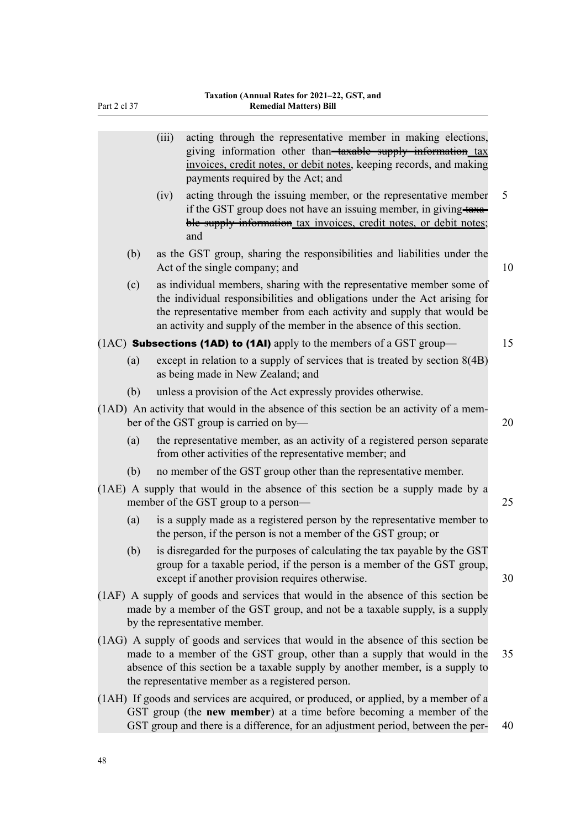|     | (iii) | acting through the representative member in making elections,<br>giving information other than-taxable supply information tax<br>invoices, credit notes, or debit notes, keeping records, and making<br>payments required by the Act; and                                                           |    |
|-----|-------|-----------------------------------------------------------------------------------------------------------------------------------------------------------------------------------------------------------------------------------------------------------------------------------------------------|----|
|     | (iv)  | acting through the issuing member, or the representative member<br>if the GST group does not have an issuing member, in giving taxa-<br>ble supply information tax invoices, credit notes, or debit notes;<br>and                                                                                   | 5  |
| (b) |       | as the GST group, sharing the responsibilities and liabilities under the<br>Act of the single company; and                                                                                                                                                                                          | 10 |
| (c) |       | as individual members, sharing with the representative member some of<br>the individual responsibilities and obligations under the Act arising for<br>the representative member from each activity and supply that would be<br>an activity and supply of the member in the absence of this section. |    |
|     |       | $(1AC)$ Subsections (1AD) to (1AI) apply to the members of a GST group—                                                                                                                                                                                                                             | 15 |
| (a) |       | except in relation to a supply of services that is treated by section $8(4B)$<br>as being made in New Zealand; and                                                                                                                                                                                  |    |
| (b) |       | unless a provision of the Act expressly provides otherwise.                                                                                                                                                                                                                                         |    |
|     |       | (1AD) An activity that would in the absence of this section be an activity of a mem-<br>ber of the GST group is carried on by-                                                                                                                                                                      | 20 |
| (a) |       | the representative member, as an activity of a registered person separate<br>from other activities of the representative member; and                                                                                                                                                                |    |
| (b) |       | no member of the GST group other than the representative member.                                                                                                                                                                                                                                    |    |
|     |       | (1AE) A supply that would in the absence of this section be a supply made by a<br>member of the GST group to a person—                                                                                                                                                                              | 25 |
| (a) |       | is a supply made as a registered person by the representative member to<br>the person, if the person is not a member of the GST group; or                                                                                                                                                           |    |
| (b) |       | is disregarded for the purposes of calculating the tax payable by the GST<br>group for a taxable period, if the person is a member of the GST group,<br>except if another provision requires otherwise.                                                                                             | 30 |
|     |       | (1AF) A supply of goods and services that would in the absence of this section be<br>made by a member of the GST group, and not be a taxable supply, is a supply<br>by the representative member.                                                                                                   |    |
|     |       | (1AG) A supply of goods and services that would in the absence of this section be<br>made to a member of the GST group, other than a supply that would in the<br>absence of this section be a taxable supply by another member, is a supply to<br>the representative member as a registered person. | 35 |
|     |       | (1AH) If goods and services are acquired, or produced, or applied, by a member of a                                                                                                                                                                                                                 |    |

Part 2 cl 37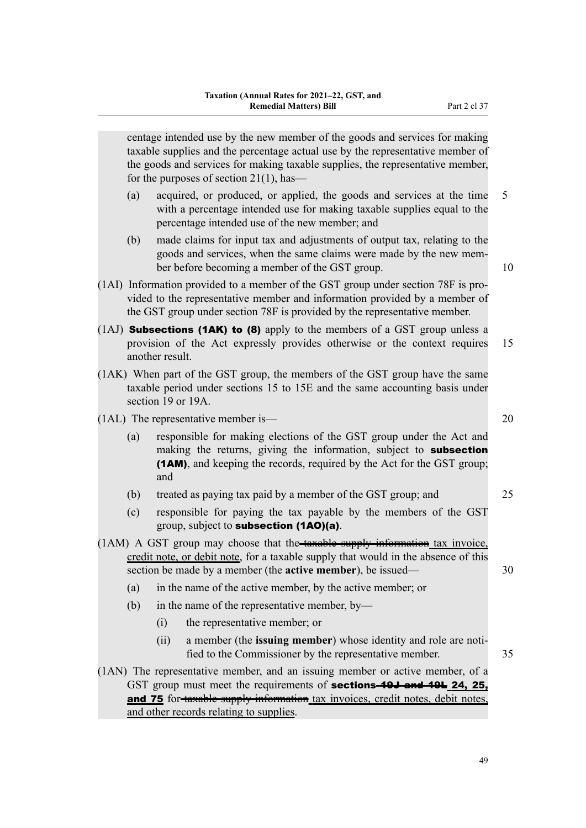centage intended use by the new member of the goods and services for making taxable supplies and the percentage actual use by the representative member of the goods and services for making taxable supplies, the representative member, for the purposes of section 21(1), has—

- (a) acquired, or produced, or applied, the goods and services at the time 5 with a percentage intended use for making taxable supplies equal to the percentage intended use of the new member; and
- (b) made claims for input tax and adjustments of output tax, relating to the goods and services, when the same claims were made by the new mem‐ ber before becoming a member of the GST group. 10
- (1AI) Information provided to a member of the GST group under section 78F is pro‐ vided to the representative member and information provided by a member of the GST group under section 78F is provided by the representative member.
- $(1A)$  **Subsections (1AK) to (8)** apply to the members of a GST group unless a provision of the Act expressly provides otherwise or the context requires 15 another result.
- (1AK) When part of the GST group, the members of the GST group have the same taxable period under sections 15 to 15E and the same accounting basis under section 19 or 19A.
- (1AL) The representative member is— 20
	- (a) responsible for making elections of the GST group under the Act and making the returns, giving the information, subject to **subsection** (1AM), and keeping the records, required by the Act for the GST group; and
	- (b) treated as paying tax paid by a member of the GST group; and 25
	- (c) responsible for paying the tax payable by the members of the GST group, subject to subsection (1AO)(a).
- (1AM) A GST group may choose that the taxable supply information tax invoice, credit note, or debit note, for a taxable supply that would in the absence of this section be made by a member (the **active member**), be issued— 30
	- (a) in the name of the active member, by the active member; or
	- (b) in the name of the representative member, by—
		- (i) the representative member; or
		- (ii) a member (the **issuing member**) whose identity and role are notified to the Commissioner by the representative member. 35
- (1AN) The representative member, and an issuing member or active member, of a GST group must meet the requirements of **sections-49J and 49L 24, 25,** and 75 for-taxable supply information tax invoices, credit notes, debit notes, and other records relating to supplies.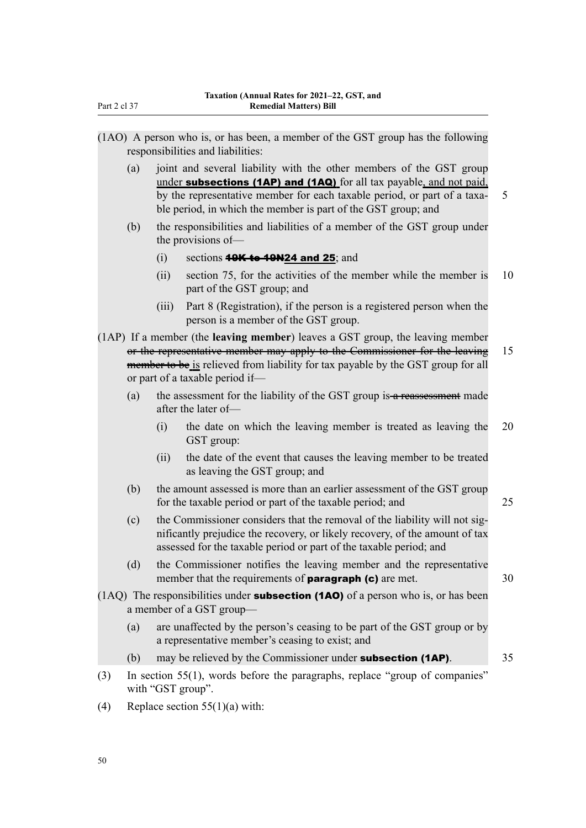- (1AO) A person who is, or has been, a member of the GST group has the following responsibilities and liabilities:
	- (a) joint and several liability with the other members of the GST group under subsections (1AP) and (1AQ) for all tax payable, and not paid, by the representative member for each taxable period, or part of a taxa- 5 ble period, in which the member is part of the GST group; and
	- (b) the responsibilities and liabilities of a member of the GST group under the provisions of—
		- (i) sections  $49K$  to  $49N24$  and  $25$ ; and
		- (ii) section 75, for the activities of the member while the member is 10 part of the GST group; and
		- (iii) Part 8 (Registration), if the person is a registered person when the person is a member of the GST group.

(1AP) If a member (the **leaving member**) leaves a GST group, the leaving member or the representative member may apply to the Commissioner for the leaving 15 member to be is relieved from liability for tax payable by the GST group for all or part of a taxable period if—

- (a) the assessment for the liability of the GST group is  $a$  reassessment made after the later of—
	- (i) the date on which the leaving member is treated as leaving the 20 GST group:
	- (ii) the date of the event that causes the leaving member to be treated as leaving the GST group; and
- (b) the amount assessed is more than an earlier assessment of the GST group for the taxable period or part of the taxable period; and 25
- (c) the Commissioner considers that the removal of the liability will not significantly prejudice the recovery, or likely recovery, of the amount of tax assessed for the taxable period or part of the taxable period; and
- (d) the Commissioner notifies the leaving member and the representative member that the requirements of **paragraph (c)** are met.  $30$
- $(1AQ)$  The responsibilities under **subsection (1AO)** of a person who is, or has been a member of a GST group—
	- (a) are unaffected by the person's ceasing to be part of the GST group or by a representative member's ceasing to exist; and
	- (b) may be relieved by the Commissioner under **subsection (1AP)**. 35
- (3) In section 55(1), words before the paragraphs, replace "group of companies" with "GST group".
- (4) Replace section  $55(1)(a)$  with: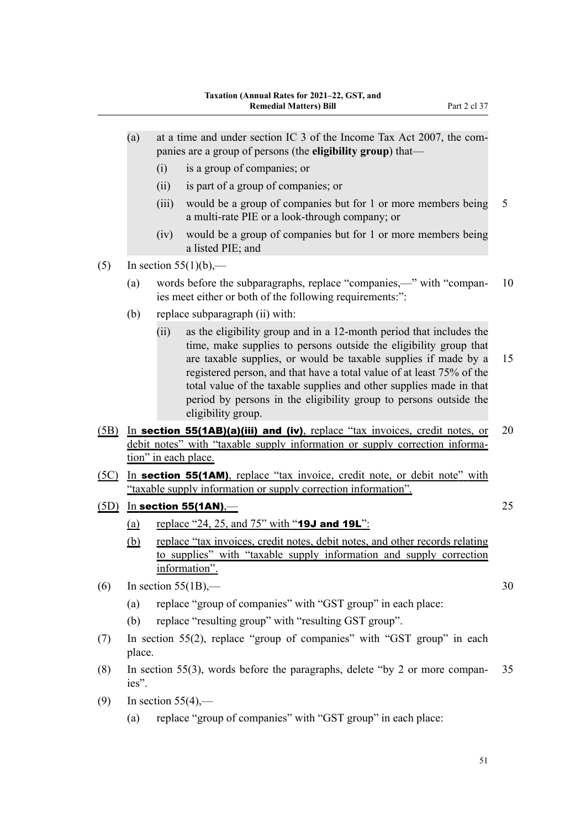- (i) is a group of companies; or
- (ii) is part of a group of companies; or
- (iii) would be a group of companies but for 1 or more members being 5 a multi-rate PIE or a look-through company; or
- (iv) would be a group of companies but for 1 or more members being a listed PIE; and
- (5) In section  $55(1)(b)$ ,—
	- (a) words before the subparagraphs, replace "companies,—" with "compan‐ 10 ies meet either or both of the following requirements:":
	- (b) replace subparagraph (ii) with:
		- (ii) as the eligibility group and in a 12-month period that includes the time, make supplies to persons outside the eligibility group that are taxable supplies, or would be taxable supplies if made by a 15 registered person, and that have a total value of at least 75% of the total value of the taxable supplies and other supplies made in that period by persons in the eligibility group to persons outside the eligibility group.
- (5B) In section 55(1AB)(a)(iii) and (iv), replace "tax invoices, credit notes, or 20 debit notes" with "taxable supply information or supply correction information" in each place.
- (5C) In section 55(1AM), replace "tax invoice, credit note, or debit note" with "taxable supply information or supply correction information".
- $(5D)$  In section 55(1AN),— $25$ 
	- (a) replace "24, 25, and  $75$ " with "19J and 19L":
	- (b) replace "tax invoices, credit notes, debit notes, and other records relating to supplies" with "taxable supply information and supply correction information".
- (6) In section  $55(1B)$ ,  $-$  30
	- (a) replace "group of companies" with "GST group" in each place:
	- (b) replace "resulting group" with "resulting GST group".
- (7) In section 55(2), replace "group of companies" with "GST group" in each place.
- (8) In section 55(3), words before the paragraphs, delete "by 2 or more compan‐ 35 ies".
- $(9)$  In section 55(4),—
	- (a) replace "group of companies" with "GST group" in each place: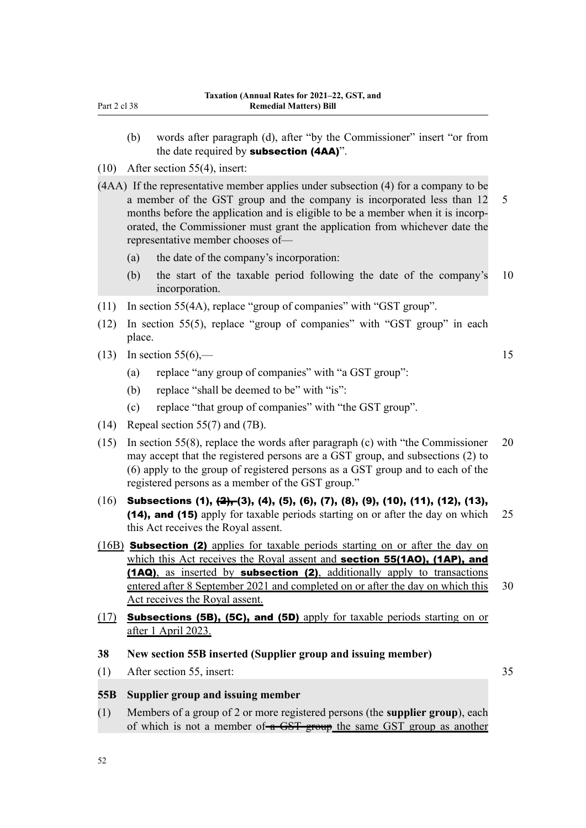- (b) words after paragraph (d), after "by the Commissioner" insert "or from the date required by subsection (4AA)".
- (10) After section 55(4), insert:
- (4AA) If the representative member applies under subsection (4) for a company to be a member of the GST group and the company is incorporated less than 12 5 months before the application and is eligible to be a member when it is incorporated, the Commissioner must grant the application from whichever date the representative member chooses of—
	- (a) the date of the company's incorporation:
	- (b) the start of the taxable period following the date of the company's 10 incorporation.
- (11) In section 55(4A), replace "group of companies" with "GST group".
- (12) In section 55(5), replace "group of companies" with "GST group" in each place.
- (13) In section  $55(6)$ ,  $-$  15
	- (a) replace "any group of companies" with "a GST group":
	- (b) replace "shall be deemed to be" with "is":
	- (c) replace "that group of companies" with "the GST group".
- (14) Repeal section 55(7) and (7B).
- (15) In section 55(8), replace the words after paragraph (c) with "the Commissioner 20 may accept that the registered persons are a GST group, and subsections (2) to (6) apply to the group of registered persons as a GST group and to each of the registered persons as a member of the GST group."
- $(16)$  Subsections (1),  $\left(\frac{2}{15}\right)$ , (3), (4), (5), (6), (7), (8), (9), (10), (11), (12), (13), (14), and (15) apply for taxable periods starting on or after the day on which 25 this Act receives the Royal assent.
- (16B) Subsection (2) applies for taxable periods starting on or after the day on which this Act receives the Royal assent and **section 55(1AO), (1AP), and** (1AQ), as inserted by subsection (2), additionally apply to transactions entered after 8 September 2021 and completed on or after the day on which this 30 Act receives the Royal assent.
- (17) Subsections (5B), (5C), and (5D) apply for taxable periods starting on or after 1 April 2023.
- **38 New section 55B inserted (Supplier group and issuing member)**
- (1) After section 55, insert: 35

## **55B Supplier group and issuing member**

(1) Members of a group of 2 or more registered persons (the **supplier group**), each of which is not a member of a GST group the same GST group as another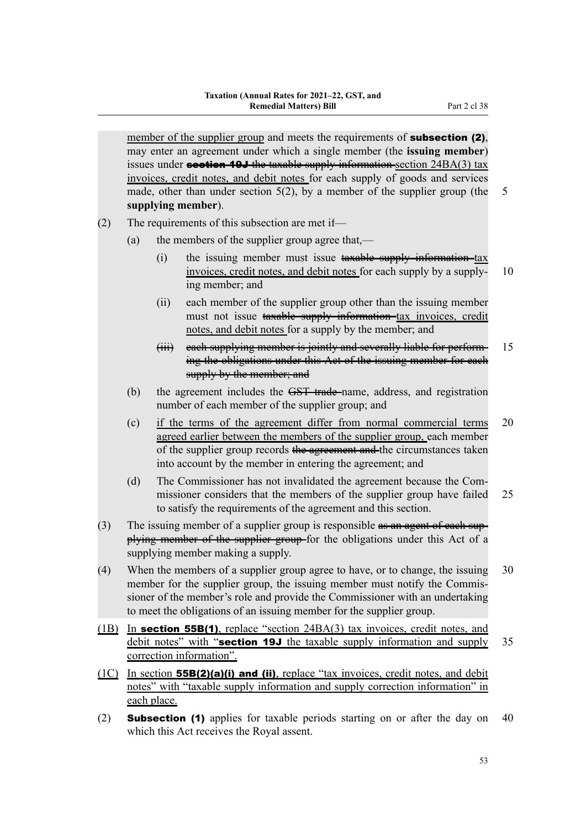member of the supplier group and meets the requirements of **subsection (2)**, may enter an agreement under which a single member (the **issuing member**) issues under **section 19J** the taxable supply information-section  $24BA(3)$  tax invoices, credit notes, and debit notes for each supply of goods and services made, other than under section  $5(2)$ , by a member of the supplier group (the 5 **supplying member**).

(2) The requirements of this subsection are met if—

- (a) the members of the supplier group agree that,—
	- $(i)$  the issuing member must issue  $t$  taxable supply information-tax invoices, credit notes, and debit notes for each supply by a supply- 10 ing member; and
	- (ii) each member of the supplier group other than the issuing member must not issue taxable supply information tax invoices, credit notes, and debit notes for a supply by the member; and
	- (iii) each supplying member is jointly and severally liable for perform- 15 ing the obligations under this Act of the issuing member for each supply by the member; and
- (b) the agreement includes the <del>GST trade</del>-name, address, and registration number of each member of the supplier group; and
- (c) if the terms of the agreement differ from normal commercial terms 20 agreed earlier between the members of the supplier group, each member of the supplier group records the agreement and the circumstances taken into account by the member in entering the agreement; and
- (d) The Commissioner has not invalidated the agreement because the Commissioner considers that the members of the supplier group have failed 25 to satisfy the requirements of the agreement and this section.
- (3) The issuing member of a supplier group is responsible  $\theta$  as an agent of each supplying member of the supplier group for the obligations under this Act of a supplying member making a supply.
- (4) When the members of a supplier group agree to have, or to change, the issuing 30 member for the supplier group, the issuing member must notify the Commissioner of the member's role and provide the Commissioner with an undertaking to meet the obligations of an issuing member for the supplier group.
- (1B) In section 55B(1), replace "section 24BA(3) tax invoices, credit notes, and debit notes" with "section 19J the taxable supply information and supply  $35$ correction information".
- $(1C)$  In section **55B(2)(a)(i) and (ii)**, replace "tax invoices, credit notes, and debit notes" with "taxable supply information and supply correction information" in each place.
- (2) Subsection (1) applies for taxable periods starting on or after the day on 40 which this Act receives the Royal assent.

53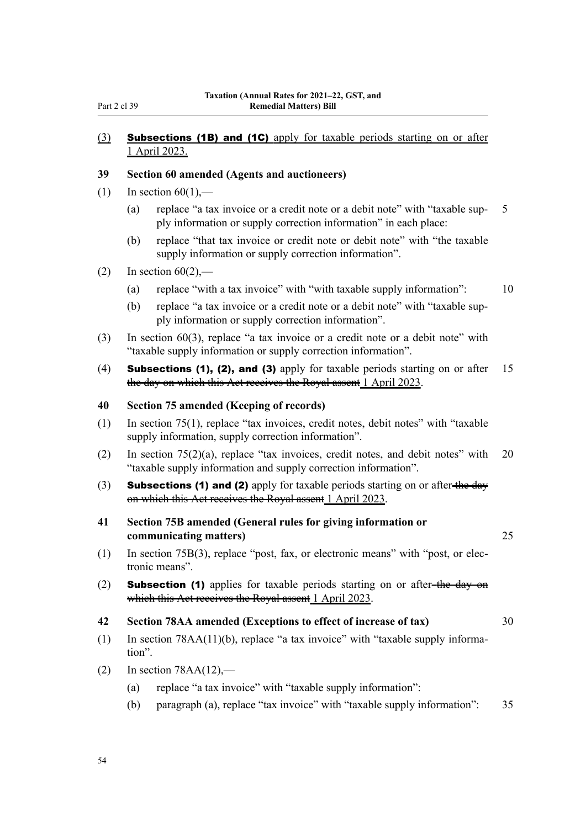## (3) Subsections (1B) and (1C) apply for taxable periods starting on or after 1 April 2023.

### **39 Section 60 amended (Agents and auctioneers)**

- (1) In section  $60(1)$ ,—
	- (a) replace "a tax invoice or a credit note or a debit note" with "taxable sup- 5 ply information or supply correction information" in each place:
	- (b) replace "that tax invoice or credit note or debit note" with "the taxable supply information or supply correction information".
- (2) In section  $60(2)$ ,—
	- (a) replace "with a tax invoice" with "with taxable supply information": 10
	- (b) replace "a tax invoice or a credit note or a debit note" with "taxable sup‐ ply information or supply correction information".
- (3) In section 60(3), replace "a tax invoice or a credit note or a debit note" with "taxable supply information or supply correction information".
- (4) **Subsections (1), (2), and (3)** apply for taxable periods starting on or after 15 the day on which this Act receives the Royal assent 1 April 2023.

### **40 Section 75 amended (Keeping of records)**

- (1) In section 75(1), replace "tax invoices, credit notes, debit notes" with "taxable supply information, supply correction information".
- (2) In section 75(2)(a), replace "tax invoices, credit notes, and debit notes" with 20 "taxable supply information and supply correction information".
- (3) **Subsections (1) and (2)** apply for taxable periods starting on or after-the day on which this Act receives the Royal assent 1 April 2023.
- **41 Section 75B amended (General rules for giving information or communicating matters)** 25
- (1) In section 75B(3), replace "post, fax, or electronic means" with "post, or elec‐ tronic means".
- (2) **Subsection (1)** applies for taxable periods starting on or after-the-day on which this Act receives the Royal assent 1 April 2023.

### **42 Section 78AA amended (Exceptions to effect of increase of tax)** 30

- (1) In section 78AA(11)(b), replace "a tax invoice" with "taxable supply informa‐ tion".
- (2) In section  $78AA(12)$ ,—
	- (a) replace "a tax invoice" with "taxable supply information":
	- (b) paragraph (a), replace "tax invoice" with "taxable supply information": 35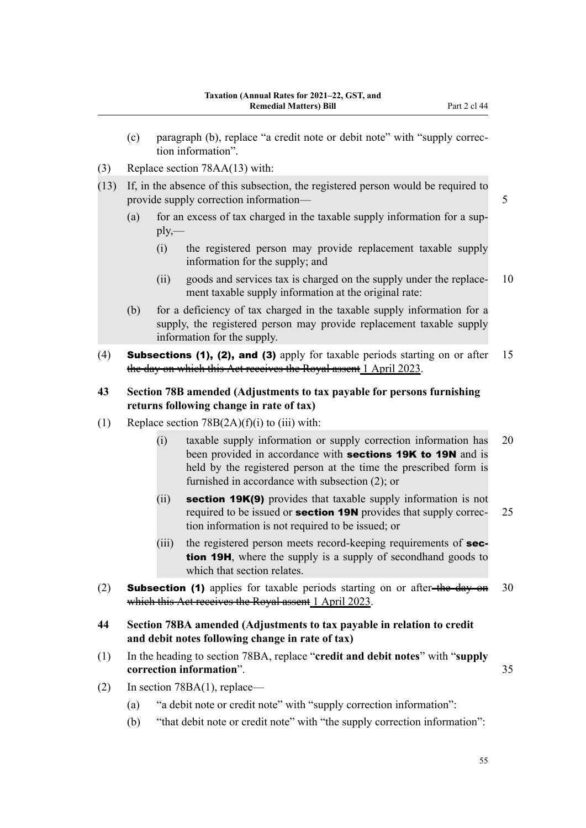- (c) paragraph (b), replace "a credit note or debit note" with "supply correc‐ tion information".
- (3) Replace section 78AA(13) with:
- (13) If, in the absence of this subsection, the registered person would be required to provide supply correction information— 5
	- (a) for an excess of tax charged in the taxable supply information for a supply,—
		- (i) the registered person may provide replacement taxable supply information for the supply; and
		- (ii) goods and services tax is charged on the supply under the replace- 10 ment taxable supply information at the original rate:
	- (b) for a deficiency of tax charged in the taxable supply information for a supply, the registered person may provide replacement taxable supply information for the supply.
- (4) Subsections (1), (2), and (3) apply for taxable periods starting on or after 15 the day on which this Act receives the Royal assent 1 April 2023.
- **43 Section 78B amended (Adjustments to tax payable for persons furnishing returns following change in rate of tax)**
- (1) Replace section  $78B(2A)(f)(i)$  to (iii) with:
	- (i) taxable supply information or supply correction information has 20 been provided in accordance with **sections 19K to 19N** and is held by the registered person at the time the prescribed form is furnished in accordance with subsection (2); or
	- (ii) section 19K(9) provides that taxable supply information is not required to be issued or **section 19N** provides that supply correc- 25 tion information is not required to be issued; or
	- (iii) the registered person meets record-keeping requirements of **sec**tion 19H, where the supply is a supply of secondhand goods to which that section relates.
- (2) **Subsection (1)** applies for taxable periods starting on or after-the day on 30 which this Act receives the Royal assent 1 April 2023.
- **44 Section 78BA amended (Adjustments to tax payable in relation to credit and debit notes following change in rate of tax)**
- (1) In the heading to section 78BA, replace "**credit and debit notes**" with "**supply correction information**". 35
- (2) In section 78BA(1), replace—
	- (a) "a debit note or credit note" with "supply correction information":
	- (b) "that debit note or credit note" with "the supply correction information":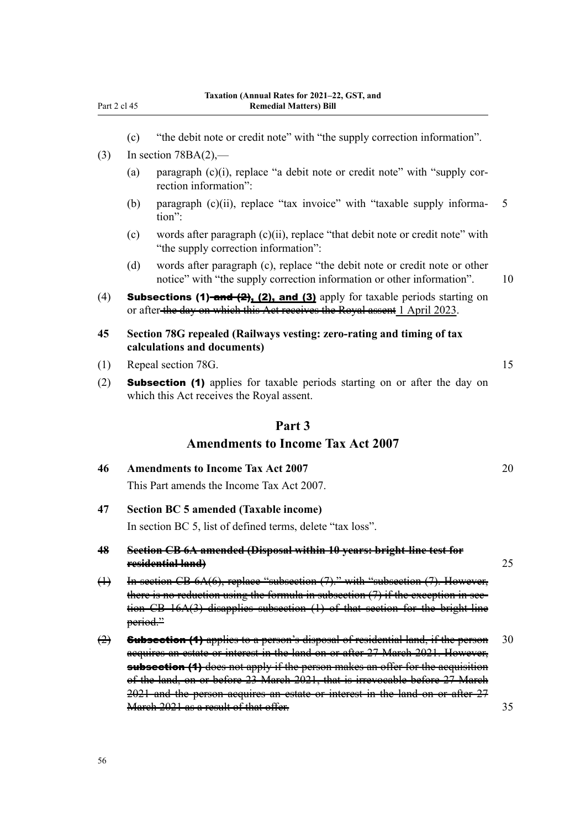- (c) "the debit note or credit note" with "the supply correction information".
- (3) In section  $78BA(2)$ ,—
	- (a) paragraph  $(c)(i)$ , replace "a debit note or credit note" with "supply correction information":
	- (b) paragraph  $(c)(ii)$ , replace "tax invoice" with "taxable supply informa- 5 tion":
	- (c) words after paragraph  $(c)(ii)$ , replace "that debit note or credit note" with "the supply correction information":
	- (d) words after paragraph (c), replace "the debit note or credit note or other notice" with "the supply correction information or other information". 10
- (4) **Subsections (1)-and (2), (2), and (3)** apply for taxable periods starting on or after the day on which this Act receives the Royal assent 1 April 2023.
- **45 Section 78G repealed (Railways vesting: zero-rating and timing of tax calculations and documents)**
- (1) Repeal section 78G. 15
- (2) Subsection (1) applies for taxable periods starting on or after the day on which this Act receives the Royal assent.

# **Part 3**

# **Amendments to Income Tax Act 2007**

| 46 | <b>Amendments to Income Tax Act 2007</b>  |  |
|----|-------------------------------------------|--|
|    | This Part amends the Income Tax Act 2007. |  |

**47 Section BC 5 amended (Taxable income)**

In section BC 5, list of defined terms, delete "tax loss".

- **48 Section CB 6A amended (Disposal within 10 years: bright-line test for residential land)** 25
- (1) In section CB 6A(6), replace "subsection (7)." with "subsection (7). However, there is no reduction using the formula in subsection  $(7)$  if the exception in section CB 16A(3) disapplies subsection (1) of that section for the bright-line period."
- $\left( \frac{1}{2} \right)$  Subsection (1) applies to a person's disposal of residential land, if the person 30 acquires an estate or interest in the land on or after 27 March 2021. However, **subsection (1)** does not apply if the person makes an offer for the acquisition of the land, on or before 23 March 2021, that is irrevocable before 27 March 2021 and the person acquires an estate or interest in the land on or after 27 March 2021 as a result of that offer. 35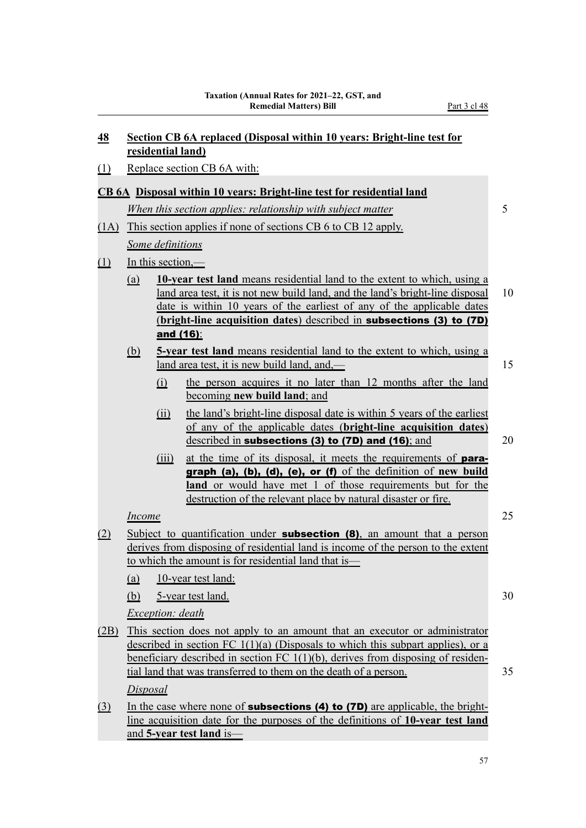| 48       | <b>Section CB 6A replaced (Disposal within 10 years: Bright-line test for</b><br>residential land)                                                                                                                                                                                                                              |                         |                                                                                                                                                                                                                                                                                                                                 |    |  |  |  |
|----------|---------------------------------------------------------------------------------------------------------------------------------------------------------------------------------------------------------------------------------------------------------------------------------------------------------------------------------|-------------------------|---------------------------------------------------------------------------------------------------------------------------------------------------------------------------------------------------------------------------------------------------------------------------------------------------------------------------------|----|--|--|--|
| $\Omega$ | Replace section CB 6A with:                                                                                                                                                                                                                                                                                                     |                         |                                                                                                                                                                                                                                                                                                                                 |    |  |  |  |
|          |                                                                                                                                                                                                                                                                                                                                 |                         | <b>CB 6A</b> Disposal within 10 years: Bright-line test for residential land                                                                                                                                                                                                                                                    |    |  |  |  |
|          |                                                                                                                                                                                                                                                                                                                                 |                         | When this section applies: relationship with subject matter                                                                                                                                                                                                                                                                     | 5  |  |  |  |
| (1A)     |                                                                                                                                                                                                                                                                                                                                 |                         | This section applies if none of sections CB 6 to CB 12 apply.                                                                                                                                                                                                                                                                   |    |  |  |  |
|          | <b>Some definitions</b>                                                                                                                                                                                                                                                                                                         |                         |                                                                                                                                                                                                                                                                                                                                 |    |  |  |  |
| $\Box$   |                                                                                                                                                                                                                                                                                                                                 | In this section,—       |                                                                                                                                                                                                                                                                                                                                 |    |  |  |  |
|          | <u>(a)</u>                                                                                                                                                                                                                                                                                                                      |                         | 10-year test land means residential land to the extent to which, using a<br>land area test, it is not new build land, and the land's bright-line disposal<br>date is within 10 years of the earliest of any of the applicable dates<br>(bright-line acquisition dates) described in <b>subsections (3) to (7D)</b><br>and (16): | 10 |  |  |  |
|          | <u>(b)</u>                                                                                                                                                                                                                                                                                                                      |                         | 5-year test land means residential land to the extent to which, using a<br>land area test, it is new build land, and,—                                                                                                                                                                                                          | 15 |  |  |  |
|          |                                                                                                                                                                                                                                                                                                                                 | (i)                     | the person acquires it no later than 12 months after the land<br>becoming <b>new build land</b> ; and                                                                                                                                                                                                                           |    |  |  |  |
|          |                                                                                                                                                                                                                                                                                                                                 | (ii)                    | the land's bright-line disposal date is within 5 years of the earliest<br>of any of the applicable dates (bright-line acquisition dates)<br>described in subsections (3) to (7D) and (16); and                                                                                                                                  | 20 |  |  |  |
|          |                                                                                                                                                                                                                                                                                                                                 | (iii)                   | at the time of its disposal, it meets the requirements of para-<br>graph (a), (b), (d), (e), or (f) of the definition of new build<br><b>land</b> or would have met 1 of those requirements but for the<br>destruction of the relevant place by natural disaster or fire.                                                       |    |  |  |  |
|          | <b>Income</b>                                                                                                                                                                                                                                                                                                                   |                         |                                                                                                                                                                                                                                                                                                                                 | 25 |  |  |  |
| (2)      |                                                                                                                                                                                                                                                                                                                                 |                         | Subject to quantification under <b>subsection (8)</b> , an amount that a person<br>derives from disposing of residential land is income of the person to the extent<br>to which the amount is for residential land that is                                                                                                      |    |  |  |  |
|          | (a)                                                                                                                                                                                                                                                                                                                             |                         | 10-year test land:                                                                                                                                                                                                                                                                                                              |    |  |  |  |
|          | (b)                                                                                                                                                                                                                                                                                                                             |                         | 5-year test land.                                                                                                                                                                                                                                                                                                               | 30 |  |  |  |
|          |                                                                                                                                                                                                                                                                                                                                 | <i>Exception: death</i> |                                                                                                                                                                                                                                                                                                                                 |    |  |  |  |
| (2B)     | This section does not apply to an amount that an executor or administrator<br>described in section FC $1(1)(a)$ (Disposals to which this subpart applies), or a<br>beneficiary described in section $FC 1(1)(b)$ , derives from disposing of residen-<br>35<br>tial land that was transferred to them on the death of a person. |                         |                                                                                                                                                                                                                                                                                                                                 |    |  |  |  |
|          | Disposal                                                                                                                                                                                                                                                                                                                        |                         |                                                                                                                                                                                                                                                                                                                                 |    |  |  |  |
| $\Omega$ |                                                                                                                                                                                                                                                                                                                                 |                         | In the case where none of <b>subsections (4) to (7D)</b> are applicable, the bright-<br>line acquisition date for the purposes of the definitions of 10-year test land<br>and 5-year test land is—                                                                                                                              |    |  |  |  |

57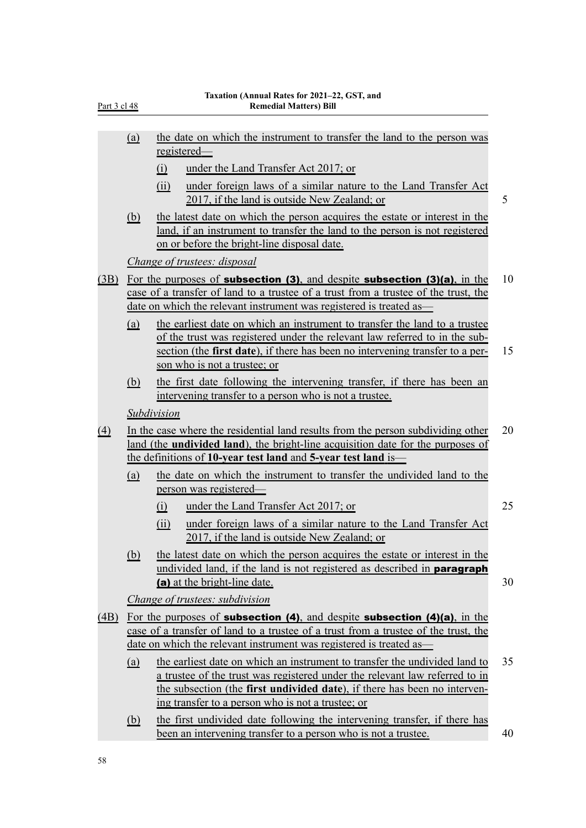| <u>Part 3 cl 48</u> |            | Taxation (Annual Rates for 2021–22, GST, and<br><b>Remedial Matters) Bill</b>                                                                                                                                                                                                               |
|---------------------|------------|---------------------------------------------------------------------------------------------------------------------------------------------------------------------------------------------------------------------------------------------------------------------------------------------|
|                     | <u>(a)</u> | the date on which the instrument to transfer the land to the person was                                                                                                                                                                                                                     |
|                     |            | registered—<br>under the Land Transfer Act 2017; or<br>(i)                                                                                                                                                                                                                                  |
|                     |            | under foreign laws of a similar nature to the Land Transfer Act<br>(ii)                                                                                                                                                                                                                     |
|                     |            | 2017, if the land is outside New Zealand; or                                                                                                                                                                                                                                                |
|                     | <u>(b)</u> | the latest date on which the person acquires the estate or interest in the<br>land, if an instrument to transfer the land to the person is not registered<br>on or before the bright-line disposal date.                                                                                    |
|                     |            | Change of trustees: disposal                                                                                                                                                                                                                                                                |
| (3B)                |            | For the purposes of <b>subsection (3)</b> , and despite <b>subsection (3)(a)</b> , in the<br>case of a transfer of land to a trustee of a trust from a trustee of the trust, the<br>date on which the relevant instrument was registered is treated as-                                     |
|                     | <u>(a)</u> | the earliest date on which an instrument to transfer the land to a trustee<br>of the trust was registered under the relevant law referred to in the sub-<br>section (the first date), if there has been no intervening transfer to a per-<br>son who is not a trustee; or                   |
|                     | (b)        | the first date following the intervening transfer, if there has been an<br>intervening transfer to a person who is not a trustee.                                                                                                                                                           |
|                     |            | Subdivision                                                                                                                                                                                                                                                                                 |
| $\left(4\right)$    |            | In the case where the residential land results from the person subdividing other<br>land (the <b>undivided land</b> ), the bright-line acquisition date for the purposes of<br>the definitions of 10-year test land and 5-year test land is—                                                |
|                     | (a)        | the date on which the instrument to transfer the undivided land to the<br>person was registered                                                                                                                                                                                             |
|                     |            | under the Land Transfer Act 2017; or<br>(i)                                                                                                                                                                                                                                                 |
|                     |            | under foreign laws of a similar nature to the Land Transfer Act<br>(ii)<br>2017, if the land is outside New Zealand; or                                                                                                                                                                     |
|                     | <u>(b)</u> | the latest date on which the person acquires the estate or interest in the<br>undivided land, if the land is not registered as described in <b>paragraph</b><br>(a) at the bright-line date.                                                                                                |
|                     |            | <i>Change of trustees: subdivision</i>                                                                                                                                                                                                                                                      |
| (4B)                |            | For the purposes of <b>subsection (4)</b> , and despite <b>subsection (4)(a)</b> , in the                                                                                                                                                                                                   |
|                     |            | case of a transfer of land to a trustee of a trust from a trustee of the trust, the                                                                                                                                                                                                         |
|                     |            | date on which the relevant instrument was registered is treated as—                                                                                                                                                                                                                         |
|                     | <u>(a)</u> | the earliest date on which an instrument to transfer the undivided land to<br>a trustee of the trust was registered under the relevant law referred to in<br>the subsection (the first undivided date), if there has been no interven-<br>ing transfer to a person who is not a trustee; or |
|                     | (b)        | the first undivided date following the intervening transfer, if there has                                                                                                                                                                                                                   |

been an intervening transfer to a person who is not a trustee. 40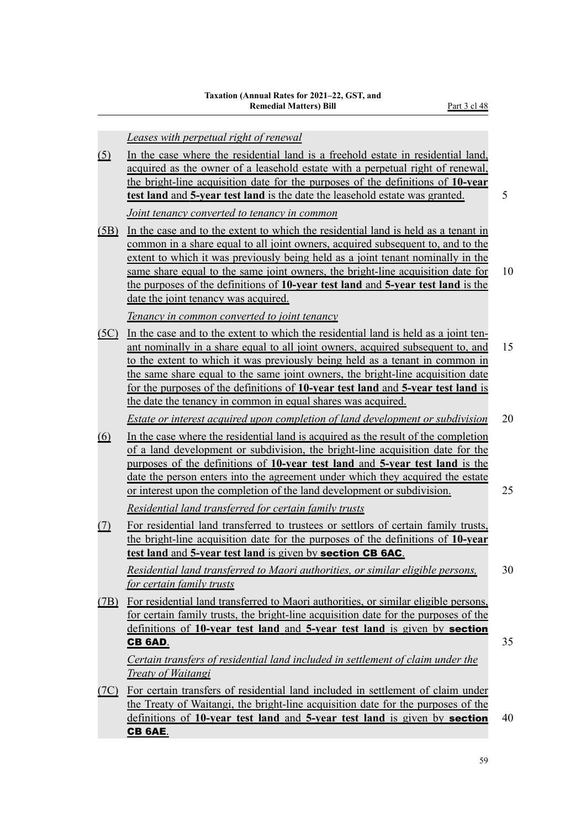|             | Leases with perpetual right of renewal                                                                                                                                                                                                                                                                                                                                                                                                                                                               |    |
|-------------|------------------------------------------------------------------------------------------------------------------------------------------------------------------------------------------------------------------------------------------------------------------------------------------------------------------------------------------------------------------------------------------------------------------------------------------------------------------------------------------------------|----|
| <u>(5)</u>  | In the case where the residential land is a freehold estate in residential land,<br>acquired as the owner of a leasehold estate with a perpetual right of renewal,<br>the bright-line acquisition date for the purposes of the definitions of 10-year<br>test land and 5-year test land is the date the leasehold estate was granted.                                                                                                                                                                | 5  |
|             | Joint tenancy converted to tenancy in common                                                                                                                                                                                                                                                                                                                                                                                                                                                         |    |
| <u>(5B)</u> | In the case and to the extent to which the residential land is held as a tenant in<br>common in a share equal to all joint owners, acquired subsequent to, and to the<br>extent to which it was previously being held as a joint tenant nominally in the<br>same share equal to the same joint owners, the bright-line acquisition date for<br>the purposes of the definitions of 10-year test land and 5-year test land is the<br><u>date the joint tenancy was acquired.</u>                       | 10 |
|             | Tenancy in common converted to joint tenancy                                                                                                                                                                                                                                                                                                                                                                                                                                                         |    |
| (5C)        | In the case and to the extent to which the residential land is held as a joint ten-<br>ant nominally in a share equal to all joint owners, acquired subsequent to, and<br>to the extent to which it was previously being held as a tenant in common in<br>the same share equal to the same joint owners, the bright-line acquisition date<br>for the purposes of the definitions of 10-year test land and 5-year test land is<br><u>the date the tenancy in common in equal shares was acquired.</u> | 15 |
|             | Estate or interest acquired upon completion of land development or subdivision                                                                                                                                                                                                                                                                                                                                                                                                                       | 20 |
| <u>(6)</u>  | In the case where the residential land is acquired as the result of the completion<br>of a land development or subdivision, the bright-line acquisition date for the<br>purposes of the definitions of 10-year test land and 5-year test land is the<br><u>date</u> the person enters into the agreement under which they acquired the estate<br>or interest upon the completion of the land development or subdivision.                                                                             | 25 |
|             | Residential land transferred for certain family trusts                                                                                                                                                                                                                                                                                                                                                                                                                                               |    |
| <u>(7)</u>  | For residential land transferred to trustees or settlors of certain family trusts,<br>the bright-line acquisition date for the purposes of the definitions of 10-year<br>test land and 5-year test land is given by section CB 6AC.                                                                                                                                                                                                                                                                  |    |
|             | Residential land transferred to Maori authorities, or similar eligible persons,                                                                                                                                                                                                                                                                                                                                                                                                                      | 30 |
|             | for certain family trusts                                                                                                                                                                                                                                                                                                                                                                                                                                                                            |    |
| (7B)        | For residential land transferred to Maori authorities, or similar eligible persons,<br>for certain family trusts, the bright-line acquisition date for the purposes of the<br>definitions of 10-year test land and 5-year test land is given by section                                                                                                                                                                                                                                              |    |
|             | CB 6AD.                                                                                                                                                                                                                                                                                                                                                                                                                                                                                              | 35 |
|             | Certain transfers of residential land included in settlement of claim under the<br><b>Treaty of Waitangi</b>                                                                                                                                                                                                                                                                                                                                                                                         |    |
| <u>(7C)</u> | For certain transfers of residential land included in settlement of claim under<br>the Treaty of Waitangi, the bright-line acquisition date for the purposes of the<br>definitions of 10-year test land and 5-year test land is given by <b>section</b><br>CB 6AE.                                                                                                                                                                                                                                   | 40 |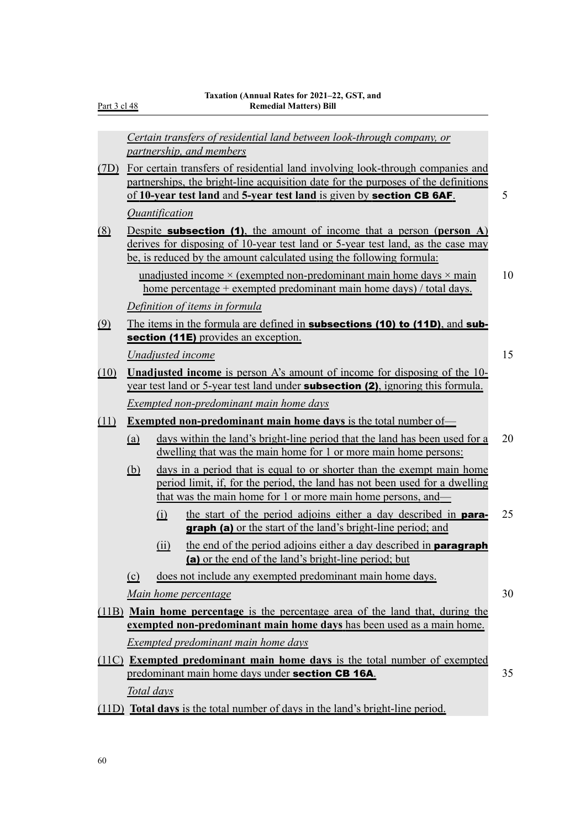Part 3 cl 48

|               |            | Certain transfers of residential land between look-through company, or<br>partnership, and members                                                                                                                                                 |    |
|---------------|------------|----------------------------------------------------------------------------------------------------------------------------------------------------------------------------------------------------------------------------------------------------|----|
|               |            | (7D) For certain transfers of residential land involving look-through companies and<br>partnerships, the bright-line acquisition date for the purposes of the definitions<br>of 10-year test land and 5-year test land is given by section CB 6AF. | 5  |
|               |            | <i><u><b>Quantification</b></u></i>                                                                                                                                                                                                                |    |
| <u>(8)</u>    |            | Despite <b>subsection</b> (1), the amount of income that a person (person $A$ )<br>derives for disposing of 10-year test land or 5-year test land, as the case may<br>be, is reduced by the amount calculated using the following formula:         |    |
|               |            | unadjusted income $\times$ (exempted non-predominant main home days $\times$ main<br><u>home</u> percentage + exempted predominant main home days) / total days.                                                                                   | 10 |
|               |            | Definition of items in formula                                                                                                                                                                                                                     |    |
| $\circled{9}$ |            | The items in the formula are defined in <b>subsections (10) to (11D)</b> , and <b>sub-</b>                                                                                                                                                         |    |
|               |            | section (11E) provides an exception.                                                                                                                                                                                                               |    |
|               |            | Unadjusted income                                                                                                                                                                                                                                  | 15 |
| (10)          |            | <b>Unadjusted income</b> is person A's amount of income for disposing of the 10-<br>year test land or 5-year test land under <b>subsection (2)</b> , ignoring this formula.                                                                        |    |
|               |            | Exempted non-predominant main home days                                                                                                                                                                                                            |    |
| (11)          |            | <b>Exempted non-predominant main home days is the total number of</b>                                                                                                                                                                              |    |
|               | (a)        | days within the land's bright-line period that the land has been used for a<br>dwelling that was the main home for 1 or more main home persons:                                                                                                    | 20 |
|               | <u>(b)</u> | days in a period that is equal to or shorter than the exempt main home<br>period limit, if, for the period, the land has not been used for a dwelling<br>that was the main home for 1 or more main home persons, and                               |    |
|               |            | the start of the period adjoins either a day described in <b>para-</b><br>(i)<br><b>graph (a)</b> or the start of the land's bright-line period; and                                                                                               | 25 |
|               |            | the end of the period adjoins either a day described in <b>paragraph</b><br>(ii)<br>(a) or the end of the land's bright-line period; but                                                                                                           |    |
|               | (c)        | does not include any exempted predominant main home days.                                                                                                                                                                                          |    |
|               |            | Main home percentage                                                                                                                                                                                                                               | 30 |
|               |            | (11B) <b>Main home percentage</b> is the percentage area of the land that, during the                                                                                                                                                              |    |
|               |            | exempted non-predominant main home days has been used as a main home.                                                                                                                                                                              |    |
|               |            | Exempted predominant main home days                                                                                                                                                                                                                |    |
|               |            | (11C) Exempted predominant main home days is the total number of exempted<br>predominant main home days under section CB 16A.                                                                                                                      | 35 |
|               | Total days |                                                                                                                                                                                                                                                    |    |
|               |            | (11D) <b>Total days</b> is the total number of days in the land's bright-line period.                                                                                                                                                              |    |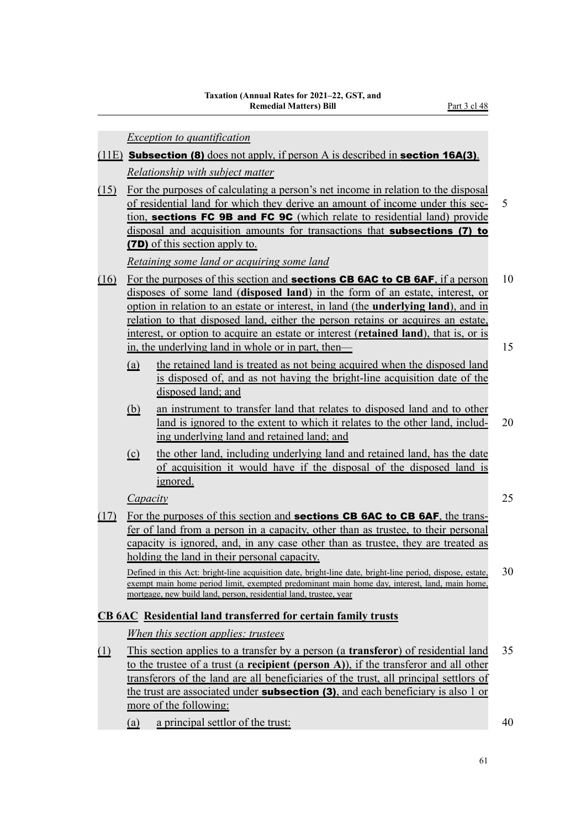*Exception to quantification*

- (11E) Subsection (8) does not apply, if person A is described in section 16A(3). *Relationship with subject matter*
- (15) For the purposes of calculating a person's net income in relation to the disposal of residential land for which they derive an amount of income under this sec‐ 5 tion, sections FC 9B and FC 9C (which relate to residential land) provide disposal and acquisition amounts for transactions that subsections (7) to (7D) of this section apply to.

*Retaining some land or acquiring some land*

- (16) For the purposes of this section and **sections CB 6AC to CB 6AF**, if a person 10 disposes of some land (**disposed land**) in the form of an estate, interest, or option in relation to an estate or interest, in land (the **underlying land**), and in relation to that disposed land, either the person retains or acquires an estate, interest, or option to acquire an estate or interest (**retained land**), that is, or is in, the underlying land in whole or in part, then— 15
	- (a) the retained land is treated as not being acquired when the disposed land is disposed of, and as not having the bright-line acquisition date of the disposed land; and
	- (b) an instrument to transfer land that relates to disposed land and to other land is ignored to the extent to which it relates to the other land, includ- 20 ing underlying land and retained land; and
	- (c) the other land, including underlying land and retained land, has the date of acquisition it would have if the disposal of the disposed land is ignored.

*Capacity* 25

(17) For the purposes of this section and **sections CB 6AC to CB 6AF**, the transfer of land from a person in a capacity, other than as trustee, to their personal capacity is ignored, and, in any case other than as trustee, they are treated as holding the land in their personal capacity.

Defined in this Act: bright-line acquisition date, bright-line date, bright-line period, dispose, estate, 30 exempt main home period limit, exempted predominant main home day, interest, land, main home, mortgage, new build land, person, residential land, trustee, year

# **CB 6AC Residential land transferred for certain family trusts**

*When this section applies: trustees*

- (1) This section applies to a transfer by a person (a **transferor**) of residential land 35 to the trustee of a trust (a **recipient (person A)**), if the transferor and all other transferors of the land are all beneficiaries of the trust, all principal settlors of the trust are associated under **subsection (3)**, and each beneficiary is also 1 or more of the following:
	- (a) a principal settlor of the trust: 40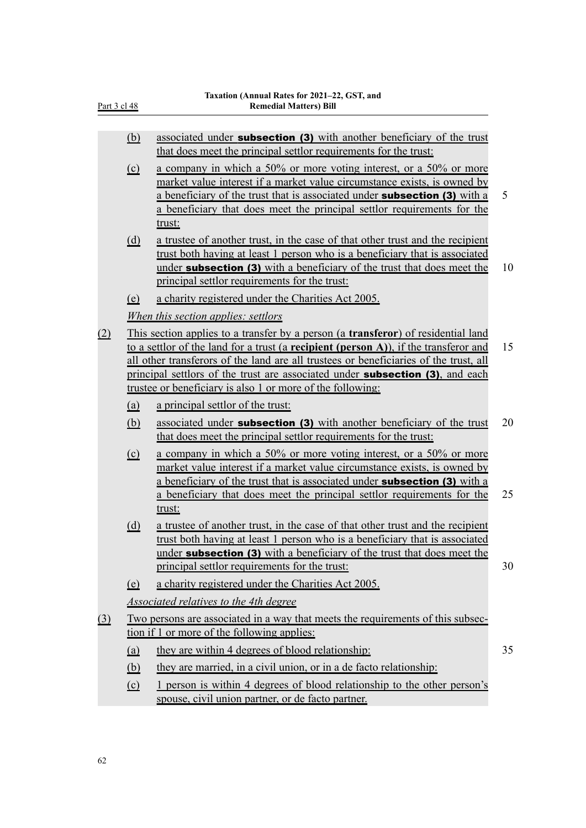| Part 3 cl 48 |                              | Taxation (Annual Rates for 2021-22, GST, and<br><b>Remedial Matters) Bill</b>                                                                                                                                                                                                                                                                                                                                                     |    |
|--------------|------------------------------|-----------------------------------------------------------------------------------------------------------------------------------------------------------------------------------------------------------------------------------------------------------------------------------------------------------------------------------------------------------------------------------------------------------------------------------|----|
|              | <u>(b)</u>                   | associated under <b>subsection (3)</b> with another beneficiary of the trust<br>that does meet the principal settlor requirements for the trust:                                                                                                                                                                                                                                                                                  |    |
|              | $\Omega$                     | a company in which a 50% or more voting interest, or a 50% or more<br>market value interest if a market value circumstance exists, is owned by<br>a beneficiary of the trust that is associated under <b>subsection (3)</b> with a<br>a beneficiary that does meet the principal settlor requirements for the<br>trust:                                                                                                           | 5  |
|              | (d)                          | a trustee of another trust, in the case of that other trust and the recipient<br>trust both having at least 1 person who is a beneficiary that is associated<br>under <b>subsection (3)</b> with a beneficiary of the trust that does meet the<br>principal settlor requirements for the trust:                                                                                                                                   | 10 |
|              | $\left(\underline{e}\right)$ | a charity registered under the Charities Act 2005.                                                                                                                                                                                                                                                                                                                                                                                |    |
|              |                              | When this section applies: settlors                                                                                                                                                                                                                                                                                                                                                                                               |    |
| (2)          |                              | This section applies to a transfer by a person (a <b>transferor</b> ) of residential land<br>to a settlor of the land for a trust (a recipient (person A)), if the transferor and<br>all other transferors of the land are all trustees or beneficiaries of the trust, all<br>principal settlors of the trust are associated under <b>subsection (3)</b> , and each<br>trustee or beneficiary is also 1 or more of the following: | 15 |
|              | <u>(a)</u>                   | a principal settlor of the trust:                                                                                                                                                                                                                                                                                                                                                                                                 |    |
|              | (b)                          | associated under <b>subsection (3)</b> with another beneficiary of the trust<br>that does meet the principal settlor requirements for the trust:                                                                                                                                                                                                                                                                                  | 20 |
|              | $\Omega$                     | a company in which a 50% or more voting interest, or a 50% or more<br>market value interest if a market value circumstance exists, is owned by<br>a beneficiary of the trust that is associated under <b>subsection (3)</b> with a<br>a beneficiary that does meet the principal settlor requirements for the<br>trust:                                                                                                           | 25 |
|              | <u>(d)</u>                   | a trustee of another trust, in the case of that other trust and the recipient<br>trust both having at least 1 person who is a beneficiary that is associated<br>under <b>subsection (3)</b> with a beneficiary of the trust that does meet the<br>principal settlor requirements for the trust:                                                                                                                                   | 30 |
|              | (e)                          | a charity registered under the Charities Act 2005.                                                                                                                                                                                                                                                                                                                                                                                |    |
|              |                              | Associated relatives to the 4th degree                                                                                                                                                                                                                                                                                                                                                                                            |    |
| <u>(3)</u>   |                              | Two persons are associated in a way that meets the requirements of this subsec-<br>tion if 1 or more of the following applies:                                                                                                                                                                                                                                                                                                    |    |
|              | (a)                          | they are within 4 degrees of blood relationship:                                                                                                                                                                                                                                                                                                                                                                                  | 35 |
|              | <u>(b)</u>                   | they are married, in a civil union, or in a de facto relationship:                                                                                                                                                                                                                                                                                                                                                                |    |
|              | $\Omega$                     | 1 person is within 4 degrees of blood relationship to the other person's<br>spouse, civil union partner, or de facto partner.                                                                                                                                                                                                                                                                                                     |    |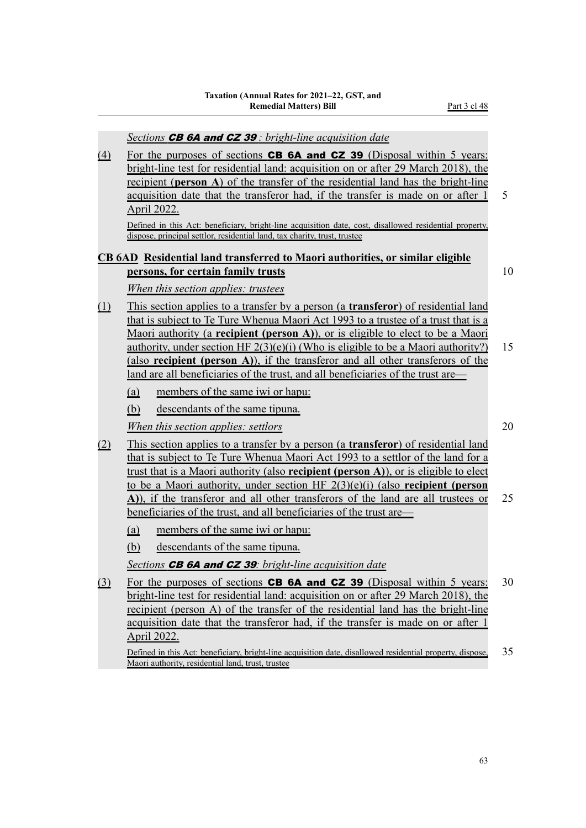*Sections* CB 6A and CZ 39 *: bright-line acquisition date*

 $(4)$  For the purposes of sections **CB 6A and CZ 39** (Disposal within 5 years: bright-line test for residential land: acquisition on or after 29 March 2018), the recipient (**person A**) of the transfer of the residential land has the bright-line acquisition date that the transferor had, if the transfer is made on or after 1 5 April 2022.

Defined in this Act: beneficiary, bright-line acquisition date, cost, disallowed residential property, dispose, principal settlor, residential land, tax charity, trust, trustee

## **CB 6AD Residential land transferred to Maori authorities, or similar eligible persons, for certain family trusts** 10

# *When this section applies: trustees*

- (1) This section applies to a transfer by a person (a **transferor**) of residential land that is subject to Te Ture Whenua Maori Act 1993 to a trustee of a trust that is a Maori authority (a **recipient (person A)**), or is eligible to elect to be a Maori authority, under section HF  $2(3)(e)(i)$  (Who is eligible to be a Maori authority?) 15 (also **recipient (person A)**), if the transferor and all other transferors of the land are all beneficiaries of the trust, and all beneficiaries of the trust are—
	- (a) members of the same iwi or hapu:
	- (b) descendants of the same tipuna.

## *Mhen this section applies: settlors* 20

- (2) This section applies to a transfer by a person (a **transferor**) of residential land that is subject to Te Ture Whenua Maori Act 1993 to a settlor of the land for a trust that is a Maori authority (also **recipient (person A)**), or is eligible to elect to be a Maori authority, under section HF 2(3)(e)(i) (also **recipient (person A)**), if the transferor and all other transferors of the land are all trustees or 25 beneficiaries of the trust, and all beneficiaries of the trust are—
	- (a) members of the same iwi or hapu:
	- (b) descendants of the same tipuna.

*Sections* CB 6A and CZ 39*: bright-line acquisition date*

(3) For the purposes of sections CB 6A and CZ 39 (Disposal within 5 years: 30 bright-line test for residential land: acquisition on or after 29 March 2018), the recipient (person A) of the transfer of the residential land has the bright-line acquisition date that the transferor had, if the transfer is made on or after 1 April 2022.

Defined in this Act: beneficiary, bright-line acquisition date, disallowed residential property, dispose, 35 Maori authority, residential land, trust, trustee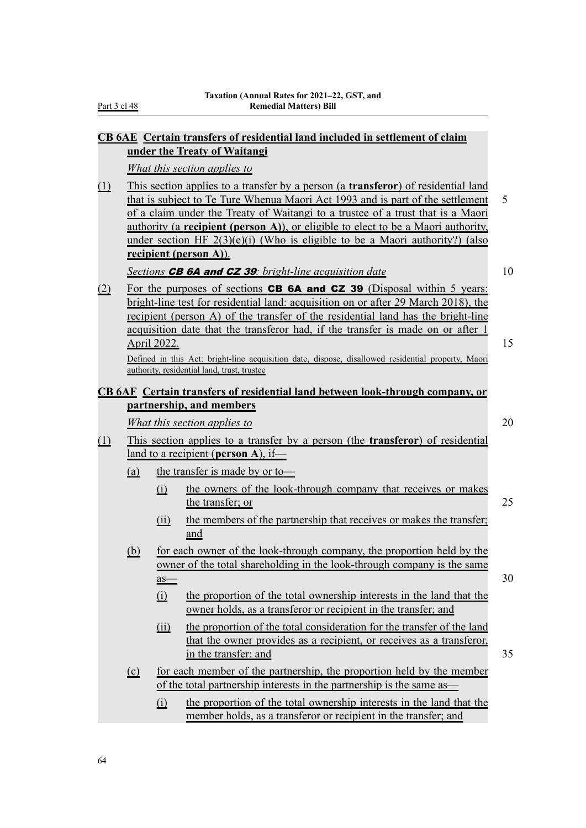Part 3 cl 48

|            |                              |                          | CB 6AE Certain transfers of residential land included in settlement of claim                                                                                                                                                                                                                                                                                                                                                                                           |    |  |
|------------|------------------------------|--------------------------|------------------------------------------------------------------------------------------------------------------------------------------------------------------------------------------------------------------------------------------------------------------------------------------------------------------------------------------------------------------------------------------------------------------------------------------------------------------------|----|--|
|            |                              |                          | under the Treaty of Waitangi<br>What this section applies to                                                                                                                                                                                                                                                                                                                                                                                                           |    |  |
| <u>(1)</u> |                              |                          | This section applies to a transfer by a person (a <b>transferor</b> ) of residential land<br>that is subject to Te Ture Whenua Maori Act 1993 and is part of the settlement<br>of a claim under the Treaty of Waitangi to a trustee of a trust that is a Maori<br>authority (a recipient (person A)), or eligible to elect to be a Maori authority,<br>under section HF $2(3)(e)(i)$ (Who is eligible to be a Maori authority?) (also<br><u>recipient</u> (person A)). | 5  |  |
|            |                              |                          | Sections <b>CB 6A and CZ 39</b> : bright-line acquisition date                                                                                                                                                                                                                                                                                                                                                                                                         | 10 |  |
| (2)        |                              | April 2022.              | For the purposes of sections <b>CB 6A and CZ 39</b> (Disposal within 5 years:<br>bright-line test for residential land: acquisition on or after 29 March 2018), the<br>recipient (person A) of the transfer of the residential land has the bright-line<br>acquisition date that the transferor had, if the transfer is made on or after 1                                                                                                                             | 15 |  |
|            |                              |                          | Defined in this Act: bright-line acquisition date, dispose, disallowed residential property, Maori<br>authority, residential land, trust, trustee                                                                                                                                                                                                                                                                                                                      |    |  |
|            |                              |                          | CB 6AF Certain transfers of residential land between look-through company, or                                                                                                                                                                                                                                                                                                                                                                                          |    |  |
|            |                              |                          | partnership, and members                                                                                                                                                                                                                                                                                                                                                                                                                                               | 20 |  |
|            | What this section applies to |                          |                                                                                                                                                                                                                                                                                                                                                                                                                                                                        |    |  |
| (1)        |                              |                          | This section applies to a transfer by a person (the <b>transferor</b> ) of residential<br>land to a recipient (person A), if-                                                                                                                                                                                                                                                                                                                                          |    |  |
|            | (a)                          |                          | the transfer is made by or to-                                                                                                                                                                                                                                                                                                                                                                                                                                         |    |  |
|            |                              | (i)                      | the owners of the look-through company that receives or makes<br>the transfer; or                                                                                                                                                                                                                                                                                                                                                                                      | 25 |  |
|            |                              | (ii)                     | the members of the partnership that receives or makes the transfer;<br>and                                                                                                                                                                                                                                                                                                                                                                                             |    |  |
|            | <u>(b)</u>                   | $\frac{as}{-}$           | for each owner of the look-through company, the proportion held by the<br>owner of the total shareholding in the look-through company is the same                                                                                                                                                                                                                                                                                                                      | 30 |  |
|            |                              | $\Omega$                 | the proportion of the total ownership interests in the land that the<br>owner holds, as a transferor or recipient in the transfer; and                                                                                                                                                                                                                                                                                                                                 |    |  |
|            |                              | $\overline{(\text{ii})}$ | the proportion of the total consideration for the transfer of the land<br>that the owner provides as a recipient, or receives as a transferor,<br>in the transfer; and                                                                                                                                                                                                                                                                                                 | 35 |  |
|            | $\Omega$                     |                          | for each member of the partnership, the proportion held by the member                                                                                                                                                                                                                                                                                                                                                                                                  |    |  |
|            |                              |                          | of the total partnership interests in the partnership is the same as—                                                                                                                                                                                                                                                                                                                                                                                                  |    |  |
|            |                              | $\Omega$                 | the proportion of the total ownership interests in the land that the<br>member holds, as a transferor or recipient in the transfer; and                                                                                                                                                                                                                                                                                                                                |    |  |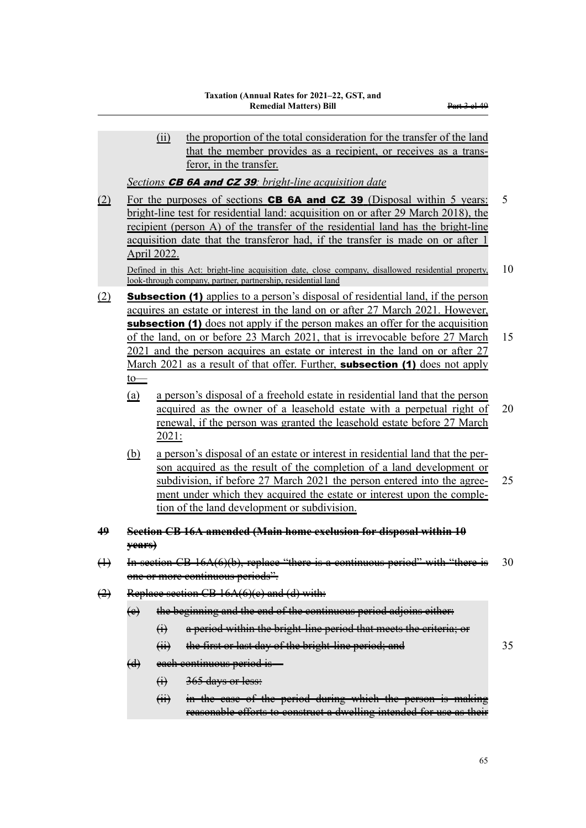|                   |                                                                                                                                                                                                                                                                                                                                                           | the proportion of the total consideration for the transfer of the land<br>(ii)<br>that the member provides as a recipient, or receives as a trans-<br>feror, in the transfer.                                                                                                                                                                                |    |  |  |  |
|-------------------|-----------------------------------------------------------------------------------------------------------------------------------------------------------------------------------------------------------------------------------------------------------------------------------------------------------------------------------------------------------|--------------------------------------------------------------------------------------------------------------------------------------------------------------------------------------------------------------------------------------------------------------------------------------------------------------------------------------------------------------|----|--|--|--|
|                   |                                                                                                                                                                                                                                                                                                                                                           | Sections <b>CB 6A and CZ 39</b> : bright-line acquisition date                                                                                                                                                                                                                                                                                               |    |  |  |  |
| (2)               | For the purposes of sections <b>CB 6A and CZ 39</b> (Disposal within 5 years:<br>bright-line test for residential land: acquisition on or after 29 March 2018), the<br>recipient (person A) of the transfer of the residential land has the bright-line<br>acquisition date that the transferor had, if the transfer is made on or after 1<br>April 2022. |                                                                                                                                                                                                                                                                                                                                                              |    |  |  |  |
|                   |                                                                                                                                                                                                                                                                                                                                                           | Defined in this Act: bright-line acquisition date, close company, disallowed residential property,<br>look-through company, partner, partnership, residential land                                                                                                                                                                                           | 10 |  |  |  |
| (2)               |                                                                                                                                                                                                                                                                                                                                                           | <b>Subsection (1)</b> applies to a person's disposal of residential land, if the person<br>acquires an estate or interest in the land on or after 27 March 2021. However,<br><b>subsection (1)</b> does not apply if the person makes an offer for the acquisition                                                                                           |    |  |  |  |
|                   |                                                                                                                                                                                                                                                                                                                                                           | of the land, on or before 23 March 2021, that is irrevocable before 27 March<br>2021 and the person acquires an estate or interest in the land on or after 27<br>March 2021 as a result of that offer. Further, <b>subsection (1)</b> does not apply                                                                                                         | 15 |  |  |  |
|                   | $\underline{\text{to}}$<br><u>(a)</u>                                                                                                                                                                                                                                                                                                                     | a person's disposal of a freehold estate in residential land that the person<br>acquired as the owner of a leasehold estate with a perpetual right of<br>renewal, if the person was granted the leasehold estate before 27 March<br>2021:                                                                                                                    | 20 |  |  |  |
|                   | <u>(b)</u>                                                                                                                                                                                                                                                                                                                                                | a person's disposal of an estate or interest in residential land that the per-<br>son acquired as the result of the completion of a land development or<br>subdivision, if before 27 March 2021 the person entered into the agree-<br>ment under which they acquired the estate or interest upon the comple-<br>tion of the land development or subdivision. | 25 |  |  |  |
| 49                | <del>vears)</del>                                                                                                                                                                                                                                                                                                                                         | Section CB 16A amended (Main home exclusion for disposal within 10                                                                                                                                                                                                                                                                                           |    |  |  |  |
| $\leftrightarrow$ |                                                                                                                                                                                                                                                                                                                                                           | section CB 16A(6)(b), replace<br>$66 + 1$<br><del>-шеге 18 а сониналаз регіод</del><br><del>with there is</del><br>one or more continuous periods".                                                                                                                                                                                                          | 30 |  |  |  |
| $\leftrightarrow$ |                                                                                                                                                                                                                                                                                                                                                           | Replace section CB 16A(6)(e) and (d) with:                                                                                                                                                                                                                                                                                                                   |    |  |  |  |
|                   | $\leftrightarrow$                                                                                                                                                                                                                                                                                                                                         | the beginning and the end of the continuous period adjoins either:                                                                                                                                                                                                                                                                                           |    |  |  |  |
|                   |                                                                                                                                                                                                                                                                                                                                                           | a period within the bright line period that meets the criteria; or<br>$\bigoplus$                                                                                                                                                                                                                                                                            |    |  |  |  |
|                   |                                                                                                                                                                                                                                                                                                                                                           | the first or last day of the bright line period; and<br>$\overline{(\overline{H})}$                                                                                                                                                                                                                                                                          | 35 |  |  |  |
|                   | $\left(\ddot{d}\right)$                                                                                                                                                                                                                                                                                                                                   | each continuous period is-                                                                                                                                                                                                                                                                                                                                   |    |  |  |  |
|                   |                                                                                                                                                                                                                                                                                                                                                           | 365 days or less:<br>$\bigoplus$                                                                                                                                                                                                                                                                                                                             |    |  |  |  |
|                   |                                                                                                                                                                                                                                                                                                                                                           | in the ease of the period during which the person is making<br>$\overrightarrow{H}$<br>reasonable efforts to construct a dwelling intended for use as their                                                                                                                                                                                                  |    |  |  |  |
|                   |                                                                                                                                                                                                                                                                                                                                                           |                                                                                                                                                                                                                                                                                                                                                              |    |  |  |  |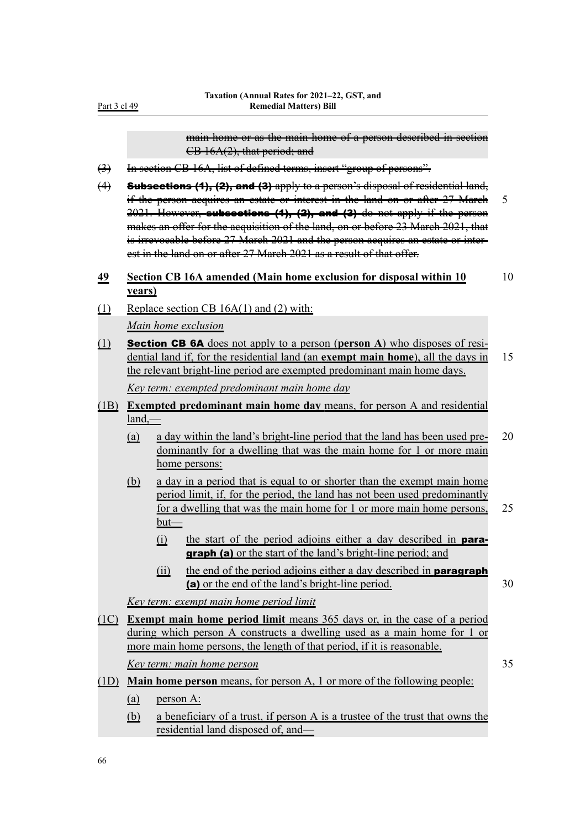main home or as the main home of a person described in section CB 16A(2), that period; and

- (3) In section CB 16A, list of defined terms, insert "group of persons".
- (4) Subsections (1), (2), and (3) apply to a person's disposal of residential land, if the person acquires an estate or interest in the land on or after 27 March 5  $2021$ . However, subsections (1), (2), and (3) do not apply if the person makes an offer for the acquisition of the land, on or before 23 March 2021, that is irrevocable before 27 March 2021 and the person acquires an estate or interest in the land on or after 27 March 2021 as a result of that offer.

## **49 Section CB 16A amended (Main home exclusion for disposal within 10** 10 **years)**

(1) Replace section CB 16A(1) and (2) with:

*Main home exclusion*

- (1) Section CB 6A does not apply to a person (**person A**) who disposes of resi‐ dential land if, for the residential land (an **exempt main home**), all the days in 15 the relevant bright-line period are exempted predominant main home days. *Key term: exempted predominant main home day*
- (1B) **Exempted predominant main home day** means, for person A and residential land,—
	- (a) a day within the land's bright-line period that the land has been used pre‐ 20 dominantly for a dwelling that was the main home for 1 or more main home persons:
	- (b) a day in a period that is equal to or shorter than the exempt main home period limit, if, for the period, the land has not been used predominantly for a dwelling that was the main home for 1 or more main home persons, 25 but—
		- (i) the start of the period adjoins either a day described in paragraph (a) or the start of the land's bright-line period; and
		- (ii) the end of the period adjoins either a day described in **paragraph** (a) or the end of the land's bright-line period. 30

*Key term: exempt main home period limit*

(1C) **Exempt main home period limit** means 365 days or, in the case of a period during which person A constructs a dwelling used as a main home for 1 or more main home persons, the length of that period, if it is reasonable.

*Key term: main home person* 35

- (1D) **Main home person** means, for person A, 1 or more of the following people:
	- (a) person A:
	- (b) a beneficiary of a trust, if person A is a trustee of the trust that owns the residential land disposed of, and—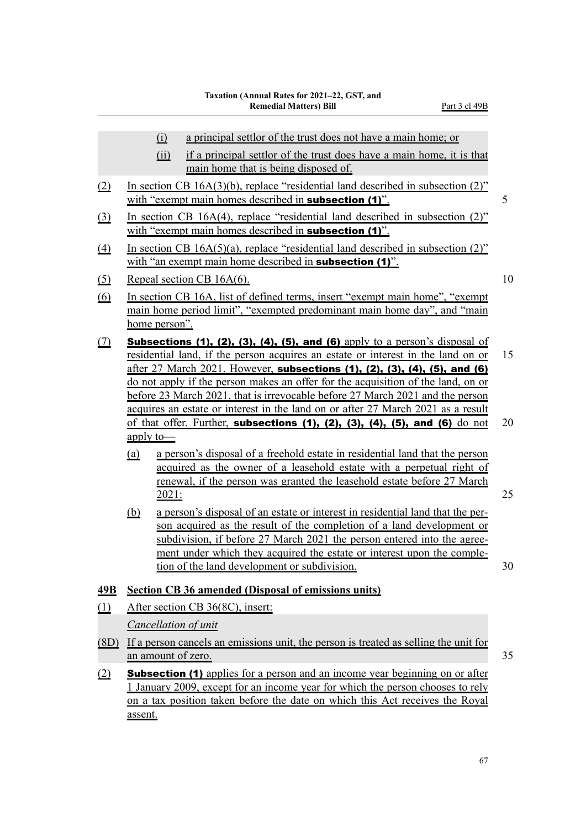|                               |            | $\Omega$<br>a principal settlor of the trust does not have a main home; or<br>if a principal settlor of the trust does have a main home, it is that<br>(ii)<br>main home that is being disposed of.                                                                                                                                                                                                                                                                                    |    |
|-------------------------------|------------|----------------------------------------------------------------------------------------------------------------------------------------------------------------------------------------------------------------------------------------------------------------------------------------------------------------------------------------------------------------------------------------------------------------------------------------------------------------------------------------|----|
| $\Omega$                      |            | In section CB $16A(3)(b)$ , replace "residential land described in subsection (2)"<br>with "exempt main homes described in <b>subsection (1)</b> ".                                                                                                                                                                                                                                                                                                                                    | 5  |
| $\Omega$                      |            | In section CB 16A(4), replace "residential land described in subsection (2)"<br>with "exempt main homes described in <b>subsection (1)</b> ".                                                                                                                                                                                                                                                                                                                                          |    |
| $\Delta$                      |            | In section CB $16A(5)(a)$ , replace "residential land described in subsection (2)"<br>with "an exempt main home described in <b>subsection (1)</b> ".                                                                                                                                                                                                                                                                                                                                  |    |
| $\Omega$                      |            | Repeal section CB 16A(6).                                                                                                                                                                                                                                                                                                                                                                                                                                                              | 10 |
| <u>(6)</u>                    |            | In section CB 16A, list of defined terms, insert "exempt main home", "exempt<br>main home period limit", "exempted predominant main home day", and "main<br>home person".                                                                                                                                                                                                                                                                                                              |    |
| $\Omega$                      |            | <b>Subsections (1), (2), (3), (4), (5), and (6)</b> apply to a person's disposal of<br>residential land, if the person acquires an estate or interest in the land on or                                                                                                                                                                                                                                                                                                                | 15 |
|                               | apply to-  | after 27 March 2021. However, subsections (1), (2), (3), (4), (5), and (6)<br>do not apply if the person makes an offer for the acquisition of the land, on or<br>before 23 March 2021, that is irrevocable before 27 March 2021 and the person<br>acquires an estate or interest in the land on or after 27 March 2021 as a result<br>of that offer. Further, subsections $(1)$ , $(2)$ , $(3)$ , $(4)$ , $(5)$ , and $(6)$ do not                                                    | 20 |
|                               | (a)<br>(b) | a person's disposal of a freehold estate in residential land that the person<br>acquired as the owner of a leasehold estate with a perpetual right of<br><u>renewal, if the person was granted the leasehold estate before 27 March</u><br>2021:<br>a person's disposal of an estate or interest in residential land that the per-<br>son acquired as the result of the completion of a land development or<br>subdivision, if before 27 March 2021 the person entered into the agree- | 25 |
|                               |            | ment under which they acquired the estate or interest upon the comple-<br>tion of the land development or subdivision.                                                                                                                                                                                                                                                                                                                                                                 | 30 |
| <u>49B</u>                    |            | <b>Section CB 36 amended (Disposal of emissions units)</b>                                                                                                                                                                                                                                                                                                                                                                                                                             |    |
| $\underline{\underline{(1)}}$ |            | After section CB 36(8C), insert:                                                                                                                                                                                                                                                                                                                                                                                                                                                       |    |
|                               |            | Cancellation of unit                                                                                                                                                                                                                                                                                                                                                                                                                                                                   |    |
| (8D)                          |            | If a person cancels an emissions unit, the person is treated as selling the unit for                                                                                                                                                                                                                                                                                                                                                                                                   |    |
|                               |            | an amount of zero.                                                                                                                                                                                                                                                                                                                                                                                                                                                                     | 35 |
| (2)                           | assent.    | <b>Subsection (1)</b> applies for a person and an income year beginning on or after<br>1 January 2009, except for an income year for which the person chooses to rely<br>on a tax position taken before the date on which this Act receives the Royal                                                                                                                                                                                                                                  |    |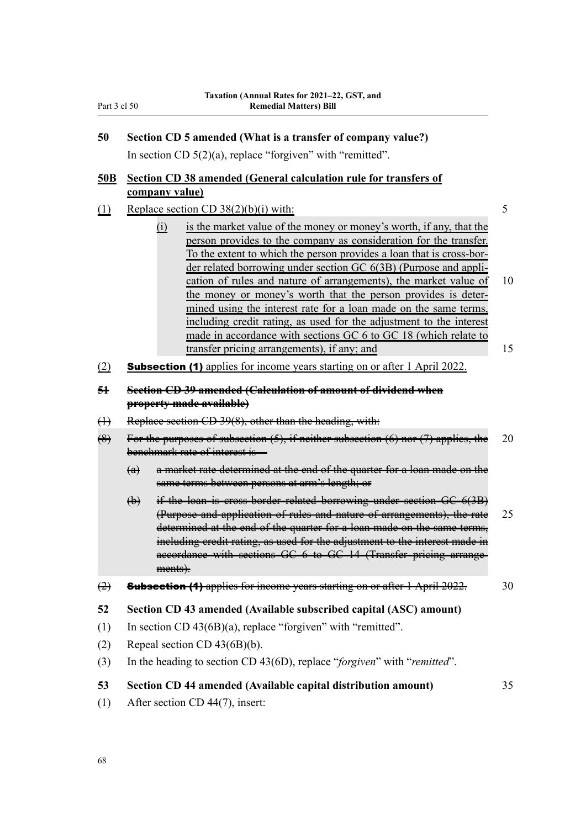| 50 | Section CD 5 amended (What is a transfer of company value?) |  |  |  |  |  |
|----|-------------------------------------------------------------|--|--|--|--|--|
|----|-------------------------------------------------------------|--|--|--|--|--|

In section CD 5(2)(a), replace "forgiven" with "remitted".

# **50B Section CD 38 amended (General calculation rule for transfers of company value)**

# (1) Replace section CD  $38(2)(b)(i)$  with: 5

- (i) is the market value of the money or money's worth, if any, that the person provides to the company as consideration for the transfer. To the extent to which the person provides a loan that is cross-bor‐ der related borrowing under section GC 6(3B) (Purpose and appli‐ cation of rules and nature of arrangements), the market value of 10 the money or money's worth that the person provides is deter‐ mined using the interest rate for a loan made on the same terms, including credit rating, as used for the adjustment to the interest made in accordance with sections GC 6 to GC 18 (which relate to transfer pricing arrangements), if any; and 15
- (2) Subsection (1) applies for income years starting on or after 1 April 2022.

#### **51 Section CD 39 amended (Calculation of amount of dividend when property made available)**

- (1) Replace section CD 39(8), other than the heading, with:
- $(8)$  For the purposes of subsection  $(5)$ , if neither subsection  $(6)$  nor  $(7)$  applies, the 20 benchmark rate of interest is-
	- (a) a market rate determined at the end of the quarter for a loan made on the same terms between persons at arm's length; or
	- (b) if the loan is cross-border related borrowing under section GC 6(3B) (Purpose and application of rules and nature of arrangements), the rate 25 determined at the end of the quarter for a loan made on the same terms, including credit rating, as used for the adjustment to the interest made in accordance with sections GC 6 to GC 14 (Transfer pricing arrange‐ ments).
- $\left( \frac{1}{2} \right)$  Subsection (1) applies for income years starting on or after 1 April 2022. 30

#### **52 Section CD 43 amended (Available subscribed capital (ASC) amount)**

- (1) In section CD 43(6B)(a), replace "forgiven" with "remitted".
- (2) Repeal section CD 43(6B)(b).
- (3) In the heading to section CD 43(6D), replace "*forgiven*" with "*remitted*".

# **53 Section CD 44 amended (Available capital distribution amount)** 35

(1) After section CD 44(7), insert: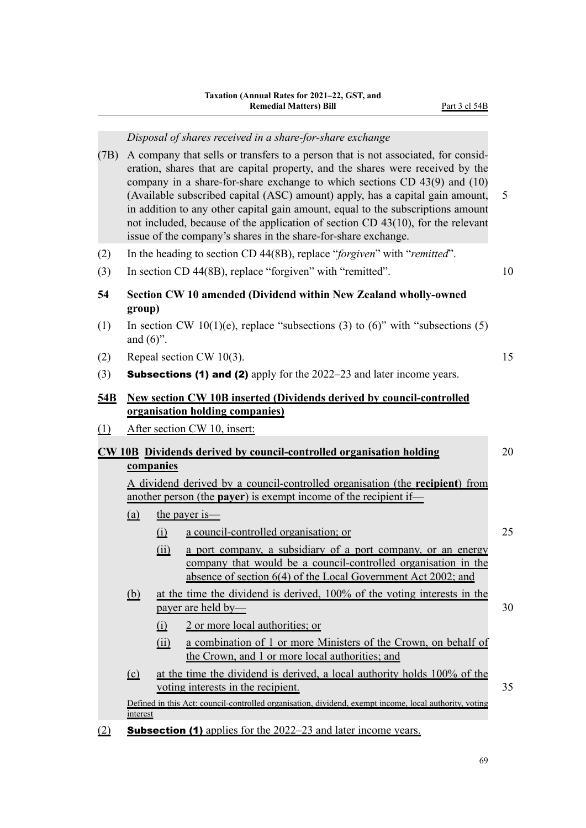#### *Disposal of shares received in a share-for-share exchange*

- (7B) A company that sells or transfers to a person that is not associated, for consid‐ eration, shares that are capital property, and the shares were received by the company in a share-for-share exchange to which sections CD 43(9) and (10) (Available subscribed capital (ASC) amount) apply, has a capital gain amount, 5 in addition to any other capital gain amount, equal to the subscriptions amount not included, because of the application of section CD 43(10), for the relevant issue of the company's shares in the share-for-share exchange.
- (2) In the heading to section CD 44(8B), replace "*forgiven*" with "*remitted*".
- (3) In section CD 44(8B), replace "forgiven" with "remitted". 10
- **54 Section CW 10 amended (Dividend within New Zealand wholly-owned group)**
- (1) In section CW 10(1)(e), replace "subsections (3) to (6)" with "subsections (5) and  $(6)$ ".
- (2) Repeal section CW 10(3).  $15$
- (3) **Subsections (1) and (2)** apply for the  $2022-23$  and later income years.

## **54B New section CW 10B inserted (Dividends derived by council-controlled organisation holding companies)**

(1) After section CW 10, insert:

# **CW 10B Dividends derived by council-controlled organisation holding** 20 **companies**

A dividend derived by a council-controlled organisation (the **recipient**) from another person (the **payer**) is exempt income of the recipient if—

- (a) the payer is—
	- (i) a council-controlled organisation; or 25
	- (ii) a port company, a subsidiary of a port company, or an energy company that would be a council-controlled organisation in the absence of section 6(4) of the Local Government Act 2002; and
- (b) at the time the dividend is derived, 100% of the voting interests in the payer are held by— 30
	- (i) 2 or more local authorities; or
	- (ii) a combination of 1 or more Ministers of the Crown, on behalf of the Crown, and 1 or more local authorities; and
- (c) at the time the dividend is derived, a local authority holds 100% of the voting interests in the recipient. 35

Defined in this Act: council-controlled organisation, dividend, exempt income, local authority, voting **interest** 

(2) Subsection (1) applies for the 2022–23 and later income years.

69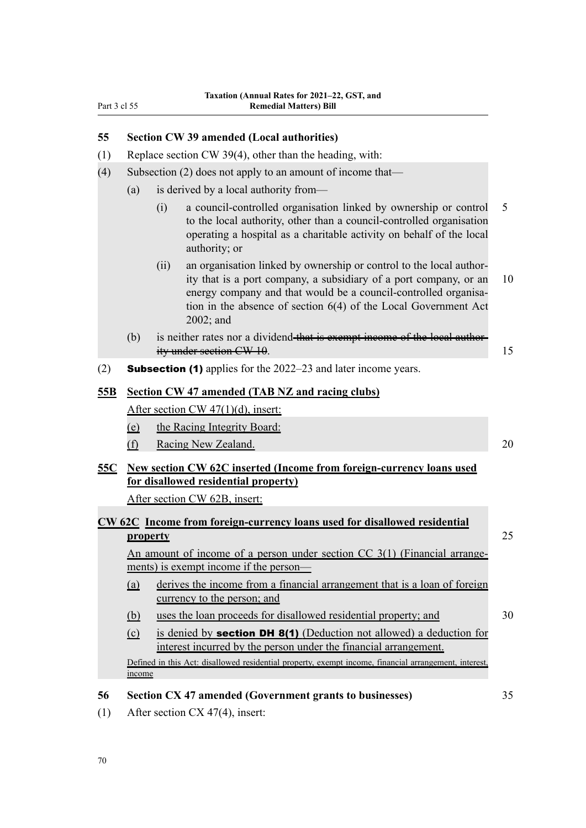## **55 Section CW 39 amended (Local authorities)**

- (1) Replace section CW 39(4), other than the heading, with:
- (4) Subsection (2) does not apply to an amount of income that—
	- (a) is derived by a local authority from—
		- (i) a council-controlled organisation linked by ownership or control 5 to the local authority, other than a council-controlled organisation operating a hospital as a charitable activity on behalf of the local authority; or
		- (ii) an organisation linked by ownership or control to the local author‐ ity that is a port company, a subsidiary of a port company, or an 10 energy company and that would be a council-controlled organisation in the absence of section 6(4) of the Local Government Act 2002; and
	- (b) is neither rates nor a dividend that is exempt income of the local authority under section CW 10. 15
- (2) **Subsection (1)** applies for the  $2022-23$  and later income years.

#### **55B Section CW 47 amended (TAB NZ and racing clubs)**

After section CW 47(1)(d), insert:

- (e) the Racing Integrity Board:
- (f) Racing New Zealand. 20

# **55C New section CW 62C inserted (Income from foreign-currency loans used for disallowed residential property)**

After section CW 62B, insert:

# **CW 62C Income from foreign-currency loans used for disallowed residential property** 25

An amount of income of a person under section  $CC$  3(1) (Financial arrangements) is exempt income if the person—

- (a) derives the income from a financial arrangement that is a loan of foreign currency to the person; and
- (b) uses the loan proceeds for disallowed residential property; and 30
- (c) is denied by section DH 8(1) (Deduction not allowed) a deduction for interest incurred by the person under the financial arrangement.

Defined in this Act: disallowed residential property, exempt income, financial arrangement, interest, income

#### **56 Section CX 47 amended (Government grants to businesses)** 35

(1) After section CX 47(4), insert: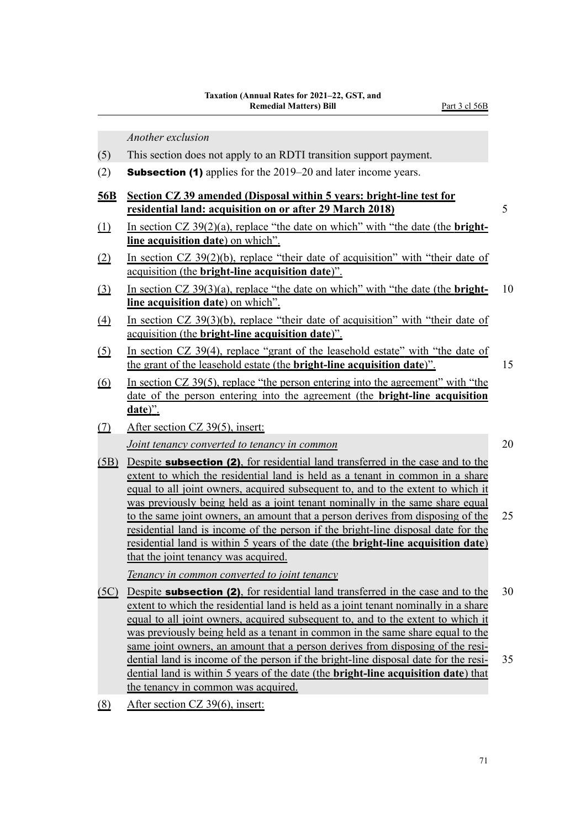*Another exclusion*

- (5) This section does not apply to an RDTI transition support payment.
- (2) Subsection (1) applies for the 2019–20 and later income years.
- **56B Section CZ 39 amended (Disposal within 5 years: bright-line test for residential land: acquisition on or after 29 March 2018)** 5
- (1) In section CZ 39(2)(a), replace "the date on which" with "the date (the **brightline acquisition date**) on which".
- (2) In section CZ 39(2)(b), replace "their date of acquisition" with "their date of acquisition (the **bright-line acquisition date**)".
- (3) In section CZ 39(3)(a), replace "the date on which" with "the date (the **bright-** 10 **line acquisition date**) on which".
- (4) In section CZ 39(3)(b), replace "their date of acquisition" with "their date of acquisition (the **bright-line acquisition date**)".
- (5) In section CZ 39(4), replace "grant of the leasehold estate" with "the date of the grant of the leasehold estate (the **bright-line acquisition date**)". 15
- (6) In section CZ 39(5), replace "the person entering into the agreement" with "the date of the person entering into the agreement (the **bright-line acquisition date**)".
- (7) After section CZ 39(5), insert:

*Joint tenancy converted to tenancy in common* 20

(5B) Despite subsection (2), for residential land transferred in the case and to the extent to which the residential land is held as a tenant in common in a share equal to all joint owners, acquired subsequent to, and to the extent to which it was previously being held as a joint tenant nominally in the same share equal to the same joint owners, an amount that a person derives from disposing of the 25 residential land is income of the person if the bright-line disposal date for the residential land is within 5 years of the date (the **bright-line acquisition date**) that the joint tenancy was acquired.

*Tenancy in common converted to joint tenancy*

- (5C) Despite subsection (2), for residential land transferred in the case and to the 30 extent to which the residential land is held as a joint tenant nominally in a share equal to all joint owners, acquired subsequent to, and to the extent to which it was previously being held as a tenant in common in the same share equal to the same joint owners, an amount that a person derives from disposing of the residential land is income of the person if the bright-line disposal date for the resi‐ 35 dential land is within 5 years of the date (the **bright-line acquisition date**) that the tenancy in common was acquired.
- (8) After section CZ 39(6), insert: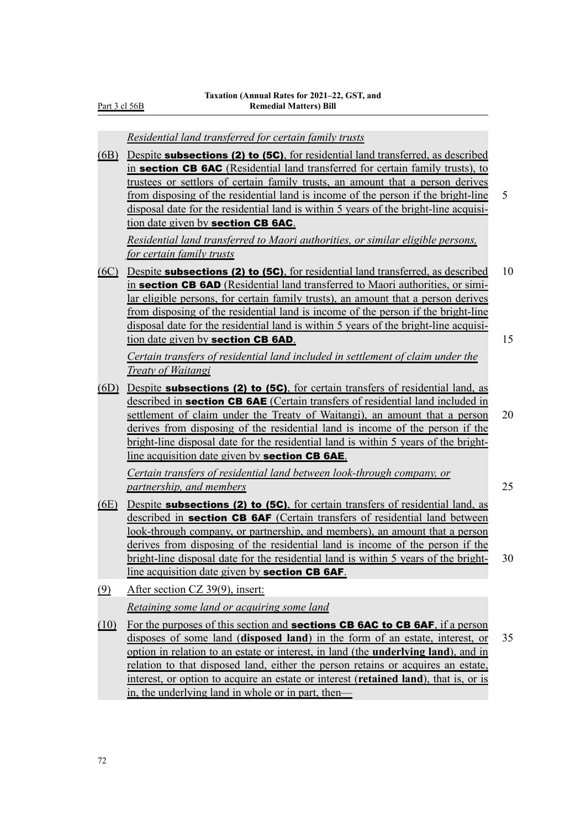Part 3 cl 56B

*Residential land transferred for certain family trusts*

(6B) Despite subsections (2) to (5C), for residential land transferred, as described in section CB 6AC (Residential land transferred for certain family trusts), to trustees or settlors of certain family trusts, an amount that a person derives from disposing of the residential land is income of the person if the bright-line 5 disposal date for the residential land is within 5 years of the bright-line acquisition date given by section CB 6AC.

*Residential land transferred to Maori authorities, or similar eligible persons, for certain family trusts*

(6C) Despite **subsections (2) to (5C)**, for residential land transferred, as described 10 in section CB 6AD (Residential land transferred to Maori authorities, or similar eligible persons, for certain family trusts), an amount that a person derives from disposing of the residential land is income of the person if the bright-line disposal date for the residential land is within 5 years of the bright-line acquisition date given by **section CB 6AD**. 15

*Certain transfers of residential land included in settlement of claim under the Treaty of Waitangi*

(6D) Despite subsections (2) to (5C), for certain transfers of residential land, as described in **section CB 6AE** (Certain transfers of residential land included in settlement of claim under the Treaty of Waitangi), an amount that a person 20 derives from disposing of the residential land is income of the person if the bright-line disposal date for the residential land is within 5 years of the brightline acquisition date given by **section CB 6AE**.

*Certain transfers of residential land between look-through company, or partnership, and members* 25

- (6E) Despite subsections (2) to (5C), for certain transfers of residential land, as described in **section CB 6AF** (Certain transfers of residential land between look-through company, or partnership, and members), an amount that a person derives from disposing of the residential land is income of the person if the bright-line disposal date for the residential land is within 5 years of the bright- 30 line acquisition date given by section CB 6AF.
- (9) After section CZ 39(9), insert: *Retaining some land or acquiring some land*
- (10) For the purposes of this section and **sections CB 6AC to CB 6AF**, if a person disposes of some land (**disposed land**) in the form of an estate, interest, or 35 option in relation to an estate or interest, in land (the **underlying land**), and in relation to that disposed land, either the person retains or acquires an estate, interest, or option to acquire an estate or interest (**retained land**), that is, or is in, the underlying land in whole or in part, then—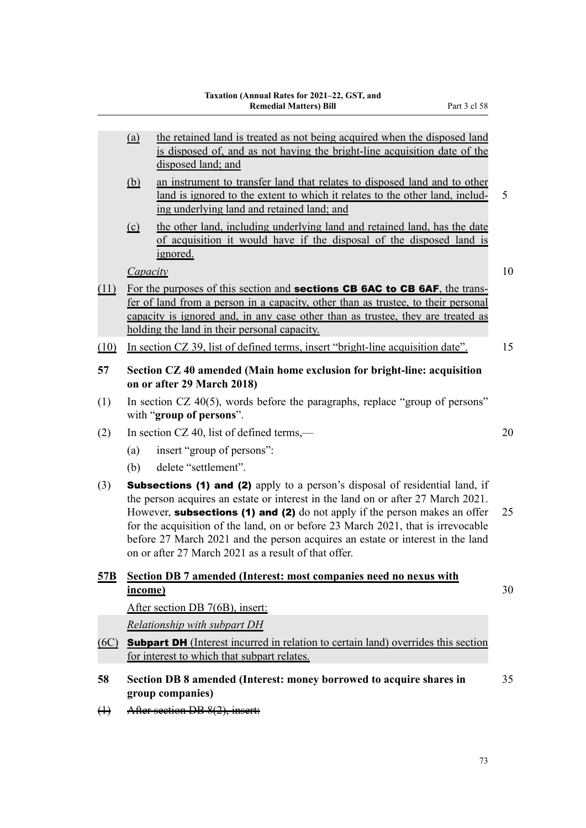- (a) the retained land is treated as not being acquired when the disposed land is disposed of, and as not having the bright-line acquisition date of the disposed land; and
- (b) an instrument to transfer land that relates to disposed land and to other land is ignored to the extent to which it relates to the other land, including underlying land and retained land; and
- (c) the other land, including underlying land and retained land, has the date of acquisition it would have if the disposal of the disposed land is ignored.

*Capacity* 10

- 
- (11) For the purposes of this section and **sections CB 6AC to CB 6AF**, the transfer of land from a person in a capacity, other than as trustee, to their personal capacity is ignored and, in any case other than as trustee, they are treated as holding the land in their personal capacity.
- (10) In section CZ 39, list of defined terms, insert "bright-line acquisition date". 15
- **57 Section CZ 40 amended (Main home exclusion for bright-line: acquisition on or after 29 March 2018)**
- (1) In section CZ 40(5), words before the paragraphs, replace "group of persons" with "**group of persons**".
- (2) In section CZ 40, list of defined terms,— 20
	- (a) insert "group of persons":
	- (b) delete "settlement".
- (3) **Subsections (1) and (2)** apply to a person's disposal of residential land, if the person acquires an estate or interest in the land on or after 27 March 2021. However, **subsections (1) and (2)** do not apply if the person makes an offer  $25$ for the acquisition of the land, on or before 23 March 2021, that is irrevocable before 27 March 2021 and the person acquires an estate or interest in the land on or after 27 March 2021 as a result of that offer.

# **57B Section DB 7 amended (Interest: most companies need no nexus with income)** 30

After section DB 7(6B), insert:

*Relationship with subpart DH*

- (6C) Subpart DH (Interest incurred in relation to certain land) overrides this section for interest to which that subpart relates.
- **58 Section DB 8 amended (Interest: money borrowed to acquire shares in** 35 **group companies)**
- (1) After section DB 8(2), insert: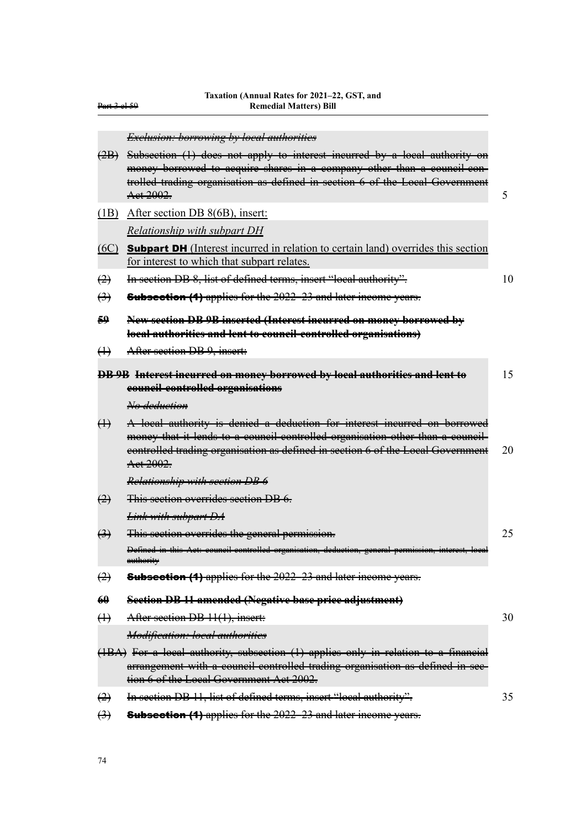| <del>Part 3 el 59</del> | 1 axalion (Almuai Kates Iof 2021–22, GST, and<br><b>Remedial Matters) Bill</b>                                                                                                                                                                              |    |
|-------------------------|-------------------------------------------------------------------------------------------------------------------------------------------------------------------------------------------------------------------------------------------------------------|----|
|                         | <b>Exclusion: borrowing by local authorities</b>                                                                                                                                                                                                            |    |
| $\left( 2B\right) $     | Subsection (1) does not apply to interest incurred by a local authority on<br>money borrowed to acquire shares in a company other than a council con-<br>trolled trading organisation as defined in section 6 of the Local Government<br>Aet 2002.          | 5  |
| (1B)                    | After section DB 8(6B), insert:                                                                                                                                                                                                                             |    |
|                         | Relationship with subpart DH                                                                                                                                                                                                                                |    |
| (6C)                    | <b>Subpart DH</b> (Interest incurred in relation to certain land) overrides this section                                                                                                                                                                    |    |
|                         | for interest to which that subpart relates.                                                                                                                                                                                                                 |    |
| $\leftrightarrow$       | In section DB 8, list of defined terms, insert "local authority".                                                                                                                                                                                           | 10 |
| $\leftrightarrow$       | <b>Subsection (4)</b> applies for the 2022-23 and later income years.                                                                                                                                                                                       |    |
| 59                      | New section DB 9B inserted (Interest incurred on money borrowed by<br>local authorities and lent to council-controlled organisations)                                                                                                                       |    |
| $\leftrightarrow$       | After section DB 9, insert:                                                                                                                                                                                                                                 |    |
|                         | DB 9B Interest incurred on money borrowed by local authorities and lent to                                                                                                                                                                                  | 15 |
|                         | council-controlled organisations                                                                                                                                                                                                                            |    |
|                         | No deduction                                                                                                                                                                                                                                                |    |
| $\leftrightarrow$       | A local authority is denied a deduction for interest incurred on borrowed<br>money that it lends to a council-controlled organisation other than a council-<br>eontrolled trading organisation as defined in section 6 of the Local Government<br>Aet 2002. | 20 |
|                         | <b>Relationship with section DB 6</b>                                                                                                                                                                                                                       |    |
| $\leftrightarrow$       | This section overrides section DB 6.                                                                                                                                                                                                                        |    |
|                         | <b>Link with subpart DA</b>                                                                                                                                                                                                                                 |    |
| $\bigoplus$             | This section overrides the general permission.                                                                                                                                                                                                              | 25 |
|                         | Defined in this Act: council controlled organisation, deduction, general permission, interest, local<br>authority                                                                                                                                           |    |
| $\leftrightarrow$       | <b>Subsection (4)</b> applies for the 2022-23 and later income years.                                                                                                                                                                                       |    |
| $\theta$                | Section DB 11 amended (Negative base price adjustment)                                                                                                                                                                                                      |    |
| $\leftrightarrow$       | After section DB 11(1), insert:                                                                                                                                                                                                                             | 30 |
|                         | Modification: local authorities                                                                                                                                                                                                                             |    |
|                         | (1BA) For a local authority, subsection (1) applies only in relation to a financial<br>arrangement with a council controlled trading organisation as defined in see-<br>tion 6 of the Local Government Act 2002.                                            |    |
| $\leftrightarrow$       | In section DB 11, list of defined terms, insert "local authority".                                                                                                                                                                                          | 35 |
| $\bigoplus$             | Subsection (1) applies for the 2022-23 and later income years.                                                                                                                                                                                              |    |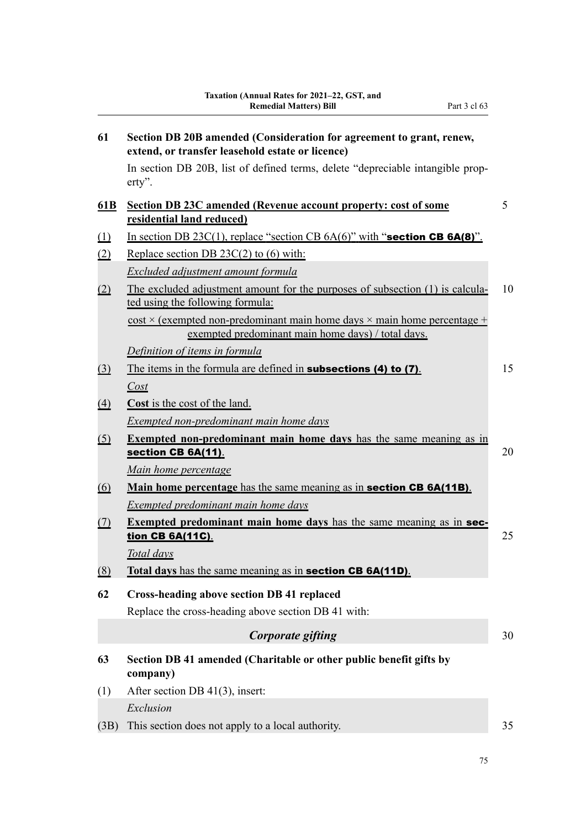| 61                           | Section DB 20B amended (Consideration for agreement to grant, renew,<br>extend, or transfer leasehold estate or licence)                       |    |
|------------------------------|------------------------------------------------------------------------------------------------------------------------------------------------|----|
|                              | In section DB 20B, list of defined terms, delete "depreciable intangible prop-<br>$erty$ ".                                                    |    |
| 61B                          | <b>Section DB 23C amended (Revenue account property: cost of some</b><br>residential land reduced)                                             | 5  |
| $\Omega$                     | In section DB $23C(1)$ , replace "section CB $6A(6)$ " with "section CB $6A(8)$ ".                                                             |    |
| (2)                          | Replace section DB $23C(2)$ to (6) with:                                                                                                       |    |
|                              | Excluded adjustment amount formula                                                                                                             |    |
| (2)                          | The excluded adjustment amount for the purposes of subsection (1) is calcula-<br>ted using the following formula:                              | 10 |
|                              | $\cos t \times$ (exempted non-predominant main home days $\times$ main home percentage +<br>exempted predominant main home days) / total days. |    |
|                              | Definition of items in formula                                                                                                                 |    |
| $\left( \frac{3}{2} \right)$ | The items in the formula are defined in <b>subsections (4) to (7)</b> .                                                                        | 15 |
|                              | Cost                                                                                                                                           |    |
| $\Delta$                     | Cost is the cost of the land.                                                                                                                  |    |
|                              | <b>Exempted non-predominant main home days</b>                                                                                                 |    |
| <u>(5)</u>                   | <b>Exempted non-predominant main home days</b> has the same meaning as in                                                                      |    |
|                              | section CB 6A(11).                                                                                                                             | 20 |
|                              | Main home percentage                                                                                                                           |    |
| <u>(6)</u>                   | Main home percentage has the same meaning as in <b>section CB 6A(11B)</b> .                                                                    |    |
|                              | Exempted predominant main home days                                                                                                            |    |
| <u>(7)</u>                   | <b>Exempted predominant main home days</b> has the same meaning as in sec-<br>tion CB 6A(11C).                                                 | 25 |
|                              | Total days                                                                                                                                     |    |
| (8)                          | Total days has the same meaning as in section CB 6A(11D).                                                                                      |    |
| 62                           | <b>Cross-heading above section DB 41 replaced</b>                                                                                              |    |
|                              | Replace the cross-heading above section DB 41 with:                                                                                            |    |
|                              | Corporate gifting                                                                                                                              | 30 |
| 63                           | Section DB 41 amended (Charitable or other public benefit gifts by<br>company)                                                                 |    |
| (1)                          | After section DB $41(3)$ , insert:                                                                                                             |    |
|                              | Exclusion                                                                                                                                      |    |
| (3B)                         | This section does not apply to a local authority.                                                                                              | 35 |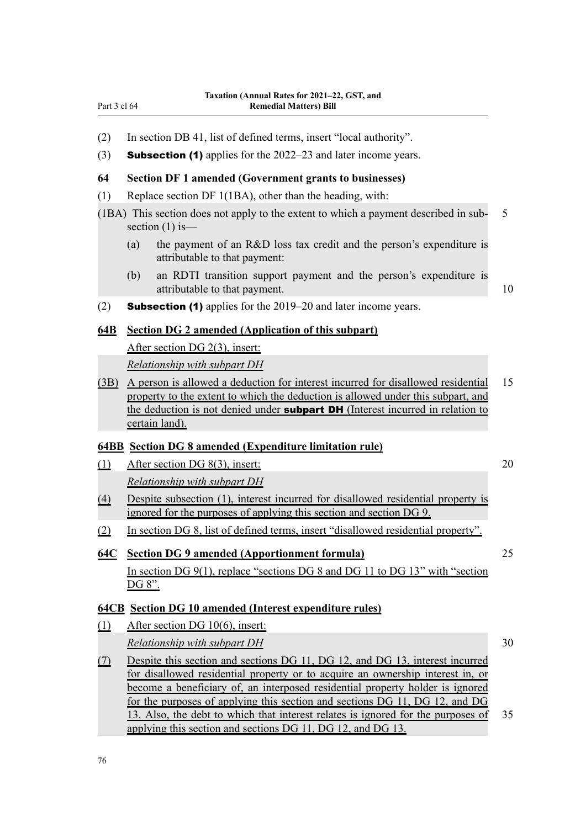- (2) In section DB 41, list of defined terms, insert "local authority".
- (3) **Subsection (1)** applies for the  $2022-23$  and later income years.

#### **64 Section DF 1 amended (Government grants to businesses)**

- (1) Replace section DF 1(1BA), other than the heading, with:
- (1BA) This section does not apply to the extent to which a payment described in sub‐ 5 section  $(1)$  is—
	- (a) the payment of an R&D loss tax credit and the person's expenditure is attributable to that payment:
	- (b) an RDTI transition support payment and the person's expenditure is attributable to that payment. 10

(2) Subsection (1) applies for the 2019–20 and later income years.

## **64B Section DG 2 amended (Application of this subpart)**

After section DG 2(3), insert:

*Relationship with subpart DH*

(3B) A person is allowed a deduction for interest incurred for disallowed residential 15 property to the extent to which the deduction is allowed under this subpart, and the deduction is not denied under **subpart DH** (Interest incurred in relation to certain land).

#### **64BB Section DG 8 amended (Expenditure limitation rule)**

(1) After section DG 8(3), insert: 20

*Relationship with subpart DH*

- (4) Despite subsection (1), interest incurred for disallowed residential property is ignored for the purposes of applying this section and section DG 9.
- (2) In section DG 8, list of defined terms, insert "disallowed residential property".

#### **64C Section DG 9 amended (Apportionment formula)** 25

In section DG 9(1), replace "sections DG 8 and DG 11 to DG 13" with "section DG 8".

#### **64CB Section DG 10 amended (Interest expenditure rules)**

- (1) After section DG 10(6), insert: *Relationship with subpart DH* 30
- (7) Despite this section and sections DG 11, DG 12, and DG 13, interest incurred for disallowed residential property or to acquire an ownership interest in, or become a beneficiary of, an interposed residential property holder is ignored for the purposes of applying this section and sections DG 11, DG 12, and DG 13. Also, the debt to which that interest relates is ignored for the purposes of 35 applying this section and sections DG 11, DG 12, and DG 13.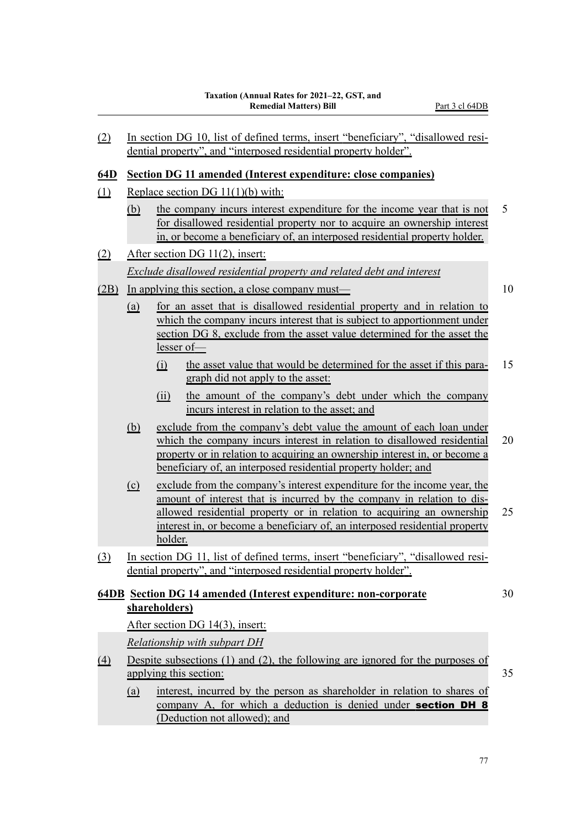| (2)        | In section DG 10, list of defined terms, insert "beneficiary", "disallowed resi-<br>dential property", and "interposed residential property holder".                                                                                                 |                |                                                                                                                                                                                                                                                                                                                     |    |  |  |  |  |
|------------|------------------------------------------------------------------------------------------------------------------------------------------------------------------------------------------------------------------------------------------------------|----------------|---------------------------------------------------------------------------------------------------------------------------------------------------------------------------------------------------------------------------------------------------------------------------------------------------------------------|----|--|--|--|--|
| <u>64D</u> |                                                                                                                                                                                                                                                      |                | <b>Section DG 11 amended (Interest expenditure: close companies)</b>                                                                                                                                                                                                                                                |    |  |  |  |  |
| $\Omega$   | Replace section DG $11(1)(b)$ with:                                                                                                                                                                                                                  |                |                                                                                                                                                                                                                                                                                                                     |    |  |  |  |  |
|            | 5<br>the company incurs interest expenditure for the income year that is not<br><u>(b)</u><br>for disallowed residential property nor to acquire an ownership interest<br>in, or become a beneficiary of, an interposed residential property holder. |                |                                                                                                                                                                                                                                                                                                                     |    |  |  |  |  |
| $\Omega$   | After section DG 11(2), insert:                                                                                                                                                                                                                      |                |                                                                                                                                                                                                                                                                                                                     |    |  |  |  |  |
|            |                                                                                                                                                                                                                                                      |                | Exclude disallowed residential property and related debt and interest                                                                                                                                                                                                                                               |    |  |  |  |  |
| (2B)       |                                                                                                                                                                                                                                                      |                | In applying this section, a close company must—                                                                                                                                                                                                                                                                     | 10 |  |  |  |  |
|            | (a)                                                                                                                                                                                                                                                  | $\Omega$       | for an asset that is disallowed residential property and in relation to<br>which the company incurs interest that is subject to apportionment under<br>section DG 8, exclude from the asset value determined for the asset the<br>lesser of<br>the asset value that would be determined for the asset if this para- | 15 |  |  |  |  |
|            |                                                                                                                                                                                                                                                      |                | graph did not apply to the asset:                                                                                                                                                                                                                                                                                   |    |  |  |  |  |
|            |                                                                                                                                                                                                                                                      | (ii)           | the amount of the company's debt under which the company<br>incurs interest in relation to the asset; and                                                                                                                                                                                                           |    |  |  |  |  |
|            | <u>(b)</u>                                                                                                                                                                                                                                           |                | exclude from the company's debt value the amount of each loan under<br>which the company incurs interest in relation to disallowed residential<br>property or in relation to acquiring an ownership interest in, or become a<br>beneficiary of, an interposed residential property holder; and                      | 20 |  |  |  |  |
|            | $\Omega$                                                                                                                                                                                                                                             | <u>holder.</u> | exclude from the company's interest expenditure for the income year, the<br>amount of interest that is incurred by the company in relation to dis-<br><u>allowed residential property or in relation to acquiring an ownership</u><br>interest in, or become a beneficiary of, an interposed residential property   | 25 |  |  |  |  |
| $\Omega$   |                                                                                                                                                                                                                                                      |                | In section DG 11, list of defined terms, insert "beneficiary", "disallowed resi-<br>dential property", and "interposed residential property holder".                                                                                                                                                                |    |  |  |  |  |
|            | <b>64DB</b> Section DG 14 amended (Interest expenditure: non-corporate)<br>30<br>shareholders)                                                                                                                                                       |                |                                                                                                                                                                                                                                                                                                                     |    |  |  |  |  |
|            |                                                                                                                                                                                                                                                      |                | After section DG 14(3), insert:                                                                                                                                                                                                                                                                                     |    |  |  |  |  |
|            | <b>Relationship with subpart DH</b>                                                                                                                                                                                                                  |                |                                                                                                                                                                                                                                                                                                                     |    |  |  |  |  |
| <u>(4)</u> | Despite subsections $(1)$ and $(2)$ , the following are ignored for the purposes of<br>applying this section:<br>35                                                                                                                                  |                |                                                                                                                                                                                                                                                                                                                     |    |  |  |  |  |
|            | (a)                                                                                                                                                                                                                                                  |                | interest, incurred by the person as shareholder in relation to shares of<br>company A, for which a deduction is denied under section DH 8<br>(Deduction not allowed); and                                                                                                                                           |    |  |  |  |  |
|            |                                                                                                                                                                                                                                                      |                |                                                                                                                                                                                                                                                                                                                     |    |  |  |  |  |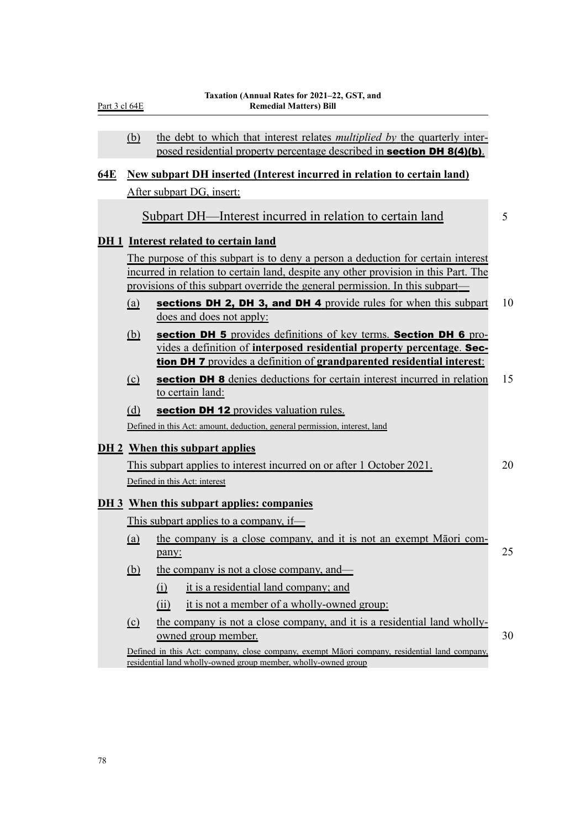|            | (b)        | the debt to which that interest relates <i>multiplied by</i> the quarterly inter-<br>posed residential property percentage described in <b>section DH 8(4)(b)</b> .                                                                                     |    |
|------------|------------|---------------------------------------------------------------------------------------------------------------------------------------------------------------------------------------------------------------------------------------------------------|----|
| <b>64E</b> |            | <b>New subpart DH inserted (Interest incurred in relation to certain land)</b>                                                                                                                                                                          |    |
|            |            | After subpart DG, insert:                                                                                                                                                                                                                               |    |
|            |            | Subpart DH—Interest incurred in relation to certain land                                                                                                                                                                                                | 5  |
|            |            | DH 1 Interest related to certain land                                                                                                                                                                                                                   |    |
|            |            | The purpose of this subpart is to deny a person a deduction for certain interest<br>incurred in relation to certain land, despite any other provision in this Part. The<br>provisions of this subpart override the general permission. In this subpart— |    |
|            | (a)        | sections DH 2, DH 3, and DH 4 provide rules for when this subpart<br>does and does not apply:                                                                                                                                                           | 10 |
|            | <u>(b)</u> | section DH 5 provides definitions of key terms. Section DH 6 pro-<br>vides a definition of interposed residential property percentage. Sec-<br>tion DH 7 provides a definition of grandparented residential interest:                                   |    |
|            | $\circ$    | <b>section DH 8</b> denies deductions for certain interest incurred in relation<br>to certain land:                                                                                                                                                     | 15 |
|            | (d)        | section DH 12 provides valuation rules.                                                                                                                                                                                                                 |    |
|            |            | Defined in this Act: amount, deduction, general permission, interest, land                                                                                                                                                                              |    |
|            |            | <b>DH 2</b> When this subpart applies                                                                                                                                                                                                                   |    |
|            |            | This subpart applies to interest incurred on or after 1 October 2021.                                                                                                                                                                                   | 20 |
|            |            | Defined in this Act: interest                                                                                                                                                                                                                           |    |
|            |            | <b>DH 3</b> When this subpart applies: companies                                                                                                                                                                                                        |    |
|            |            | This subpart applies to a company, if-                                                                                                                                                                                                                  |    |
|            | (a)        | the company is a close company, and it is not an exempt Matori com-<br>pany:                                                                                                                                                                            | 25 |
|            | <u>(b)</u> | the company is not a close company, and—                                                                                                                                                                                                                |    |
|            |            | it is a residential land company; and<br>$\Omega$                                                                                                                                                                                                       |    |
|            |            | it is not a member of a wholly-owned group:<br>(ii)                                                                                                                                                                                                     |    |
|            | $\Omega$   | the company is not a close company, and it is a residential land wholly-                                                                                                                                                                                |    |
|            |            | owned group member.<br>Defined in this Act: company, close company, exempt Māori company, residential land company,<br>residential land wholly-owned group member, wholly-owned group                                                                   | 30 |

Part 3 cl 64E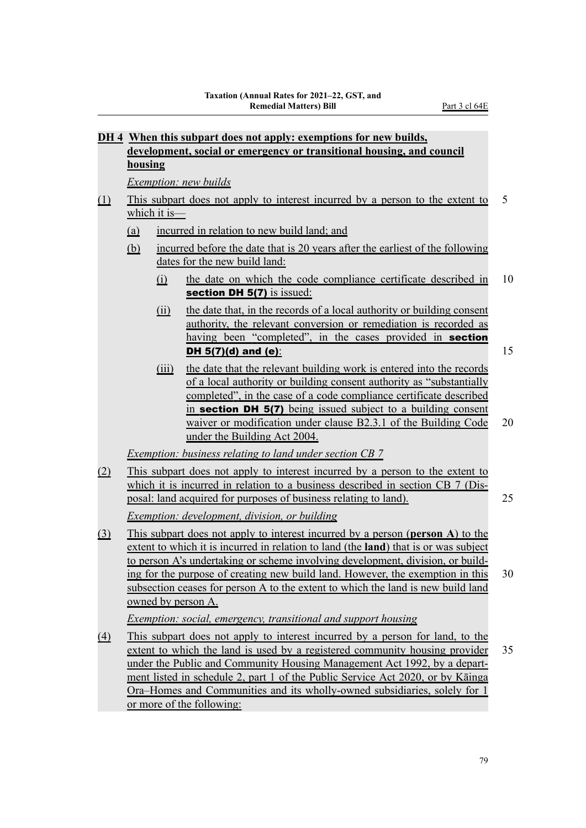|                   |                                                                                                                                                                                                                                                                                                                                                                                                                                                                                                                                                                                                                                                                                  |                          | DH 4 When this subpart does not apply: exemptions for new builds,                                                                                                                                                                                                                                                                                                                                                                    |    |  |  |  |
|-------------------|----------------------------------------------------------------------------------------------------------------------------------------------------------------------------------------------------------------------------------------------------------------------------------------------------------------------------------------------------------------------------------------------------------------------------------------------------------------------------------------------------------------------------------------------------------------------------------------------------------------------------------------------------------------------------------|--------------------------|--------------------------------------------------------------------------------------------------------------------------------------------------------------------------------------------------------------------------------------------------------------------------------------------------------------------------------------------------------------------------------------------------------------------------------------|----|--|--|--|
|                   | development, social or emergency or transitional housing, and council                                                                                                                                                                                                                                                                                                                                                                                                                                                                                                                                                                                                            |                          |                                                                                                                                                                                                                                                                                                                                                                                                                                      |    |  |  |  |
|                   | <b>housing</b>                                                                                                                                                                                                                                                                                                                                                                                                                                                                                                                                                                                                                                                                   |                          |                                                                                                                                                                                                                                                                                                                                                                                                                                      |    |  |  |  |
|                   |                                                                                                                                                                                                                                                                                                                                                                                                                                                                                                                                                                                                                                                                                  |                          | <b>Exemption:</b> new builds                                                                                                                                                                                                                                                                                                                                                                                                         |    |  |  |  |
| <u>(1)</u>        |                                                                                                                                                                                                                                                                                                                                                                                                                                                                                                                                                                                                                                                                                  | which it is $\equiv$     | This subpart does not apply to interest incurred by a person to the extent to                                                                                                                                                                                                                                                                                                                                                        | 5  |  |  |  |
|                   |                                                                                                                                                                                                                                                                                                                                                                                                                                                                                                                                                                                                                                                                                  |                          |                                                                                                                                                                                                                                                                                                                                                                                                                                      |    |  |  |  |
|                   | (a)                                                                                                                                                                                                                                                                                                                                                                                                                                                                                                                                                                                                                                                                              |                          | incurred in relation to new build land; and                                                                                                                                                                                                                                                                                                                                                                                          |    |  |  |  |
|                   | <u>(b)</u>                                                                                                                                                                                                                                                                                                                                                                                                                                                                                                                                                                                                                                                                       |                          | incurred before the date that is 20 years after the earliest of the following<br>dates for the new build land:                                                                                                                                                                                                                                                                                                                       |    |  |  |  |
|                   |                                                                                                                                                                                                                                                                                                                                                                                                                                                                                                                                                                                                                                                                                  | (i)                      | the date on which the code compliance certificate described in<br>section DH 5(7) is issued:                                                                                                                                                                                                                                                                                                                                         | 10 |  |  |  |
|                   |                                                                                                                                                                                                                                                                                                                                                                                                                                                                                                                                                                                                                                                                                  | $\overline{(\text{ii})}$ | the date that, in the records of a local authority or building consent<br>authority, the relevant conversion or remediation is recorded as<br>having been "completed", in the cases provided in section<br><b>DH</b> 5(7)(d) and (e):                                                                                                                                                                                                | 15 |  |  |  |
|                   |                                                                                                                                                                                                                                                                                                                                                                                                                                                                                                                                                                                                                                                                                  | (iii)                    | the date that the relevant building work is entered into the records<br>of a local authority or building consent authority as "substantially<br>completed", in the case of a code compliance certificate described<br>in <b>section DH 5(7)</b> being issued subject to a building consent<br>waiver or modification under clause B2.3.1 of the Building Code<br>under the Building Act 2004.                                        | 20 |  |  |  |
|                   |                                                                                                                                                                                                                                                                                                                                                                                                                                                                                                                                                                                                                                                                                  |                          | <b>Exemption:</b> business relating to land under section CB 7                                                                                                                                                                                                                                                                                                                                                                       |    |  |  |  |
| (2)               |                                                                                                                                                                                                                                                                                                                                                                                                                                                                                                                                                                                                                                                                                  |                          | This subpart does not apply to interest incurred by a person to the extent to                                                                                                                                                                                                                                                                                                                                                        | 25 |  |  |  |
|                   |                                                                                                                                                                                                                                                                                                                                                                                                                                                                                                                                                                                                                                                                                  |                          |                                                                                                                                                                                                                                                                                                                                                                                                                                      |    |  |  |  |
| $\Omega$          | which it is incurred in relation to a business described in section CB 7 (Dis-<br>posal: land acquired for purposes of business relating to land).<br><i>Exemption: development, division, or building</i><br>This subpart does not apply to interest incurred by a person (person A) to the<br>extent to which it is incurred in relation to land (the <b>land</b> ) that is or was subject<br>to person A's undertaking or scheme involving development, division, or build-<br>ing for the purpose of creating new build land. However, the exemption in this<br>30<br>subsection ceases for person A to the extent to which the land is new build land<br>owned by person A. |                          |                                                                                                                                                                                                                                                                                                                                                                                                                                      |    |  |  |  |
|                   |                                                                                                                                                                                                                                                                                                                                                                                                                                                                                                                                                                                                                                                                                  |                          | <i>Exemption: social, emergency, transitional and support housing</i>                                                                                                                                                                                                                                                                                                                                                                |    |  |  |  |
| $\underline{(4)}$ |                                                                                                                                                                                                                                                                                                                                                                                                                                                                                                                                                                                                                                                                                  |                          | This subpart does not apply to interest incurred by a person for land, to the<br>extent to which the land is used by a registered community housing provider<br>under the Public and Community Housing Management Act 1992, by a depart-<br>ment listed in schedule 2, part 1 of the Public Service Act 2020, or by Kāinga<br>Ora–Homes and Communities and its wholly-owned subsidiaries, solely for 1<br>or more of the following: | 35 |  |  |  |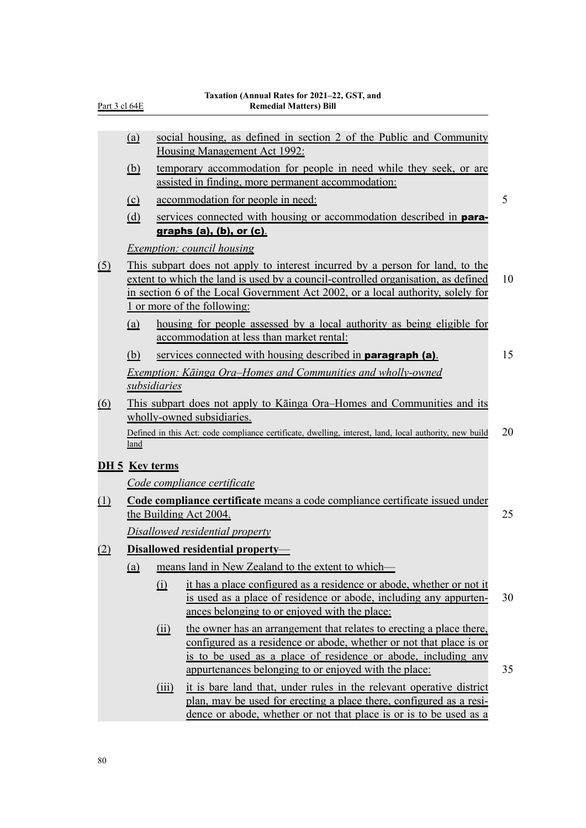| Part 3 cl 64E         |            |              | 1 aaation (Amnuai Ratts IVI 2021–22, OST,<br><b>Remedial Matters) Bill</b>                                                                                                                                                                                                           |    |
|-----------------------|------------|--------------|--------------------------------------------------------------------------------------------------------------------------------------------------------------------------------------------------------------------------------------------------------------------------------------|----|
|                       | (a)        |              | social housing, as defined in section 2 of the Public and Community<br>Housing Management Act 1992:                                                                                                                                                                                  |    |
|                       | <u>(b)</u> |              | temporary accommodation for people in need while they seek, or are<br>assisted in finding, more permanent accommodation:                                                                                                                                                             |    |
|                       | $\Omega$   |              | accommodation for people in need:                                                                                                                                                                                                                                                    | 5  |
|                       | (d)        |              | services connected with housing or accommodation described in <b>para-</b><br>graphs $(a)$ , $(b)$ , or $(c)$ .                                                                                                                                                                      |    |
|                       |            |              | <i>Exemption: council housing</i>                                                                                                                                                                                                                                                    |    |
| <u>(5)</u>            |            |              | This subpart does not apply to interest incurred by a person for land, to the<br>extent to which the land is used by a council-controlled organisation, as defined<br>in section 6 of the Local Government Act 2002, or a local authority, solely for<br>1 or more of the following: | 10 |
|                       | (a)        |              | housing for people assessed by a local authority as being eligible for<br>accommodation at less than market rental:                                                                                                                                                                  |    |
|                       | (b)        |              | services connected with housing described in <b>paragraph (a)</b> .                                                                                                                                                                                                                  | 15 |
|                       |            |              | Exemption: Kāinga Ora–Homes and Communities and wholly-owned                                                                                                                                                                                                                         |    |
|                       |            | subsidiaries |                                                                                                                                                                                                                                                                                      |    |
| $\overline{(6)}$      |            |              | This subpart does not apply to Kainga Ora–Homes and Communities and its<br>wholly-owned subsidiaries.                                                                                                                                                                                |    |
|                       | land       |              | Defined in this Act: code compliance certificate, dwelling, interest, land, local authority, new build                                                                                                                                                                               | 20 |
| <b>DH 5</b> Key terms |            |              |                                                                                                                                                                                                                                                                                      |    |
|                       |            |              | Code compliance certificate                                                                                                                                                                                                                                                          |    |
| (1)                   |            |              | Code compliance certificate means a code compliance certificate issued under<br>the Building Act 2004.                                                                                                                                                                               | 25 |
|                       |            |              | Disallowed residential property                                                                                                                                                                                                                                                      |    |
| (2)                   |            |              | Disallowed residential property-                                                                                                                                                                                                                                                     |    |
|                       | (a)        |              | means land in New Zealand to the extent to which—                                                                                                                                                                                                                                    |    |
|                       |            | (i)          | it has a place configured as a residence or abode, whether or not it<br>is used as a place of residence or abode, including any appurten-<br>ances belonging to or enjoyed with the place:                                                                                           | 30 |
|                       |            | (ii)         | the owner has an arrangement that relates to erecting a place there,<br>configured as a residence or abode, whether or not that place is or<br>is to be used as a place of residence or abode, including any<br>appurtenances belonging to or enjoyed with the place:                | 35 |
|                       |            | (iii)        | it is bare land that, under rules in the relevant operative district<br>plan, may be used for erecting a place there, configured as a resi-<br>dence or abode, whether or not that place is or is to be used as a                                                                    |    |

#### **Taxation (Annual Rates for 2021–22, GST, and Remedial Matters) Bill**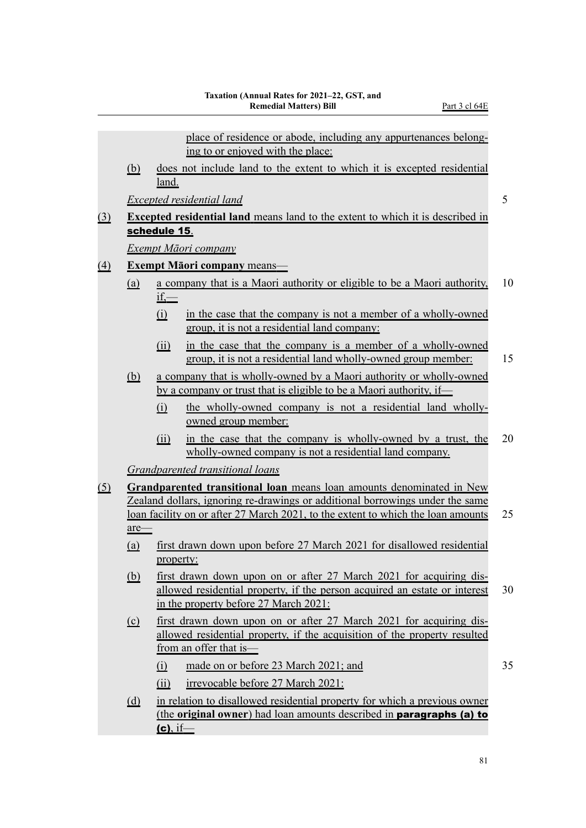|                                                                                                                                                                                                                                                                                                                                                                                                                                                                                                                                                                                                                                                                                                                                                                                                                                                                                                                                                                                                                                                                                                                                                                                                                                                                                                                                                                                                                                                                                                                                                                                                                                                                                                                                                                                                                                                                                                                                                              |     |       | place of residence or abode, including any appurtenances belong-          |    |
|--------------------------------------------------------------------------------------------------------------------------------------------------------------------------------------------------------------------------------------------------------------------------------------------------------------------------------------------------------------------------------------------------------------------------------------------------------------------------------------------------------------------------------------------------------------------------------------------------------------------------------------------------------------------------------------------------------------------------------------------------------------------------------------------------------------------------------------------------------------------------------------------------------------------------------------------------------------------------------------------------------------------------------------------------------------------------------------------------------------------------------------------------------------------------------------------------------------------------------------------------------------------------------------------------------------------------------------------------------------------------------------------------------------------------------------------------------------------------------------------------------------------------------------------------------------------------------------------------------------------------------------------------------------------------------------------------------------------------------------------------------------------------------------------------------------------------------------------------------------------------------------------------------------------------------------------------------------|-----|-------|---------------------------------------------------------------------------|----|
|                                                                                                                                                                                                                                                                                                                                                                                                                                                                                                                                                                                                                                                                                                                                                                                                                                                                                                                                                                                                                                                                                                                                                                                                                                                                                                                                                                                                                                                                                                                                                                                                                                                                                                                                                                                                                                                                                                                                                              |     |       | ing to or enjoyed with the place:                                         |    |
|                                                                                                                                                                                                                                                                                                                                                                                                                                                                                                                                                                                                                                                                                                                                                                                                                                                                                                                                                                                                                                                                                                                                                                                                                                                                                                                                                                                                                                                                                                                                                                                                                                                                                                                                                                                                                                                                                                                                                              | (b) | land. |                                                                           |    |
| does not include land to the extent to which it is excepted residential<br><b>Excepted residential land</b><br><b>Excepted residential land</b> means land to the extent to which it is described in<br><u>(3)</u><br>schedule 15.<br>Exempt Māori company<br><b>Exempt Māori company means-</b><br>$\triangle$<br>a company that is a Maori authority or eligible to be a Maori authority,<br><u>(a)</u><br>$if \rightleftharpoons$<br>in the case that the company is not a member of a wholly-owned<br>(i)<br>group, it is not a residential land company:<br>in the case that the company is a member of a wholly-owned<br>(ii)<br>group, it is not a residential land wholly-owned group member:<br>a company that is wholly-owned by a Maori authority or wholly-owned<br><u>(b)</u><br>by a company or trust that is eligible to be a Maori authority, if<br>the wholly-owned company is not a residential land wholly-<br>(i)<br>owned group member:<br>in the case that the company is wholly-owned by a trust, the<br>(ii)<br>wholly-owned company is not a residential land company.<br>Grandparented transitional loans<br>Grandparented transitional loan means loan amounts denominated in New<br><u>(5)</u><br>Zealand dollars, ignoring re-drawings or additional borrowings under the same<br>loan facility on or after 27 March 2021, to the extent to which the loan amounts<br>are-<br>first drawn down upon before 27 March 2021 for disallowed residential<br>(a)<br>property:<br>first drawn down upon on or after 27 March 2021 for acquiring dis-<br><u>(b)</u><br>allowed residential property, if the person acquired an estate or interest<br>in the property before 27 March 2021:<br>first drawn down upon on or after 27 March 2021 for acquiring dis-<br>$\Omega$<br>allowed residential property, if the acquisition of the property resulted<br>from an offer that is-<br>made on or before 23 March 2021; and<br>$\Omega$ |     | 5     |                                                                           |    |
|                                                                                                                                                                                                                                                                                                                                                                                                                                                                                                                                                                                                                                                                                                                                                                                                                                                                                                                                                                                                                                                                                                                                                                                                                                                                                                                                                                                                                                                                                                                                                                                                                                                                                                                                                                                                                                                                                                                                                              |     |       |                                                                           |    |
|                                                                                                                                                                                                                                                                                                                                                                                                                                                                                                                                                                                                                                                                                                                                                                                                                                                                                                                                                                                                                                                                                                                                                                                                                                                                                                                                                                                                                                                                                                                                                                                                                                                                                                                                                                                                                                                                                                                                                              |     |       |                                                                           |    |
|                                                                                                                                                                                                                                                                                                                                                                                                                                                                                                                                                                                                                                                                                                                                                                                                                                                                                                                                                                                                                                                                                                                                                                                                                                                                                                                                                                                                                                                                                                                                                                                                                                                                                                                                                                                                                                                                                                                                                              |     |       |                                                                           |    |
|                                                                                                                                                                                                                                                                                                                                                                                                                                                                                                                                                                                                                                                                                                                                                                                                                                                                                                                                                                                                                                                                                                                                                                                                                                                                                                                                                                                                                                                                                                                                                                                                                                                                                                                                                                                                                                                                                                                                                              |     |       |                                                                           |    |
|                                                                                                                                                                                                                                                                                                                                                                                                                                                                                                                                                                                                                                                                                                                                                                                                                                                                                                                                                                                                                                                                                                                                                                                                                                                                                                                                                                                                                                                                                                                                                                                                                                                                                                                                                                                                                                                                                                                                                              |     |       |                                                                           | 10 |
|                                                                                                                                                                                                                                                                                                                                                                                                                                                                                                                                                                                                                                                                                                                                                                                                                                                                                                                                                                                                                                                                                                                                                                                                                                                                                                                                                                                                                                                                                                                                                                                                                                                                                                                                                                                                                                                                                                                                                              |     |       |                                                                           |    |
|                                                                                                                                                                                                                                                                                                                                                                                                                                                                                                                                                                                                                                                                                                                                                                                                                                                                                                                                                                                                                                                                                                                                                                                                                                                                                                                                                                                                                                                                                                                                                                                                                                                                                                                                                                                                                                                                                                                                                              |     |       |                                                                           | 15 |
|                                                                                                                                                                                                                                                                                                                                                                                                                                                                                                                                                                                                                                                                                                                                                                                                                                                                                                                                                                                                                                                                                                                                                                                                                                                                                                                                                                                                                                                                                                                                                                                                                                                                                                                                                                                                                                                                                                                                                              |     |       |                                                                           |    |
|                                                                                                                                                                                                                                                                                                                                                                                                                                                                                                                                                                                                                                                                                                                                                                                                                                                                                                                                                                                                                                                                                                                                                                                                                                                                                                                                                                                                                                                                                                                                                                                                                                                                                                                                                                                                                                                                                                                                                              |     |       |                                                                           |    |
|                                                                                                                                                                                                                                                                                                                                                                                                                                                                                                                                                                                                                                                                                                                                                                                                                                                                                                                                                                                                                                                                                                                                                                                                                                                                                                                                                                                                                                                                                                                                                                                                                                                                                                                                                                                                                                                                                                                                                              |     |       |                                                                           | 20 |
|                                                                                                                                                                                                                                                                                                                                                                                                                                                                                                                                                                                                                                                                                                                                                                                                                                                                                                                                                                                                                                                                                                                                                                                                                                                                                                                                                                                                                                                                                                                                                                                                                                                                                                                                                                                                                                                                                                                                                              |     |       |                                                                           |    |
|                                                                                                                                                                                                                                                                                                                                                                                                                                                                                                                                                                                                                                                                                                                                                                                                                                                                                                                                                                                                                                                                                                                                                                                                                                                                                                                                                                                                                                                                                                                                                                                                                                                                                                                                                                                                                                                                                                                                                              |     |       |                                                                           | 25 |
|                                                                                                                                                                                                                                                                                                                                                                                                                                                                                                                                                                                                                                                                                                                                                                                                                                                                                                                                                                                                                                                                                                                                                                                                                                                                                                                                                                                                                                                                                                                                                                                                                                                                                                                                                                                                                                                                                                                                                              |     |       |                                                                           |    |
|                                                                                                                                                                                                                                                                                                                                                                                                                                                                                                                                                                                                                                                                                                                                                                                                                                                                                                                                                                                                                                                                                                                                                                                                                                                                                                                                                                                                                                                                                                                                                                                                                                                                                                                                                                                                                                                                                                                                                              |     |       |                                                                           | 30 |
|                                                                                                                                                                                                                                                                                                                                                                                                                                                                                                                                                                                                                                                                                                                                                                                                                                                                                                                                                                                                                                                                                                                                                                                                                                                                                                                                                                                                                                                                                                                                                                                                                                                                                                                                                                                                                                                                                                                                                              |     |       |                                                                           |    |
|                                                                                                                                                                                                                                                                                                                                                                                                                                                                                                                                                                                                                                                                                                                                                                                                                                                                                                                                                                                                                                                                                                                                                                                                                                                                                                                                                                                                                                                                                                                                                                                                                                                                                                                                                                                                                                                                                                                                                              |     |       |                                                                           | 35 |
|                                                                                                                                                                                                                                                                                                                                                                                                                                                                                                                                                                                                                                                                                                                                                                                                                                                                                                                                                                                                                                                                                                                                                                                                                                                                                                                                                                                                                                                                                                                                                                                                                                                                                                                                                                                                                                                                                                                                                              |     | (ii)  | irrevocable before 27 March 2021:                                         |    |
|                                                                                                                                                                                                                                                                                                                                                                                                                                                                                                                                                                                                                                                                                                                                                                                                                                                                                                                                                                                                                                                                                                                                                                                                                                                                                                                                                                                                                                                                                                                                                                                                                                                                                                                                                                                                                                                                                                                                                              | (d) |       | in relation to disallowed residential property for which a previous owner |    |

(the **original owner**) had loan amounts described in paragraphs (a) to

 $(c)$ , if—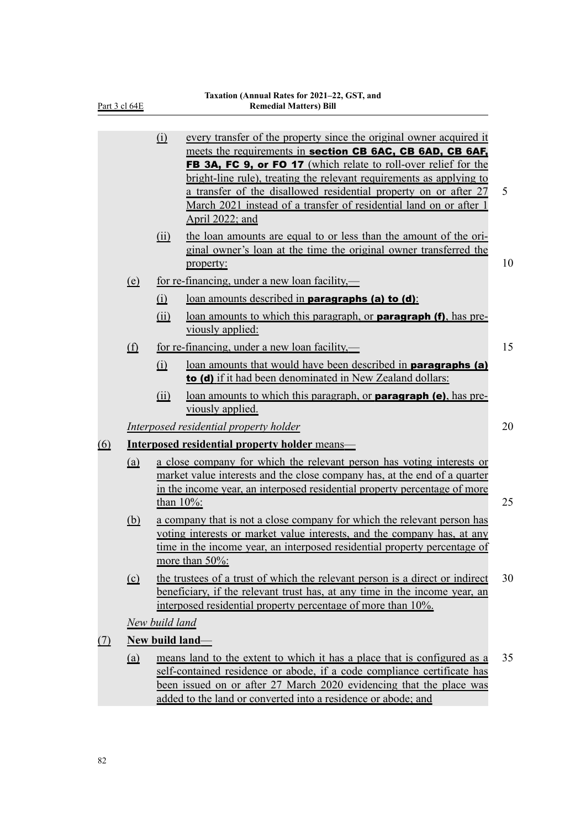|--|

|            |                        | (i)                    | every transfer of the property since the original owner acquired it<br>meets the requirements in section CB 6AC, CB 6AD, CB 6AF,<br><b>FB 3A, FC 9, or FO 17</b> (which relate to roll-over relief for the<br>bright-line rule), treating the relevant requirements as applying to<br>a transfer of the disallowed residential property on or after 27<br>March 2021 instead of a transfer of residential land on or after 1<br>April 2022; and | 5  |
|------------|------------------------|------------------------|-------------------------------------------------------------------------------------------------------------------------------------------------------------------------------------------------------------------------------------------------------------------------------------------------------------------------------------------------------------------------------------------------------------------------------------------------|----|
|            |                        | (ii)                   | the loan amounts are equal to or less than the amount of the ori-<br>ginal owner's loan at the time the original owner transferred the<br>property:                                                                                                                                                                                                                                                                                             | 10 |
|            | (e)                    |                        | for re-financing, under a new loan facility,—                                                                                                                                                                                                                                                                                                                                                                                                   |    |
|            |                        | $\Omega$               | loan amounts described in <b>paragraphs (a) to (d)</b> :                                                                                                                                                                                                                                                                                                                                                                                        |    |
|            |                        | (ii)                   | loan amounts to which this paragraph, or <b>paragraph (f)</b> , has pre-<br>viously applied:                                                                                                                                                                                                                                                                                                                                                    |    |
|            | $\underline{\text{f}}$ |                        | for re-financing, under a new loan facility,—                                                                                                                                                                                                                                                                                                                                                                                                   | 15 |
|            |                        | (i)                    | loan amounts that would have been described in <b>paragraphs (a)</b><br>to (d) if it had been denominated in New Zealand dollars:                                                                                                                                                                                                                                                                                                               |    |
|            |                        | (ii)                   | loan amounts to which this paragraph, or <b>paragraph (e)</b> , has pre-<br>viously applied.                                                                                                                                                                                                                                                                                                                                                    |    |
|            |                        |                        | Interposed residential property holder                                                                                                                                                                                                                                                                                                                                                                                                          | 20 |
| <u>(6)</u> |                        |                        | Interposed residential property holder means-                                                                                                                                                                                                                                                                                                                                                                                                   |    |
|            | (a)                    |                        | a close company for which the relevant person has voting interests or<br>market value interests and the close company has, at the end of a quarter<br>in the income year, an interposed residential property percentage of more<br>than $10\%$ :                                                                                                                                                                                                | 25 |
|            | <u>(b)</u>             |                        | a company that is not a close company for which the relevant person has<br>voting interests or market value interests, and the company has, at any<br>time in the income year, an interposed residential property percentage of<br>more than 50%:                                                                                                                                                                                               |    |
|            | $\Omega$               |                        | the trustees of a trust of which the relevant person is a direct or indirect<br>beneficiary, if the relevant trust has, at any time in the income year, an<br>interposed residential property percentage of more than 10%.                                                                                                                                                                                                                      | 30 |
|            |                        | New build land         |                                                                                                                                                                                                                                                                                                                                                                                                                                                 |    |
| <u>(7)</u> |                        | <b>New build land-</b> |                                                                                                                                                                                                                                                                                                                                                                                                                                                 |    |
|            | <u>(a)</u>             |                        | means land to the extent to which it has a place that is configured as a<br>self-contained residence or abode, if a code compliance certificate has<br>been issued on or after 27 March 2020 evidencing that the place was<br>added to the land or converted into a residence or abode; and                                                                                                                                                     | 35 |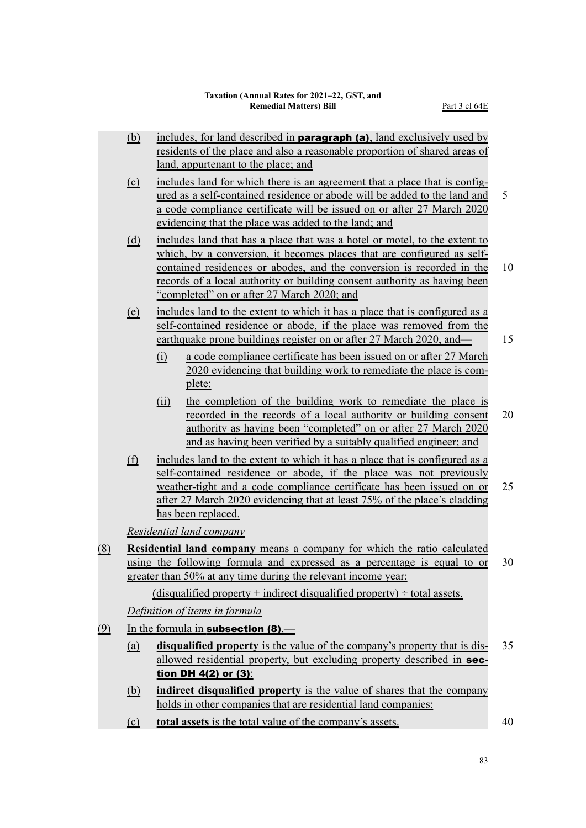|                                                                                                                                                                                                                                                                                                                                                                                                                                                                                                                                                                                                                                                                                                                                                                                                                                                                                                                                                                                                                                                                                                                                                                                                                                                                                                                                                                                                                                                                                                                                                                                                                                                                                                                                                                                                                                                                                                                                                                                                                                  | <u>(b)</u>                     |                          | includes, for land described in <b>paragraph (a)</b> , land exclusively used by<br>residents of the place and also a reasonable proportion of shared areas of<br>land, appurtenant to the place; and                                                                     |     |
|----------------------------------------------------------------------------------------------------------------------------------------------------------------------------------------------------------------------------------------------------------------------------------------------------------------------------------------------------------------------------------------------------------------------------------------------------------------------------------------------------------------------------------------------------------------------------------------------------------------------------------------------------------------------------------------------------------------------------------------------------------------------------------------------------------------------------------------------------------------------------------------------------------------------------------------------------------------------------------------------------------------------------------------------------------------------------------------------------------------------------------------------------------------------------------------------------------------------------------------------------------------------------------------------------------------------------------------------------------------------------------------------------------------------------------------------------------------------------------------------------------------------------------------------------------------------------------------------------------------------------------------------------------------------------------------------------------------------------------------------------------------------------------------------------------------------------------------------------------------------------------------------------------------------------------------------------------------------------------------------------------------------------------|--------------------------------|--------------------------|--------------------------------------------------------------------------------------------------------------------------------------------------------------------------------------------------------------------------------------------------------------------------|-----|
|                                                                                                                                                                                                                                                                                                                                                                                                                                                                                                                                                                                                                                                                                                                                                                                                                                                                                                                                                                                                                                                                                                                                                                                                                                                                                                                                                                                                                                                                                                                                                                                                                                                                                                                                                                                                                                                                                                                                                                                                                                  | $\Omega$                       |                          | includes land for which there is an agreement that a place that is config-                                                                                                                                                                                               | 5   |
|                                                                                                                                                                                                                                                                                                                                                                                                                                                                                                                                                                                                                                                                                                                                                                                                                                                                                                                                                                                                                                                                                                                                                                                                                                                                                                                                                                                                                                                                                                                                                                                                                                                                                                                                                                                                                                                                                                                                                                                                                                  | <u>(d)</u>                     |                          |                                                                                                                                                                                                                                                                          | 10  |
|                                                                                                                                                                                                                                                                                                                                                                                                                                                                                                                                                                                                                                                                                                                                                                                                                                                                                                                                                                                                                                                                                                                                                                                                                                                                                                                                                                                                                                                                                                                                                                                                                                                                                                                                                                                                                                                                                                                                                                                                                                  | $\left( \underline{e} \right)$ | (i)                      | a code compliance certificate has been issued on or after 27 March<br>2020 evidencing that building work to remediate the place is com-<br>plete:                                                                                                                        | 15  |
|                                                                                                                                                                                                                                                                                                                                                                                                                                                                                                                                                                                                                                                                                                                                                                                                                                                                                                                                                                                                                                                                                                                                                                                                                                                                                                                                                                                                                                                                                                                                                                                                                                                                                                                                                                                                                                                                                                                                                                                                                                  |                                | $\overline{(\text{ii})}$ | the completion of the building work to remediate the place is<br>recorded in the records of a local authority or building consent<br>authority as having been "completed" on or after 27 March 2020<br>and as having been verified by a suitably qualified engineer; and | 20  |
|                                                                                                                                                                                                                                                                                                                                                                                                                                                                                                                                                                                                                                                                                                                                                                                                                                                                                                                                                                                                                                                                                                                                                                                                                                                                                                                                                                                                                                                                                                                                                                                                                                                                                                                                                                                                                                                                                                                                                                                                                                  | $\underline{\text{f}}$         |                          |                                                                                                                                                                                                                                                                          | 25  |
|                                                                                                                                                                                                                                                                                                                                                                                                                                                                                                                                                                                                                                                                                                                                                                                                                                                                                                                                                                                                                                                                                                                                                                                                                                                                                                                                                                                                                                                                                                                                                                                                                                                                                                                                                                                                                                                                                                                                                                                                                                  |                                |                          |                                                                                                                                                                                                                                                                          |     |
|                                                                                                                                                                                                                                                                                                                                                                                                                                                                                                                                                                                                                                                                                                                                                                                                                                                                                                                                                                                                                                                                                                                                                                                                                                                                                                                                                                                                                                                                                                                                                                                                                                                                                                                                                                                                                                                                                                                                                                                                                                  |                                |                          |                                                                                                                                                                                                                                                                          | 30. |
| ured as a self-contained residence or abode will be added to the land and<br>a code compliance certificate will be issued on or after 27 March 2020<br>evidencing that the place was added to the land; and<br>includes land that has a place that was a hotel or motel, to the extent to<br>which, by a conversion, it becomes places that are configured as self-<br>contained residences or abodes, and the conversion is recorded in the<br>records of a local authority or building consent authority as having been<br>"completed" on or after 27 March 2020; and<br>includes land to the extent to which it has a place that is configured as a<br>self-contained residence or abode, if the place was removed from the<br>earthquake prone buildings register on or after 27 March 2020, and—<br>includes land to the extent to which it has a place that is configured as a<br>self-contained residence or abode, if the place was not previously<br>weather-tight and a code compliance certificate has been issued on or<br>after 27 March 2020 evidencing that at least 75% of the place's cladding<br>has been replaced.<br>Residential land company<br><b>Residential land company</b> means a company for which the ratio calculated<br><u>(8)</u><br>using the following formula and expressed as a percentage is equal to or<br>greater than 50% at any time during the relevant income year:<br>(disqualified property + indirect disqualified property) $\div$ total assets.<br>Definition of items in formula<br>(9)<br>In the formula in <b>subsection (8)</b> ,—<br>disqualified property is the value of the company's property that is dis-<br><u>(a)</u><br>allowed residential property, but excluding property described in sec-<br>tion DH $4(2)$ or $(3)$ :<br>indirect disqualified property is the value of shares that the company<br><u>(b)</u><br>holds in other companies that are residential land companies:<br><b>total assets</b> is the total value of the company's assets.<br>$\Omega$ |                                |                          |                                                                                                                                                                                                                                                                          |     |
|                                                                                                                                                                                                                                                                                                                                                                                                                                                                                                                                                                                                                                                                                                                                                                                                                                                                                                                                                                                                                                                                                                                                                                                                                                                                                                                                                                                                                                                                                                                                                                                                                                                                                                                                                                                                                                                                                                                                                                                                                                  |                                |                          |                                                                                                                                                                                                                                                                          |     |
|                                                                                                                                                                                                                                                                                                                                                                                                                                                                                                                                                                                                                                                                                                                                                                                                                                                                                                                                                                                                                                                                                                                                                                                                                                                                                                                                                                                                                                                                                                                                                                                                                                                                                                                                                                                                                                                                                                                                                                                                                                  |                                |                          |                                                                                                                                                                                                                                                                          | 35  |
|                                                                                                                                                                                                                                                                                                                                                                                                                                                                                                                                                                                                                                                                                                                                                                                                                                                                                                                                                                                                                                                                                                                                                                                                                                                                                                                                                                                                                                                                                                                                                                                                                                                                                                                                                                                                                                                                                                                                                                                                                                  |                                |                          |                                                                                                                                                                                                                                                                          |     |
|                                                                                                                                                                                                                                                                                                                                                                                                                                                                                                                                                                                                                                                                                                                                                                                                                                                                                                                                                                                                                                                                                                                                                                                                                                                                                                                                                                                                                                                                                                                                                                                                                                                                                                                                                                                                                                                                                                                                                                                                                                  |                                |                          |                                                                                                                                                                                                                                                                          | 40  |

83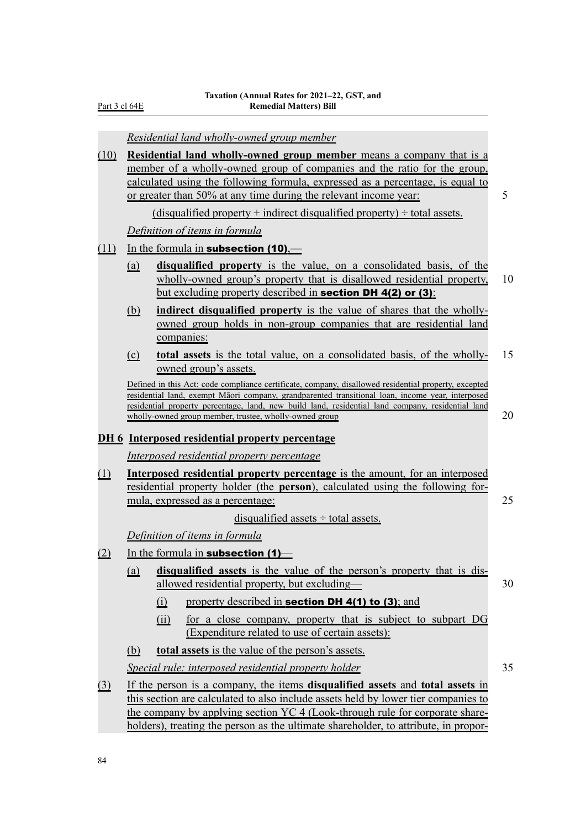Part 3 cl 64E

|          |                                                                                                                                                                                                                                                                   | Residential land wholly-owned group member                                                                                                                                                                                                                                                                                                                              |    |  |  |
|----------|-------------------------------------------------------------------------------------------------------------------------------------------------------------------------------------------------------------------------------------------------------------------|-------------------------------------------------------------------------------------------------------------------------------------------------------------------------------------------------------------------------------------------------------------------------------------------------------------------------------------------------------------------------|----|--|--|
| (10)     |                                                                                                                                                                                                                                                                   | <b>Residential land wholly-owned group member means a company that is a</b><br>member of a wholly-owned group of companies and the ratio for the group,<br>calculated using the following formula, expressed as a percentage, is equal to<br>or greater than 50% at any time during the relevant income year:                                                           | 5  |  |  |
|          |                                                                                                                                                                                                                                                                   | (disqualified property + indirect disqualified property) $\div$ total assets.                                                                                                                                                                                                                                                                                           |    |  |  |
|          |                                                                                                                                                                                                                                                                   | Definition of items in formula                                                                                                                                                                                                                                                                                                                                          |    |  |  |
| (11)     |                                                                                                                                                                                                                                                                   | In the formula in <b>subsection (10)</b> ,—                                                                                                                                                                                                                                                                                                                             |    |  |  |
|          | (a)                                                                                                                                                                                                                                                               | disqualified property is the value, on a consolidated basis, of the<br>wholly-owned group's property that is disallowed residential property,<br>but excluding property described in section DH 4(2) or (3):                                                                                                                                                            | 10 |  |  |
|          | (b)                                                                                                                                                                                                                                                               | <b>indirect disqualified property</b> is the value of shares that the wholly-<br>owned group holds in non-group companies that are residential land<br>companies:                                                                                                                                                                                                       |    |  |  |
|          | $\Omega$                                                                                                                                                                                                                                                          | <b>total assets</b> is the total value, on a consolidated basis, of the wholly-<br>owned group's assets.                                                                                                                                                                                                                                                                | 15 |  |  |
|          |                                                                                                                                                                                                                                                                   | Defined in this Act: code compliance certificate, company, disallowed residential property, excepted<br>residential land, exempt Māori company, grandparented transitional loan, income year, interposed<br>residential property percentage, land, new build land, residential land company, residential land<br>wholly-owned group member, trustee, wholly-owned group | 20 |  |  |
|          |                                                                                                                                                                                                                                                                   | <b>DH6</b> Interposed residential property percentage                                                                                                                                                                                                                                                                                                                   |    |  |  |
|          |                                                                                                                                                                                                                                                                   | Interposed residential property percentage                                                                                                                                                                                                                                                                                                                              |    |  |  |
| (1)      | <b>Interposed residential property percentage</b> is the amount, for an interposed<br>residential property holder (the <b>person</b> ), calculated using the following for-<br>mula, expressed as a percentage:                                                   |                                                                                                                                                                                                                                                                                                                                                                         |    |  |  |
|          |                                                                                                                                                                                                                                                                   | disqualified assets $\div$ total assets.                                                                                                                                                                                                                                                                                                                                |    |  |  |
|          |                                                                                                                                                                                                                                                                   | Definition of items in formula                                                                                                                                                                                                                                                                                                                                          |    |  |  |
| (2)      |                                                                                                                                                                                                                                                                   | In the formula in <b>subsection</b> $(1)$                                                                                                                                                                                                                                                                                                                               |    |  |  |
|          | (a)                                                                                                                                                                                                                                                               | disqualified assets is the value of the person's property that is dis-<br>allowed residential property, but excluding—                                                                                                                                                                                                                                                  | 30 |  |  |
|          |                                                                                                                                                                                                                                                                   | property described in <b>section DH 4(1) to (3)</b> ; and<br>$\Omega$                                                                                                                                                                                                                                                                                                   |    |  |  |
|          |                                                                                                                                                                                                                                                                   | (ii)<br>for a close company, property that is subject to subpart DG<br>(Expenditure related to use of certain assets):                                                                                                                                                                                                                                                  |    |  |  |
|          | <u>(b)</u>                                                                                                                                                                                                                                                        | <b>total assets</b> is the value of the person's assets.                                                                                                                                                                                                                                                                                                                |    |  |  |
|          |                                                                                                                                                                                                                                                                   | Special rule: interposed residential property holder                                                                                                                                                                                                                                                                                                                    | 35 |  |  |
| $\Omega$ | If the person is a company, the items <b>disqualified</b> assets and <b>total assets</b> in<br>this section are calculated to also include assets held by lower tier companies to<br>the company by applying section YC 4 (Look-through rule for corporate share- |                                                                                                                                                                                                                                                                                                                                                                         |    |  |  |
|          |                                                                                                                                                                                                                                                                   | holders), treating the person as the ultimate shareholder, to attribute, in propor-                                                                                                                                                                                                                                                                                     |    |  |  |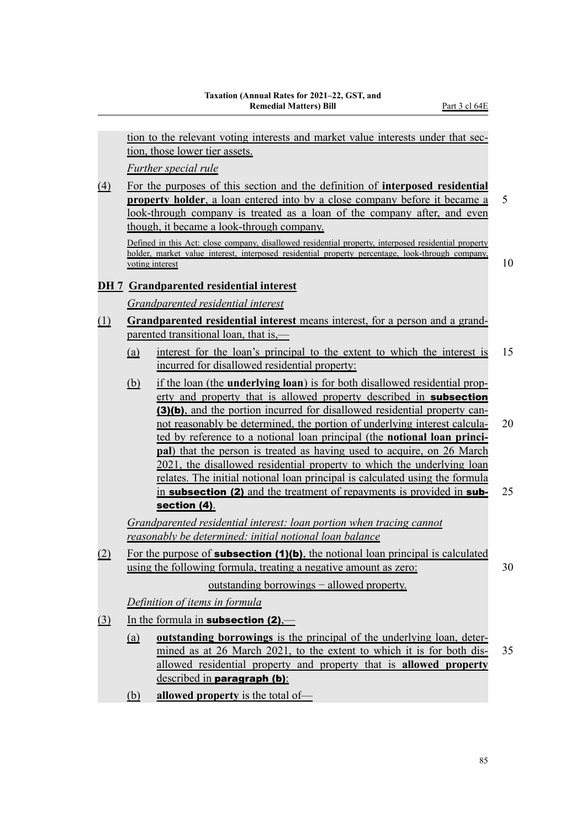tion to the relevant voting interests and market value interests under that section, those lower tier assets. *Further special rule* (4) For the purposes of this section and the definition of **interposed residential property holder**, a loan entered into by a close company before it became a 5 look-through company is treated as a loan of the company after, and even though, it became a look-through company. Defined in this Act: close company, disallowed residential property, interposed residential property holder, market value interest, interposed residential property percentage, look-through company, voting interest 10 **DH 7 Grandparented residential interest** *Grandparented residential interest* (1) **Grandparented residential interest** means interest, for a person and a grand‐ parented transitional loan, that is,-(a) interest for the loan's principal to the extent to which the interest is 15 incurred for disallowed residential property: (b) if the loan (the **underlying loan**) is for both disallowed residential prop‐ erty and property that is allowed property described in **subsection** (3)(b), and the portion incurred for disallowed residential property cannot reasonably be determined, the portion of underlying interest calcula- 20 ted by reference to a notional loan principal (the **notional loan princi‐ pal**) that the person is treated as having used to acquire, on 26 March 2021, the disallowed residential property to which the underlying loan relates. The initial notional loan principal is calculated using the formula in **subsection (2)** and the treatment of repayments is provided in **sub-** 25 section (4). *Grandparented residential interest: loan portion when tracing cannot reasonably be determined: initial notional loan balance* (2) For the purpose of **subsection (1)(b)**, the notional loan principal is calculated using the following formula, treating a negative amount as zero: 30 outstanding borrowings – allowed property. *Definition of items in formula* (3) In the formula in **subsection (2)**,— (a) **outstanding borrowings** is the principal of the underlying loan, deter‐ mined as at 26 March 2021, to the extent to which it is for both dis- 35 allowed residential property and property that is **allowed property** described in **paragraph (b)**: (b) **allowed property** is the total of—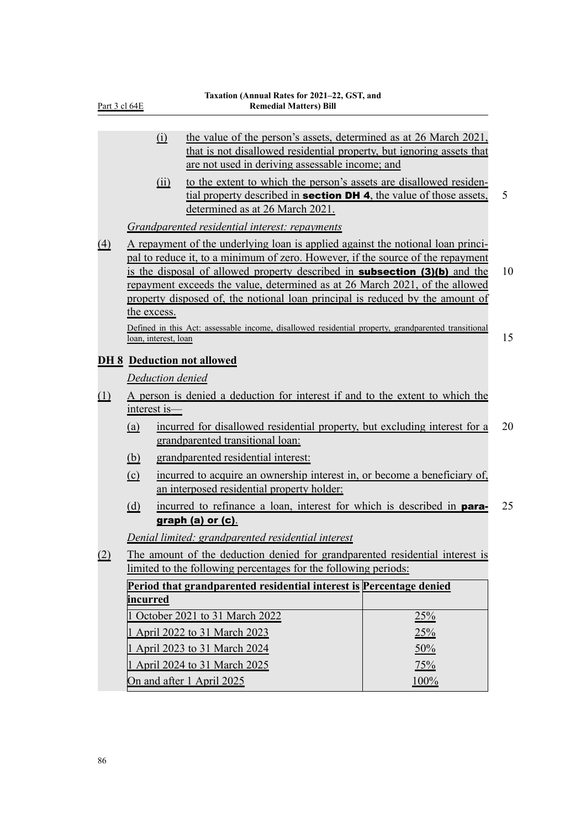| Part 3 cl 64E |  |  |
|---------------|--|--|
|               |  |  |

|                                   |                                                                     | (i)                  | the value of the person's assets, determined as at 26 March 2021,<br>that is not disallowed residential property, but ignoring assets that<br>are not used in deriving assessable income; and                                                                                                                                                                                                                           |     |    |  |
|-----------------------------------|---------------------------------------------------------------------|----------------------|-------------------------------------------------------------------------------------------------------------------------------------------------------------------------------------------------------------------------------------------------------------------------------------------------------------------------------------------------------------------------------------------------------------------------|-----|----|--|
|                                   |                                                                     | (ii)                 | to the extent to which the person's assets are disallowed residen-<br>tial property described in <b>section DH 4</b> , the value of those assets,<br>determined as at 26 March 2021.                                                                                                                                                                                                                                    |     | 5  |  |
|                                   |                                                                     |                      | Grandparented residential interest: repayments                                                                                                                                                                                                                                                                                                                                                                          |     |    |  |
| <u>(4)</u>                        | the excess.                                                         |                      | A repayment of the underlying loan is applied against the notional loan princi-<br>pal to reduce it, to a minimum of zero. However, if the source of the repayment<br>is the disposal of allowed property described in <b>subsection (3)(b)</b> and the<br>repayment exceeds the value, determined as at 26 March 2021, of the allowed<br>property disposed of, the notional loan principal is reduced by the amount of |     | 10 |  |
|                                   |                                                                     |                      | Defined in this Act: assessable income, disallowed residential property, grandparented transitional                                                                                                                                                                                                                                                                                                                     |     |    |  |
|                                   |                                                                     | loan, interest, loan |                                                                                                                                                                                                                                                                                                                                                                                                                         |     | 15 |  |
|                                   |                                                                     |                      | <b>DH 8 Deduction not allowed</b>                                                                                                                                                                                                                                                                                                                                                                                       |     |    |  |
|                                   |                                                                     | Deduction denied     |                                                                                                                                                                                                                                                                                                                                                                                                                         |     |    |  |
| (1)                               | interest is-                                                        |                      | A person is denied a deduction for interest if and to the extent to which the                                                                                                                                                                                                                                                                                                                                           |     |    |  |
|                                   | <u>(a)</u>                                                          |                      | incurred for disallowed residential property, but excluding interest for a<br>grandparented transitional loan:                                                                                                                                                                                                                                                                                                          |     | 20 |  |
|                                   | <u>(b)</u>                                                          |                      | grandparented residential interest:                                                                                                                                                                                                                                                                                                                                                                                     |     |    |  |
|                                   | $\Omega$                                                            |                      | incurred to acquire an ownership interest in, or become a beneficiary of,<br>an interposed residential property holder:                                                                                                                                                                                                                                                                                                 |     |    |  |
|                                   | (d)                                                                 |                      | incurred to refinance a loan, interest for which is described in <b>para-</b>                                                                                                                                                                                                                                                                                                                                           |     | 25 |  |
|                                   |                                                                     |                      | graph (a) or (c).                                                                                                                                                                                                                                                                                                                                                                                                       |     |    |  |
|                                   |                                                                     |                      | Denial limited: grandparented residential interest                                                                                                                                                                                                                                                                                                                                                                      |     |    |  |
| (2)                               |                                                                     |                      | The amount of the deduction denied for grandparented residential interest is                                                                                                                                                                                                                                                                                                                                            |     |    |  |
|                                   | limited to the following percentages for the following periods:     |                      |                                                                                                                                                                                                                                                                                                                                                                                                                         |     |    |  |
|                                   | Period that grandparented residential interest is Percentage denied |                      |                                                                                                                                                                                                                                                                                                                                                                                                                         |     |    |  |
|                                   | <b>incurred</b>                                                     |                      |                                                                                                                                                                                                                                                                                                                                                                                                                         |     |    |  |
|                                   |                                                                     |                      | October 2021 to 31 March 2022                                                                                                                                                                                                                                                                                                                                                                                           | 25% |    |  |
|                                   |                                                                     |                      | 1 April 2022 to 31 March 2023                                                                                                                                                                                                                                                                                                                                                                                           | 25% |    |  |
|                                   |                                                                     |                      | 1 April 2023 to 31 March 2024                                                                                                                                                                                                                                                                                                                                                                                           | 50% |    |  |
|                                   |                                                                     |                      | 1 April 2024 to 31 March 2025                                                                                                                                                                                                                                                                                                                                                                                           | 75% |    |  |
| On and after 1 April 2025<br>100% |                                                                     |                      |                                                                                                                                                                                                                                                                                                                                                                                                                         |     |    |  |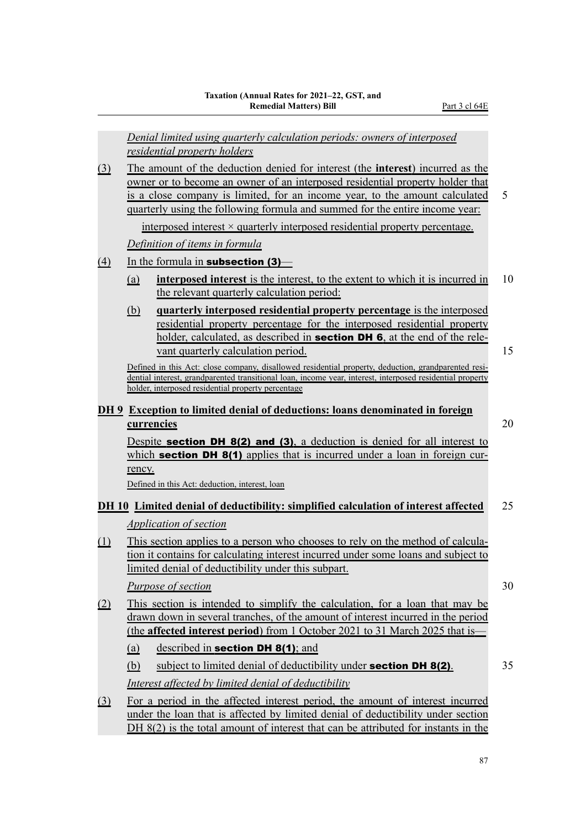*Denial limited using quarterly calculation periods: owners of interposed residential property holders* (3) The amount of the deduction denied for interest (the **interest**) incurred as the owner or to become an owner of an interposed residential property holder that is a close company is limited, for an income year, to the amount calculated 5 quarterly using the following formula and summed for the entire income year: interposed interest  $\times$  quarterly interposed residential property percentage. *Definition of items in formula*  $\overline{(4)}$  In the formula in **subsection (3)**— (a) **interposed interest** is the interest, to the extent to which it is incurred in 10 the relevant quarterly calculation period: (b) **quarterly interposed residential property percentage** is the interposed residential property percentage for the interposed residential property holder, calculated, as described in **section DH 6**, at the end of the relevant quarterly calculation period. 15 Defined in this Act: close company, disallowed residential property, deduction, grandparented residential interest, grandparented transitional loan, income year, interest, interposed residential property holder, interposed residential property percentage **DH 9 Exception to limited denial of deductions: loans denominated in foreign currencies** 20 Despite **section DH 8(2) and (3)**, a deduction is denied for all interest to which **section DH 8(1)** applies that is incurred under a loan in foreign currency. Defined in this Act: deduction, interest, loan **DH 10 Limited denial of deductibility: simplified calculation of interest affected** 25 *Application of section* (1) This section applies to a person who chooses to rely on the method of calcula‐ tion it contains for calculating interest incurred under some loans and subject to limited denial of deductibility under this subpart. *Purpose of section* 30 (2) This section is intended to simplify the calculation, for a loan that may be drawn down in several tranches, of the amount of interest incurred in the period (the **affected interest period**) from 1 October 2021 to 31 March 2025 that is— (a) described in **section DH 8(1)**; and (b) subject to limited denial of deductibility under **section DH 8(2)**.  $35$ *Interest affected by limited denial of deductibility* (3) For a period in the affected interest period, the amount of interest incurred under the loan that is affected by limited denial of deductibility under section DH 8(2) is the total amount of interest that can be attributed for instants in the

87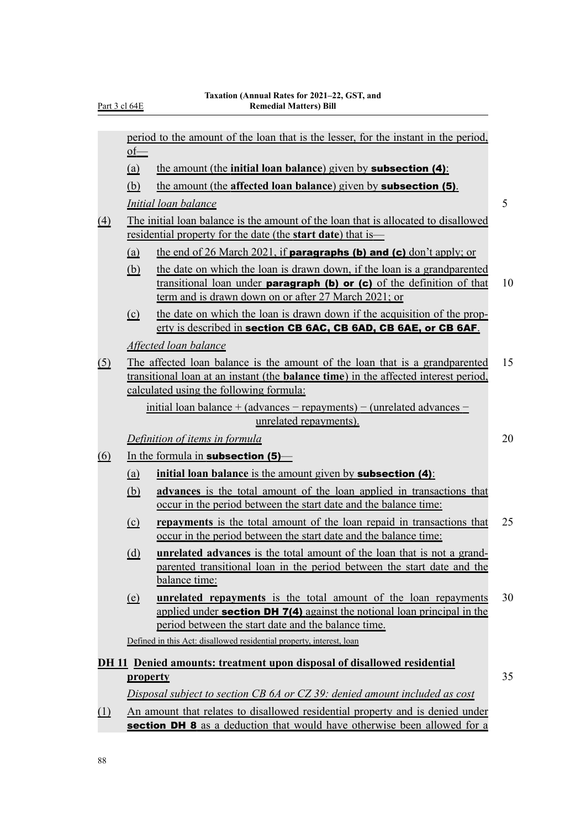|                            | $of$ —                       | period to the amount of the loan that is the lesser, for the instant in the period,                                                                                                                                   |    |
|----------------------------|------------------------------|-----------------------------------------------------------------------------------------------------------------------------------------------------------------------------------------------------------------------|----|
|                            | (a)                          | the amount (the initial loan balance) given by <b>subsection (4)</b> :                                                                                                                                                |    |
|                            | (b)                          | the amount (the affected loan balance) given by <b>subsection (5)</b> .                                                                                                                                               |    |
|                            |                              | <i>Initial loan balance</i>                                                                                                                                                                                           | 5  |
|                            |                              | The initial loan balance is the amount of the loan that is allocated to disallowed                                                                                                                                    |    |
| $\triangle$                |                              | residential property for the date (the <b>start date</b> ) that is                                                                                                                                                    |    |
|                            | <u>(a)</u>                   | the end of 26 March 2021, if <b>paragraphs (b) and (c)</b> don't apply; or                                                                                                                                            |    |
|                            | (b)                          | the date on which the loan is drawn down, if the loan is a grandparented                                                                                                                                              |    |
|                            |                              | transitional loan under <b>paragraph (b) or (c)</b> of the definition of that<br>term and is drawn down on or after 27 March 2021; or                                                                                 | 10 |
|                            | $\Omega$                     | the date on which the loan is drawn down if the acquisition of the prop-<br>erty is described in section CB 6AC, CB 6AD, CB 6AE, or CB 6AF.                                                                           |    |
|                            |                              | Affected loan balance                                                                                                                                                                                                 |    |
| <u>(5)</u>                 |                              | The affected loan balance is the amount of the loan that is a grandparented<br>transitional loan at an instant (the <b>balance time</b> ) in the affected interest period,<br>calculated using the following formula: | 15 |
|                            |                              | initial loan balance + (advances $-$ repayments) $-$ (unrelated advances $-$                                                                                                                                          |    |
|                            |                              | unrelated repayments).                                                                                                                                                                                                |    |
|                            |                              | Definition of items in formula                                                                                                                                                                                        | 20 |
| (6)                        |                              | In the formula in subsection $(5)$ —                                                                                                                                                                                  |    |
|                            | <u>(a)</u>                   | initial loan balance is the amount given by <b>subsection</b> (4):                                                                                                                                                    |    |
|                            | (b)                          | advances is the total amount of the loan applied in transactions that<br>occur in the period between the start date and the balance time:                                                                             |    |
|                            | $\Omega$                     | <b>repayments</b> is the total amount of the loan repaid in transactions that<br>occur in the period between the start date and the balance time:                                                                     | 25 |
|                            | (d)                          | <b>unrelated advances</b> is the total amount of the loan that is not a grand-<br>parented transitional loan in the period between the start date and the<br>balance time:                                            |    |
|                            | $\left(\underline{e}\right)$ | <b>unrelated repayments</b> is the total amount of the loan repayments<br>applied under <b>section DH 7(4)</b> against the notional loan principal in the<br>period between the start date and the balance time.      | 30 |
|                            |                              | Defined in this Act: disallowed residential property, interest, loan                                                                                                                                                  |    |
|                            |                              | <b>DH</b> 11 Denied amounts: treatment upon disposal of disallowed residential                                                                                                                                        |    |
|                            | property                     |                                                                                                                                                                                                                       | 35 |
|                            |                              | Disposal subject to section CB 6A or CZ 39: denied amount included as cost                                                                                                                                            |    |
| $\underline{\textbf{(1)}}$ |                              | An amount that relates to disallowed residential property and is denied under                                                                                                                                         |    |
|                            |                              | section DH 8 as a deduction that would have otherwise been allowed for a                                                                                                                                              |    |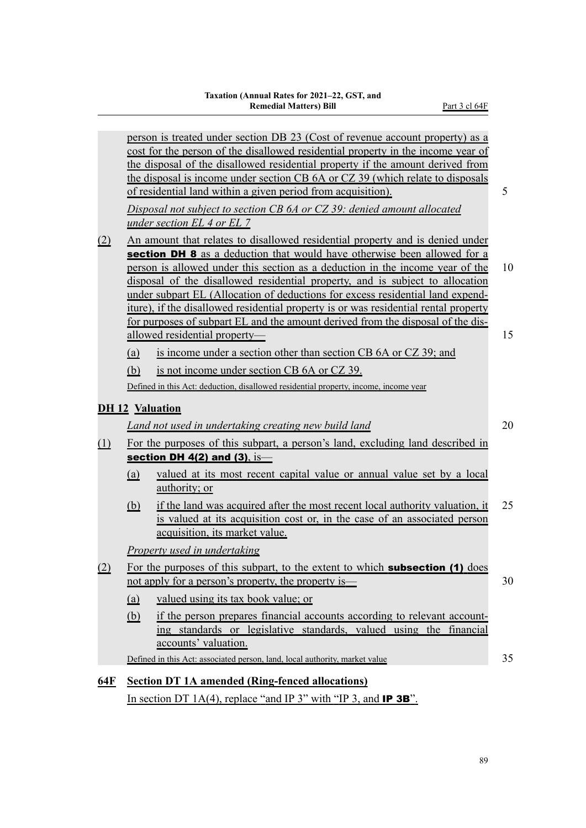|            |            | person is treated under section DB 23 (Cost of revenue account property) as a<br>cost for the person of the disallowed residential property in the income year of<br>the disposal of the disallowed residential property if the amount derived from<br>the disposal is income under section CB 6A or CZ 39 (which relate to disposals<br>of residential land within a given period from acquisition).<br>Disposal not subject to section CB 6A or CZ 39: denied amount allocated<br>under section EL 4 or EL 7                                                                                                            | 5        |
|------------|------------|---------------------------------------------------------------------------------------------------------------------------------------------------------------------------------------------------------------------------------------------------------------------------------------------------------------------------------------------------------------------------------------------------------------------------------------------------------------------------------------------------------------------------------------------------------------------------------------------------------------------------|----------|
| (2)        |            | An amount that relates to disallowed residential property and is denied under<br>section DH 8 as a deduction that would have otherwise been allowed for a<br>person is allowed under this section as a deduction in the income year of the<br>disposal of the disallowed residential property, and is subject to allocation<br>under subpart EL (Allocation of deductions for excess residential land expend-<br>iture), if the disallowed residential property is or was residential rental property<br>for purposes of subpart EL and the amount derived from the disposal of the dis-<br>allowed residential property- | 10<br>15 |
|            | (a)        | is income under a section other than section CB 6A or CZ 39; and                                                                                                                                                                                                                                                                                                                                                                                                                                                                                                                                                          |          |
|            | (b)        | is not income under section CB 6A or CZ 39.                                                                                                                                                                                                                                                                                                                                                                                                                                                                                                                                                                               |          |
|            |            | Defined in this Act: deduction, disallowed residential property, income, income year                                                                                                                                                                                                                                                                                                                                                                                                                                                                                                                                      |          |
|            |            |                                                                                                                                                                                                                                                                                                                                                                                                                                                                                                                                                                                                                           |          |
|            |            | <b>DH 12 Valuation</b>                                                                                                                                                                                                                                                                                                                                                                                                                                                                                                                                                                                                    |          |
|            |            | Land not used in undertaking creating new build land                                                                                                                                                                                                                                                                                                                                                                                                                                                                                                                                                                      | 20       |
| $\Omega$   |            | For the purposes of this subpart, a person's land, excluding land described in<br>section DH $4(2)$ and $(3)$ , is-                                                                                                                                                                                                                                                                                                                                                                                                                                                                                                       |          |
|            | (a)        | valued at its most recent capital value or annual value set by a local<br>authority; or                                                                                                                                                                                                                                                                                                                                                                                                                                                                                                                                   |          |
|            | <u>(b)</u> | if the land was acquired after the most recent local authority valuation, it<br>is valued at its acquisition cost or, in the case of an associated person<br>acquisition, its market value.                                                                                                                                                                                                                                                                                                                                                                                                                               | 25       |
|            |            | <b>Property used in undertaking</b>                                                                                                                                                                                                                                                                                                                                                                                                                                                                                                                                                                                       |          |
| (2)        |            | For the purposes of this subpart, to the extent to which <b>subsection (1)</b> does<br>not apply for a person's property, the property is—                                                                                                                                                                                                                                                                                                                                                                                                                                                                                | 30       |
|            | <u>(a)</u> | valued using its tax book value; or                                                                                                                                                                                                                                                                                                                                                                                                                                                                                                                                                                                       |          |
|            | (b)        | if the person prepares financial accounts according to relevant account-<br>ing standards or legislative standards, valued using the financial<br>accounts' valuation.                                                                                                                                                                                                                                                                                                                                                                                                                                                    |          |
|            |            | Defined in this Act: associated person, land, local authority, market value                                                                                                                                                                                                                                                                                                                                                                                                                                                                                                                                               | 35       |
|            |            |                                                                                                                                                                                                                                                                                                                                                                                                                                                                                                                                                                                                                           |          |
| <u>64F</u> |            | <b>Section DT 1A amended (Ring-fenced allocations)</b><br>In section DT 1A(4), replace "and IP 3" with "IP 3, and <b>IP 3B</b> ".                                                                                                                                                                                                                                                                                                                                                                                                                                                                                         |          |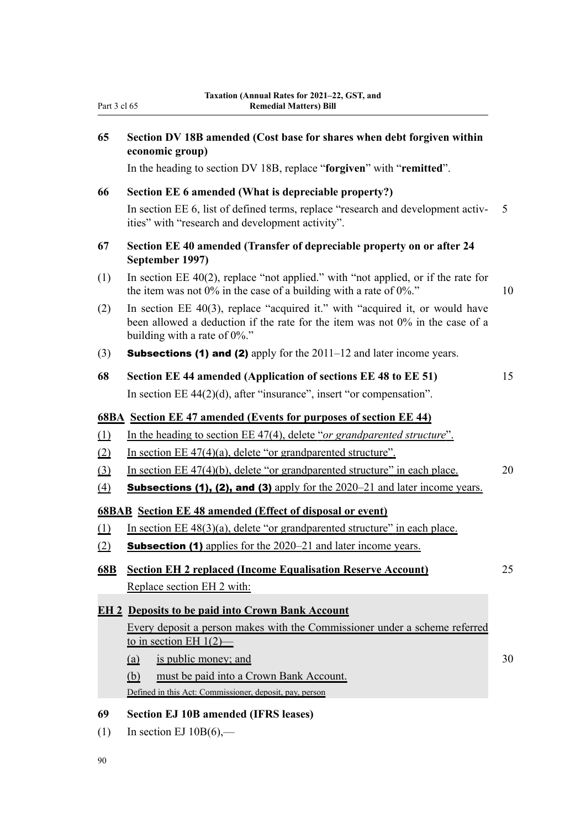**65 Section DV 18B amended (Cost base for shares when debt forgiven within**

**economic group)**

|                                            | In the heading to section DV 18B, replace "forgiven" with "remitted".                                                                                                                                                                               |                |
|--------------------------------------------|-----------------------------------------------------------------------------------------------------------------------------------------------------------------------------------------------------------------------------------------------------|----------------|
| 66                                         | Section EE 6 amended (What is depreciable property?)                                                                                                                                                                                                |                |
|                                            | In section EE 6, list of defined terms, replace "research and development activ-<br>ities" with "research and development activity".                                                                                                                | 5 <sup>5</sup> |
| 67                                         | Section EE 40 amended (Transfer of depreciable property on or after 24<br>September 1997)                                                                                                                                                           |                |
| (1)                                        | In section $EE$ 40(2), replace "not applied." with "not applied, or if the rate for<br>the item was not $0\%$ in the case of a building with a rate of $0\%$ ."                                                                                     | 10             |
| (2)                                        | In section EE $40(3)$ , replace "acquired it." with "acquired it, or would have<br>been allowed a deduction if the rate for the item was not 0% in the case of a<br>building with a rate of $0\%$ ."                                                |                |
| (3)                                        | <b>Subsections (1) and (2)</b> apply for the $2011-12$ and later income years.                                                                                                                                                                      |                |
| 68                                         | Section EE 44 amended (Application of sections EE 48 to EE 51)                                                                                                                                                                                      | 15             |
|                                            | In section EE $44(2)(d)$ , after "insurance", insert "or compensation".                                                                                                                                                                             |                |
|                                            | <b>68BA</b> Section EE 47 amended (Events for purposes of section EE 44)                                                                                                                                                                            |                |
| $\underline{\textbf{(1)}}$                 | In the heading to section EE 47(4), delete "or grandparented structure".                                                                                                                                                                            |                |
| (2)                                        | In section EE $47(4)(a)$ , delete "or grandparented structure".                                                                                                                                                                                     |                |
| $\left( \frac{3}{2} \right)$               | In section $EE$ 47(4)(b), delete "or grandparented structure" in each place.                                                                                                                                                                        | 20             |
| $\underline{(4)}$                          | <b>Subsections (1), (2), and (3)</b> apply for the $2020-21$ and later income years.                                                                                                                                                                |                |
|                                            | <b>68BAB</b> Section EE 48 amended (Effect of disposal or event)                                                                                                                                                                                    |                |
| $\underline{\textcircled{\scriptsize{1}}}$ | In section EE $48(3)(a)$ , delete "or grandparented structure" in each place.                                                                                                                                                                       |                |
| $\underline{\textcircled{2}}$              | <b>Subsection (1)</b> applies for the 2020–21 and later income years.                                                                                                                                                                               |                |
| <u>68B</u>                                 | <b>Section EH 2 replaced (Income Equalisation Reserve Account)</b>                                                                                                                                                                                  | 25             |
|                                            | Replace section EH 2 with:                                                                                                                                                                                                                          |                |
|                                            | <b>EH 2 Deposits to be paid into Crown Bank Account</b>                                                                                                                                                                                             |                |
|                                            | Every deposit a person makes with the Commissioner under a scheme referred<br>to in section EH $1(2)$ -<br>is public money; and<br>(a)<br>must be paid into a Crown Bank Account.<br>(b)<br>Defined in this Act: Commissioner, deposit, pay, person | 30             |
| 69<br>(1)<br>90                            | <b>Section EJ 10B amended (IFRS leases)</b><br>In section EJ $10B(6)$ ,—                                                                                                                                                                            |                |
|                                            |                                                                                                                                                                                                                                                     |                |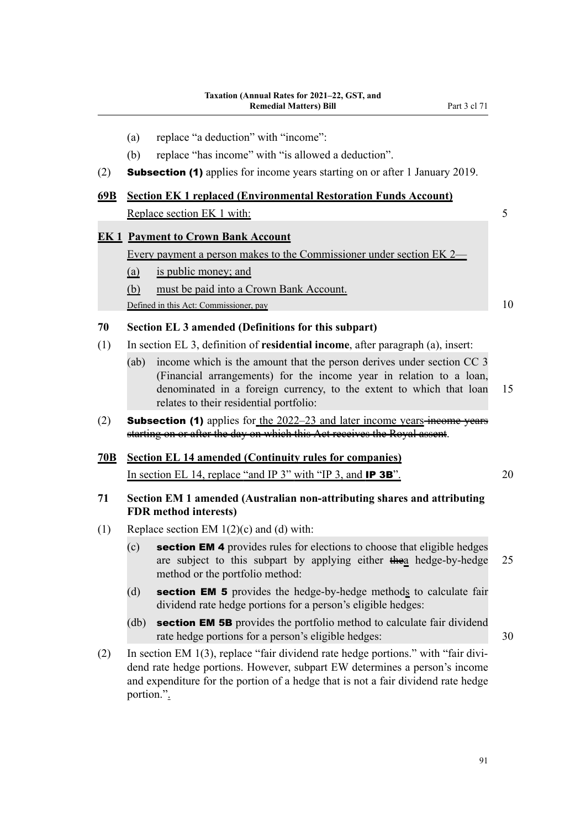- (a) replace "a deduction" with "income":
- (b) replace "has income" with "is allowed a deduction".
- (2) Subsection (1) applies for income years starting on or after 1 January 2019.

### **69B Section EK 1 replaced (Environmental Restoration Funds Account)** Replace section EK 1 with: 5

#### **EK 1 Payment to Crown Bank Account**

Every payment a person makes to the Commissioner under section EK 2—

- (a) is public money; and
- (b) must be paid into a Crown Bank Account.

Defined in this Act: Commissioner, pay 10

#### **70 Section EL 3 amended (Definitions for this subpart)**

- (1) In section EL 3, definition of **residential income**, after paragraph (a), insert:
	- (ab) income which is the amount that the person derives under section CC 3 (Financial arrangements) for the income year in relation to a loan, denominated in a foreign currency, to the extent to which that loan 15 relates to their residential portfolio:
- (2) **Subsection (1)** applies for the  $2022-23$  and later income years income years starting on or after the day on which this Act receives the Royal assent.

# **70B Section EL 14 amended (Continuity rules for companies)**

In section EL 14, replace "and IP 3" with "IP 3, and **IP 3B**".

#### **71 Section EM 1 amended (Australian non-attributing shares and attributing FDR method interests)**

- (1) Replace section EM  $1(2)(c)$  and (d) with:
	- (c) section EM 4 provides rules for elections to choose that eligible hedges are subject to this subpart by applying either the a hedge-by-hedge 25 method or the portfolio method:
	- (d) section EM 5 provides the hedge-by-hedge methods to calculate fair dividend rate hedge portions for a person's eligible hedges:
	- (db) **section EM 5B** provides the portfolio method to calculate fair dividend rate hedge portions for a person's eligible hedges: 30
- (2) In section EM 1(3), replace "fair dividend rate hedge portions." with "fair dividend rate hedge portions. However, subpart EW determines a person's income and expenditure for the portion of a hedge that is not a fair dividend rate hedge portion.".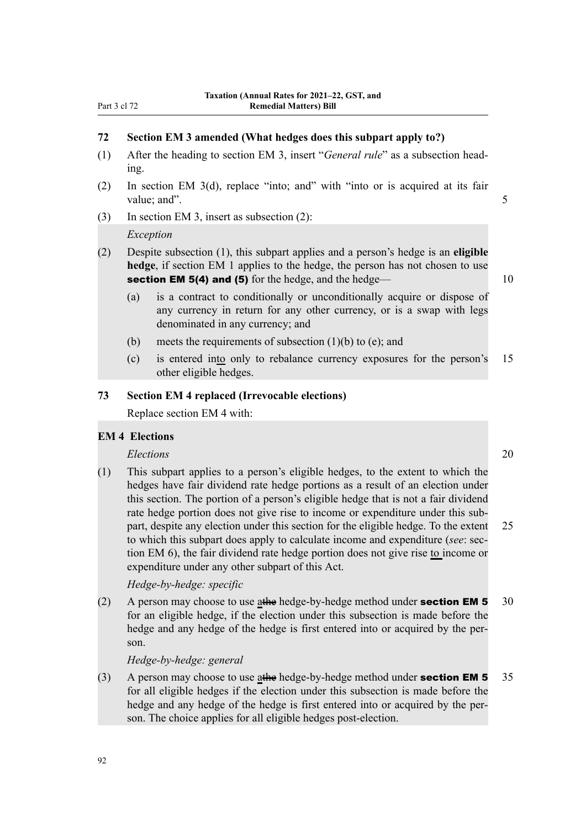#### **72 Section EM 3 amended (What hedges does this subpart apply to?)**

- (1) After the heading to section EM 3, insert "*General rule*" as a subsection head‐ ing.
- (2) In section EM 3(d), replace "into; and" with "into or is acquired at its fair value; and". 5
- (3) In section EM 3, insert as subsection (2):

#### *Exception*

- (2) Despite subsection (1), this subpart applies and a person's hedge is an **eligible hedge**, if section EM 1 applies to the hedge, the person has not chosen to use section EM 5(4) and (5) for the hedge, and the hedge— 10
	- (a) is a contract to conditionally or unconditionally acquire or dispose of any currency in return for any other currency, or is a swap with legs denominated in any currency; and
	- (b) meets the requirements of subsection  $(1)(b)$  to  $(e)$ ; and
	- (c) is entered into only to rebalance currency exposures for the person's 15 other eligible hedges.

#### **73 Section EM 4 replaced (Irrevocable elections)**

Replace section EM 4 with:

#### **EM 4 Elections**

#### *Elections* 20

(1) This subpart applies to a person's eligible hedges, to the extent to which the hedges have fair dividend rate hedge portions as a result of an election under this section. The portion of a person's eligible hedge that is not a fair dividend rate hedge portion does not give rise to income or expenditure under this subpart, despite any election under this section for the eligible hedge. To the extent 25 to which this subpart does apply to calculate income and expenditure (*see*: section EM 6), the fair dividend rate hedge portion does not give rise to income or expenditure under any other subpart of this Act.

*Hedge-by-hedge: specific*

(2) A person may choose to use at the hedge-by-hedge method under **section EM 5** 30 for an eligible hedge, if the election under this subsection is made before the hedge and any hedge of the hedge is first entered into or acquired by the person.

*Hedge-by-hedge: general*

(3) A person may choose to use at the hedge-by-hedge method under **section EM 5** 35 for all eligible hedges if the election under this subsection is made before the hedge and any hedge of the hedge is first entered into or acquired by the person. The choice applies for all eligible hedges post-election.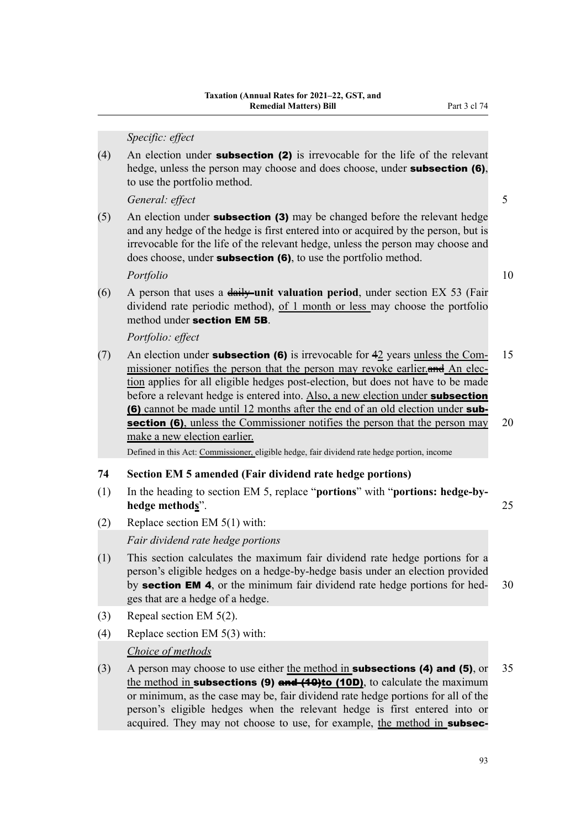*Specific: effect*

(4) An election under **subsection (2)** is irrevocable for the life of the relevant hedge, unless the person may choose and does choose, under **subsection (6)**, to use the portfolio method.

*General: effect* 5

(5) An election under **subsection (3)** may be changed before the relevant hedge and any hedge of the hedge is first entered into or acquired by the person, but is irrevocable for the life of the relevant hedge, unless the person may choose and does choose, under **subsection (6)**, to use the portfolio method.

*Portfolio* 10

(6) A person that uses a daily **unit valuation period**, under section EX 53 (Fair dividend rate periodic method), of 1 month or less may choose the portfolio method under section EM 5B.

*Portfolio: effect*

(7) An election under **subsection (6)** is irrevocable for  $42$  years unless the Com- 15 missioner notifies the person that the person may revoke earlier. and An election applies for all eligible hedges post-election, but does not have to be made before a relevant hedge is entered into. Also, a new election under **subsection** (6) cannot be made until 12 months after the end of an old election under sub**section (6)**, unless the Commissioner notifies the person that the person may 20 make a new election earlier.

Defined in this Act: Commissioner, eligible hedge, fair dividend rate hedge portion, income

#### **74 Section EM 5 amended (Fair dividend rate hedge portions)**

- (1) In the heading to section EM 5, replace "**portions**" with "**portions: hedge-byhedge methods**". 25
- (2) Replace section EM 5(1) with:

*Fair dividend rate hedge portions*

- (1) This section calculates the maximum fair dividend rate hedge portions for a person's eligible hedges on a hedge-by-hedge basis under an election provided by **section EM 4**, or the minimum fair dividend rate hedge portions for hed- $30$ ges that are a hedge of a hedge.
- (3) Repeal section EM 5(2).
- (4) Replace section EM 5(3) with:

*Choice of methods*

(3) A person may choose to use either the method in **subsections (4) and (5)**, or  $35$ the method in subsections (9) and  $(10D)$ , to calculate the maximum or minimum, as the case may be, fair dividend rate hedge portions for all of the person's eligible hedges when the relevant hedge is first entered into or acquired. They may not choose to use, for example, the method in **subsec-**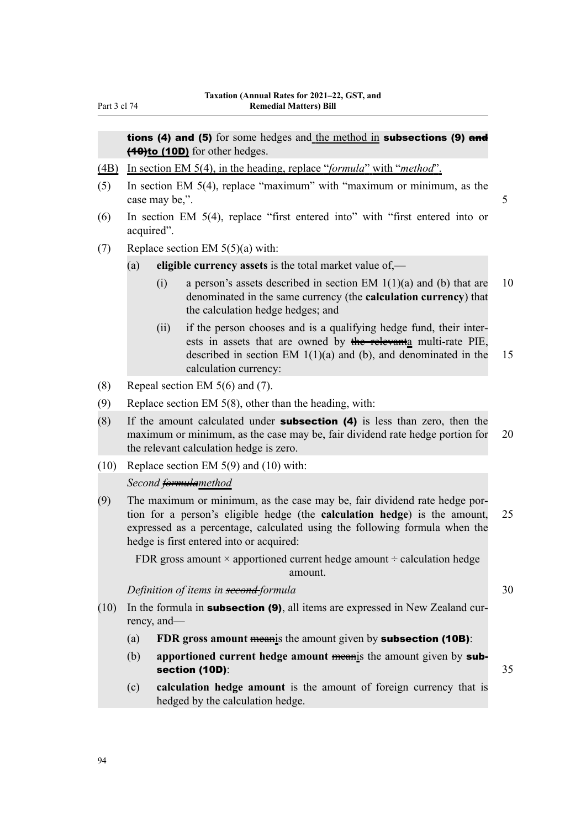tions (4) and (5) for some hedges and the method in subsections (9) and (40)to (10D) for other hedges.

- (4B) In section EM 5(4), in the heading, replace "*formula*" with "*method*".
- (5) In section EM 5(4), replace "maximum" with "maximum or minimum, as the case may be,". 5
- (6) In section EM 5(4), replace "first entered into" with "first entered into or acquired".
- (7) Replace section EM  $5(5)(a)$  with:
	- (a) **eligible currency assets** is the total market value of,—
		- (i) a person's assets described in section EM  $1(1)(a)$  and (b) that are 10 denominated in the same currency (the **calculation currency**) that the calculation hedge hedges; and
		- (ii) if the person chooses and is a qualifying hedge fund, their inter‐ ests in assets that are owned by the relevanta multi-rate PIE, described in section EM  $1(1)(a)$  and (b), and denominated in the 15 calculation currency:
- (8) Repeal section EM 5(6) and (7).
- (9) Replace section EM 5(8), other than the heading, with:
- $(8)$  If the amount calculated under **subsection (4)** is less than zero, then the maximum or minimum, as the case may be, fair dividend rate hedge portion for 20 the relevant calculation hedge is zero.
- (10) Replace section EM 5(9) and (10) with:

#### *Second formulamethod*

(9) The maximum or minimum, as the case may be, fair dividend rate hedge por‐ tion for a person's eligible hedge (the **calculation hedge**) is the amount, 25 expressed as a percentage, calculated using the following formula when the hedge is first entered into or acquired:

FDR gross amount  $\times$  apportioned current hedge amount  $\div$  calculation hedge amount.

*Definition of items in <del>second f</del>ormula* 30

- (10) In the formula in **subsection (9)**, all items are expressed in New Zealand currency, and—
	- (a) **FDR gross amount** meanis the amount given by subsection (10B):
	- (b) **apportioned current hedge amount** meanis the amount given by subsection (10D): 35

(c) **calculation hedge amount** is the amount of foreign currency that is hedged by the calculation hedge.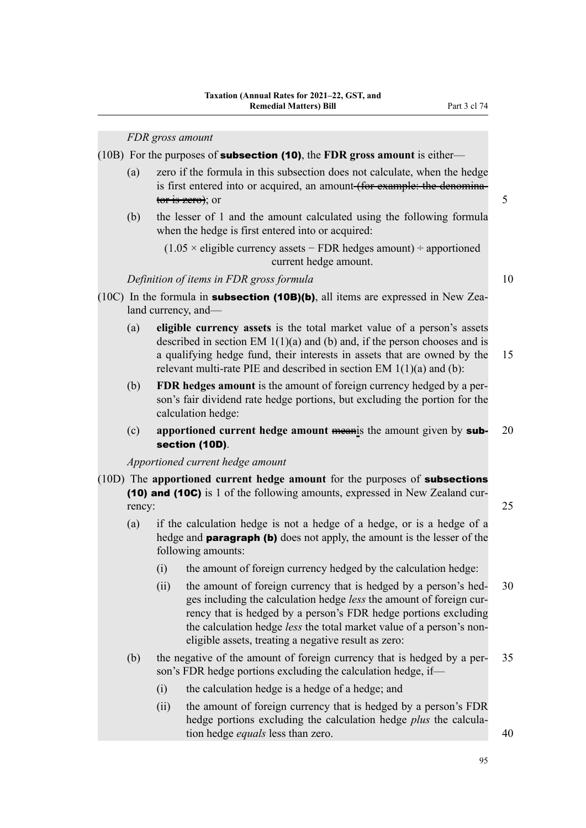(10B) For the purposes of subsection (10), the **FDR gross amount** is either—

- (a) zero if the formula in this subsection does not calculate, when the hedge is first entered into or acquired, an amount (for example: the denominator is zero); or  $5<sup>5</sup>$
- (b) the lesser of 1 and the amount calculated using the following formula when the hedge is first entered into or acquired:

 $(1.05 \times$  eligible currency assets – FDR hedges amount) ÷ apportioned current hedge amount.

#### *Definition of items in FDR gross formula* 10

- (10C) In the formula in **subsection (10B)(b)**, all items are expressed in New Zealand currency, and—
	- (a) **eligible currency assets** is the total market value of a person's assets described in section EM 1(1)(a) and (b) and, if the person chooses and is a qualifying hedge fund, their interests in assets that are owned by the 15 relevant multi-rate PIE and described in section EM 1(1)(a) and (b):
	- (b) **FDR hedges amount** is the amount of foreign currency hedged by a per‐ son's fair dividend rate hedge portions, but excluding the portion for the calculation hedge:
	- (c) **apportioned current hedge amount** meanis the amount given by sub- 20 section (10D).

*Apportioned current hedge amount*

- (10D) The **apportioned current hedge amount** for the purposes of subsections (10) and (10C) is 1 of the following amounts, expressed in New Zealand cur‐ rency: 25
	- (a) if the calculation hedge is not a hedge of a hedge, or is a hedge of a hedge and **paragraph (b)** does not apply, the amount is the lesser of the following amounts:
		- (i) the amount of foreign currency hedged by the calculation hedge:
		- (ii) the amount of foreign currency that is hedged by a person's hed- 30 ges including the calculation hedge *less* the amount of foreign currency that is hedged by a person's FDR hedge portions excluding the calculation hedge *less* the total market value of a person's noneligible assets, treating a negative result as zero:
	- (b) the negative of the amount of foreign currency that is hedged by a per‐ 35 son's FDR hedge portions excluding the calculation hedge, if—
		- (i) the calculation hedge is a hedge of a hedge; and
		- (ii) the amount of foreign currency that is hedged by a person's FDR hedge portions excluding the calculation hedge *plus* the calcula‐ tion hedge *equals* less than zero. 40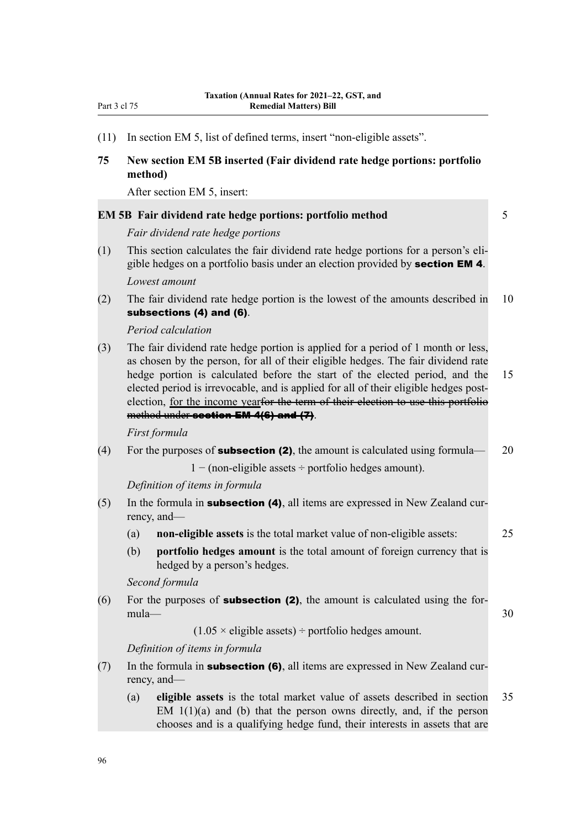(11) In section EM 5, list of defined terms, insert "non-eligible assets".

#### **75 New section EM 5B inserted (Fair dividend rate hedge portions: portfolio method)**

After section EM 5, insert:

|     | <b>EM 5B</b> Fair dividend rate hedge portions: portfolio method                                                                                                                                                                                                                                                                                                                                                                  | 5  |
|-----|-----------------------------------------------------------------------------------------------------------------------------------------------------------------------------------------------------------------------------------------------------------------------------------------------------------------------------------------------------------------------------------------------------------------------------------|----|
|     | Fair dividend rate hedge portions                                                                                                                                                                                                                                                                                                                                                                                                 |    |
| (1) | This section calculates the fair dividend rate hedge portions for a person's eli-<br>gible hedges on a portfolio basis under an election provided by section EM 4.<br>Lowest amount                                                                                                                                                                                                                                               |    |
| (2) | The fair dividend rate hedge portion is the lowest of the amounts described in<br>subsections (4) and (6).                                                                                                                                                                                                                                                                                                                        | 10 |
|     | Period calculation                                                                                                                                                                                                                                                                                                                                                                                                                |    |
| (3) | The fair dividend rate hedge portion is applied for a period of 1 month or less,<br>as chosen by the person, for all of their eligible hedges. The fair dividend rate<br>hedge portion is calculated before the start of the elected period, and the<br>elected period is irrevocable, and is applied for all of their eligible hedges post-<br>election, for the income yearfor the term of their election to use this portfolio | 15 |
|     | method under section EM 4(6) and (7).                                                                                                                                                                                                                                                                                                                                                                                             |    |
|     | First formula                                                                                                                                                                                                                                                                                                                                                                                                                     |    |
| (4) | For the purposes of <b>subsection (2)</b> , the amount is calculated using formula—                                                                                                                                                                                                                                                                                                                                               | 20 |
|     | $1 - (non-eligible assets \div portfolio hedges amount).$                                                                                                                                                                                                                                                                                                                                                                         |    |
|     | Definition of items in formula                                                                                                                                                                                                                                                                                                                                                                                                    |    |
| (5) | In the formula in <b>subsection (4)</b> , all items are expressed in New Zealand cur-<br>rency, and—                                                                                                                                                                                                                                                                                                                              |    |
|     | non-eligible assets is the total market value of non-eligible assets:<br>(a)                                                                                                                                                                                                                                                                                                                                                      | 25 |
|     | (b)<br>portfolio hedges amount is the total amount of foreign currency that is<br>hedged by a person's hedges.                                                                                                                                                                                                                                                                                                                    |    |
|     | Second formula                                                                                                                                                                                                                                                                                                                                                                                                                    |    |
| (6) | For the purposes of <b>subsection (2)</b> , the amount is calculated using the for-<br>$mula-$                                                                                                                                                                                                                                                                                                                                    | 30 |
|     | $(1.05 \times$ eligible assets) ÷ portfolio hedges amount.                                                                                                                                                                                                                                                                                                                                                                        |    |
|     | Definition of items in formula                                                                                                                                                                                                                                                                                                                                                                                                    |    |
| (7) | In the formula in <b>subsection (6)</b> , all items are expressed in New Zealand cur-<br>rency, and—                                                                                                                                                                                                                                                                                                                              |    |
|     | eligible assets is the total market value of assets described in section<br>(a)<br>EM $1(1)(a)$ and (b) that the person owns directly, and, if the person<br>chooses and is a qualifying hedge fund, their interests in assets that are                                                                                                                                                                                           | 35 |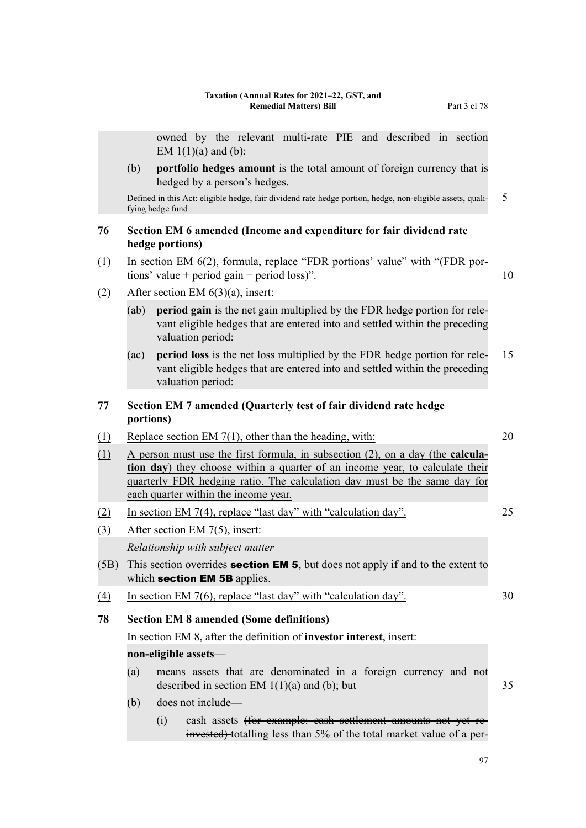|                            |           | owned by the relevant multi-rate PIE and described in section<br>EM $1(1)(a)$ and (b):                                                                                                                                                                                                         |    |
|----------------------------|-----------|------------------------------------------------------------------------------------------------------------------------------------------------------------------------------------------------------------------------------------------------------------------------------------------------|----|
|                            | (b)       | portfolio hedges amount is the total amount of foreign currency that is<br>hedged by a person's hedges.                                                                                                                                                                                        |    |
|                            |           | Defined in this Act: eligible hedge, fair dividend rate hedge portion, hedge, non-eligible assets, quali-<br>fying hedge fund                                                                                                                                                                  | 5  |
| 76                         |           | Section EM 6 amended (Income and expenditure for fair dividend rate<br>hedge portions)                                                                                                                                                                                                         |    |
| (1)                        |           | In section EM 6(2), formula, replace "FDR portions' value" with "(FDR por-<br>tions' value + period gain – period loss)".                                                                                                                                                                      | 10 |
| (2)                        |           | After section EM $6(3)(a)$ , insert:                                                                                                                                                                                                                                                           |    |
|                            | (ab)      | period gain is the net gain multiplied by the FDR hedge portion for rele-<br>vant eligible hedges that are entered into and settled within the preceding<br>valuation period:                                                                                                                  |    |
|                            | (ac)      | period loss is the net loss multiplied by the FDR hedge portion for rele-<br>vant eligible hedges that are entered into and settled within the preceding<br>valuation period:                                                                                                                  | 15 |
| 77                         | portions) | Section EM 7 amended (Quarterly test of fair dividend rate hedge                                                                                                                                                                                                                               |    |
| $\underline{\textbf{(1)}}$ |           | Replace section EM $7(1)$ , other than the heading, with:                                                                                                                                                                                                                                      | 20 |
| (1)                        |           | A person must use the first formula, in subsection $(2)$ , on a day (the <b>calcula</b> -<br>tion day) they choose within a quarter of an income year, to calculate their<br>quarterly FDR hedging ratio. The calculation day must be the same day for<br>each quarter within the income year. |    |
| (2)<br>(3)                 |           | In section EM 7(4), replace "last day" with "calculation day".<br>After section EM $7(5)$ , insert:                                                                                                                                                                                            | 25 |
|                            |           | Relationship with subject matter                                                                                                                                                                                                                                                               |    |
| (5B)                       |           | This section overrides <b>section EM 5</b> , but does not apply if and to the extent to<br>which section EM 5B applies.                                                                                                                                                                        |    |
| <u>(4)</u>                 |           | In section EM 7(6), replace "last day" with "calculation day".                                                                                                                                                                                                                                 | 30 |
| 78                         |           | <b>Section EM 8 amended (Some definitions)</b>                                                                                                                                                                                                                                                 |    |
|                            |           | In section EM 8, after the definition of <b>investor interest</b> , insert:                                                                                                                                                                                                                    |    |
|                            |           | non-eligible assets-                                                                                                                                                                                                                                                                           |    |
|                            | (a)       | means assets that are denominated in a foreign currency and not<br>described in section EM $1(1)(a)$ and (b); but                                                                                                                                                                              | 35 |
|                            | (b)       | does not include—                                                                                                                                                                                                                                                                              |    |
|                            |           | cash assets (for example: eash settlement amounts not yet re-<br>(i)<br>invested) totalling less than 5% of the total market value of a per-                                                                                                                                                   |    |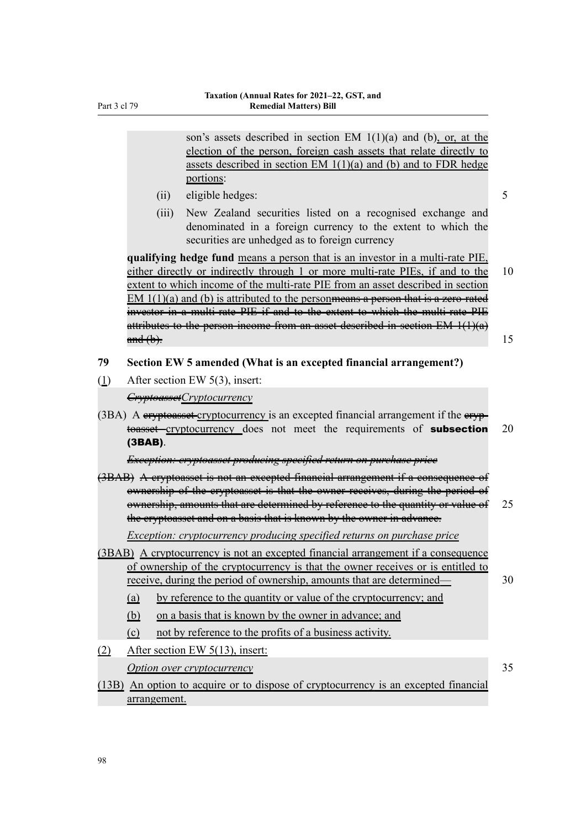son's assets described in section EM 1(1)(a) and (b), or, at the election of the person, foreign cash assets that relate directly to assets described in section EM 1(1)(a) and (b) and to FDR hedge portions:

- (ii) eligible hedges: 5
- (iii) New Zealand securities listed on a recognised exchange and denominated in a foreign currency to the extent to which the securities are unhedged as to foreign currency

**qualifying hedge fund** means a person that is an investor in a multi-rate PIE, either directly or indirectly through 1 or more multi-rate PIEs, if and to the 10 extent to which income of the multi-rate PIE from an asset described in section EM  $1(1)(a)$  and (b) is attributed to the person<del>means a person that is a zero-rated</del> investor in a multi-rate PIE if and to the extent to which the multi-rate PIE attributes to the person income from an asset described in section EM 1(1)(a)  $\frac{\text{and (b)}}{\text{and (b)}}$ . 15

- **79 Section EW 5 amended (What is an excepted financial arrangement?)**
- (1) After section EW 5(3), insert:

*CryptoassetCryptocurrency*

 $(3BA)$  A eryptoasset cryptocurrency is an excepted financial arrangement if the eryptoasset—cryptocurrency does not meet the requirements of **subsection** 20 (3BAB).

*Exception: cryptoasset producing specified return on purchase price*

(3BAB) A cryptoasset is not an excepted financial arrangement if a consequence of ownership of the cryptoasset is that the owner receives, during the period of ownership, amounts that are determined by reference to the quantity or value of 25 the cryptoasset and on a basis that is known by the owner in advance.

*Exception: cryptocurrency producing specified returns on purchase price*

- (3BAB) A cryptocurrency is not an excepted financial arrangement if a consequence of ownership of the cryptocurrency is that the owner receives or is entitled to receive, during the period of ownership, amounts that are determined— 30
	- (a) by reference to the quantity or value of the cryptocurrency; and
	- (b) on a basis that is known by the owner in advance; and
	- (c) not by reference to the profits of a business activity.

(2) After section EW 5(13), insert:

*Option over cryptocurrency* 35

(13B) An option to acquire or to dispose of cryptocurrency is an excepted financial arrangement.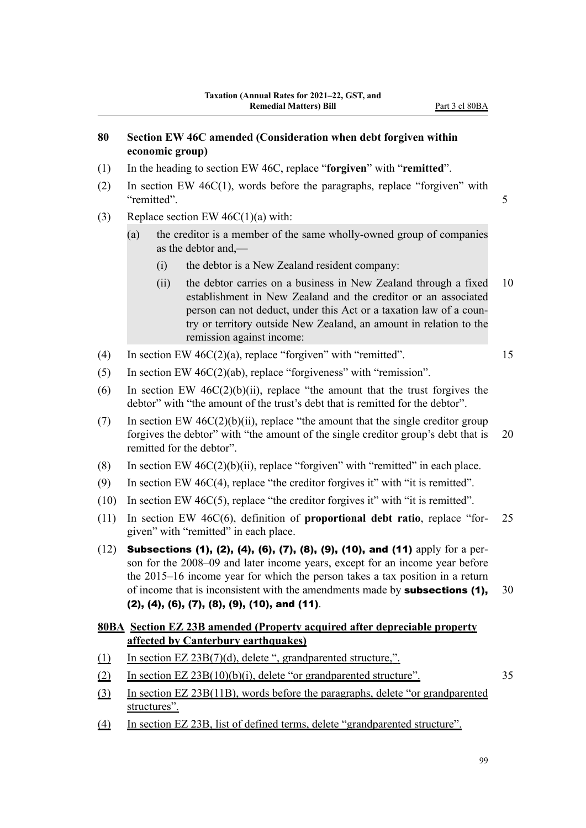#### **80 Section EW 46C amended (Consideration when debt forgiven within economic group)**

- (1) In the heading to section EW 46C, replace "**forgiven**" with "**remitted**".
- (2) In section EW 46C(1), words before the paragraphs, replace "forgiven" with "remitted". 5
- (3) Replace section EW  $46C(1)(a)$  with:
	- (a) the creditor is a member of the same wholly-owned group of companies as the debtor and,—
		- (i) the debtor is a New Zealand resident company:
		- (ii) the debtor carries on a business in New Zealand through a fixed 10 establishment in New Zealand and the creditor or an associated person can not deduct, under this Act or a taxation law of a coun‐ try or territory outside New Zealand, an amount in relation to the remission against income:
- (4) In section EW  $46C(2)(a)$ , replace "forgiven" with "remitted". 15
- (5) In section EW 46C(2)(ab), replace "forgiveness" with "remission".
- (6) In section EW  $46C(2)(b)(ii)$ , replace "the amount that the trust forgives the debtor" with "the amount of the trust's debt that is remitted for the debtor".
- (7) In section EW  $46C(2)(b)(ii)$ , replace "the amount that the single creditor group forgives the debtor" with "the amount of the single creditor group's debt that is 20 remitted for the debtor".
- (8) In section EW  $46C(2)(b)(ii)$ , replace "forgiven" with "remitted" in each place.
- (9) In section EW 46C(4), replace "the creditor forgives it" with "it is remitted".
- (10) In section EW 46C(5), replace "the creditor forgives it" with "it is remitted".
- (11) In section EW 46C(6), definition of **proportional debt ratio**, replace "for‐ 25 given" with "remitted" in each place.
- (12) Subsections (1), (2), (4), (6), (7), (8), (9), (10), and (11) apply for a per‐ son for the 2008–09 and later income years, except for an income year before the 2015–16 income year for which the person takes a tax position in a return of income that is inconsistent with the amendments made by **subsections (1),** 30 (2), (4), (6), (7), (8), (9), (10), and (11).

#### **80BA Section EZ 23B amended (Property acquired after depreciable property affected by Canterbury earthquakes)**

- (1) In section EZ 23B(7)(d), delete ", grandparented structure,".
- (2) In section  $EZ 23B(10)(b)(i)$ , delete "or grandparented structure".  $35$
- (3) In section EZ 23B(11B), words before the paragraphs, delete "or grandparented structures".
- (4) In section EZ 23B, list of defined terms, delete "grandparented structure".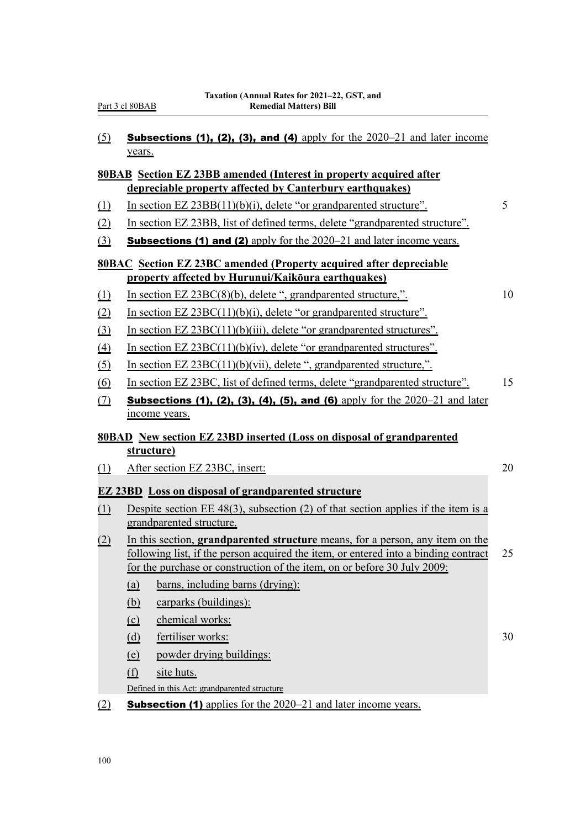| (5) | <b>Subsections (1), (2), (3), and (4)</b> apply for the $2020-21$ and later income |  |  |  |  |  |  |
|-----|------------------------------------------------------------------------------------|--|--|--|--|--|--|
|     | vears.                                                                             |  |  |  |  |  |  |

#### **80BAB Section EZ 23BB amended (Interest in property acquired after depreciable property affected by Canterbury earthquakes)**

- (1) In section EZ 23BB(11)(b)(i), delete "or grandparented structure". 5
- (2) In section EZ 23BB, list of defined terms, delete "grandparented structure".
- (3) **Subsections (1) and (2)** apply for the  $2020-21$  and later income years.

#### **80BAC Section EZ 23BC amended (Property acquired after depreciable property affected by Hurunui/Kaikōura earthquakes)**

(1) In section EZ 23BC(8)(b), delete ", grandparented structure,". 10

- (2) In section EZ 23BC(11)(b)(i), delete "or grandparented structure".
- (3) In section EZ 23BC(11)(b)(iii), delete "or grandparented structures".
- (4) In section EZ 23BC(11)(b)(iv), delete "or grandparented structures".
- (5) In section EZ 23BC(11)(b)(vii), delete ", grandparented structure,".
- (6) In section EZ 23BC, list of defined terms, delete "grandparented structure". 15
- (7) Subsections (1), (2), (3), (4), (5), and (6) apply for the  $2020-21$  and later income years.

#### **80BAD New section EZ 23BD inserted (Loss on disposal of grandparented structure)**

(1) After section EZ 23BC, insert: 20

#### **EZ 23BD Loss on disposal of grandparented structure**

- (1) Despite section EE 48(3), subsection (2) of that section applies if the item is a grandparented structure.
- (2) In this section, **grandparented structure** means, for a person, any item on the following list, if the person acquired the item, or entered into a binding contract 25 for the purchase or construction of the item, on or before 30 July 2009:
	- (a) barns, including barns (drying):
	- (b) carparks (buildings):
	- (c) chemical works:
	- (d) fertiliser works: 30
	- (e) powder drying buildings:
	- (f) site huts.
	- Defined in this Act: grandparented structure
- (2) **Subsection (1)** applies for the  $2020-21$  and later income years.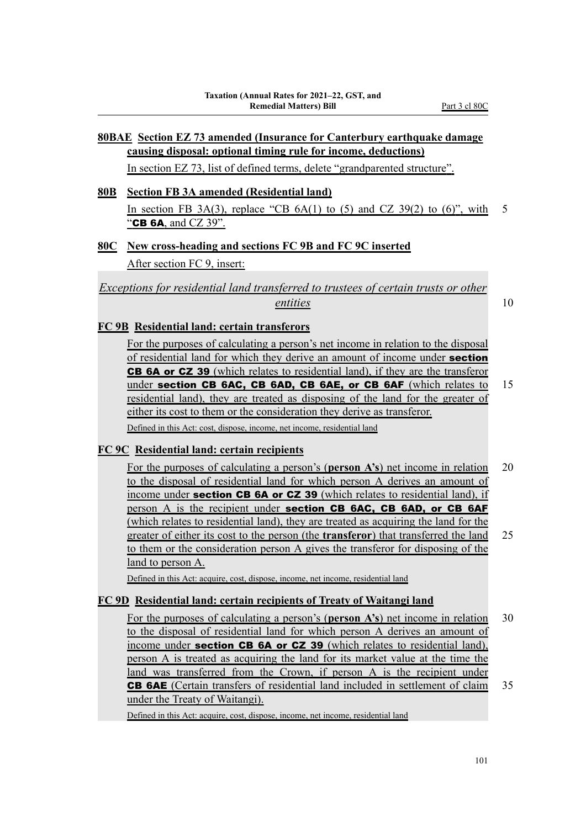## **80BAE Section EZ 73 amended (Insurance for Canterbury earthquake damage causing disposal: optional timing rule for income, deductions)**

In section EZ 73, list of defined terms, delete "grandparented structure".

## **80B Section FB 3A amended (Residential land)** In section FB  $3A(3)$ , replace "CB  $6A(1)$  to (5) and CZ  $39(2)$  to (6)", with 5

"CB 6A, and CZ 39".

#### **80C New cross-heading and sections FC 9B and FC 9C inserted**

After section FC 9, insert:

*Exceptions for residential land transferred to trustees of certain trusts or other entities* 10

#### **FC 9B Residential land: certain transferors**

For the purposes of calculating a person's net income in relation to the disposal of residential land for which they derive an amount of income under **section** CB 6A or CZ 39 (which relates to residential land), if they are the transferor under section CB 6AC, CB 6AD, CB 6AE, or CB 6AF (which relates to 15 residential land), they are treated as disposing of the land for the greater of either its cost to them or the consideration they derive as transferor. Defined in this Act: cost, dispose, income, net income, residential land

#### **FC 9C Residential land: certain recipients**

For the purposes of calculating a person's (**person A's**) net income in relation 20 to the disposal of residential land for which person A derives an amount of income under **section CB 6A or CZ 39** (which relates to residential land), if person A is the recipient under section CB 6AC, CB 6AD, or CB 6AF (which relates to residential land), they are treated as acquiring the land for the greater of either its cost to the person (the **transferor**) that transferred the land 25 to them or the consideration person A gives the transferor for disposing of the land to person A.

Defined in this Act: acquire, cost, dispose, income, net income, residential land

#### **FC 9D Residential land: certain recipients of Treaty of Waitangi land**

For the purposes of calculating a person's (**person A's**) net income in relation 30 to the disposal of residential land for which person A derives an amount of income under **section CB 6A or CZ 39** (which relates to residential land), person A is treated as acquiring the land for its market value at the time the land was transferred from the Crown, if person A is the recipient under CB 6AE (Certain transfers of residential land included in settlement of claim 35 under the Treaty of Waitangi).

Defined in this Act: acquire, cost, dispose, income, net income, residential land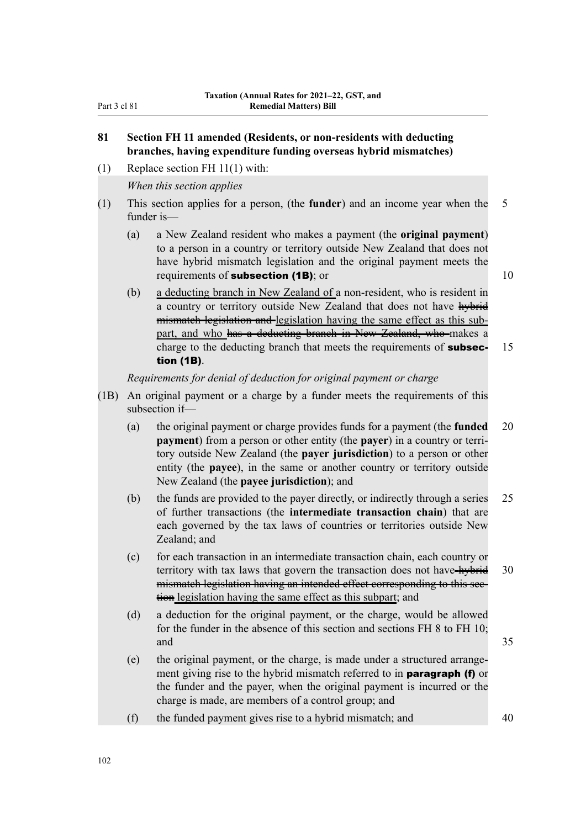### **81 Section FH 11 amended (Residents, or non-residents with deducting branches, having expenditure funding overseas hybrid mismatches)**

(1) Replace section FH 11(1) with:

*When this section applies*

- (1) This section applies for a person, (the **funder**) and an income year when the 5 funder is—
	- (a) a New Zealand resident who makes a payment (the **original payment**) to a person in a country or territory outside New Zealand that does not have hybrid mismatch legislation and the original payment meets the requirements of **subsection (1B)**; or  $10$

(b) a deducting branch in New Zealand of a non-resident, who is resident in a country or territory outside New Zealand that does not have hybrid mismatch legislation and legislation having the same effect as this subpart, and who has a deducting branch in New Zealand, who makes a charge to the deducting branch that meets the requirements of **subsec-** 15 tion (1B).

*Requirements for denial of deduction for original payment or charge*

- (1B) An original payment or a charge by a funder meets the requirements of this subsection if—
	- (a) the original payment or charge provides funds for a payment (the **funded** 20 **payment**) from a person or other entity (the **payer**) in a country or territory outside New Zealand (the **payer jurisdiction**) to a person or other entity (the **payee**), in the same or another country or territory outside New Zealand (the **payee jurisdiction**); and
	- (b) the funds are provided to the payer directly, or indirectly through a series 25 of further transactions (the **intermediate transaction chain**) that are each governed by the tax laws of countries or territories outside New Zealand; and
	- (c) for each transaction in an intermediate transaction chain, each country or territory with tax laws that govern the transaction does not have-hybrid 30 mismatch legislation having an intended effect corresponding to this section legislation having the same effect as this subpart; and
	- (d) a deduction for the original payment, or the charge, would be allowed for the funder in the absence of this section and sections FH 8 to FH 10; and  $35$
	- (e) the original payment, or the charge, is made under a structured arrange‐ ment giving rise to the hybrid mismatch referred to in **paragraph (f)** or the funder and the payer, when the original payment is incurred or the charge is made, are members of a control group; and
	- (f) the funded payment gives rise to a hybrid mismatch; and 40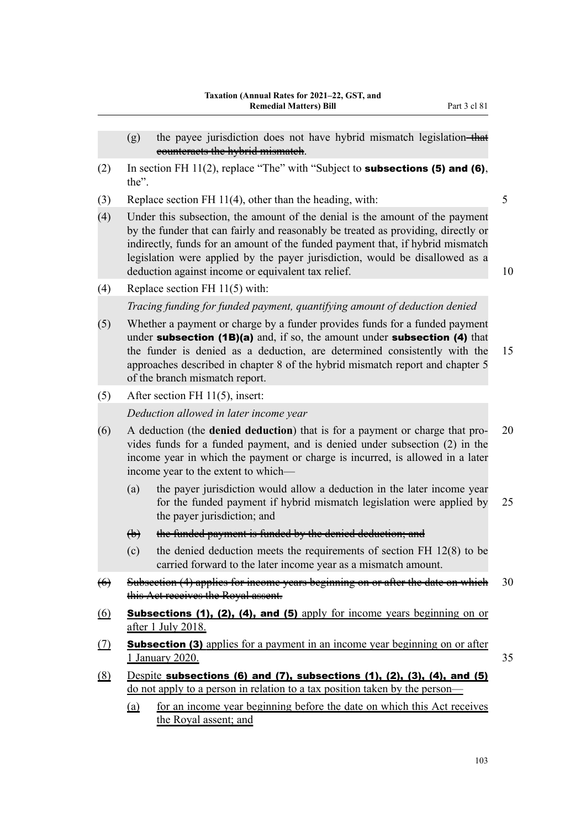- (g) the payee jurisdiction does not have hybrid mismatch legislation-that counteracts the hybrid mismatch.
- (2) In section FH 11(2), replace "The" with "Subject to **subsections (5) and (6)**, the".
- (3) Replace section FH 11(4), other than the heading, with: 5
- (4) Under this subsection, the amount of the denial is the amount of the payment by the funder that can fairly and reasonably be treated as providing, directly or indirectly, funds for an amount of the funded payment that, if hybrid mismatch legislation were applied by the payer jurisdiction, would be disallowed as a deduction against income or equivalent tax relief. 10

(4) Replace section FH 11(5) with:

*Tracing funding for funded payment, quantifying amount of deduction denied*

- (5) Whether a payment or charge by a funder provides funds for a funded payment under subsection (1B)(a) and, if so, the amount under subsection (4) that the funder is denied as a deduction, are determined consistently with the 15 approaches described in chapter 8 of the hybrid mismatch report and chapter 5 of the branch mismatch report.
- (5) After section FH 11(5), insert:

*Deduction allowed in later income year*

- (6) A deduction (the **denied deduction**) that is for a payment or charge that pro‐ 20 vides funds for a funded payment, and is denied under subsection (2) in the income year in which the payment or charge is incurred, is allowed in a later income year to the extent to which—
	- (a) the payer jurisdiction would allow a deduction in the later income year for the funded payment if hybrid mismatch legislation were applied by 25 the payer jurisdiction; and
	- (b) the funded payment is funded by the denied deduction; and
	- (c) the denied deduction meets the requirements of section FH 12(8) to be carried forward to the later income year as a mismatch amount.
- $(6)$  Subsection (4) applies for income years beginning on or after the date on which  $30$ this Act receives the Royal assent.
- $(6)$  Subsections (1), (2), (4), and (5) apply for income years beginning on or after 1 July 2018.
- (7) Subsection (3) applies for a payment in an income year beginning on or after 1 January 2020. 35
- $(8)$  Despite subsections  $(6)$  and  $(7)$ , subsections  $(1)$ ,  $(2)$ ,  $(3)$ ,  $(4)$ , and  $(5)$ do not apply to a person in relation to a tax position taken by the person—
	- (a) for an income year beginning before the date on which this Act receives the Royal assent; and

103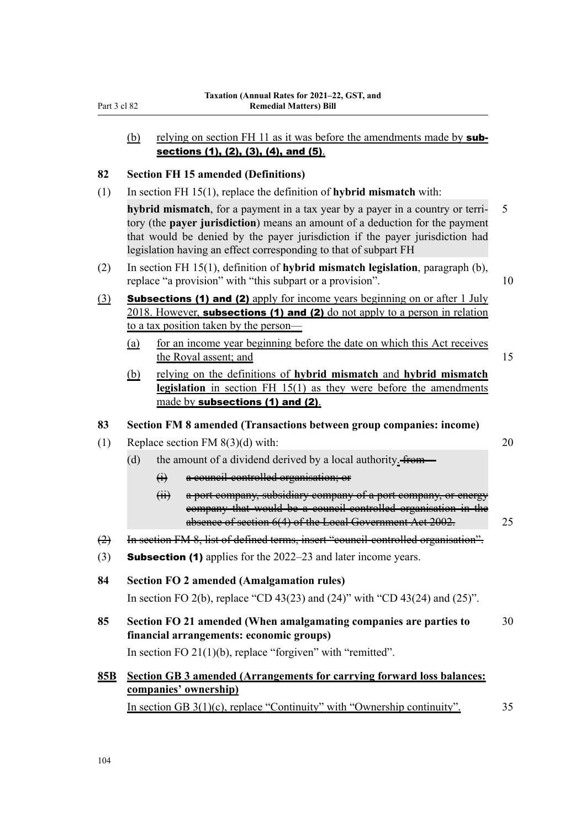#### (b) relying on section FH 11 as it was before the amendments made by  $sub$ sections (1), (2), (3), (4), and (5).

#### **82 Section FH 15 amended (Definitions)**

(1) In section FH 15(1), replace the definition of **hybrid mismatch** with:

**hybrid mismatch**, for a payment in a tax year by a payer in a country or terri- 5 tory (the **payer jurisdiction**) means an amount of a deduction for the payment that would be denied by the payer jurisdiction if the payer jurisdiction had legislation having an effect corresponding to that of subpart FH

- (2) In section FH 15(1), definition of **hybrid mismatch legislation**, paragraph (b), replace "a provision" with "this subpart or a provision". 10
- (3) **Subsections (1) and (2)** apply for income years beginning on or after 1 July 2018. However, subsections (1) and (2) do not apply to a person in relation to a tax position taken by the person—
	- (a) for an income year beginning before the date on which this Act receives the Royal assent; and 15
	- (b) relying on the definitions of **hybrid mismatch** and **hybrid mismatch legislation** in section FH 15(1) as they were before the amendments made by subsections (1) and (2).

#### **83 Section FM 8 amended (Transactions between group companies: income)**

- (1) Replace section FM  $8(3)(d)$  with: 20
	- (d) the amount of a dividend derived by a local authority.  $f$ rom—
		- (i) a council-controlled organisation; or
		- (ii) a port company, subsidiary company of a port company, or energy company that would be a council-controlled organisation in the absence of section 6(4) of the Local Government Act 2002. 25
- (2) In section FM 8, list of defined terms, insert "council-controlled organisation".
- (3) **Subsection (1)** applies for the  $2022-23$  and later income years.
- **84 Section FO 2 amended (Amalgamation rules)** In section FO 2(b), replace "CD 43(23) and (24)" with "CD 43(24) and (25)".
- **85 Section FO 21 amended (When amalgamating companies are parties to** 30 **financial arrangements: economic groups)**

In section FO  $21(1)(b)$ , replace "forgiven" with "remitted".

## **85B Section GB 3 amended (Arrangements for carrying forward loss balances: companies' ownership)**

In section GB  $3(1)(c)$ , replace "Continuity" with "Ownership continuity".  $35$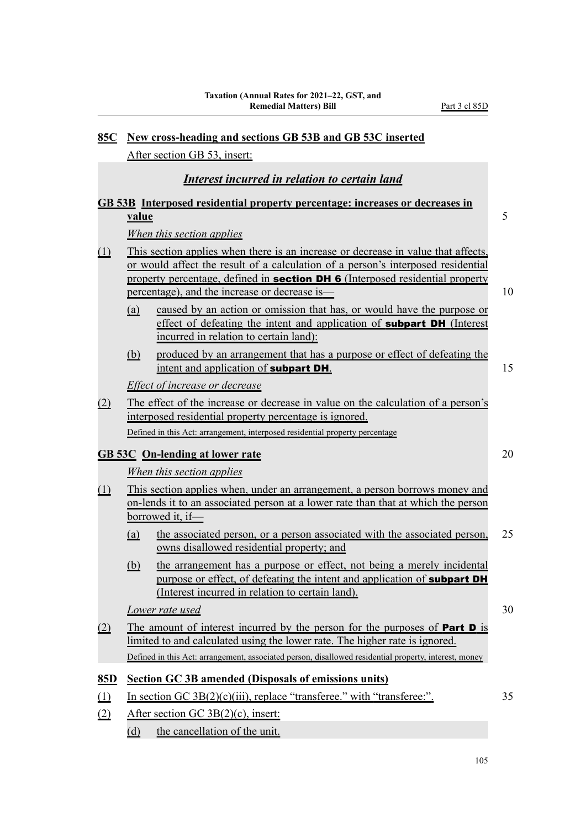| <u>85C</u>                            | New cross-heading and sections GB 53B and GB 53C inserted |                                                                                                                                                                                                                                                                                                                |    |  |  |  |
|---------------------------------------|-----------------------------------------------------------|----------------------------------------------------------------------------------------------------------------------------------------------------------------------------------------------------------------------------------------------------------------------------------------------------------------|----|--|--|--|
|                                       |                                                           | After section GB 53, insert:                                                                                                                                                                                                                                                                                   |    |  |  |  |
|                                       |                                                           | Interest incurred in relation to certain land                                                                                                                                                                                                                                                                  |    |  |  |  |
|                                       |                                                           | <b>GB 53B</b> Interposed residential property percentage: increases or decreases in                                                                                                                                                                                                                            |    |  |  |  |
|                                       | <u>value</u>                                              |                                                                                                                                                                                                                                                                                                                | 5  |  |  |  |
|                                       |                                                           | When this section applies                                                                                                                                                                                                                                                                                      |    |  |  |  |
| $\underline{\textcircled{\small{1}}}$ |                                                           | This section applies when there is an increase or decrease in value that affects,<br>or would affect the result of a calculation of a person's interposed residential<br>property percentage, defined in <b>section DH 6</b> (Interposed residential property<br>percentage), and the increase or decrease is- | 10 |  |  |  |
|                                       | (a)                                                       | caused by an action or omission that has, or would have the purpose or<br>effect of defeating the intent and application of <b>subpart DH</b> (Interest<br>incurred in relation to certain land):                                                                                                              |    |  |  |  |
|                                       | <u>(b)</u>                                                | produced by an arrangement that has a purpose or effect of defeating the<br>intent and application of <b>subpart DH</b> .                                                                                                                                                                                      | 15 |  |  |  |
|                                       |                                                           | Effect of increase or decrease                                                                                                                                                                                                                                                                                 |    |  |  |  |
| (2)                                   |                                                           | The effect of the increase or decrease in value on the calculation of a person's<br>interposed residential property percentage is ignored.                                                                                                                                                                     |    |  |  |  |
|                                       |                                                           | Defined in this Act: arrangement, interposed residential property percentage                                                                                                                                                                                                                                   |    |  |  |  |
|                                       |                                                           | <b>GB 53C</b> On-lending at lower rate                                                                                                                                                                                                                                                                         | 20 |  |  |  |
|                                       |                                                           | When this section applies                                                                                                                                                                                                                                                                                      |    |  |  |  |
| (1)                                   |                                                           | This section applies when, under an arrangement, a person borrows money and<br>on-lends it to an associated person at a lower rate than that at which the person<br>borrowed it, if-                                                                                                                           |    |  |  |  |
|                                       | (a)                                                       | the associated person, or a person associated with the associated person,<br>owns disallowed residential property; and                                                                                                                                                                                         | 25 |  |  |  |
|                                       | (b)                                                       | the arrangement has a purpose or effect, not being a merely incidental<br>purpose or effect, of defeating the intent and application of <b>subpart DH</b><br>(Interest incurred in relation to certain land).                                                                                                  |    |  |  |  |
|                                       |                                                           | Lower rate used                                                                                                                                                                                                                                                                                                | 30 |  |  |  |
| <u>(2)</u>                            |                                                           | The amount of interest incurred by the person for the purposes of <b>Part D</b> is<br>limited to and calculated using the lower rate. The higher rate is ignored.<br>Defined in this Act: arrangement, associated person, disallowed residential property, interest, money                                     |    |  |  |  |
|                                       |                                                           |                                                                                                                                                                                                                                                                                                                |    |  |  |  |
| <u>85D</u>                            |                                                           | <b>Section GC 3B amended (Disposals of emissions units)</b><br>In section GC $3B(2)(c)(iii)$ , replace "transferee." with "transferee:".                                                                                                                                                                       | 35 |  |  |  |
| <u>(1)</u><br><u>(2)</u>              |                                                           | After section GC $3B(2)(c)$ , insert:                                                                                                                                                                                                                                                                          |    |  |  |  |
|                                       |                                                           |                                                                                                                                                                                                                                                                                                                |    |  |  |  |

(d) the cancellation of the unit.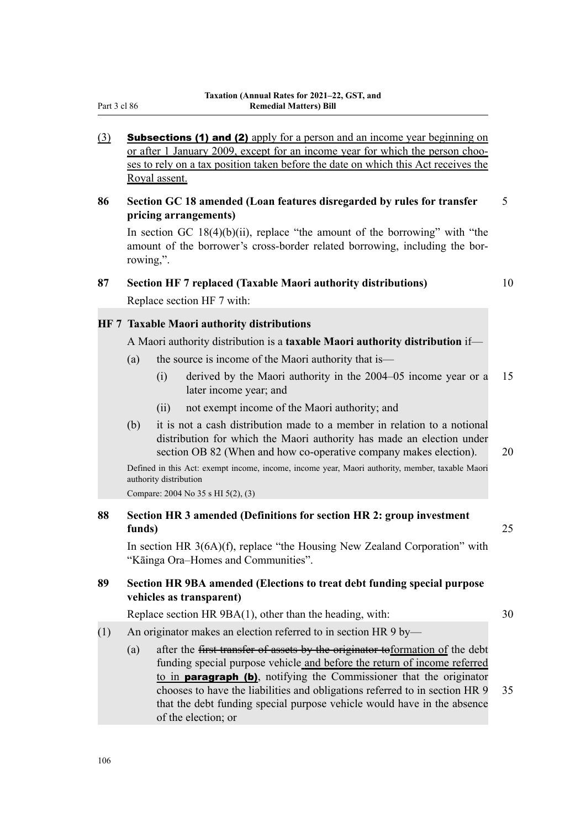- (3) **Subsections (1) and (2)** apply for a person and an income year beginning on or after 1 January 2009, except for an income year for which the person chooses to rely on a tax position taken before the date on which this Act receives the Royal assent.
- **86 Section GC 18 amended (Loan features disregarded by rules for transfer** 5 **pricing arrangements)**

In section GC 18(4)(b)(ii), replace "the amount of the borrowing" with "the amount of the borrower's cross-border related borrowing, including the bor‐ rowing,".

#### **87 Section HF 7 replaced (Taxable Maori authority distributions)** 10

Replace section HF 7 with:

#### **HF 7 Taxable Maori authority distributions**

A Maori authority distribution is a **taxable Maori authority distribution** if—

- (a) the source is income of the Maori authority that is—
	- (i) derived by the Maori authority in the 2004–05 income year or a 15 later income year; and
	- (ii) not exempt income of the Maori authority; and
- (b) it is not a cash distribution made to a member in relation to a notional distribution for which the Maori authority has made an election under section OB 82 (When and how co-operative company makes election). 20

Defined in this Act: exempt income, income, income year, Maori authority, member, taxable Maori authority distribution

Compare: 2004 No 35 s HI 5(2), (3)

#### **88 Section HR 3 amended (Definitions for section HR 2: group investment funds)** 25

In section HR 3(6A)(f), replace "the Housing New Zealand Corporation" with "Kāinga Ora–Homes and Communities".

### **89 Section HR 9BA amended (Elections to treat debt funding special purpose vehicles as transparent)**

Replace section HR 9BA(1), other than the heading, with: 30

- (1) An originator makes an election referred to in section HR 9 by—
	- (a) after the  $f$ <del>irst transfer of assets by the originator to</del> formation of the debt funding special purpose vehicle and before the return of income referred to in paragraph (b), notifying the Commissioner that the originator chooses to have the liabilities and obligations referred to in section HR 9 35 that the debt funding special purpose vehicle would have in the absence of the election; or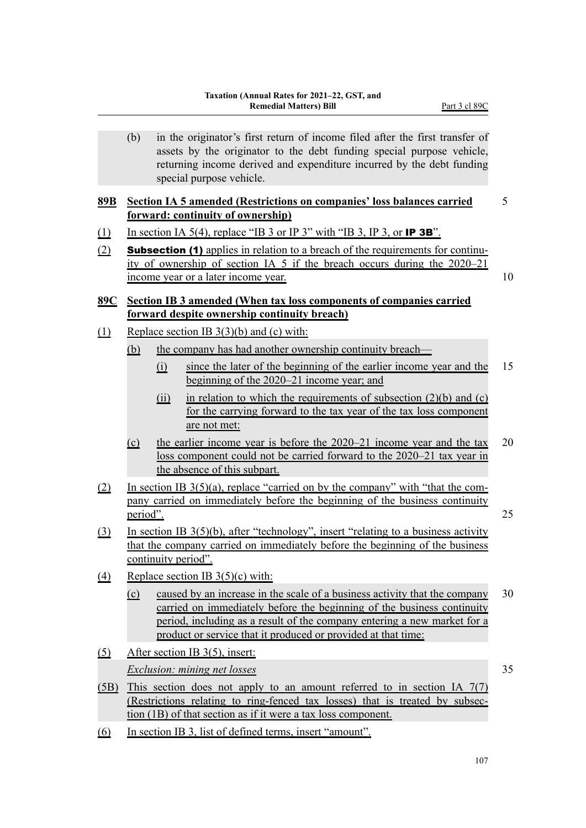(b) in the originator's first return of income filed after the first transfer of assets by the originator to the debt funding special purpose vehicle, returning income derived and expenditure incurred by the debt funding special purpose vehicle.

#### **89B Section IA 5 amended (Restrictions on companies' loss balances carried** 5 **forward: continuity of ownership)**

- (1) In section IA 5(4), replace "IB 3 or IP 3" with "IB 3, IP 3, or IP 3B".
- (2) **Subsection (1)** applies in relation to a breach of the requirements for continuity of ownership of section IA 5 if the breach occurs during the 2020–21 income year or a later income year. 10

#### **89C Section IB 3 amended (When tax loss components of companies carried forward despite ownership continuity breach)**

- (1) Replace section IB  $3(3)(b)$  and (c) with:
	- (b) the company has had another ownership continuity breach—
		- (i) since the later of the beginning of the earlier income year and the 15 beginning of the 2020–21 income year; and
		- (ii) in relation to which the requirements of subsection  $(2)(b)$  and  $(c)$ for the carrying forward to the tax year of the tax loss component are not met:
	- (c) the earlier income year is before the 2020–21 income year and the tax 20 loss component could not be carried forward to the 2020–21 tax year in the absence of this subpart.
- (2) In section IB  $3(5)(a)$ , replace "carried on by the company" with "that the company carried on immediately before the beginning of the business continuity period". 25
- (3) In section IB 3(5)(b), after "technology", insert "relating to a business activity that the company carried on immediately before the beginning of the business continuity period".
- (4) Replace section IB  $3(5)(c)$  with:
	- (c) caused by an increase in the scale of a business activity that the company 30 carried on immediately before the beginning of the business continuity period, including as a result of the company entering a new market for a product or service that it produced or provided at that time:
- (5) After section IB 3(5), insert: *Exclusion: mining net losses* 35
- (5B) This section does not apply to an amount referred to in section IA 7(7) (Restrictions relating to ring-fenced tax losses) that is treated by subsec‐ tion (1B) of that section as if it were a tax loss component.
- (6) In section IB 3, list of defined terms, insert "amount".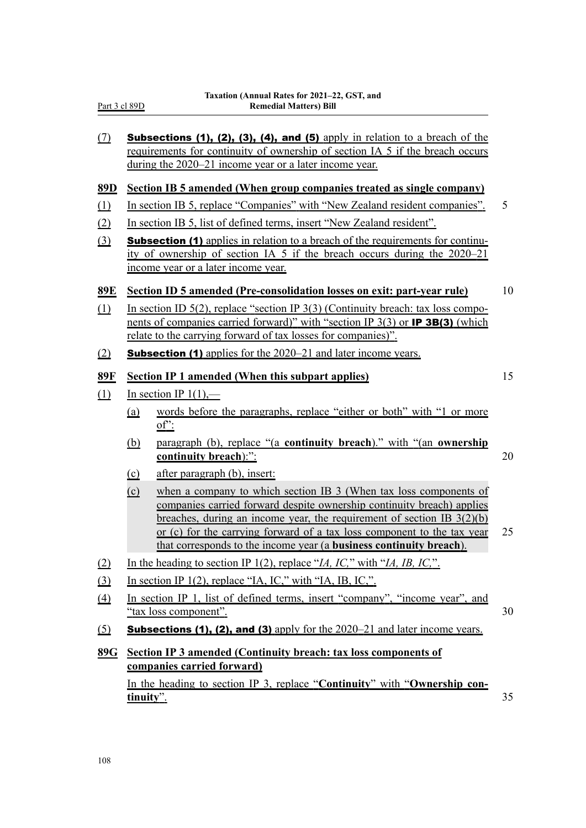| $\Omega$                      |                                                                                                             | <b>Subsections (1), (2), (3), (4), and (5)</b> apply in relation to a breach of the<br>requirements for continuity of ownership of section IA 5 if the breach occurs<br>during the $2020-21$ income year or a later income year.                                                                                                                                                  |    |  |  |
|-------------------------------|-------------------------------------------------------------------------------------------------------------|-----------------------------------------------------------------------------------------------------------------------------------------------------------------------------------------------------------------------------------------------------------------------------------------------------------------------------------------------------------------------------------|----|--|--|
| 89 <sub>D</sub>               |                                                                                                             | <b>Section IB 5 amended (When group companies treated as single company)</b>                                                                                                                                                                                                                                                                                                      |    |  |  |
| $\underline{1}$               |                                                                                                             | In section IB 5, replace "Companies" with "New Zealand resident companies".                                                                                                                                                                                                                                                                                                       | 5  |  |  |
| (2)                           |                                                                                                             | In section IB 5, list of defined terms, insert "New Zealand resident".                                                                                                                                                                                                                                                                                                            |    |  |  |
| $\Omega$                      |                                                                                                             | <b>Subsection (1)</b> applies in relation to a breach of the requirements for continu-<br>ity of ownership of section IA 5 if the breach occurs during the 2020–21<br>income year or a later income year.                                                                                                                                                                         |    |  |  |
| <u>89E</u>                    |                                                                                                             | <b>Section ID 5 amended (Pre-consolidation losses on exit: part-year rule)</b>                                                                                                                                                                                                                                                                                                    | 10 |  |  |
| $\Omega$                      |                                                                                                             | In section ID $5(2)$ , replace "section IP $3(3)$ (Continuity breach: tax loss compo-<br>nents of companies carried forward)" with "section IP 3(3) or <b>IP 3B(3)</b> (which<br><u>relate to the carrying forward of tax losses for companies)".</u>                                                                                                                             |    |  |  |
| (2)                           |                                                                                                             | <b>Subsection (1)</b> applies for the 2020–21 and later income years.                                                                                                                                                                                                                                                                                                             |    |  |  |
| 89F                           |                                                                                                             | <b>Section IP 1 amended (When this subpart applies)</b>                                                                                                                                                                                                                                                                                                                           | 15 |  |  |
| $\underline{\underline{(1)}}$ |                                                                                                             | In section IP $1(1)$ ,—                                                                                                                                                                                                                                                                                                                                                           |    |  |  |
|                               | <u>(a)</u>                                                                                                  | words before the paragraphs, replace "either or both" with "1 or more<br>$of$                                                                                                                                                                                                                                                                                                     |    |  |  |
|                               | <u>(b)</u>                                                                                                  | paragraph (b), replace "(a continuity breach)." with "(an ownership<br>continuity breach):":                                                                                                                                                                                                                                                                                      | 20 |  |  |
|                               | $\Omega$                                                                                                    | <u>after paragraph (b), insert:</u>                                                                                                                                                                                                                                                                                                                                               |    |  |  |
|                               | $\overline{c}$                                                                                              | when a company to which section IB 3 (When tax loss components of<br>companies carried forward despite ownership continuity breach) applies<br>breaches, during an income year, the requirement of section IB $3(2)(b)$<br>or (c) for the carrying forward of a tax loss component to the tax year<br>that corresponds to the income year (a <b>business continuity breach</b> ). | 25 |  |  |
| (2)                           |                                                                                                             | In the heading to section IP 1(2), replace " <i>IA, IC</i> ," with " <i>IA, IB, IC</i> ,".                                                                                                                                                                                                                                                                                        |    |  |  |
| $\Omega$                      |                                                                                                             | In section IP 1(2), replace "IA, IC," with "IA, IB, IC,".                                                                                                                                                                                                                                                                                                                         |    |  |  |
| $\Delta$                      | In section IP 1, list of defined terms, insert "company", "income year", and<br>30<br>"tax loss component". |                                                                                                                                                                                                                                                                                                                                                                                   |    |  |  |
| <u>(5)</u>                    |                                                                                                             | <b>Subsections (1), (2), and (3)</b> apply for the $2020-21$ and later income years.                                                                                                                                                                                                                                                                                              |    |  |  |
| 89G                           |                                                                                                             | <b>Section IP 3 amended (Continuity breach: tax loss components of</b><br>companies carried forward)                                                                                                                                                                                                                                                                              |    |  |  |
|                               | tinuity".                                                                                                   | In the heading to section IP 3, replace "Continuity" with "Ownership con-                                                                                                                                                                                                                                                                                                         | 35 |  |  |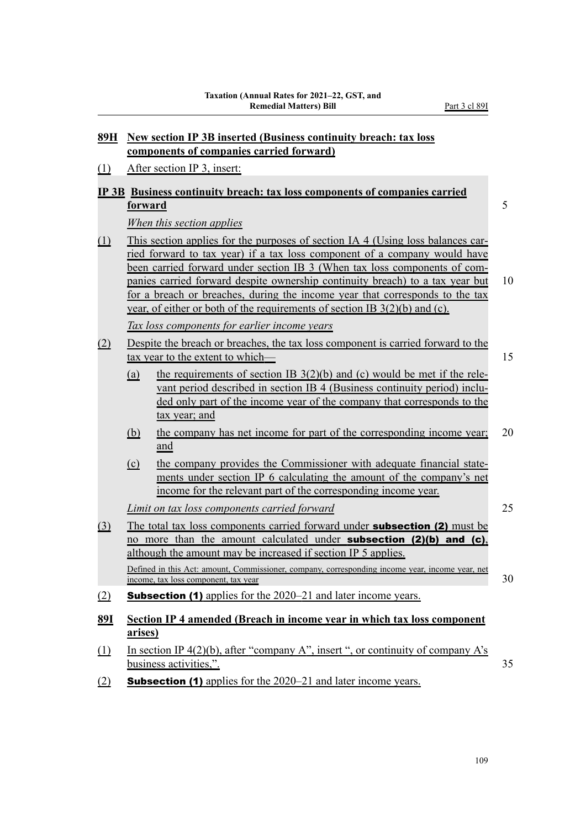#### **89H New section IP 3B inserted (Business continuity breach: tax loss components of companies carried forward)**

(1) After section IP 3, insert:

### **IP 3B Business continuity breach: tax loss components of companies carried**

## **forward** 5

*When this section applies*

(1) This section applies for the purposes of section IA 4 (Using loss balances car‐ ried forward to tax year) if a tax loss component of a company would have been carried forward under section IB 3 (When tax loss components of companies carried forward despite ownership continuity breach) to a tax year but 10 for a breach or breaches, during the income year that corresponds to the tax year, of either or both of the requirements of section IB 3(2)(b) and (c).

*Tax loss components for earlier income years*

- (2) Despite the breach or breaches, the tax loss component is carried forward to the tax year to the extent to which— 15
	- (a) the requirements of section IB  $3(2)(b)$  and (c) would be met if the relevant period described in section IB 4 (Business continuity period) included only part of the income year of the company that corresponds to the tax year; and
	- (b) the company has net income for part of the corresponding income year; 20 and
	- (c) the company provides the Commissioner with adequate financial state‐ ments under section IP 6 calculating the amount of the company's net income for the relevant part of the corresponding income year.

*Limit on tax loss components carried forward* 25

- (3) The total tax loss components carried forward under subsection (2) must be no more than the amount calculated under subsection (2)(b) and (c), although the amount may be increased if section IP 5 applies. Defined in this Act: amount, Commissioner, company, corresponding income year, income year, net income, tax loss component, tax year 30
- (2) **Subsection (1)** applies for the  $2020-21$  and later income years.
- **89I Section IP 4 amended (Breach in income year in which tax loss component arises)**
- (1) In section IP  $4(2)(b)$ , after "company A", insert", or continuity of company A's business activities,". 35
- (2) **Subsection (1)** applies for the  $2020-21$  and later income years.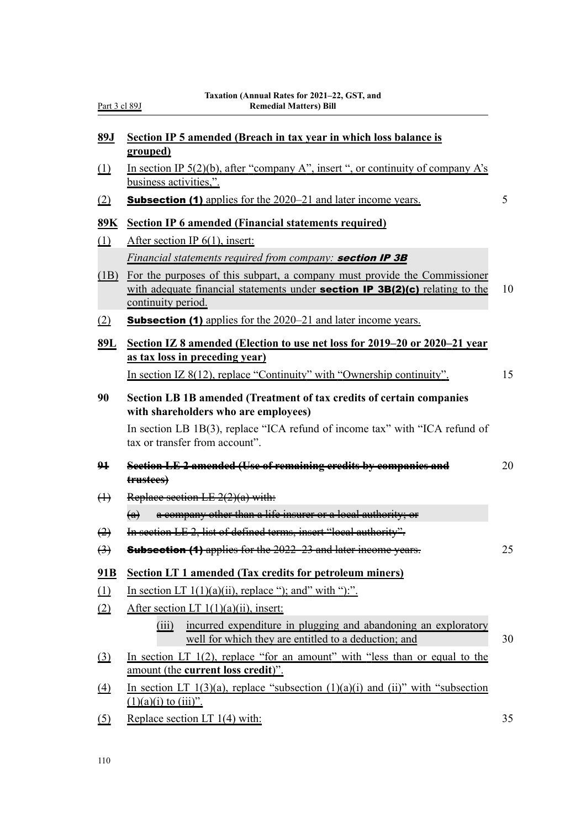| Part 3 cl 89J |  |  |
|---------------|--|--|
|               |  |  |

| 89J               | Section IP 5 amended (Breach in tax year in which loss balance is                                                                                                                      |    |
|-------------------|----------------------------------------------------------------------------------------------------------------------------------------------------------------------------------------|----|
|                   | grouped)                                                                                                                                                                               |    |
| (1)               | In section IP $5(2)(b)$ , after "company A", insert", or continuity of company A's<br>business activities,".                                                                           |    |
| (2)               | <b>Subsection (1)</b> applies for the 2020–21 and later income years.                                                                                                                  | 5  |
| 89K               | <b>Section IP 6 amended (Financial statements required)</b>                                                                                                                            |    |
| (1)               | After section IP $6(1)$ , insert:                                                                                                                                                      |    |
|                   | Financial statements required from company: section IP 3B                                                                                                                              |    |
| (1B)              | For the purposes of this subpart, a company must provide the Commissioner<br>with adequate financial statements under <b>section IP 3B(2)(c)</b> relating to the<br>continuity period. | 10 |
| (2)               | <b>Subsection (1)</b> applies for the 2020–21 and later income years.                                                                                                                  |    |
| 89L               | Section IZ 8 amended (Election to use net loss for 2019–20 or 2020–21 year<br>as tax loss in preceding year)                                                                           |    |
|                   | In section IZ $8(12)$ , replace "Continuity" with "Ownership continuity".                                                                                                              | 15 |
| 90                | Section LB 1B amended (Treatment of tax credits of certain companies<br>with shareholders who are employees)                                                                           |    |
|                   | In section LB 1B(3), replace "ICA refund of income tax" with "ICA refund of<br>tax or transfer from account".                                                                          |    |
| 94                | Section LE 2 amended (Use of remaining credits by companies and<br>trustees)                                                                                                           | 20 |
| $\leftrightarrow$ | Replace section LE $2(2)(a)$ with:                                                                                                                                                     |    |
|                   | $(a)$ a company other than a life insurer or a local authority; or                                                                                                                     |    |
| $\leftrightarrow$ | In section LE 2, list of defined terms, insert "local authority".                                                                                                                      |    |
| $\leftrightarrow$ | <b>Subsection (4)</b> applies for the 2022–23 and later income years.                                                                                                                  | 25 |
| 91B               | <b>Section LT 1 amended (Tax credits for petroleum miners)</b>                                                                                                                         |    |
| (1)               | In section LT $1(1)(a)(ii)$ , replace "); and" with "):".                                                                                                                              |    |
| (2)               | After section LT $1(1)(a)(ii)$ , insert:                                                                                                                                               |    |
|                   | incurred expenditure in plugging and abandoning an exploratory<br>(iii)<br>well for which they are entitled to a deduction; and                                                        | 30 |
| $\Omega$          | In section LT $1(2)$ , replace "for an amount" with "less than or equal to the<br>amount (the current loss credit)".                                                                   |    |
| $\triangle$       | In section LT $1(3)(a)$ , replace "subsection $(1)(a)(i)$ and $(ii)$ " with "subsection<br>$(1)(a)(i)$ to $(iii)$ ".                                                                   |    |
|                   |                                                                                                                                                                                        |    |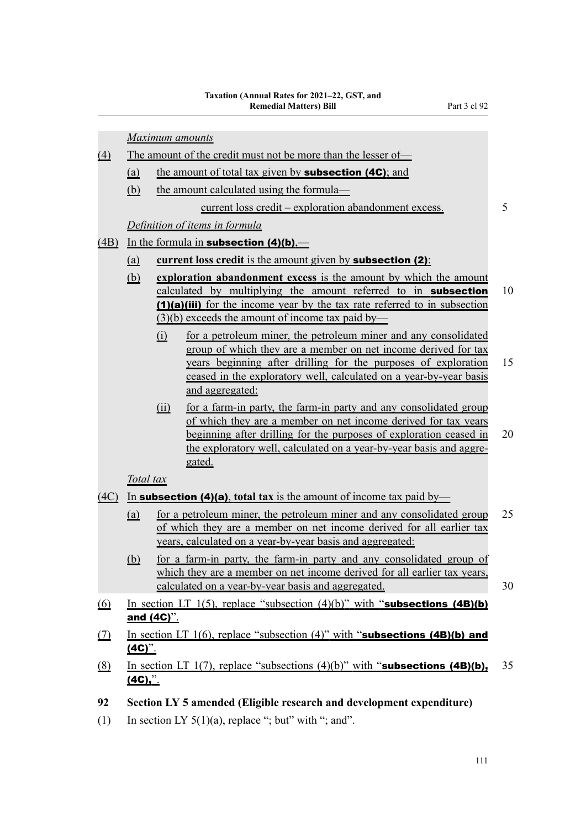|                  |            |            | <b>Maximum</b> amounts                                                                                                                                                                                                                                                                       |
|------------------|------------|------------|----------------------------------------------------------------------------------------------------------------------------------------------------------------------------------------------------------------------------------------------------------------------------------------------|
| $\left(4\right)$ |            |            | The amount of the credit must not be more than the lesser of-                                                                                                                                                                                                                                |
|                  | (a)        |            | the amount of total tax given by <b>subsection (4C)</b> ; and                                                                                                                                                                                                                                |
|                  | (b)        |            | the amount calculated using the formula—                                                                                                                                                                                                                                                     |
|                  |            |            | <u>current</u> loss credit – exploration abandonment excess.                                                                                                                                                                                                                                 |
|                  |            |            | Definition of items in formula                                                                                                                                                                                                                                                               |
| (4B)             |            |            | In the formula in <b>subsection</b> $(4)(b)$ .                                                                                                                                                                                                                                               |
|                  | <u>(a)</u> |            | <b>current loss credit</b> is the amount given by <b>subsection (2)</b> :                                                                                                                                                                                                                    |
|                  | (b)        |            | exploration abandonment excess is the amount by which the amount<br>calculated by multiplying the amount referred to in subsection<br>(1)(a)(iii) for the income year by the tax rate referred to in subsection<br>$(3)(b)$ exceeds the amount of income tax paid by—                        |
|                  |            | $\Omega$   | for a petroleum miner, the petroleum miner and any consolidated<br>group of which they are a member on net income derived for tax<br>years beginning after drilling for the purposes of exploration<br>ceased in the exploratory well, calculated on a year-by-year basis<br>and aggregated: |
|                  |            | (ii)       | for a farm-in party, the farm-in party and any consolidated group<br>of which they are a member on net income derived for tax years<br>beginning after drilling for the purposes of exploration ceased in<br>the exploratory well, calculated on a year-by-year basis and aggre-<br>gated.   |
|                  | Total tax  |            |                                                                                                                                                                                                                                                                                              |
| (4C)             |            |            | In <b>subsection (4)(a)</b> , total tax is the amount of income tax paid by—                                                                                                                                                                                                                 |
|                  | (a)        |            | for a petroleum miner, the petroleum miner and any consolidated group<br>of which they are a member on net income derived for all earlier tax<br>years, calculated on a year-by-year basis and aggregated:                                                                                   |
|                  | <u>(b)</u> |            | for a farm-in party, the farm-in party and any consolidated group of<br>which they are a member on net income derived for all earlier tax years,<br>calculated on a year-by-year basis and aggregated.                                                                                       |
| <u>(6)</u>       |            |            | In section LT $1(5)$ , replace "subsection $(4)(b)$ " with "subsections $(4B)(b)$                                                                                                                                                                                                            |
|                  |            | and (4C)". |                                                                                                                                                                                                                                                                                              |
| <u>(7)</u>       | $(4C)$ .   |            | In section LT $1(6)$ , replace "subsection $(4)$ " with "subsections $(4B)(b)$ and                                                                                                                                                                                                           |

- (8) In section LT 1(7), replace "subsections  $(4)(b)$ " with "**subsections (4B)(b)**, 35  $(4C)$ ,".
- **92 Section LY 5 amended (Eligible research and development expenditure)**
- (1) In section LY  $5(1)(a)$ , replace "; but" with "; and".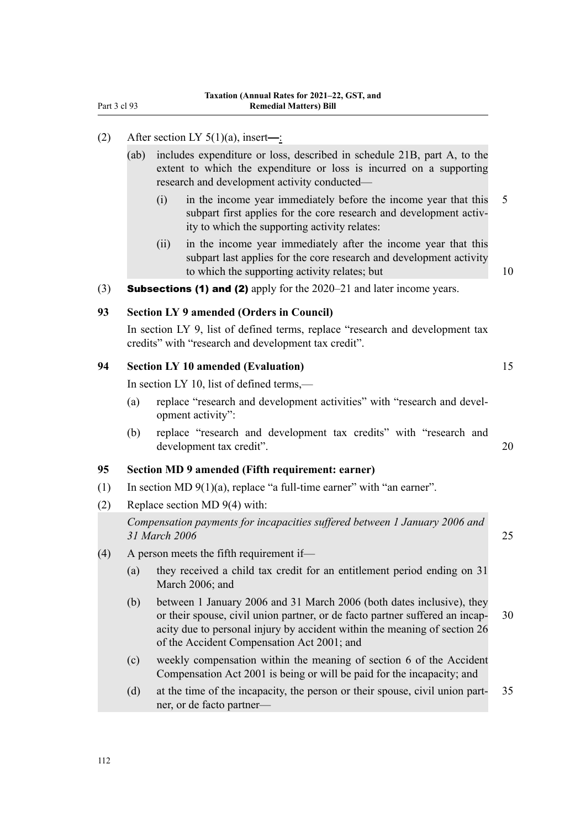#### (2) After section LY  $5(1)(a)$ , insert—:

- (ab) includes expenditure or loss, described in schedule 21B, part A, to the extent to which the expenditure or loss is incurred on a supporting research and development activity conducted—
	- (i) in the income year immediately before the income year that this 5 subpart first applies for the core research and development activity to which the supporting activity relates:
	- (ii) in the income year immediately after the income year that this subpart last applies for the core research and development activity to which the supporting activity relates; but 10

(3) **Subsections (1) and (2)** apply for the  $2020-21$  and later income years.

#### **93 Section LY 9 amended (Orders in Council)**

In section LY 9, list of defined terms, replace "research and development tax credits" with "research and development tax credit".

#### **94 Section LY 10 amended (Evaluation)** 15

In section LY 10, list of defined terms,—

- (a) replace "research and development activities" with "research and development activity":
- (b) replace "research and development tax credits" with "research and development tax credit". 20

#### **95 Section MD 9 amended (Fifth requirement: earner)**

- (1) In section MD  $9(1)(a)$ , replace "a full-time earner" with "an earner".
- (2) Replace section MD 9(4) with:

*Compensation payments for incapacities suffered between 1 January 2006 and 31 March 2006* 25

- (4) A person meets the fifth requirement if—
	- (a) they received a child tax credit for an entitlement period ending on 31 March 2006; and
	- (b) between 1 January 2006 and 31 March 2006 (both dates inclusive), they or their spouse, civil union partner, or de facto partner suffered an incap- 30 acity due to personal injury by accident within the meaning of section 26 of the Accident Compensation Act 2001; and
	- (c) weekly compensation within the meaning of section 6 of the Accident Compensation Act 2001 is being or will be paid for the incapacity; and
	- (d) at the time of the incapacity, the person or their spouse, civil union part‐ 35 ner, or de facto partner—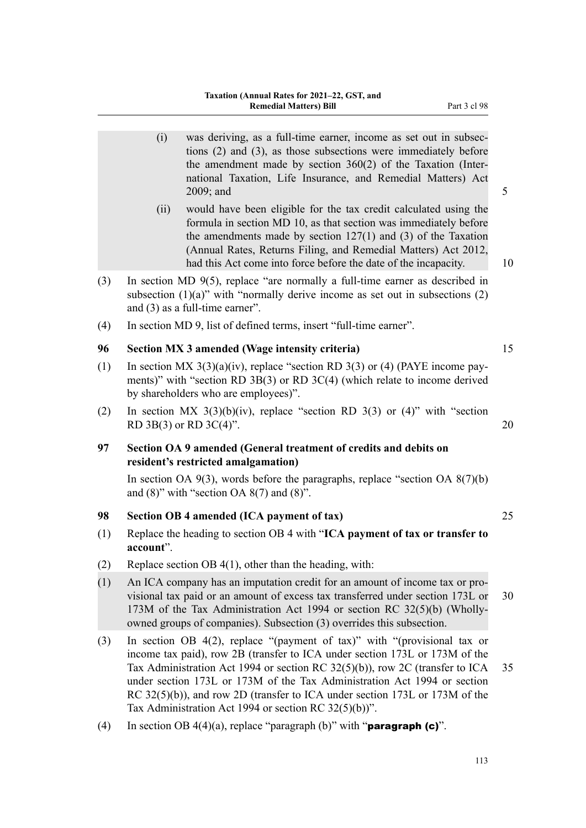|     | (i)       | was deriving, as a full-time earner, income as set out in subsec-<br>tions $(2)$ and $(3)$ , as those subsections were immediately before<br>the amendment made by section $360(2)$ of the Taxation (Inter-<br>national Taxation, Life Insurance, and Remedial Matters) Act<br>2009; and                                                                                                                                                                          | 5  |
|-----|-----------|-------------------------------------------------------------------------------------------------------------------------------------------------------------------------------------------------------------------------------------------------------------------------------------------------------------------------------------------------------------------------------------------------------------------------------------------------------------------|----|
|     | (ii)      | would have been eligible for the tax credit calculated using the<br>formula in section MD 10, as that section was immediately before<br>the amendments made by section $127(1)$ and (3) of the Taxation<br>(Annual Rates, Returns Filing, and Remedial Matters) Act 2012,<br>had this Act come into force before the date of the incapacity.                                                                                                                      | 10 |
| (3) |           | In section MD $9(5)$ , replace "are normally a full-time earner as described in<br>subsection $(1)(a)$ " with "normally derive income as set out in subsections $(2)$<br>and $(3)$ as a full-time earner".                                                                                                                                                                                                                                                        |    |
| (4) |           | In section MD 9, list of defined terms, insert "full-time earner".                                                                                                                                                                                                                                                                                                                                                                                                |    |
| 96  |           | Section MX 3 amended (Wage intensity criteria)                                                                                                                                                                                                                                                                                                                                                                                                                    | 15 |
| (1) |           | In section MX $3(3)(a)(iv)$ , replace "section RD $3(3)$ or (4) (PAYE income pay-<br>ments)" with "section RD $3B(3)$ or RD $3C(4)$ (which relate to income derived<br>by shareholders who are employees)".                                                                                                                                                                                                                                                       |    |
| (2) |           | In section MX $3(3)(b)(iv)$ , replace "section RD $3(3)$ or (4)" with "section<br>RD 3B(3) or RD 3C(4)".                                                                                                                                                                                                                                                                                                                                                          | 20 |
|     |           |                                                                                                                                                                                                                                                                                                                                                                                                                                                                   |    |
| 97  |           | Section OA 9 amended (General treatment of credits and debits on<br>resident's restricted amalgamation)                                                                                                                                                                                                                                                                                                                                                           |    |
|     |           | In section OA $9(3)$ , words before the paragraphs, replace "section OA $8(7)(b)$<br>and $(8)$ " with "section OA $8(7)$ and $(8)$ ".                                                                                                                                                                                                                                                                                                                             |    |
| 98  |           | Section OB 4 amended (ICA payment of tax)                                                                                                                                                                                                                                                                                                                                                                                                                         | 25 |
| (1) | account". | Replace the heading to section OB 4 with "ICA payment of tax or transfer to                                                                                                                                                                                                                                                                                                                                                                                       |    |
| (2) |           | Replace section OB $4(1)$ , other than the heading, with:                                                                                                                                                                                                                                                                                                                                                                                                         |    |
| (1) |           | An ICA company has an imputation credit for an amount of income tax or pro-<br>visional tax paid or an amount of excess tax transferred under section 173L or<br>173M of the Tax Administration Act 1994 or section RC 32(5)(b) (Wholly-<br>owned groups of companies). Subsection (3) overrides this subsection.                                                                                                                                                 | 30 |
| (3) |           | In section OB 4(2), replace "(payment of tax)" with "(provisional tax or<br>income tax paid), row 2B (transfer to ICA under section 173L or 173M of the<br>Tax Administration Act 1994 or section RC $32(5)(b)$ , row 2C (transfer to ICA<br>under section 173L or 173M of the Tax Administration Act 1994 or section<br>RC $32(5)(b)$ , and row 2D (transfer to ICA under section 173L or 173M of the<br>Tax Administration Act 1994 or section RC $32(5)(b)$ ". | 35 |
| (4) |           | In section OB $4(4)(a)$ , replace "paragraph (b)" with " <b>paragraph (c)</b> ".                                                                                                                                                                                                                                                                                                                                                                                  |    |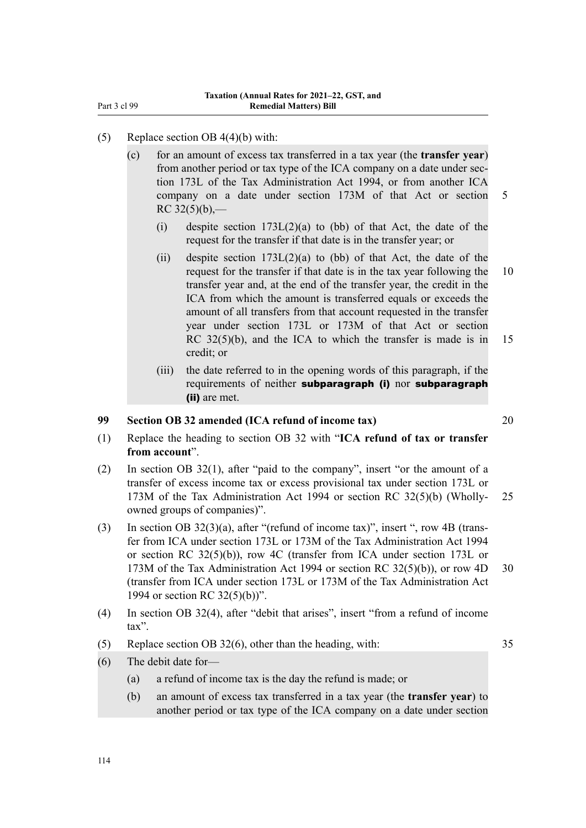- (5) Replace section OB 4(4)(b) with:
	- (c) for an amount of excess tax transferred in a tax year (the **transfer year**) from another period or tax type of the ICA company on a date under sec‐ tion 173L of the Tax Administration Act 1994, or from another ICA company on a date under section 173M of that Act or section 5  $RC 32(5)(b)$ ,—
		- (i) despite section  $173L(2)(a)$  to (bb) of that Act, the date of the request for the transfer if that date is in the transfer year; or
		- (ii) despite section  $173L(2)(a)$  to (bb) of that Act, the date of the request for the transfer if that date is in the tax year following the 10 transfer year and, at the end of the transfer year, the credit in the ICA from which the amount is transferred equals or exceeds the amount of all transfers from that account requested in the transfer year under section 173L or 173M of that Act or section RC 32(5)(b), and the ICA to which the transfer is made is in 15 credit; or
		- (iii) the date referred to in the opening words of this paragraph, if the requirements of neither subparagraph (i) nor subparagraph (ii) are met.

#### **99 Section OB 32 amended (ICA refund of income tax)** 20

- (1) Replace the heading to section OB 32 with "**ICA refund of tax or transfer from account**".
- (2) In section OB 32(1), after "paid to the company", insert "or the amount of a transfer of excess income tax or excess provisional tax under section 173L or 173M of the Tax Administration Act 1994 or section RC 32(5)(b) (Wholly- 25 owned groups of companies)".
- (3) In section OB  $32(3)(a)$ , after "(refund of income tax)", insert ", row 4B (transfer from ICA under section 173L or 173M of the Tax Administration Act 1994 or section RC 32(5)(b)), row 4C (transfer from ICA under section 173L or 173M of the Tax Administration Act 1994 or section RC  $32(5)(b)$ , or row 4D  $30$ (transfer from ICA under section 173L or 173M of the Tax Administration Act 1994 or section RC 32(5)(b))".
- (4) In section OB 32(4), after "debit that arises", insert "from a refund of income tax".
- (5) Replace section OB 32(6), other than the heading, with: 35
- 

- (6) The debit date for—
	- (a) a refund of income tax is the day the refund is made; or
	- (b) an amount of excess tax transferred in a tax year (the **transfer year**) to another period or tax type of the ICA company on a date under section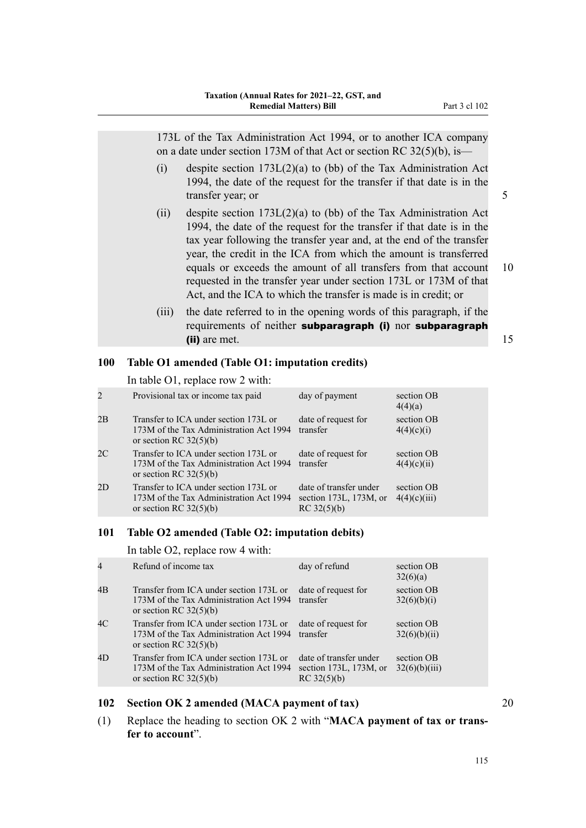173L of the Tax Administration Act 1994, or to another ICA company on a date under section 173M of that Act or section RC  $32(5)(b)$ , is—

- (i) despite section 173L(2)(a) to (bb) of the Tax Administration Act 1994, the date of the request for the transfer if that date is in the transfer year; or 5
- (ii) despite section  $173L(2)(a)$  to (bb) of the Tax Administration Act 1994, the date of the request for the transfer if that date is in the tax year following the transfer year and, at the end of the transfer year, the credit in the ICA from which the amount is transferred equals or exceeds the amount of all transfers from that account 10 requested in the transfer year under section 173L or 173M of that Act, and the ICA to which the transfer is made is in credit; or
- (iii) the date referred to in the opening words of this paragraph, if the requirements of neither subparagraph (i) nor subparagraph (ii) are met. 15

#### **100 Table O1 amended (Table O1: imputation credits)**

In table O1, replace row 2 with:

| 2  | Provisional tax or income tax paid                                                                           | day of payment                                                  | section OB<br>4(4)(a)      |
|----|--------------------------------------------------------------------------------------------------------------|-----------------------------------------------------------------|----------------------------|
| 2B | Transfer to ICA under section 173L or<br>173M of the Tax Administration Act 1994<br>or section RC $32(5)(b)$ | date of request for<br>transfer                                 | section OB<br>4(4)(c)(i)   |
| 2C | Transfer to ICA under section 173L or<br>173M of the Tax Administration Act 1994<br>or section RC $32(5)(b)$ | date of request for<br>transfer                                 | section OB<br>4(4)(c)(ii)  |
| 2D | Transfer to ICA under section 173L or<br>173M of the Tax Administration Act 1994<br>or section RC $32(5)(b)$ | date of transfer under<br>section 173L, 173M, or<br>RC 32(5)(b) | section OB<br>4(4)(c)(iii) |

#### **101 Table O2 amended (Table O2: imputation debits)**

In table O2, replace row 4 with:

| Refund of income tax                                                                                           | day of refund                                                         | section OB<br>32(6)(a)      |
|----------------------------------------------------------------------------------------------------------------|-----------------------------------------------------------------------|-----------------------------|
| Transfer from ICA under section 173L or<br>173M of the Tax Administration Act 1994<br>or section RC $32(5)(b)$ | date of request for<br>transfer                                       | section OB<br>32(6)(b)(i)   |
| Transfer from ICA under section 173L or<br>173M of the Tax Administration Act 1994<br>or section RC $32(5)(b)$ | date of request for<br>transfer                                       | section OB<br>32(6)(b)(ii)  |
| Transfer from ICA under section 173L or<br>173M of the Tax Administration Act 1994<br>or section RC $32(5)(b)$ | date of transfer under<br>section $173L$ , $173M$ , or<br>RC 32(5)(b) | section OB<br>32(6)(b)(iii) |
|                                                                                                                |                                                                       |                             |

#### **102 Section OK 2 amended (MACA payment of tax)** 20

(1) Replace the heading to section OK 2 with "**MACA payment of tax or trans‐ fer to account**".

115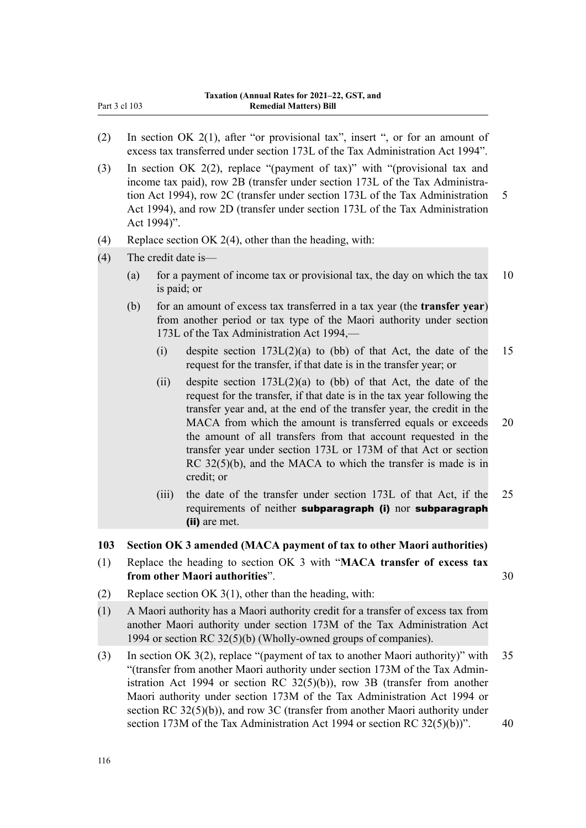- (2) In section OK 2(1), after "or provisional tax", insert ", or for an amount of excess tax transferred under section 173L of the Tax Administration Act 1994".
- (3) In section OK 2(2), replace "(payment of tax)" with "(provisional tax and income tax paid), row 2B (transfer under section 173L of the Tax Administration Act 1994), row 2C (transfer under section 173L of the Tax Administration 5 Act 1994), and row 2D (transfer under section 173L of the Tax Administration Act 1994)".
- (4) Replace section OK 2(4), other than the heading, with:
- (4) The credit date is—
	- (a) for a payment of income tax or provisional tax, the day on which the tax  $10$ is paid; or
	- (b) for an amount of excess tax transferred in a tax year (the **transfer year**) from another period or tax type of the Maori authority under section 173L of the Tax Administration Act 1994,—
		- (i) despite section  $173L(2)(a)$  to (bb) of that Act, the date of the 15 request for the transfer, if that date is in the transfer year; or
		- (ii) despite section  $173L(2)(a)$  to (bb) of that Act, the date of the request for the transfer, if that date is in the tax year following the transfer year and, at the end of the transfer year, the credit in the MACA from which the amount is transferred equals or exceeds 20 the amount of all transfers from that account requested in the transfer year under section 173L or 173M of that Act or section RC 32(5)(b), and the MACA to which the transfer is made is in credit; or
		- (iii) the date of the transfer under section 173L of that Act, if the 25 requirements of neither subparagraph (i) nor subparagraph (ii) are met.

#### **103 Section OK 3 amended (MACA payment of tax to other Maori authorities)**

- (1) Replace the heading to section OK 3 with "**MACA transfer of excess tax from other Maori authorities**". 30
- (2) Replace section OK 3(1), other than the heading, with:
- (1) A Maori authority has a Maori authority credit for a transfer of excess tax from another Maori authority under section 173M of the Tax Administration Act 1994 or section RC 32(5)(b) (Wholly-owned groups of companies).
- (3) In section OK 3(2), replace "(payment of tax to another Maori authority)" with 35 "(transfer from another Maori authority under section 173M of the Tax Admin‐ istration Act 1994 or section RC 32(5)(b)), row 3B (transfer from another Maori authority under section 173M of the Tax Administration Act 1994 or section RC 32(5)(b)), and row 3C (transfer from another Maori authority under section 173M of the Tax Administration Act 1994 or section RC  $32(5)(b)$ ". 40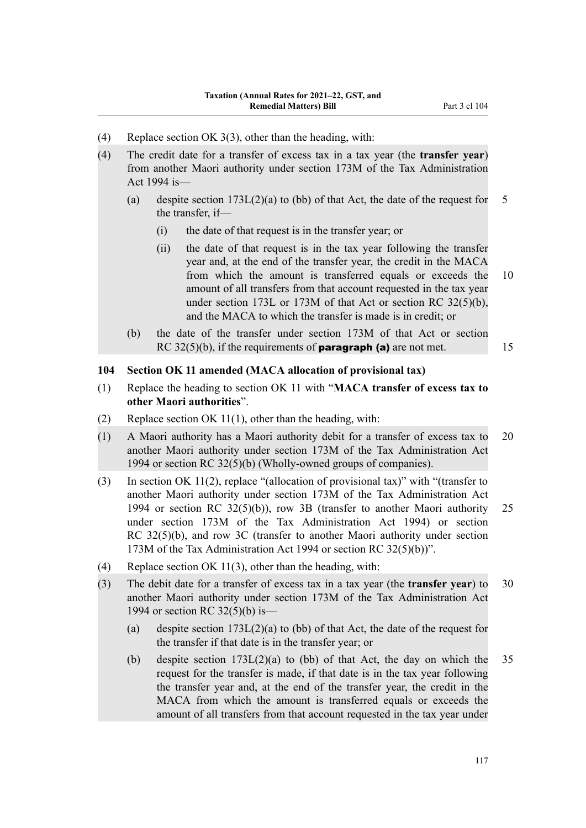- (4) Replace section OK 3(3), other than the heading, with:
- (4) The credit date for a transfer of excess tax in a tax year (the **transfer year**) from another Maori authority under section 173M of the Tax Administration Act 1994 is—
	- (a) despite section  $173L(2)(a)$  to (bb) of that Act, the date of the request for 5 the transfer, if—
		- (i) the date of that request is in the transfer year; or
		- (ii) the date of that request is in the tax year following the transfer year and, at the end of the transfer year, the credit in the MACA from which the amount is transferred equals or exceeds the 10 amount of all transfers from that account requested in the tax year under section 173L or 173M of that Act or section RC 32(5)(b), and the MACA to which the transfer is made is in credit; or
	- (b) the date of the transfer under section 173M of that Act or section RC 32(5)(b), if the requirements of **paragraph (a)** are not met.  $15$

#### **104 Section OK 11 amended (MACA allocation of provisional tax)**

- (1) Replace the heading to section OK 11 with "**MACA transfer of excess tax to other Maori authorities**".
- (2) Replace section OK 11(1), other than the heading, with:
- (1) A Maori authority has a Maori authority debit for a transfer of excess tax to 20 another Maori authority under section 173M of the Tax Administration Act 1994 or section RC 32(5)(b) (Wholly-owned groups of companies).
- (3) In section OK 11(2), replace "(allocation of provisional tax)" with "(transfer to another Maori authority under section 173M of the Tax Administration Act 1994 or section RC 32(5)(b)), row 3B (transfer to another Maori authority 25 under section 173M of the Tax Administration Act 1994) or section RC 32(5)(b), and row 3C (transfer to another Maori authority under section 173M of the Tax Administration Act 1994 or section RC 32(5)(b))".
- (4) Replace section OK 11(3), other than the heading, with:
- (3) The debit date for a transfer of excess tax in a tax year (the **transfer year**) to 30 another Maori authority under section 173M of the Tax Administration Act 1994 or section RC 32(5)(b) is—
	- (a) despite section 173L(2)(a) to (bb) of that Act, the date of the request for the transfer if that date is in the transfer year; or
	- (b) despite section  $173L(2)(a)$  to (bb) of that Act, the day on which the 35 request for the transfer is made, if that date is in the tax year following the transfer year and, at the end of the transfer year, the credit in the MACA from which the amount is transferred equals or exceeds the amount of all transfers from that account requested in the tax year under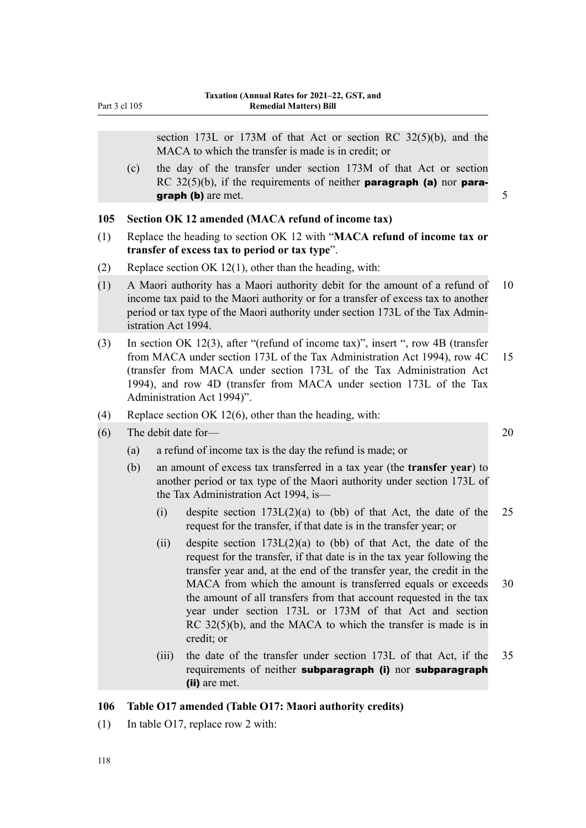section 173L or 173M of that Act or section RC 32(5)(b), and the MACA to which the transfer is made is in credit; or (c) the day of the transfer under section 173M of that Act or section RC  $32(5)(b)$ , if the requirements of neither **paragraph (a)** nor **paragraph (b)** are met.  $\frac{5}{5}$ **105 Section OK 12 amended (MACA refund of income tax)** (1) Replace the heading to section OK 12 with "**MACA refund of income tax or transfer of excess tax to period or tax type**". (2) Replace section OK 12(1), other than the heading, with: (1) A Maori authority has a Maori authority debit for the amount of a refund of 10 income tax paid to the Maori authority or for a transfer of excess tax to another period or tax type of the Maori authority under section 173L of the Tax Admin‐ istration Act 1994. (3) In section OK 12(3), after "(refund of income tax)", insert ", row 4B (transfer from MACA under section 173L of the Tax Administration Act 1994), row 4C 15 (transfer from MACA under section 173L of the Tax Administration Act 1994), and row 4D (transfer from MACA under section 173L of the Tax Administration Act 1994)". (4) Replace section OK 12(6), other than the heading, with: (6) The debit date for— 20 (a) a refund of income tax is the day the refund is made; or (b) an amount of excess tax transferred in a tax year (the **transfer year**) to another period or tax type of the Maori authority under section 173L of the Tax Administration Act 1994, is— (i) despite section  $173L(2)(a)$  to (bb) of that Act, the date of the 25 request for the transfer, if that date is in the transfer year; or (ii) despite section  $173L(2)(a)$  to (bb) of that Act, the date of the request for the transfer, if that date is in the tax year following the transfer year and, at the end of the transfer year, the credit in the MACA from which the amount is transferred equals or exceeds 30 the amount of all transfers from that account requested in the tax year under section 173L or 173M of that Act and section RC 32(5)(b), and the MACA to which the transfer is made is in credit; or (iii) the date of the transfer under section 173L of that Act, if the 35 requirements of neither subparagraph (i) nor subparagraph (ii) are met.

#### **106 Table O17 amended (Table O17: Maori authority credits)**

(1) In table O17, replace row 2 with: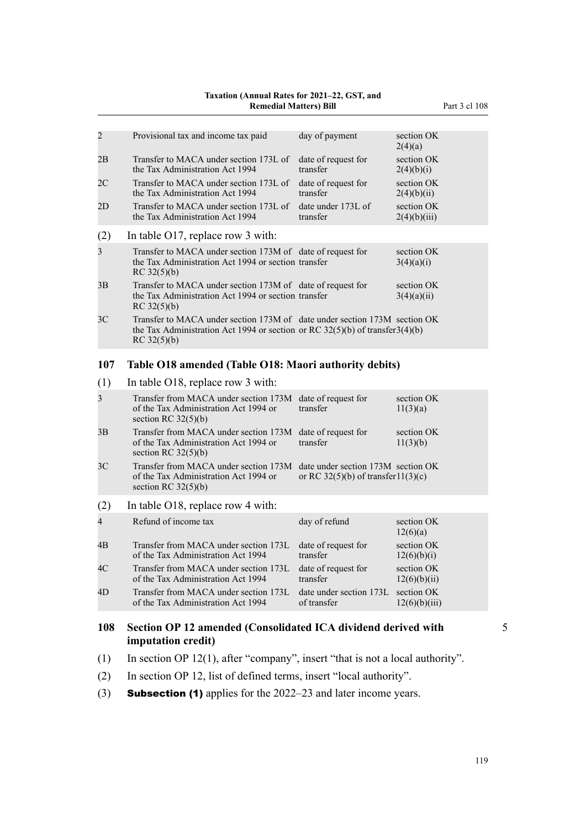## **Taxation (Annual Rates for 2021–22, GST, and**

#### **Remedial Matters) Bill** Part 3 cl 108

| $\overline{c}$ | Provisional tax and income tax paid                                                                                                                                         | day of payment                                                           | section OK                  |
|----------------|-----------------------------------------------------------------------------------------------------------------------------------------------------------------------------|--------------------------------------------------------------------------|-----------------------------|
|                |                                                                                                                                                                             |                                                                          | 2(4)(a)                     |
| 2В             | Transfer to MACA under section 173L of<br>the Tax Administration Act 1994                                                                                                   | date of request for<br>transfer                                          | section OK<br>2(4)(b)(i)    |
| 2C             | Transfer to MACA under section 173L of<br>the Tax Administration Act 1994                                                                                                   | date of request for<br>transfer                                          | section OK<br>2(4)(b)(ii)   |
| 2D             | Transfer to MACA under section 173L of<br>the Tax Administration Act 1994                                                                                                   | date under 173L of<br>transfer                                           | section OK<br>2(4)(b)(iii)  |
| (2)            | In table $O17$ , replace row 3 with:                                                                                                                                        |                                                                          |                             |
| 3              | Transfer to MACA under section 173M of date of request for<br>the Tax Administration Act 1994 or section transfer<br>RC 32(5)(b)                                            |                                                                          | section OK<br>3(4)(a)(i)    |
| 3B             | Transfer to MACA under section 173M of date of request for<br>the Tax Administration Act 1994 or section transfer<br>RC 32(5)(b)                                            |                                                                          | section OK<br>3(4)(a)(ii)   |
| 3 <sup>C</sup> | Transfer to MACA under section 173M of date under section 173M section OK<br>the Tax Administration Act 1994 or section or RC $32(5)(b)$ of transfer 3(4)(b)<br>RC 32(5)(b) |                                                                          |                             |
| 107            | Table O18 amended (Table O18: Maori authority debits)                                                                                                                       |                                                                          |                             |
| (1)            | In table O18, replace row 3 with:                                                                                                                                           |                                                                          |                             |
| 3              | Transfer from MACA under section 173M                                                                                                                                       | date of request for                                                      | section OK                  |
|                | of the Tax Administration Act 1994 or<br>section RC $32(5)(b)$                                                                                                              | transfer                                                                 | 11(3)(a)                    |
| 3B             | Transfer from MACA under section 173M<br>of the Tax Administration Act 1994 or<br>section RC $32(5)(b)$                                                                     | date of request for<br>transfer                                          | section OK<br>11(3)(b)      |
| 3C             | Transfer from MACA under section 173M<br>of the Tax Administration Act 1994 or<br>section RC $32(5)(b)$                                                                     | date under section 173M section OK<br>or RC 32(5)(b) of transfer11(3)(c) |                             |
| (2)            | In table O18, replace row 4 with:                                                                                                                                           |                                                                          |                             |
| 4              | Refund of income tax                                                                                                                                                        | day of refund                                                            | section OK<br>12(6)(a)      |
| 4Β             | Transfer from MACA under section 173L<br>of the Tax Administration Act 1994                                                                                                 | date of request for<br>transfer                                          | section OK<br>12(6)(b)(i)   |
| 4C             | Transfer from MACA under section 173L<br>of the Tax Administration Act 1994                                                                                                 | date of request for<br>transfer                                          | section OK<br>12(6)(b)(ii)  |
| 4D             | Transfer from MACA under section 173L<br>of the Tax Administration Act 1994                                                                                                 | date under section 173L<br>of transfer                                   | section OK<br>12(6)(b)(iii) |
| 108            | Section OP 12 amended (Consolidated ICA dividend derived with<br>imputation credit)                                                                                         |                                                                          |                             |

- (1) In section OP 12(1), after "company", insert "that is not a local authority".
- (2) In section OP 12, list of defined terms, insert "local authority".
- (3) **Subsection (1)** applies for the 2022–23 and later income years.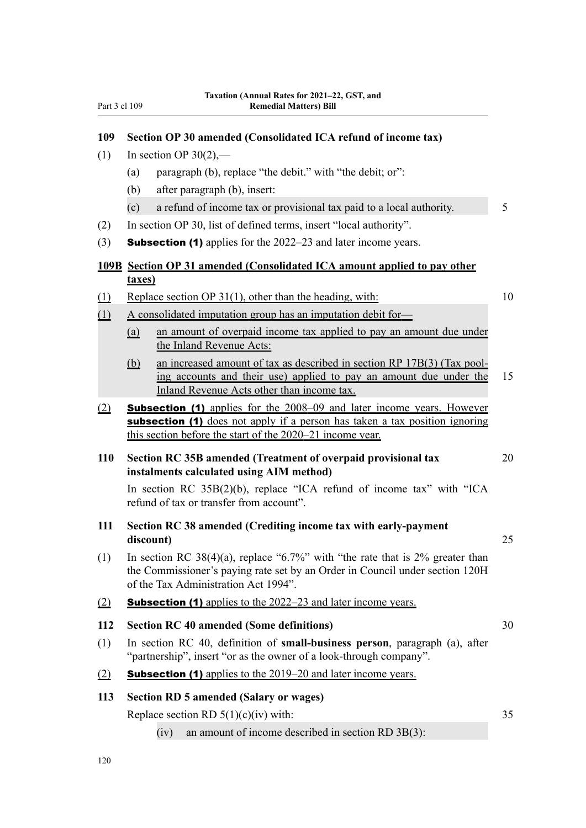#### **109 Section OP 30 amended (Consolidated ICA refund of income tax)**

- (1) In section OP  $30(2)$ ,—
	- (a) paragraph (b), replace "the debit." with "the debit; or":
	- (b) after paragraph (b), insert:
	- (c) a refund of income tax or provisional tax paid to a local authority. 5
- (2) In section OP 30, list of defined terms, insert "local authority".
- (3) Subsection (1) applies for the 2022–23 and later income years.

#### **109B Section OP 31 amended (Consolidated ICA amount applied to pay other taxes)**

(1) Replace section OP 31(1), other than the heading, with: 10

- (1) A consolidated imputation group has an imputation debit for—
	- (a) an amount of overpaid income tax applied to pay an amount due under the Inland Revenue Acts:
	- (b) an increased amount of tax as described in section RP 17B(3) (Tax pool‐ ing accounts and their use) applied to pay an amount due under the 15 Inland Revenue Acts other than income tax.
- (2) Subsection (1) applies for the 2008–09 and later income years. However subsection (1) does not apply if a person has taken a tax position ignoring this section before the start of the 2020–21 income year.

#### **110 Section RC 35B amended (Treatment of overpaid provisional tax** 20 **instalments calculated using AIM method)**

In section RC 35B(2)(b), replace "ICA refund of income tax" with "ICA refund of tax or transfer from account".

- **111 Section RC 38 amended (Crediting income tax with early-payment discount)** 25
- (1) In section RC 38(4)(a), replace "6.7%" with "the rate that is 2% greater than the Commissioner's paying rate set by an Order in Council under section 120H of the Tax Administration Act 1994".
- (2) Subsection (1) applies to the 2022–23 and later income years.

#### **112 Section RC 40 amended (Some definitions)** 30

(1) In section RC 40, definition of **small-business person**, paragraph (a), after "partnership", insert "or as the owner of a look-through company".

#### (2) **Subsection (1)** applies to the  $2019-20$  and later income years.

#### **113 Section RD 5 amended (Salary or wages)**

Replace section RD  $5(1)(c)(iv)$  with: 35

(iv) an amount of income described in section RD 3B(3):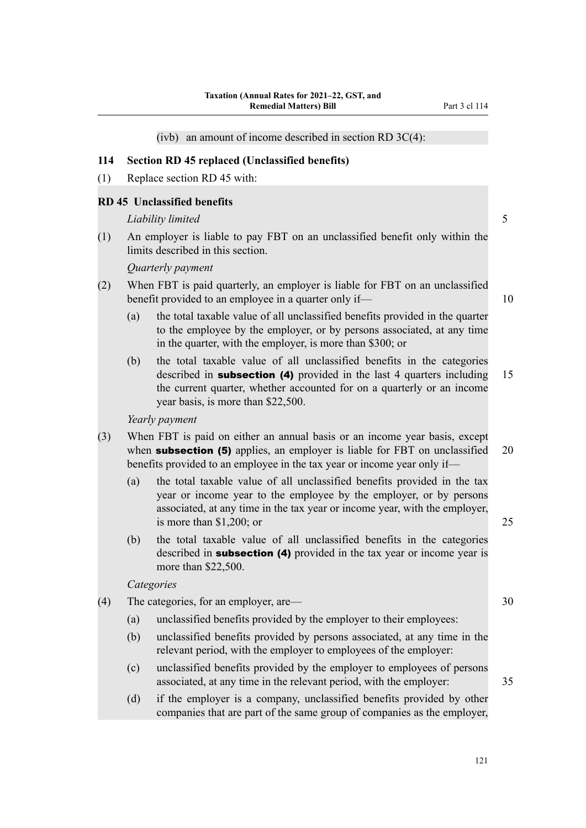**114 Section RD 45 replaced (Unclassified benefits)** (1) Replace section RD 45 with: *Liability limited* 5 (2) When FBT is paid quarterly, an employer is liable for FBT on an unclassified (a) the total taxable value of all unclassified benefits provided in the quarter to the employee by the employer, or by persons associated, at any time in the quarter, with the employer, is more than \$300; or (b) the total taxable value of all unclassified benefits in the categories the current quarter, whether accounted for on a quarterly or an income year basis, is more than \$22,500. (a) the total taxable value of all unclassified benefits provided in the tax year or income year to the employee by the employer, or by persons associated, at any time in the tax year or income year, with the employer, is more than \$1,200; or 25 (b) the total taxable value of all unclassified benefits in the categories described in **subsection** (4) provided in the tax year or income year is more than \$22,500. (4) The categories, for an employer, are— 30 relevant period, with the employer to employees of the employer: (c) unclassified benefits provided by the employer to employees of persons associated, at any time in the relevant period, with the employer: 35

(d) if the employer is a company, unclassified benefits provided by other companies that are part of the same group of companies as the employer,

(ivb) an amount of income described in section RD 3C(4):

#### **RD 45 Unclassified benefits**

(1) An employer is liable to pay FBT on an unclassified benefit only within the limits described in this section.

#### *Quarterly payment*

- benefit provided to an employee in a quarter only if— 10
	-
	- described in **subsection (4)** provided in the last 4 quarters including 15

*Yearly payment*

- (3) When FBT is paid on either an annual basis or an income year basis, except when **subsection (5)** applies, an employer is liable for FBT on unclassified 20 benefits provided to an employee in the tax year or income year only if—
	-
	-

#### *Categories*

- - (a) unclassified benefits provided by the employer to their employees:
	- (b) unclassified benefits provided by persons associated, at any time in the
		-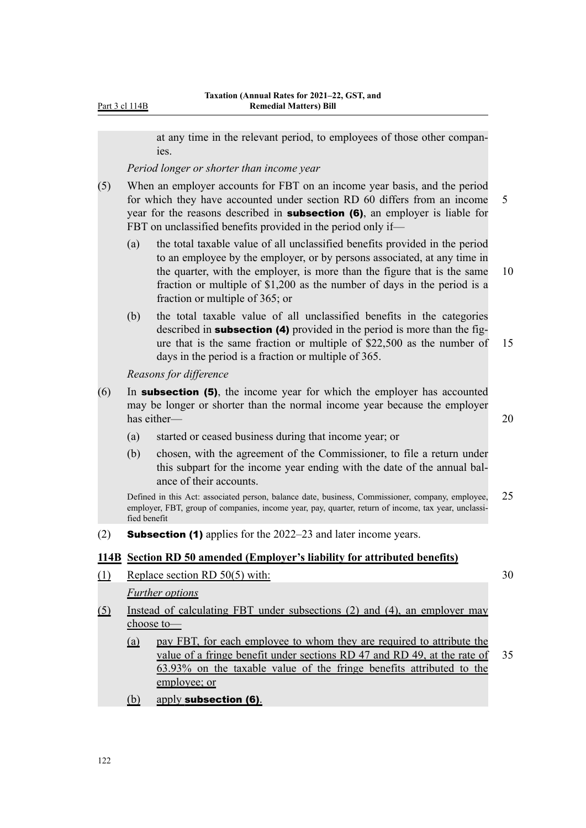Part 3 cl 114B

at any time in the relevant period, to employees of those other compan‐ ies.

*Period longer or shorter than income year*

- (5) When an employer accounts for FBT on an income year basis, and the period for which they have accounted under section RD 60 differs from an income 5 year for the reasons described in **subsection (6)**, an employer is liable for FBT on unclassified benefits provided in the period only if—
	- (a) the total taxable value of all unclassified benefits provided in the period to an employee by the employer, or by persons associated, at any time in the quarter, with the employer, is more than the figure that is the same 10 fraction or multiple of \$1,200 as the number of days in the period is a fraction or multiple of 365; or
	- (b) the total taxable value of all unclassified benefits in the categories described in **subsection (4)** provided in the period is more than the figure that is the same fraction or multiple of \$22,500 as the number of 15 days in the period is a fraction or multiple of 365.

*Reasons for difference*

- (6) In subsection (5), the income year for which the employer has accounted may be longer or shorter than the normal income year because the employer has either—  $20$ 
	- (a) started or ceased business during that income year; or
	- (b) chosen, with the agreement of the Commissioner, to file a return under this subpart for the income year ending with the date of the annual bal‐ ance of their accounts.

Defined in this Act: associated person, balance date, business, Commissioner, company, employee, 25 employer, FBT, group of companies, income year, pay, quarter, return of income, tax year, unclassified benefit

(2) **Subsection (1)** applies for the  $2022-23$  and later income years.

#### **114B Section RD 50 amended (Employer's liability for attributed benefits)**

(1) Replace section RD 50(5) with:  $30$ 

*Further options*

- (5) Instead of calculating FBT under subsections (2) and (4), an employer may choose to—
	- (a) pay FBT, for each employee to whom they are required to attribute the value of a fringe benefit under sections RD 47 and RD 49, at the rate of 35 63.93% on the taxable value of the fringe benefits attributed to the employee; or
	- (b) apply subsection (6).

122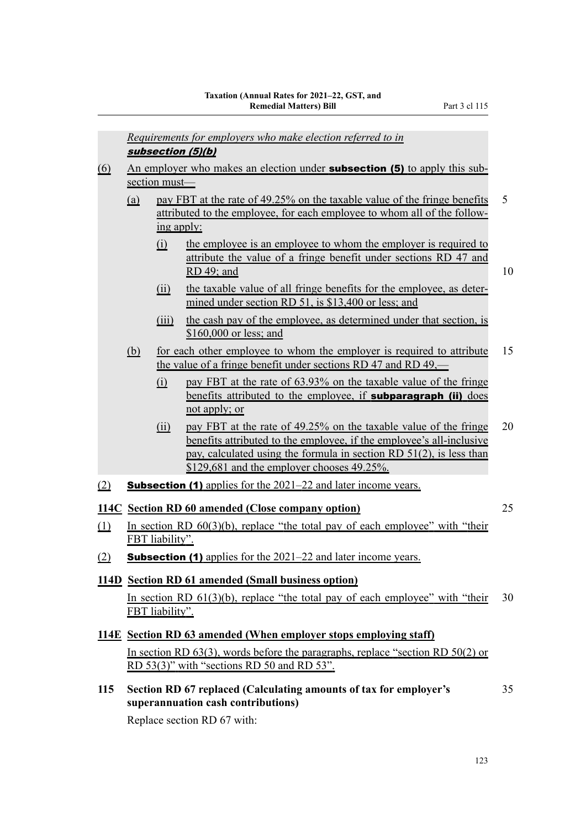*Requirements for employers who make election referred to in* subsection (5)(b) (6) An employer who makes an election under **subsection (5)** to apply this subsection must— (a) pay FBT at the rate of 49.25% on the taxable value of the fringe benefits 5 attributed to the employee, for each employee to whom all of the follow‐ ing apply: (i) the employee is an employee to whom the employer is required to attribute the value of a fringe benefit under sections RD 47 and RD 49; and 10 (ii) the taxable value of all fringe benefits for the employee, as deter‐ mined under section RD 51, is \$13,400 or less; and (iii) the cash pay of the employee, as determined under that section, is \$160,000 or less; and (b) for each other employee to whom the employer is required to attribute 15 the value of a fringe benefit under sections RD 47 and RD 49,— (i) pay FBT at the rate of 63.93% on the taxable value of the fringe benefits attributed to the employee, if **subparagraph (ii)** does not apply; or (ii) pay FBT at the rate of 49.25% on the taxable value of the fringe  $20$ benefits attributed to the employee, if the employee's all-inclusive pay, calculated using the formula in section RD 51(2), is less than \$129,681 and the employer chooses 49.25%. (2) **Subsection (1)** applies for the  $2021-22$  and later income years. **114C Section RD 60 amended (Close company option)** 25 (1) In section RD  $60(3)(b)$ , replace "the total pay of each employee" with "their FBT liability". (2) **Subsection (1)** applies for the  $2021-22$  and later income years. **114D Section RD 61 amended (Small business option)** In section RD  $61(3)(b)$ , replace "the total pay of each employee" with "their 30 FBT liability". **114E Section RD 63 amended (When employer stops employing staff)** In section RD 63(3), words before the paragraphs, replace "section RD 50(2) or RD 53(3)" with "sections RD 50 and RD 53". **115 Section RD 67 replaced (Calculating amounts of tax for employer's** 35 **superannuation cash contributions)**

Replace section RD 67 with: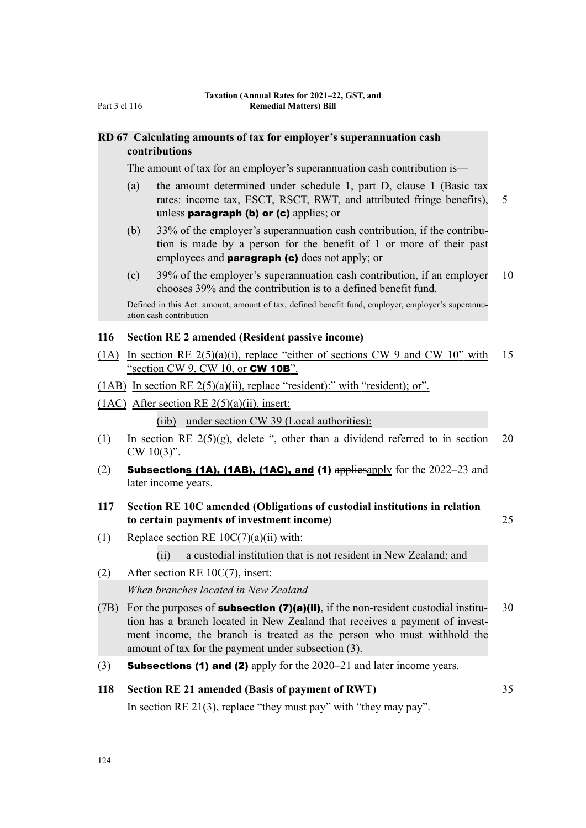#### **RD 67 Calculating amounts of tax for employer's superannuation cash contributions**

The amount of tax for an employer's superannuation cash contribution is—

- (a) the amount determined under schedule 1, part D, clause 1 (Basic tax rates: income tax, ESCT, RSCT, RWT, and attributed fringe benefits), 5 unless **paragraph (b) or (c)** applies; or
- (b) 33% of the employer's superannuation cash contribution, if the contribution is made by a person for the benefit of 1 or more of their past employees and **paragraph (c)** does not apply; or
- (c) 39% of the employer's superannuation cash contribution, if an employer  $10$ chooses 39% and the contribution is to a defined benefit fund.

Defined in this Act: amount, amount of tax, defined benefit fund, employer, employer's superannuation cash contribution

#### **116 Section RE 2 amended (Resident passive income)**

- (1A) In section RE  $2(5)(a)(i)$ , replace "either of sections CW 9 and CW 10" with 15 "section CW 9, CW 10, or **CW 10B**".
- (1AB) In section RE  $2(5)(a)(ii)$ , replace "resident):" with "resident); or".
- (1AC) After section RE  $2(5)(a)(ii)$ , insert:

(iib) under section CW 39 (Local authorities):

- (1) In section RE  $2(5)(g)$ , delete ", other than a dividend referred to in section 20 CW 10(3)".
- (2) Subsections (1A), (1AB), (1AC), and (1)  $\frac{1}{2}$  appliesapply for the 2022–23 and later income years.
- **117 Section RE 10C amended (Obligations of custodial institutions in relation to certain payments of investment income)** 25

- (1) Replace section RE  $10C(7)(a)(ii)$  with:
	- (ii) a custodial institution that is not resident in New Zealand; and
- (2) After section RE 10C(7), insert: *When branches located in New Zealand*
- (7B) For the purposes of **subsection (7)(a)(ii)**, if the non-resident custodial institu- 30 tion has a branch located in New Zealand that receives a payment of investment income, the branch is treated as the person who must withhold the amount of tax for the payment under subsection (3).
- (3) **Subsections (1) and (2)** apply for the  $2020-21$  and later income years.

#### **118 Section RE 21 amended (Basis of payment of RWT)** 35

In section RE 21(3), replace "they must pay" with "they may pay".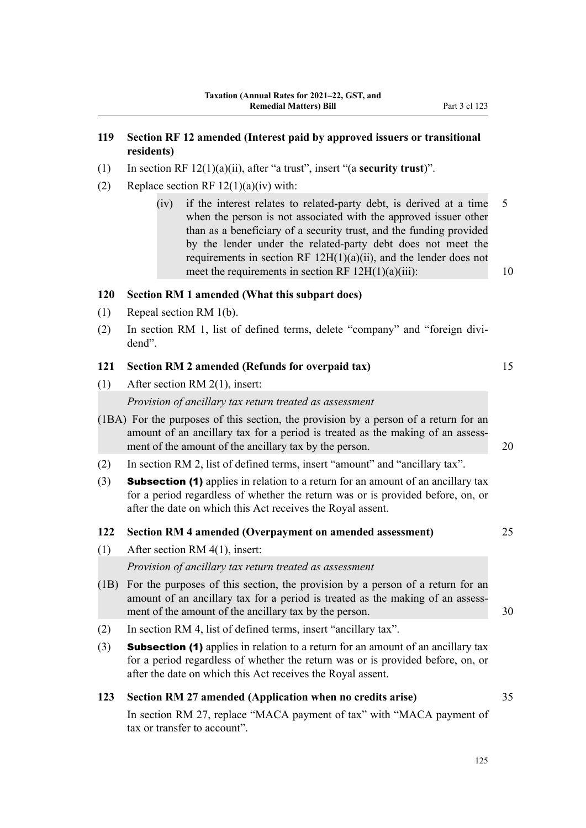#### **119 Section RF 12 amended (Interest paid by approved issuers or transitional residents)**

- (1) In section RF 12(1)(a)(ii), after "a trust", insert "(a **security trust**)".
- (2) Replace section RF  $12(1)(a)(iv)$  with:
	- (iv) if the interest relates to related-party debt, is derived at a time 5 when the person is not associated with the approved issuer other than as a beneficiary of a security trust, and the funding provided by the lender under the related-party debt does not meet the requirements in section RF  $12H(1)(a)(ii)$ , and the lender does not meet the requirements in section RF  $12H(1)(a)(iii)$ : 10

#### **120 Section RM 1 amended (What this subpart does)**

- (1) Repeal section RM 1(b).
- (2) In section RM 1, list of defined terms, delete "company" and "foreign divi‐ dend".

#### **121 Section RM 2 amended (Refunds for overpaid tax)** 15

(1) After section RM 2(1), insert:

*Provision of ancillary tax return treated as assessment*

- (1BA) For the purposes of this section, the provision by a person of a return for an amount of an ancillary tax for a period is treated as the making of an assessment of the amount of the ancillary tax by the person. 20
- (2) In section RM 2, list of defined terms, insert "amount" and "ancillary tax".
- (3) Subsection (1) applies in relation to a return for an amount of an ancillary tax for a period regardless of whether the return was or is provided before, on, or after the date on which this Act receives the Royal assent.

#### **122 Section RM 4 amended (Overpayment on amended assessment)** 25

(1) After section RM 4(1), insert:

*Provision of ancillary tax return treated as assessment*

- (1B) For the purposes of this section, the provision by a person of a return for an amount of an ancillary tax for a period is treated as the making of an assessment of the amount of the ancillary tax by the person. 30
- (2) In section RM 4, list of defined terms, insert "ancillary tax".
- (3) **Subsection (1)** applies in relation to a return for an amount of an ancillary tax for a period regardless of whether the return was or is provided before, on, or after the date on which this Act receives the Royal assent.

#### **123 Section RM 27 amended (Application when no credits arise)** 35

In section RM 27, replace "MACA payment of tax" with "MACA payment of tax or transfer to account".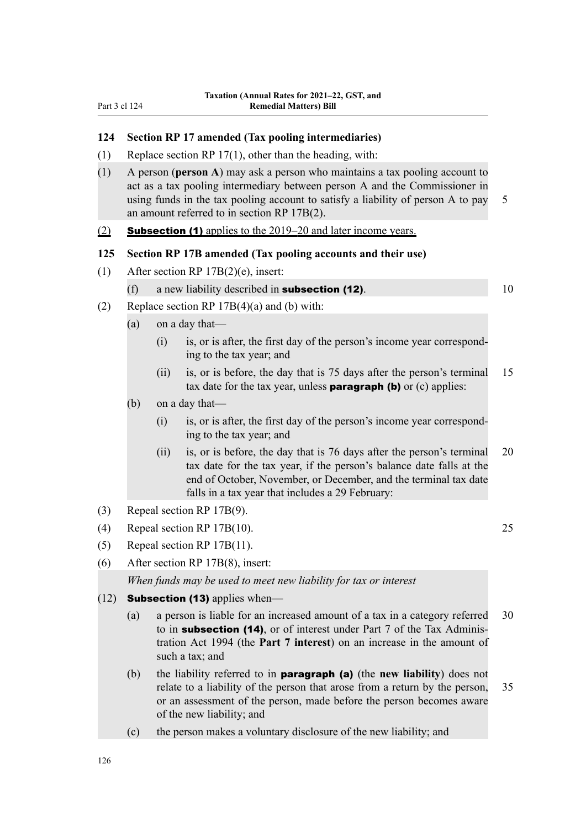#### **124 Section RP 17 amended (Tax pooling intermediaries)**

- (1) Replace section RP 17(1), other than the heading, with:
- (1) A person (**person A**) may ask a person who maintains a tax pooling account to act as a tax pooling intermediary between person A and the Commissioner in using funds in the tax pooling account to satisfy a liability of person A to pay 5 an amount referred to in section RP 17B(2).

#### (2) Subsection (1) applies to the 2019–20 and later income years.

#### **125 Section RP 17B amended (Tax pooling accounts and their use)**

- (1) After section RP 17B(2)(e), insert:
	- (f) a new liability described in **subsection (12)**.  $10$

- (2) Replace section RP  $17B(4)(a)$  and (b) with:
	- (a) on a day that—
		- $(i)$  is, or is after, the first day of the person's income year corresponding to the tax year; and
		- (ii) is, or is before, the day that is 75 days after the person's terminal 15 tax date for the tax year, unless **paragraph (b)** or  $(c)$  applies:
	- (b) on a day that—
		- (i) is, or is after, the first day of the person's income year correspond‐ ing to the tax year; and
		- (ii) is, or is before, the day that is 76 days after the person's terminal 20 tax date for the tax year, if the person's balance date falls at the end of October, November, or December, and the terminal tax date falls in a tax year that includes a 29 February:
- (3) Repeal section RP 17B(9).
- (4) Repeal section RP 17B(10). 25
- (5) Repeal section RP 17B(11).
- (6) After section RP 17B(8), insert:

*When funds may be used to meet new liability for tax or interest*

- $(12)$  **Subsection (13)** applies when—
	- (a) a person is liable for an increased amount of a tax in a category referred 30 to in **subsection (14)**, or of interest under Part 7 of the Tax Administration Act 1994 (the **Part 7 interest**) on an increase in the amount of such a tax; and
	- (b) the liability referred to in paragraph (a) (the **new liability**) does not relate to a liability of the person that arose from a return by the person, 35 or an assessment of the person, made before the person becomes aware of the new liability; and
	- (c) the person makes a voluntary disclosure of the new liability; and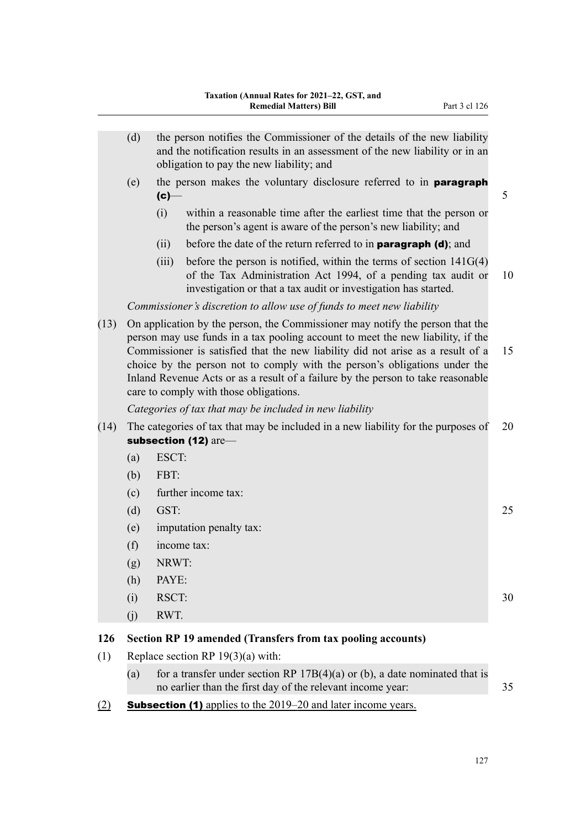- (d) the person notifies the Commissioner of the details of the new liability and the notification results in an assessment of the new liability or in an obligation to pay the new liability; and
- (e) the person makes the voluntary disclosure referred to in paragraph  $\left( c\right)$   $\qquad$  5
	- (i) within a reasonable time after the earliest time that the person or the person's agent is aware of the person's new liability; and
	- (ii) before the date of the return referred to in **paragraph (d)**; and
	- (iii) before the person is notified, within the terms of section  $141G(4)$ of the Tax Administration Act 1994, of a pending tax audit or 10 investigation or that a tax audit or investigation has started.

*Commissioner's discretion to allow use of funds to meet new liability*

(13) On application by the person, the Commissioner may notify the person that the person may use funds in a tax pooling account to meet the new liability, if the Commissioner is satisfied that the new liability did not arise as a result of a 15 choice by the person not to comply with the person's obligations under the Inland Revenue Acts or as a result of a failure by the person to take reasonable care to comply with those obligations.

*Categories of tax that may be included in new liability*

- (14) The categories of tax that may be included in a new liability for the purposes of 20 subsection (12) are-
	- (a) ESCT:
	- (b) FBT:
	- (c) further income tax:
	- (d) GST: 25
	- (e) imputation penalty tax:
	- (f) income tax:
	- (g) NRWT:
	- (h) PAYE:
	- (i) RSCT: 30
	- (j) RWT.

#### **126 Section RP 19 amended (Transfers from tax pooling accounts)**

- (1) Replace section RP 19(3)(a) with:
	- (a) for a transfer under section RP  $17B(4)(a)$  or (b), a date nominated that is no earlier than the first day of the relevant income year: 35
- (2) Subsection (1) applies to the 2019–20 and later income years.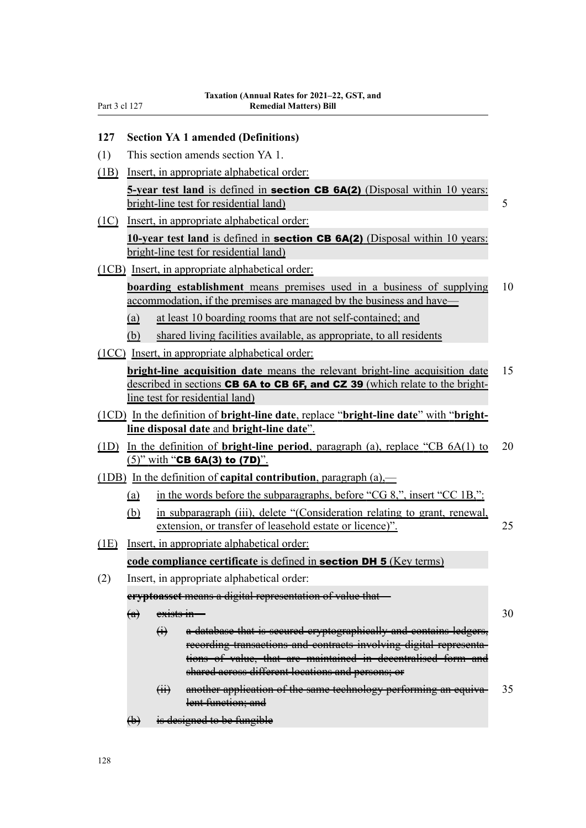#### **127 Section YA 1 amended (Definitions)**

- (1) This section amends section YA 1.
- (1B) Insert, in appropriate alphabetical order:

**5-year test land** is defined in **section CB 6A(2)** (Disposal within 10 years: bright-line test for residential land) 5

(1C) Insert, in appropriate alphabetical order:

**10-year test land** is defined in **section CB 6A(2)** (Disposal within 10 years: bright-line test for residential land)

(1CB) Insert, in appropriate alphabetical order:

**boarding establishment** means premises used in a business of supplying 10 accommodation, if the premises are managed by the business and have—

- (a) at least 10 boarding rooms that are not self-contained; and
- (b) shared living facilities available, as appropriate, to all residents
- (1CC) Insert, in appropriate alphabetical order:

**bright-line acquisition date** means the relevant bright-line acquisition date 15 described in sections **CB 6A to CB 6F, and CZ 39** (which relate to the brightline test for residential land)

- (1CD) In the definition of **bright-line date**, replace "**bright-line date**" with "**brightline disposal date** and **bright-line date**".
- (1D) In the definition of **bright-line period**, paragraph (a), replace "CB 6A(1) to 20  $(5)$ " with "CB 6A(3) to (7D)".
- (1DB) In the definition of **capital contribution**, paragraph (a),—
	- (a) in the words before the subparagraphs, before "CG 8,", insert "CC 1B,":
	- (b) in subparagraph (iii), delete "(Consideration relating to grant, renewal, extension, or transfer of leasehold estate or licence)". 25
- (1E) Insert, in appropriate alphabetical order:

#### **code compliance certificate** is defined in section DH 5 (Key terms)

(2) Insert, in appropriate alphabetical order:

**cryptoasset** means a digital representation of value that—

- $\overline{a}$  exists in  $\overline{a}$  30
	- (i) a database that is secured cryptographically and contains ledgers, recording transactions and contracts involving digital representations of value, that are maintained in decentralised form and shared across different locations and persons; or
	- $(i)$  another application of the same technology performing an equiva- 35 lent function; and
- (b) is designed to be fungible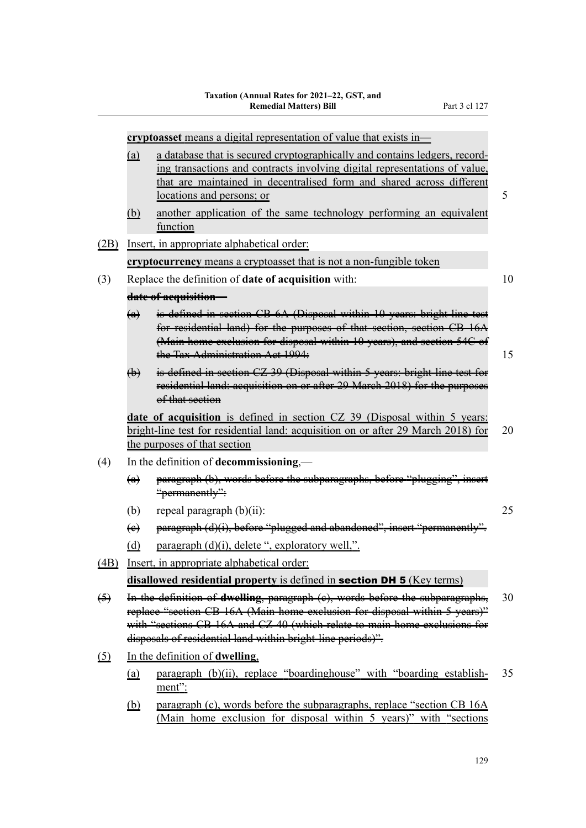|                   | cryptoasset means a digital representation of value that exists in- |                                                                                                                                                                                                                                                                                                         |    |  |
|-------------------|---------------------------------------------------------------------|---------------------------------------------------------------------------------------------------------------------------------------------------------------------------------------------------------------------------------------------------------------------------------------------------------|----|--|
|                   | (a)                                                                 | a database that is secured cryptographically and contains ledgers, record-<br>ing transactions and contracts involving digital representations of value,<br>that are maintained in decentralised form and shared across different<br>locations and persons; or                                          | 5  |  |
|                   | (b)                                                                 | another application of the same technology performing an equivalent<br>function                                                                                                                                                                                                                         |    |  |
| (2B)              |                                                                     | Insert, in appropriate alphabetical order:                                                                                                                                                                                                                                                              |    |  |
|                   |                                                                     | cryptocurrency means a cryptoasset that is not a non-fungible token                                                                                                                                                                                                                                     |    |  |
| (3)               |                                                                     | Replace the definition of <b>date of acquisition</b> with:                                                                                                                                                                                                                                              | 10 |  |
|                   |                                                                     | date of acquisition                                                                                                                                                                                                                                                                                     |    |  |
|                   | $\left(\mathbf{a}\right)$                                           | is defined in section CB 6A (Disposal within 10 years: bright line test<br>for residential land) for the purposes of that section, section CB 16A<br>(Main home exelusion for disposal within 10 years), and section 54C of<br>the Tax Administration Act 1994:                                         | 15 |  |
|                   | $\bigoplus$                                                         | is defined in section CZ 39 (Disposal within 5 years: bright line test for<br>residential land: aequisition on or after 29 March 2018) for the purposes<br>of that section                                                                                                                              |    |  |
|                   |                                                                     | date of acquisition is defined in section CZ 39 (Disposal within 5 years:<br>bright-line test for residential land: acquisition on or after 29 March 2018) for<br>the purposes of that section                                                                                                          | 20 |  |
| (4)               |                                                                     | In the definition of decommissioning,—                                                                                                                                                                                                                                                                  |    |  |
|                   | $\left(\alpha\right)$                                               | paragraph (b), words before the subparagraphs, before "plugging", insert<br>"permanently":                                                                                                                                                                                                              |    |  |
|                   | (b)                                                                 | repeal paragraph $(b)(ii)$ :                                                                                                                                                                                                                                                                            | 25 |  |
|                   | $\leftrightarrow$                                                   | paragraph (d)(i), before "plugged and abandoned", insert "permanently".                                                                                                                                                                                                                                 |    |  |
|                   | (d)                                                                 | paragraph (d)(i), delete ", exploratory well,".                                                                                                                                                                                                                                                         |    |  |
| (4B)              |                                                                     | Insert, in appropriate alphabetical order:                                                                                                                                                                                                                                                              |    |  |
|                   |                                                                     | disallowed residential property is defined in <b>section DH 5</b> (Key terms)                                                                                                                                                                                                                           |    |  |
| $\leftrightarrow$ |                                                                     | In the definition of dwelling, paragraph (e), words before the subparagraphs,<br>replace "section CB 16A (Main home exclusion for disposal within 5 years)"<br>with "sections CB 16A and CZ 40 (which relate to main home exclusions for<br>disposals of residential land within bright line periods)". | 30 |  |
| <u>(5)</u>        |                                                                     | In the definition of dwelling,                                                                                                                                                                                                                                                                          |    |  |
|                   | (a)                                                                 | paragraph (b)(ii), replace "boardinghouse" with "boarding establish-<br>ment":                                                                                                                                                                                                                          | 35 |  |
|                   | <u>(b)</u>                                                          | paragraph (c), words before the subparagraphs, replace "section CB 16A<br>(Main home exclusion for disposal within 5 years)" with "sections                                                                                                                                                             |    |  |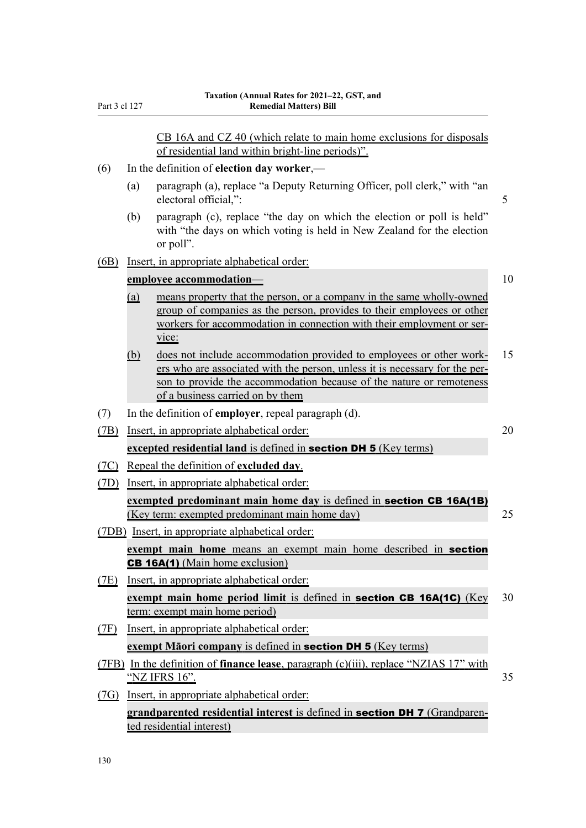|      |     | CB 16A and CZ 40 (which relate to main home exclusions for disposals                                                                                                                                                                                           |    |
|------|-----|----------------------------------------------------------------------------------------------------------------------------------------------------------------------------------------------------------------------------------------------------------------|----|
|      |     | of residential land within bright-line periods)".                                                                                                                                                                                                              |    |
| (6)  |     | In the definition of election day worker,-                                                                                                                                                                                                                     |    |
|      | (a) | paragraph (a), replace "a Deputy Returning Officer, poll clerk," with "an<br>electoral official,":                                                                                                                                                             | 5  |
|      | (b) | paragraph (c), replace "the day on which the election or poll is held"<br>with "the days on which voting is held in New Zealand for the election<br>or poll".                                                                                                  |    |
| (6B) |     | Insert, in appropriate alphabetical order:                                                                                                                                                                                                                     |    |
|      |     | employee accommodation-                                                                                                                                                                                                                                        | 10 |
|      | (a) | means property that the person, or a company in the same wholly-owned<br>group of companies as the person, provides to their employees or other<br>workers for accommodation in connection with their employment or ser-<br>vice:                              |    |
|      | (b) | does not include accommodation provided to employees or other work-<br>ers who are associated with the person, unless it is necessary for the per-<br>son to provide the accommodation because of the nature or remoteness<br>of a business carried on by them | 15 |
| (7)  |     | In the definition of <b>employer</b> , repeal paragraph (d).                                                                                                                                                                                                   |    |
| (7B) |     | Insert, in appropriate alphabetical order:                                                                                                                                                                                                                     | 20 |
|      |     | excepted residential land is defined in <b>section DH 5</b> (Key terms)                                                                                                                                                                                        |    |
| (7C) |     | Repeal the definition of excluded day.                                                                                                                                                                                                                         |    |
| (TD) |     | Insert, in appropriate alphabetical order:                                                                                                                                                                                                                     |    |
|      |     | exempted predominant main home day is defined in section CB 16A(1B)<br>(Key term: exempted predominant main home day)                                                                                                                                          | 25 |
|      |     | (7DB) Insert, in appropriate alphabetical order:                                                                                                                                                                                                               |    |
|      |     | exempt main home means an exempt main home described in <b>section</b>                                                                                                                                                                                         |    |
|      |     | <b>CB 16A(1)</b> (Main home exclusion)                                                                                                                                                                                                                         |    |
| (7E) |     | Insert, in appropriate alphabetical order:                                                                                                                                                                                                                     |    |
|      |     | exempt main home period limit is defined in <b>section CB 16A(1C)</b> (Key<br>term: exempt main home period)                                                                                                                                                   | 30 |
| (TF) |     | Insert, in appropriate alphabetical order:                                                                                                                                                                                                                     |    |
|      |     | exempt Maori company is defined in <b>section DH 5</b> (Key terms)                                                                                                                                                                                             |    |
|      |     | $(7FB)$ In the definition of <b>finance lease</b> , paragraph (c)(iii), replace "NZIAS 17" with<br>"NZ IFRS 16".                                                                                                                                               | 35 |
| (7G) |     | Insert, in appropriate alphabetical order:                                                                                                                                                                                                                     |    |
|      |     | <b>grandparented residential interest is defined in section DH 7 (Grandparen-</b><br>ted residential interest)                                                                                                                                                 |    |

Part 3 cl 127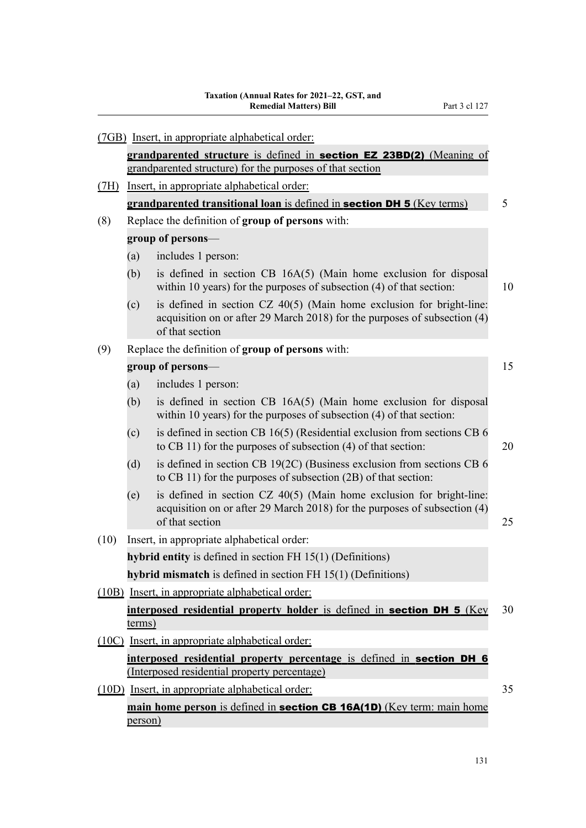|      |         | (7GB) Insert, in appropriate alphabetical order:                                                                                                                       |    |
|------|---------|------------------------------------------------------------------------------------------------------------------------------------------------------------------------|----|
|      |         | grandparented structure is defined in section EZ 23BD(2) (Meaning of                                                                                                   |    |
|      |         | grandparented structure) for the purposes of that section                                                                                                              |    |
| (7H) |         | Insert, in appropriate alphabetical order:                                                                                                                             |    |
|      |         | grandparented transitional loan is defined in section DH 5 (Key terms)                                                                                                 | 5  |
| (8)  |         | Replace the definition of group of persons with:                                                                                                                       |    |
|      |         | group of persons-                                                                                                                                                      |    |
|      | (a)     | includes 1 person:                                                                                                                                                     |    |
|      | (b)     | is defined in section CB 16A(5) (Main home exclusion for disposal<br>within 10 years) for the purposes of subsection (4) of that section:                              | 10 |
|      | (c)     | is defined in section CZ 40(5) (Main home exclusion for bright-line:<br>acquisition on or after 29 March 2018) for the purposes of subsection (4)<br>of that section   |    |
| (9)  |         | Replace the definition of group of persons with:                                                                                                                       |    |
|      |         | group of persons-                                                                                                                                                      | 15 |
|      | (a)     | includes 1 person:                                                                                                                                                     |    |
|      | (b)     | is defined in section CB 16A(5) (Main home exclusion for disposal<br>within 10 years) for the purposes of subsection (4) of that section:                              |    |
|      | (c)     | is defined in section CB $16(5)$ (Residential exclusion from sections CB $6$<br>to CB 11) for the purposes of subsection $(4)$ of that section:                        | 20 |
|      | (d)     | is defined in section CB $19(2C)$ (Business exclusion from sections CB 6<br>to CB 11) for the purposes of subsection $(2B)$ of that section:                           |    |
|      | (e)     | is defined in section $CZ$ 40(5) (Main home exclusion for bright-line:<br>acquisition on or after 29 March 2018) for the purposes of subsection (4)<br>of that section | 25 |
| (10) |         | Insert, in appropriate alphabetical order:                                                                                                                             |    |
|      |         | hybrid entity is defined in section FH $15(1)$ (Definitions)                                                                                                           |    |
|      |         | hybrid mismatch is defined in section FH 15(1) (Definitions)                                                                                                           |    |
|      |         | (10B) Insert, in appropriate alphabetical order:                                                                                                                       |    |
|      | terms)  | interposed residential property holder is defined in <b>section DH 5</b> (Key                                                                                          | 30 |
|      |         | (10C) Insert, in appropriate alphabetical order:                                                                                                                       |    |
|      |         | interposed residential property percentage is defined in section DH 6<br>(Interposed residential property percentage)                                                  |    |
|      |         | (10D) Insert, in appropriate alphabetical order:                                                                                                                       | 35 |
|      | person) | main home person is defined in <b>section CB 16A(1D)</b> (Key term: main home                                                                                          |    |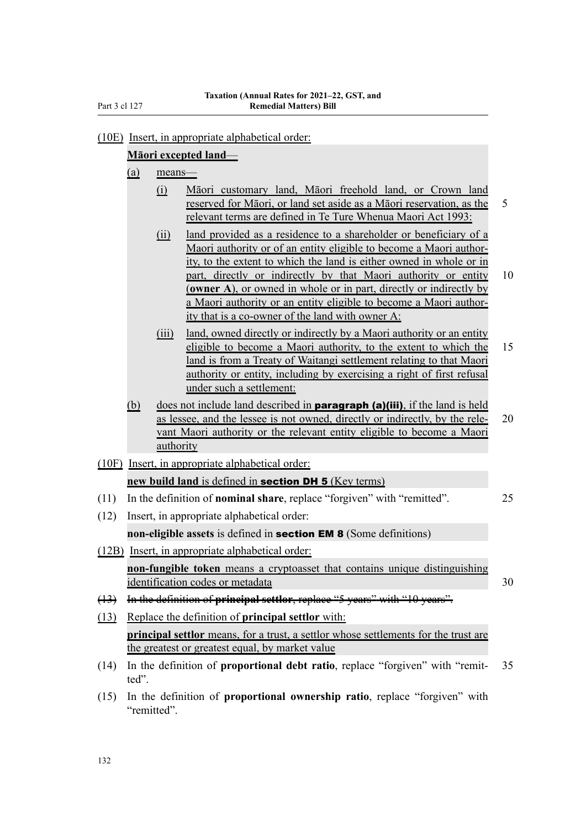#### (10E) Insert, in appropriate alphabetical order:

#### **Māori excepted land**—

- (a) means—
	- (i) Māori customary land, Māori freehold land, or Crown land reserved for Māori, or land set aside as a Māori reservation, as the 5 relevant terms are defined in Te Ture Whenua Maori Act 1993:
	- (ii) land provided as a residence to a shareholder or beneficiary of a Maori authority or of an entity eligible to become a Maori author‐ ity, to the extent to which the land is either owned in whole or in part, directly or indirectly by that Maori authority or entity 10 (**owner A**), or owned in whole or in part, directly or indirectly by a Maori authority or an entity eligible to become a Maori author‐ ity that is a co-owner of the land with owner A:
	- (iii) land, owned directly or indirectly by a Maori authority or an entity eligible to become a Maori authority, to the extent to which the 15 land is from a Treaty of Waitangi settlement relating to that Maori authority or entity, including by exercising a right of first refusal under such a settlement:
- $(b)$  does not include land described in **paragraph (a)(iii)**, if the land is held as lessee, and the lessee is not owned, directly or indirectly, by the rele‐ 20 vant Maori authority or the relevant entity eligible to become a Maori authority
- (10F) Insert, in appropriate alphabetical order: **new build land** is defined in section DH 5 (Key terms)
- (11) In the definition of **nominal share**, replace "forgiven" with "remitted". 25
- (12) Insert, in appropriate alphabetical order: **non-eligible assets** is defined in section EM 8 (Some definitions)
- (12B) Insert, in appropriate alphabetical order: **non-fungible token** means a cryptoasset that contains unique distinguishing identification codes or metadata 30

(13) In the definition of **principal settlor**, replace "5 years" with "10 years".

- (13) Replace the definition of **principal settlor** with: **principal settlor** means, for a trust, a settlor whose settlements for the trust are the greatest or greatest equal, by market value
- (14) In the definition of **proportional debt ratio**, replace "forgiven" with "remit‐ 35 ted".
- (15) In the definition of **proportional ownership ratio**, replace "forgiven" with "remitted".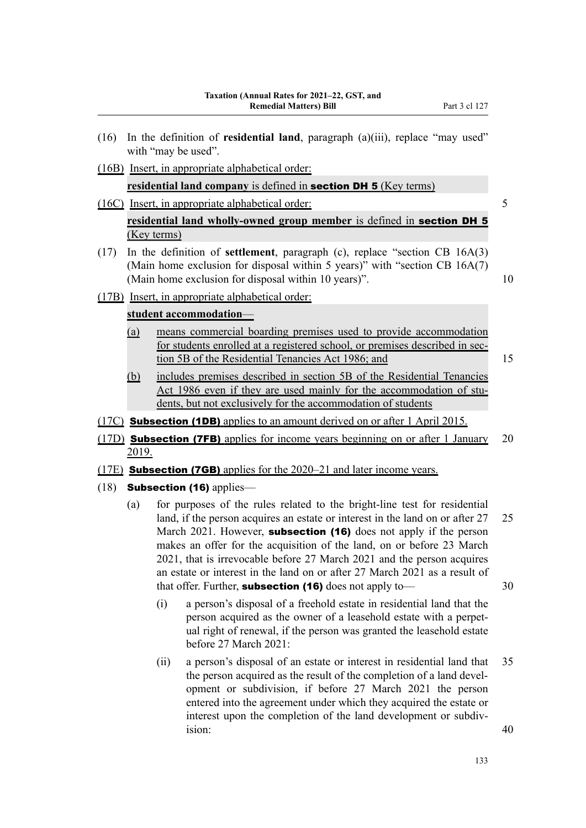- (16) In the definition of **residential land**, paragraph (a)(iii), replace "may used" with "may be used".
- (16B) Insert, in appropriate alphabetical order:

**residential land company** is defined in section DH 5 (Key terms)

- (16C) Insert, in appropriate alphabetical order: 5 **residential land wholly-owned group member** is defined in section DH 5 (Key terms)
- (17) In the definition of **settlement**, paragraph (c), replace "section CB 16A(3) (Main home exclusion for disposal within 5 years)" with "section CB  $16A(7)$ (Main home exclusion for disposal within 10 years)". 10
- (17B) Insert, in appropriate alphabetical order:

#### **student accommodation**—

- (a) means commercial boarding premises used to provide accommodation for students enrolled at a registered school, or premises described in section 5B of the Residential Tenancies Act 1986; and 15
- (b) includes premises described in section 5B of the Residential Tenancies Act 1986 even if they are used mainly for the accommodation of students, but not exclusively for the accommodation of students
- (17C) **Subsection (1DB)** applies to an amount derived on or after 1 April 2015.
- (17D) **Subsection (7FB)** applies for income years beginning on or after 1 January 20 2019.
- (17E) Subsection (7GB) applies for the 2020–21 and later income years.
- $(18)$  Subsection (16) applies—
	- (a) for purposes of the rules related to the bright-line test for residential land, if the person acquires an estate or interest in the land on or after 27 25 March 2021. However, **subsection (16)** does not apply if the person makes an offer for the acquisition of the land, on or before 23 March 2021, that is irrevocable before 27 March 2021 and the person acquires an estate or interest in the land on or after 27 March 2021 as a result of that offer. Further, **subsection (16)** does not apply to  $\qquad \qquad$  30
		- (i) a person's disposal of a freehold estate in residential land that the person acquired as the owner of a leasehold estate with a perpet‐ ual right of renewal, if the person was granted the leasehold estate before 27 March 2021:
		- (ii) a person's disposal of an estate or interest in residential land that 35 the person acquired as the result of the completion of a land development or subdivision, if before 27 March 2021 the person entered into the agreement under which they acquired the estate or interest upon the completion of the land development or subdivision: 40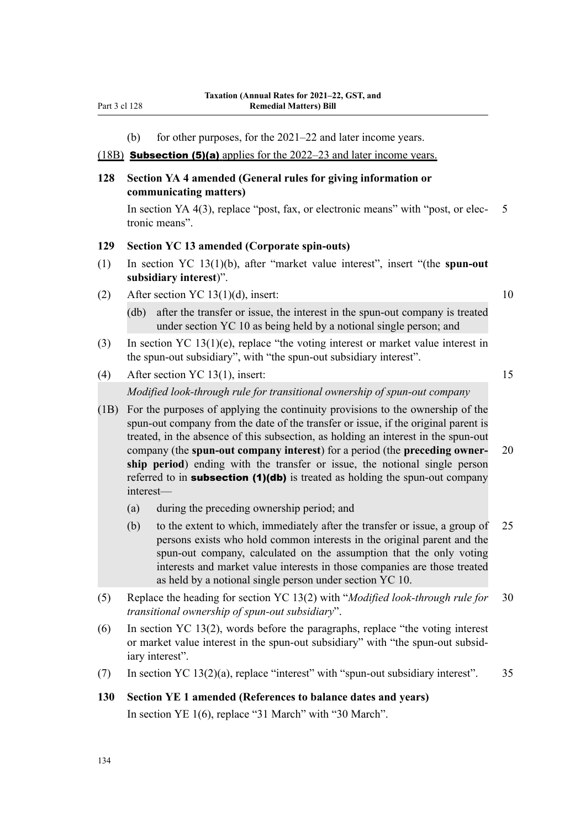(b) for other purposes, for the 2021–22 and later income years.

#### (18B) Subsection (5)(a) applies for the 2022–23 and later income years.

#### **128 Section YA 4 amended (General rules for giving information or communicating matters)**

In section YA  $4(3)$ , replace "post, fax, or electronic means" with "post, or elec- 5 tronic means".

#### **129 Section YC 13 amended (Corporate spin-outs)**

- (1) In section YC 13(1)(b), after "market value interest", insert "(the **spun-out subsidiary interest**)".
- (2) After section YC 13(1)(d), insert:  $10$

(db) after the transfer or issue, the interest in the spun-out company is treated under section YC 10 as being held by a notional single person; and

- (3) In section YC 13(1)(e), replace "the voting interest or market value interest in the spun-out subsidiary", with "the spun-out subsidiary interest".
- (4) After section YC 13(1), insert: 15

*Modified look-through rule for transitional ownership of spun-out company*

- (1B) For the purposes of applying the continuity provisions to the ownership of the spun-out company from the date of the transfer or issue, if the original parent is treated, in the absence of this subsection, as holding an interest in the spun-out company (the **spun-out company interest**) for a period (the **preceding owner‐** 20 **ship period**) ending with the transfer or issue, the notional single person referred to in **subsection (1)(db)** is treated as holding the spun-out company interest—
	- (a) during the preceding ownership period; and
	- (b) to the extent to which, immediately after the transfer or issue, a group of 25 persons exists who hold common interests in the original parent and the spun-out company, calculated on the assumption that the only voting interests and market value interests in those companies are those treated as held by a notional single person under section YC 10.
- (5) Replace the heading for section YC 13(2) with "*Modified look-through rule for* 30 *transitional ownership of spun-out subsidiary*".
- (6) In section YC 13(2), words before the paragraphs, replace "the voting interest or market value interest in the spun-out subsidiary" with "the spun-out subsid‐ iary interest".
- (7) In section YC 13(2)(a), replace "interest" with "spun-out subsidiary interest". 35

# **130 Section YE 1 amended (References to balance dates and years)**

In section YE 1(6), replace "31 March" with "30 March".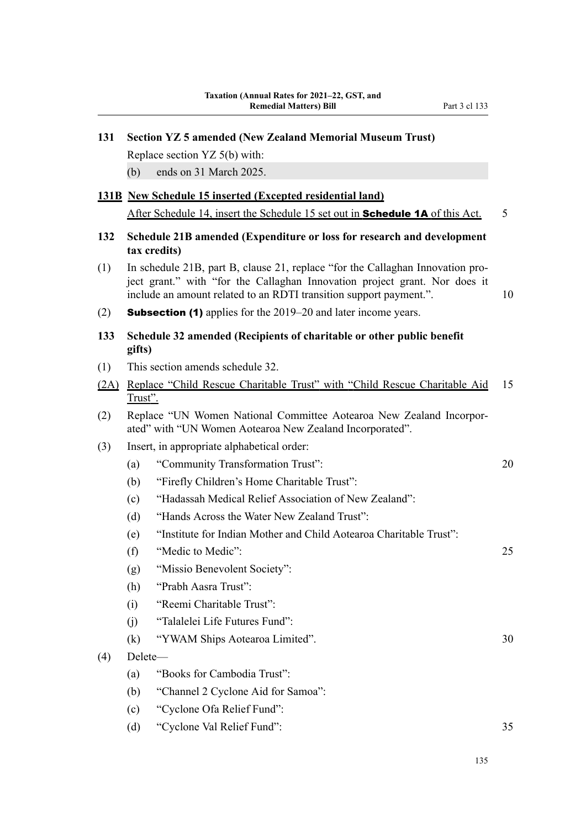| 131  |         | <b>Section YZ 5 amended (New Zealand Memorial Museum Trust)</b>                                                                                                                                                                    |    |
|------|---------|------------------------------------------------------------------------------------------------------------------------------------------------------------------------------------------------------------------------------------|----|
|      |         | Replace section YZ 5(b) with:                                                                                                                                                                                                      |    |
|      | (b)     | ends on 31 March 2025.                                                                                                                                                                                                             |    |
|      |         | <b>131B</b> New Schedule 15 inserted (Excepted residential land)                                                                                                                                                                   |    |
|      |         | After Schedule 14, insert the Schedule 15 set out in <b>Schedule 1A</b> of this Act.                                                                                                                                               | 5  |
| 132  |         | Schedule 21B amended (Expenditure or loss for research and development<br>tax credits)                                                                                                                                             |    |
| (1)  |         | In schedule 21B, part B, clause 21, replace "for the Callaghan Innovation pro-<br>ject grant." with "for the Callaghan Innovation project grant. Nor does it<br>include an amount related to an RDTI transition support payment.". | 10 |
| (2)  |         | <b>Subsection (1)</b> applies for the 2019–20 and later income years.                                                                                                                                                              |    |
| 133  | gifts)  | Schedule 32 amended (Recipients of charitable or other public benefit                                                                                                                                                              |    |
| (1)  |         | This section amends schedule 32.                                                                                                                                                                                                   |    |
| (2A) | Trust". | Replace "Child Rescue Charitable Trust" with "Child Rescue Charitable Aid                                                                                                                                                          | 15 |
| (2)  |         | Replace "UN Women National Committee Aotearoa New Zealand Incorpor-<br>ated" with "UN Women Aotearoa New Zealand Incorporated".                                                                                                    |    |
| (3)  |         | Insert, in appropriate alphabetical order:                                                                                                                                                                                         |    |
|      | (a)     | "Community Transformation Trust":                                                                                                                                                                                                  | 20 |
|      | (b)     | "Firefly Children's Home Charitable Trust":                                                                                                                                                                                        |    |
|      | (c)     | "Hadassah Medical Relief Association of New Zealand":                                                                                                                                                                              |    |
|      | (d)     | "Hands Across the Water New Zealand Trust":                                                                                                                                                                                        |    |
|      | (e)     | "Institute for Indian Mother and Child Aotearoa Charitable Trust":                                                                                                                                                                 |    |
|      | (f)     | "Medic to Medic":                                                                                                                                                                                                                  | 25 |
|      | (g)     | "Missio Benevolent Society":                                                                                                                                                                                                       |    |
|      | (h)     | "Prabh Aasra Trust":                                                                                                                                                                                                               |    |
|      | (i)     | "Reemi Charitable Trust":                                                                                                                                                                                                          |    |
|      | (j)     | "Talalelei Life Futures Fund":                                                                                                                                                                                                     |    |
|      | (k)     | "YWAM Ships Aotearoa Limited".                                                                                                                                                                                                     | 30 |
| (4)  | Delete- |                                                                                                                                                                                                                                    |    |
|      | (a)     | "Books for Cambodia Trust":                                                                                                                                                                                                        |    |
|      | (b)     | "Channel 2 Cyclone Aid for Samoa":                                                                                                                                                                                                 |    |
|      | (c)     | "Cyclone Ofa Relief Fund":                                                                                                                                                                                                         |    |
|      | (d)     | "Cyclone Val Relief Fund":                                                                                                                                                                                                         | 35 |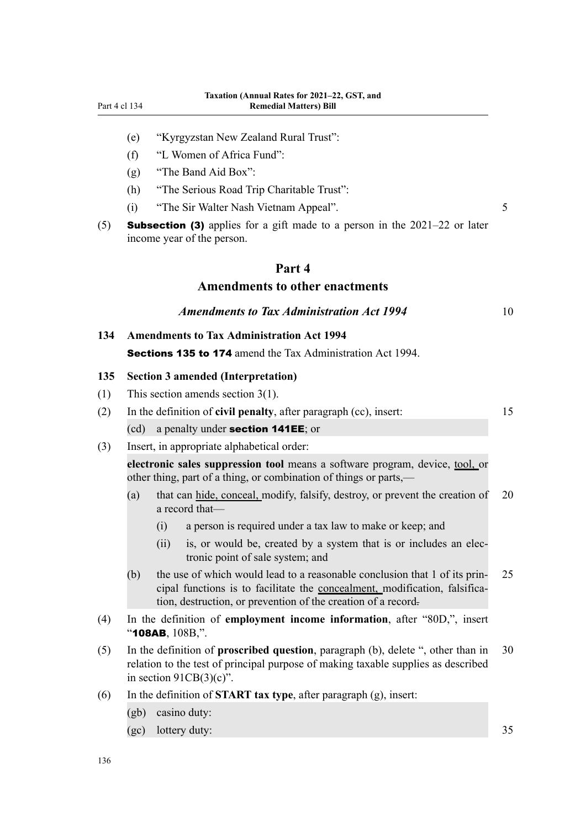- (e) "Kyrgyzstan New Zealand Rural Trust":
- (f) "L Women of Africa Fund":
- (g) "The Band Aid Box":
- (h) "The Serious Road Trip Charitable Trust":
- (i) "The Sir Walter Nash Vietnam Appeal". 5
- (5) **Subsection (3)** applies for a gift made to a person in the  $2021-22$  or later income year of the person.

# **Part 4 Amendments to other enactments**

| <b>Amendments to Tax Administration Act 1994</b> |
|--------------------------------------------------|
|--------------------------------------------------|

**134 Amendments to Tax Administration Act 1994** Sections 135 to 174 amend the Tax Administration Act 1994.

#### **135 Section 3 amended (Interpretation)**

- (1) This section amends section 3(1).
- (2) In the definition of **civil penalty**, after paragraph (cc), insert: 15 (cd) a penalty under section 141EE; or
- (3) Insert, in appropriate alphabetical order:

**electronic sales suppression tool** means a software program, device, tool, or other thing, part of a thing, or combination of things or parts,—

- (a) that can hide, conceal, modify, falsify, destroy, or prevent the creation of 20 a record that—
	- (i) a person is required under a tax law to make or keep; and
	- (ii) is, or would be, created by a system that is or includes an electronic point of sale system; and
- (b) the use of which would lead to a reasonable conclusion that 1 of its prin- $25$ cipal functions is to facilitate the concealment, modification, falsification, destruction, or prevention of the creation of a record.
- (4) In the definition of **employment income information**, after "80D,", insert "108AB, 108B,".
- (5) In the definition of **proscribed question**, paragraph (b), delete ", other than in 30 relation to the test of principal purpose of making taxable supplies as described in section  $91CB(3)(c)$ ".
- (6) In the definition of **START tax type**, after paragraph (g), insert:
	- (gb) casino duty:
	- (gc) lottery duty: 35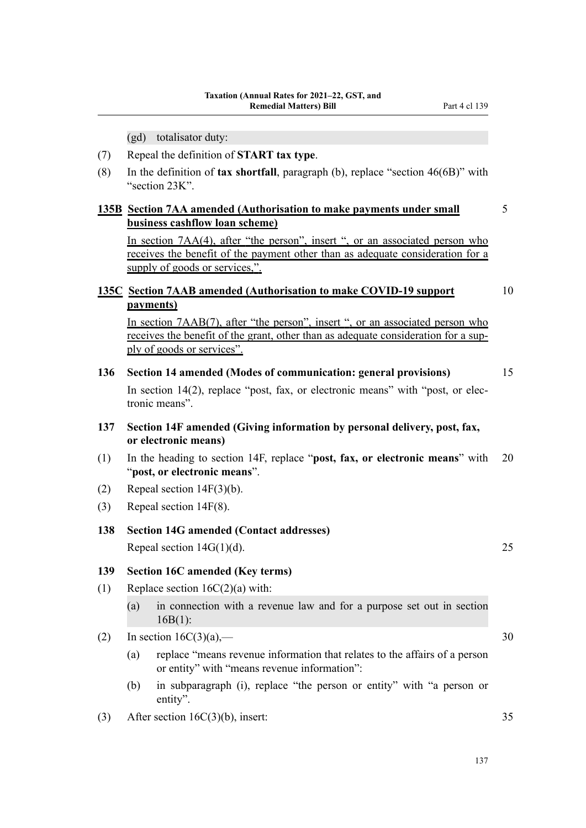(gd) totalisator duty:

- (7) Repeal the definition of **START tax type**.
- (8) In the definition of **tax shortfall**, paragraph (b), replace "section 46(6B)" with "section 23K".

#### **135B Section 7AA amended (Authorisation to make payments under small** 5 **business cashflow loan scheme)**

In section 7AA(4), after "the person", insert ", or an associated person who receives the benefit of the payment other than as adequate consideration for a supply of goods or services,".

# **135C Section 7AAB amended (Authorisation to make COVID-19 support** 10 **payments)**

In section 7AAB(7), after "the person", insert ", or an associated person who receives the benefit of the grant, other than as adequate consideration for a supply of goods or services".

**136 Section 14 amended (Modes of communication: general provisions)** 15

In section 14(2), replace "post, fax, or electronic means" with "post, or electronic means".

- **137 Section 14F amended (Giving information by personal delivery, post, fax, or electronic means)**
- (1) In the heading to section 14F, replace "**post, fax, or electronic means**" with 20 "**post, or electronic means**".
- (2) Repeal section 14F(3)(b).
- (3) Repeal section 14F(8).

#### **138 Section 14G amended (Contact addresses)**

Repeal section  $14G(1)(d)$ . 25

#### **139 Section 16C amended (Key terms)**

- (1) Replace section 16C(2)(a) with:
	- (a) in connection with a revenue law and for a purpose set out in section 16B(1):
- (2) In section  $16C(3)(a)$ ,  $-$  30
	- (a) replace "means revenue information that relates to the affairs of a person or entity" with "means revenue information":
	- (b) in subparagraph (i), replace "the person or entity" with "a person or entity".
- (3) After section 16C(3)(b), insert: 35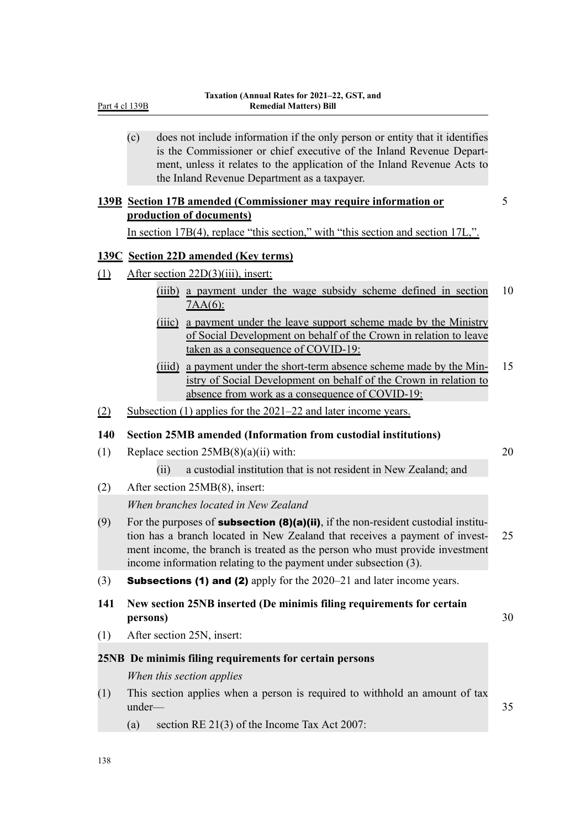|     | Part 4 cl 139B | <b>Remedial Matters) Bill</b>                                                                                                                                                                                                                                                                                                |                 |
|-----|----------------|------------------------------------------------------------------------------------------------------------------------------------------------------------------------------------------------------------------------------------------------------------------------------------------------------------------------------|-----------------|
|     | (c)            | does not include information if the only person or entity that it identifies<br>is the Commissioner or chief executive of the Inland Revenue Depart-<br>ment, unless it relates to the application of the Inland Revenue Acts to<br>the Inland Revenue Department as a taxpayer.                                             |                 |
|     |                | 139B Section 17B amended (Commissioner may require information or                                                                                                                                                                                                                                                            | $5\overline{)}$ |
|     |                | production of documents)                                                                                                                                                                                                                                                                                                     |                 |
|     |                | In section 17B(4), replace "this section," with "this section and section 17L,".                                                                                                                                                                                                                                             |                 |
|     |                | <b>139C</b> Section 22D amended (Key terms)                                                                                                                                                                                                                                                                                  |                 |
| (1) |                | After section 22D(3)(iii), insert:                                                                                                                                                                                                                                                                                           |                 |
|     |                | (iiib) a payment under the wage subsidy scheme defined in section<br>$7AA(6)$ :                                                                                                                                                                                                                                              | 10              |
|     |                | (iiic) a payment under the leave support scheme made by the Ministry<br>of Social Development on behalf of the Crown in relation to leave<br>taken as a consequence of COVID-19:                                                                                                                                             |                 |
|     |                | a payment under the short-term absence scheme made by the Min-<br>(iiid)<br>istry of Social Development on behalf of the Crown in relation to<br>absence from work as a consequence of COVID-19:                                                                                                                             | 15              |
| (2) |                | Subsection $(1)$ applies for the 2021–22 and later income years.                                                                                                                                                                                                                                                             |                 |
| 140 |                | <b>Section 25MB amended (Information from custodial institutions)</b>                                                                                                                                                                                                                                                        |                 |
| (1) |                | Replace section $25MB(8)(a)(ii)$ with:                                                                                                                                                                                                                                                                                       | 20              |
|     |                | a custodial institution that is not resident in New Zealand; and<br>(ii)                                                                                                                                                                                                                                                     |                 |
| (2) |                | After section 25MB(8), insert:                                                                                                                                                                                                                                                                                               |                 |
|     |                | When branches located in New Zealand                                                                                                                                                                                                                                                                                         |                 |
| (9) |                | For the purposes of <b>subsection (8)(a)(ii)</b> , if the non-resident custodial institu-<br>tion has a branch located in New Zealand that receives a payment of invest-<br>ment income, the branch is treated as the person who must provide investment<br>income information relating to the payment under subsection (3). | 25              |
| (3) |                | <b>Subsections (1) and (2)</b> apply for the $2020-21$ and later income years.                                                                                                                                                                                                                                               |                 |
| 141 | persons)       | New section 25NB inserted (De minimis filing requirements for certain                                                                                                                                                                                                                                                        | 30              |
| (1) |                | After section 25N, insert:                                                                                                                                                                                                                                                                                                   |                 |
|     |                | 25NB De minimis filing requirements for certain persons                                                                                                                                                                                                                                                                      |                 |
|     |                | When this section applies                                                                                                                                                                                                                                                                                                    |                 |
| (1) | under-         | This section applies when a person is required to withhold an amount of tax                                                                                                                                                                                                                                                  | 35              |
|     | (a)            | section RE 21(3) of the Income Tax Act 2007:                                                                                                                                                                                                                                                                                 |                 |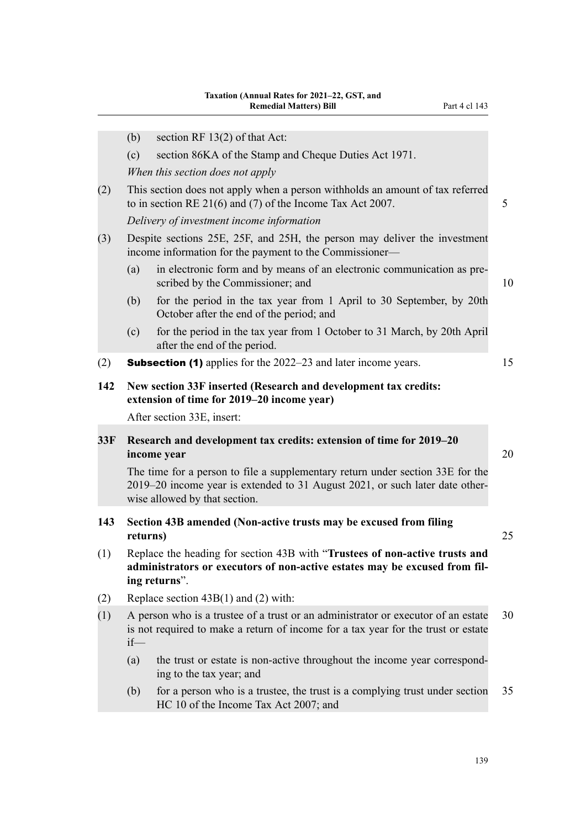|     | (b)                                                                                                           | section RF $13(2)$ of that Act:                                                                                                                                                                 |  |
|-----|---------------------------------------------------------------------------------------------------------------|-------------------------------------------------------------------------------------------------------------------------------------------------------------------------------------------------|--|
|     | (c)                                                                                                           | section 86KA of the Stamp and Cheque Duties Act 1971.                                                                                                                                           |  |
|     |                                                                                                               | When this section does not apply                                                                                                                                                                |  |
| (2) |                                                                                                               | This section does not apply when a person withholds an amount of tax referred<br>to in section RE $21(6)$ and (7) of the Income Tax Act 2007.                                                   |  |
|     |                                                                                                               | Delivery of investment income information                                                                                                                                                       |  |
| (3) |                                                                                                               | Despite sections 25E, 25F, and 25H, the person may deliver the investment<br>income information for the payment to the Commissioner—                                                            |  |
|     | (a)                                                                                                           | in electronic form and by means of an electronic communication as pre-<br>scribed by the Commissioner; and                                                                                      |  |
|     | (b)                                                                                                           | for the period in the tax year from 1 April to 30 September, by 20th<br>October after the end of the period; and                                                                                |  |
|     | (c)                                                                                                           | for the period in the tax year from 1 October to 31 March, by 20th April<br>after the end of the period.                                                                                        |  |
| (2) |                                                                                                               | <b>Subsection (1)</b> applies for the 2022–23 and later income years.                                                                                                                           |  |
| 142 | New section 33F inserted (Research and development tax credits:<br>extension of time for 2019–20 income year) |                                                                                                                                                                                                 |  |
|     |                                                                                                               | After section 33E, insert:                                                                                                                                                                      |  |
| 33F |                                                                                                               | Research and development tax credits: extension of time for 2019-20<br>income year                                                                                                              |  |
|     |                                                                                                               | The time for a person to file a supplementary return under section 33E for the<br>2019-20 income year is extended to 31 August 2021, or such later date other-<br>wise allowed by that section. |  |
| 143 | returns)                                                                                                      | Section 43B amended (Non-active trusts may be excused from filing                                                                                                                               |  |

- (1) Replace the heading for section 43B with "**Trustees of non-active trusts and administrators or executors of non-active estates may be excused from fil‐ ing returns**".
- (2) Replace section 43B(1) and (2) with:
- (1) A person who is a trustee of a trust or an administrator or executor of an estate 30 is not required to make a return of income for a tax year for the trust or estate if—
	- (a) the trust or estate is non-active throughout the income year correspond‐ ing to the tax year; and
	- (b) for a person who is a trustee, the trust is a complying trust under section 35 HC 10 of the Income Tax Act 2007; and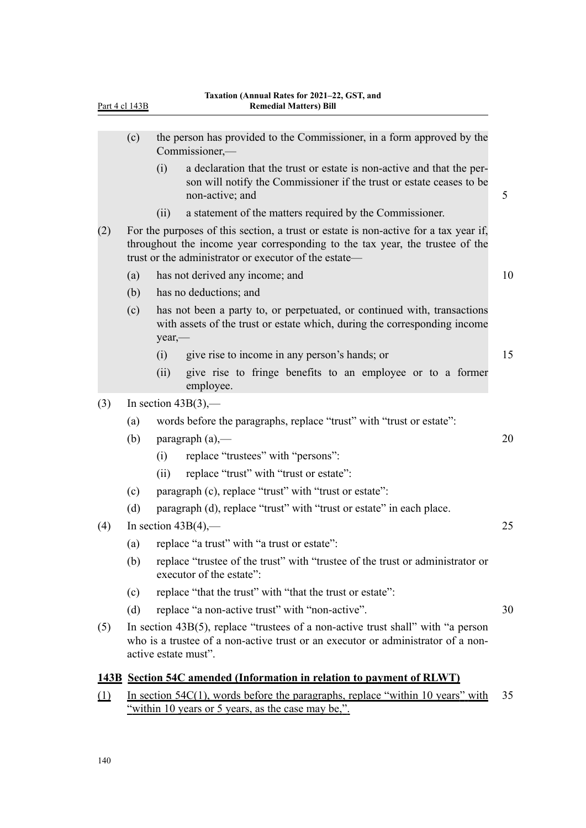| (c) |      |                                                                                                                                                                   |                                                                                                                                                                                                                                                                                                                                                                                                                                                                                                                                                                                                                                                                                                                                                                                                                                                                                                                                                                                                                                                                                                                                                                                                                                                                                                                                                                                                                                                                                                                                               |
|-----|------|-------------------------------------------------------------------------------------------------------------------------------------------------------------------|-----------------------------------------------------------------------------------------------------------------------------------------------------------------------------------------------------------------------------------------------------------------------------------------------------------------------------------------------------------------------------------------------------------------------------------------------------------------------------------------------------------------------------------------------------------------------------------------------------------------------------------------------------------------------------------------------------------------------------------------------------------------------------------------------------------------------------------------------------------------------------------------------------------------------------------------------------------------------------------------------------------------------------------------------------------------------------------------------------------------------------------------------------------------------------------------------------------------------------------------------------------------------------------------------------------------------------------------------------------------------------------------------------------------------------------------------------------------------------------------------------------------------------------------------|
|     | (i)  | a declaration that the trust or estate is non-active and that the per-<br>son will notify the Commissioner if the trust or estate ceases to be<br>non-active; and | 5                                                                                                                                                                                                                                                                                                                                                                                                                                                                                                                                                                                                                                                                                                                                                                                                                                                                                                                                                                                                                                                                                                                                                                                                                                                                                                                                                                                                                                                                                                                                             |
|     | (ii) | a statement of the matters required by the Commissioner.                                                                                                          |                                                                                                                                                                                                                                                                                                                                                                                                                                                                                                                                                                                                                                                                                                                                                                                                                                                                                                                                                                                                                                                                                                                                                                                                                                                                                                                                                                                                                                                                                                                                               |
|     |      |                                                                                                                                                                   |                                                                                                                                                                                                                                                                                                                                                                                                                                                                                                                                                                                                                                                                                                                                                                                                                                                                                                                                                                                                                                                                                                                                                                                                                                                                                                                                                                                                                                                                                                                                               |
| (a) |      |                                                                                                                                                                   | 10                                                                                                                                                                                                                                                                                                                                                                                                                                                                                                                                                                                                                                                                                                                                                                                                                                                                                                                                                                                                                                                                                                                                                                                                                                                                                                                                                                                                                                                                                                                                            |
| (b) |      |                                                                                                                                                                   |                                                                                                                                                                                                                                                                                                                                                                                                                                                                                                                                                                                                                                                                                                                                                                                                                                                                                                                                                                                                                                                                                                                                                                                                                                                                                                                                                                                                                                                                                                                                               |
| (c) |      |                                                                                                                                                                   |                                                                                                                                                                                                                                                                                                                                                                                                                                                                                                                                                                                                                                                                                                                                                                                                                                                                                                                                                                                                                                                                                                                                                                                                                                                                                                                                                                                                                                                                                                                                               |
|     | (i)  | give rise to income in any person's hands; or                                                                                                                     | 15                                                                                                                                                                                                                                                                                                                                                                                                                                                                                                                                                                                                                                                                                                                                                                                                                                                                                                                                                                                                                                                                                                                                                                                                                                                                                                                                                                                                                                                                                                                                            |
|     | (ii) | give rise to fringe benefits to an employee or to a former<br>employee.                                                                                           |                                                                                                                                                                                                                                                                                                                                                                                                                                                                                                                                                                                                                                                                                                                                                                                                                                                                                                                                                                                                                                                                                                                                                                                                                                                                                                                                                                                                                                                                                                                                               |
|     |      |                                                                                                                                                                   |                                                                                                                                                                                                                                                                                                                                                                                                                                                                                                                                                                                                                                                                                                                                                                                                                                                                                                                                                                                                                                                                                                                                                                                                                                                                                                                                                                                                                                                                                                                                               |
| (a) |      |                                                                                                                                                                   |                                                                                                                                                                                                                                                                                                                                                                                                                                                                                                                                                                                                                                                                                                                                                                                                                                                                                                                                                                                                                                                                                                                                                                                                                                                                                                                                                                                                                                                                                                                                               |
| (b) |      |                                                                                                                                                                   | 20                                                                                                                                                                                                                                                                                                                                                                                                                                                                                                                                                                                                                                                                                                                                                                                                                                                                                                                                                                                                                                                                                                                                                                                                                                                                                                                                                                                                                                                                                                                                            |
|     | (i)  | replace "trustees" with "persons":                                                                                                                                |                                                                                                                                                                                                                                                                                                                                                                                                                                                                                                                                                                                                                                                                                                                                                                                                                                                                                                                                                                                                                                                                                                                                                                                                                                                                                                                                                                                                                                                                                                                                               |
|     | (ii) | replace "trust" with "trust or estate":                                                                                                                           |                                                                                                                                                                                                                                                                                                                                                                                                                                                                                                                                                                                                                                                                                                                                                                                                                                                                                                                                                                                                                                                                                                                                                                                                                                                                                                                                                                                                                                                                                                                                               |
| (c) |      |                                                                                                                                                                   |                                                                                                                                                                                                                                                                                                                                                                                                                                                                                                                                                                                                                                                                                                                                                                                                                                                                                                                                                                                                                                                                                                                                                                                                                                                                                                                                                                                                                                                                                                                                               |
| (d) |      |                                                                                                                                                                   |                                                                                                                                                                                                                                                                                                                                                                                                                                                                                                                                                                                                                                                                                                                                                                                                                                                                                                                                                                                                                                                                                                                                                                                                                                                                                                                                                                                                                                                                                                                                               |
|     |      |                                                                                                                                                                   | 25                                                                                                                                                                                                                                                                                                                                                                                                                                                                                                                                                                                                                                                                                                                                                                                                                                                                                                                                                                                                                                                                                                                                                                                                                                                                                                                                                                                                                                                                                                                                            |
| (a) |      |                                                                                                                                                                   |                                                                                                                                                                                                                                                                                                                                                                                                                                                                                                                                                                                                                                                                                                                                                                                                                                                                                                                                                                                                                                                                                                                                                                                                                                                                                                                                                                                                                                                                                                                                               |
| (b) |      |                                                                                                                                                                   |                                                                                                                                                                                                                                                                                                                                                                                                                                                                                                                                                                                                                                                                                                                                                                                                                                                                                                                                                                                                                                                                                                                                                                                                                                                                                                                                                                                                                                                                                                                                               |
| (c) |      |                                                                                                                                                                   |                                                                                                                                                                                                                                                                                                                                                                                                                                                                                                                                                                                                                                                                                                                                                                                                                                                                                                                                                                                                                                                                                                                                                                                                                                                                                                                                                                                                                                                                                                                                               |
| (d) |      |                                                                                                                                                                   | 30                                                                                                                                                                                                                                                                                                                                                                                                                                                                                                                                                                                                                                                                                                                                                                                                                                                                                                                                                                                                                                                                                                                                                                                                                                                                                                                                                                                                                                                                                                                                            |
|     |      |                                                                                                                                                                   |                                                                                                                                                                                                                                                                                                                                                                                                                                                                                                                                                                                                                                                                                                                                                                                                                                                                                                                                                                                                                                                                                                                                                                                                                                                                                                                                                                                                                                                                                                                                               |
|     |      |                                                                                                                                                                   |                                                                                                                                                                                                                                                                                                                                                                                                                                                                                                                                                                                                                                                                                                                                                                                                                                                                                                                                                                                                                                                                                                                                                                                                                                                                                                                                                                                                                                                                                                                                               |
|     |      |                                                                                                                                                                   | 35                                                                                                                                                                                                                                                                                                                                                                                                                                                                                                                                                                                                                                                                                                                                                                                                                                                                                                                                                                                                                                                                                                                                                                                                                                                                                                                                                                                                                                                                                                                                            |
|     |      |                                                                                                                                                                   | the person has provided to the Commissioner, in a form approved by the<br>Commissioner,—<br>For the purposes of this section, a trust or estate is non-active for a tax year if,<br>throughout the income year corresponding to the tax year, the trustee of the<br>trust or the administrator or executor of the estate-<br>has not derived any income; and<br>has no deductions; and<br>has not been a party to, or perpetuated, or continued with, transactions<br>with assets of the trust or estate which, during the corresponding income<br>year,-<br>In section $43B(3)$ ,—<br>words before the paragraphs, replace "trust" with "trust or estate":<br>paragraph $(a)$ ,—<br>paragraph (c), replace "trust" with "trust or estate":<br>paragraph (d), replace "trust" with "trust or estate" in each place.<br>In section $43B(4)$ ,—<br>replace "a trust" with "a trust or estate":<br>replace "trustee of the trust" with "trustee of the trust or administrator or<br>executor of the estate":<br>replace "that the trust" with "that the trust or estate":<br>replace "a non-active trust" with "non-active".<br>In section $43B(5)$ , replace "trustees of a non-active trust shall" with "a person<br>who is a trustee of a non-active trust or an executor or administrator of a non-<br>active estate must".<br>143B Section 54C amended (Information in relation to payment of RLWT)<br>In section 54C(1), words before the paragraphs, replace "within 10 years" with<br>"within 10 years or 5 years, as the case may be,". |

Part 4 cl 143B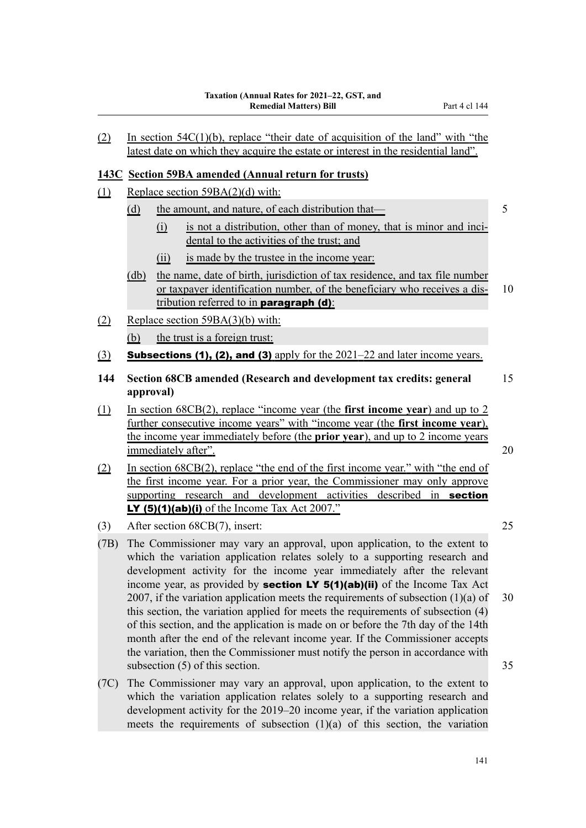#### **143C Section 59BA amended (Annual return for trusts)**

- (1) Replace section 59BA(2)(d) with:
	- (d) the amount, and nature, of each distribution that— 5
		- $(i)$  is not a distribution, other than of money, that is minor and incidental to the activities of the trust; and
		- (ii) is made by the trustee in the income year:
	- (db) the name, date of birth, jurisdiction of tax residence, and tax file number or taxpayer identification number, of the beneficiary who receives a dis- 10 tribution referred to in **paragraph**  $(d)$ **:**
- (2) Replace section 59BA(3)(b) with:
	- (b) the trust is a foreign trust:
- (3) Subsections (1), (2), and (3) apply for the  $2021-22$  and later income years.
- **144 Section 68CB amended (Research and development tax credits: general** 15 **approval)**
- (1) In section 68CB(2), replace "income year (the **first income year**) and up to 2 further consecutive income years" with "income year (the **first income year**), the income year immediately before (the **prior year**), and up to 2 income years immediately after". 20
- (2) In section 68CB(2), replace "the end of the first income year." with "the end of the first income year. For a prior year, the Commissioner may only approve supporting research and development activities described in **section** LY  $(5)(1)(ab)(i)$  of the Income Tax Act 2007."
- (3) After section 68CB(7), insert: 25
- (7B) The Commissioner may vary an approval, upon application, to the extent to which the variation application relates solely to a supporting research and development activity for the income year immediately after the relevant income year, as provided by **section LY 5(1)(ab)(ii)** of the Income Tax Act 2007, if the variation application meets the requirements of subsection  $(1)(a)$  of 30 this section, the variation applied for meets the requirements of subsection (4) of this section, and the application is made on or before the 7th day of the 14th month after the end of the relevant income year. If the Commissioner accepts the variation, then the Commissioner must notify the person in accordance with subsection (5) of this section. 35
- (7C) The Commissioner may vary an approval, upon application, to the extent to which the variation application relates solely to a supporting research and development activity for the 2019–20 income year, if the variation application meets the requirements of subsection (1)(a) of this section, the variation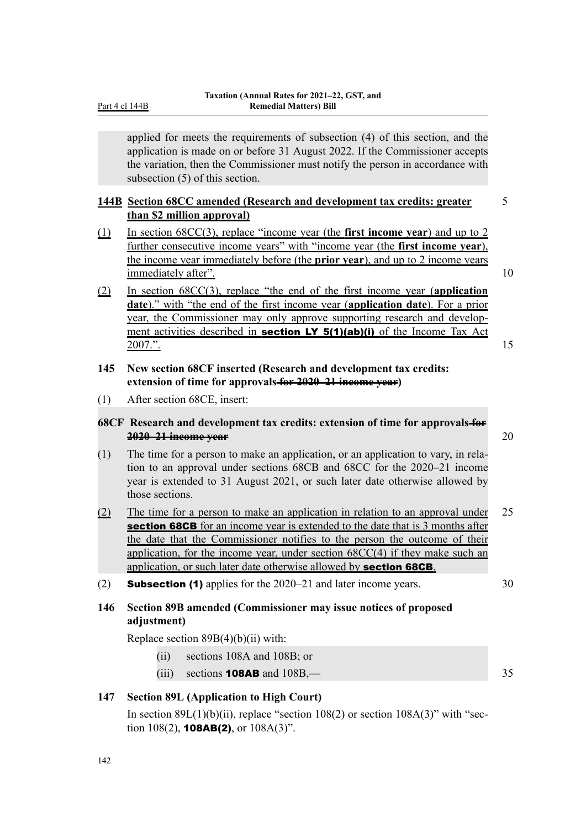applied for meets the requirements of subsection (4) of this section, and the application is made on or before 31 August 2022. If the Commissioner accepts the variation, then the Commissioner must notify the person in accordance with subsection (5) of this section.

# **144B Section 68CC amended (Research and development tax credits: greater** 5 **than \$2 million approval)**

- (1) In section 68CC(3), replace "income year (the **first income year**) and up to 2 further consecutive income years" with "income year (the **first income year**), the income year immediately before (the **prior year**), and up to 2 income years immediately after". 10
- (2) In section 68CC(3), replace "the end of the first income year (**application date**)." with "the end of the first income year (**application date**). For a prior year, the Commissioner may only approve supporting research and development activities described in **section LY 5(1)(ab)(i)** of the Income Tax Act 2007.". 15
- **145 New section 68CF inserted (Research and development tax credits: extension of time for approvals for 2020–21 income year)**
- (1) After section 68CE, insert:

#### **68CF Research and development tax credits: extension of time for approvals for 2020–21 income year** 20

- (1) The time for a person to make an application, or an application to vary, in rela‐ tion to an approval under sections 68CB and 68CC for the 2020–21 income year is extended to 31 August 2021, or such later date otherwise allowed by those sections.
- (2) The time for a person to make an application in relation to an approval under 25 section 68CB for an income year is extended to the date that is 3 months after the date that the Commissioner notifies to the person the outcome of their application, for the income year, under section 68CC(4) if they make such an application, or such later date otherwise allowed by section 68CB.
- (2) **Subsection (1)** applies for the  $2020-21$  and later income years.  $30$

# **146 Section 89B amended (Commissioner may issue notices of proposed adjustment)**

Replace section  $89B(4)(b)(ii)$  with:

- (ii) sections 108A and 108B; or
- $(iii)$  sections **108AB** and  $108B$ ,— 35

# **147 Section 89L (Application to High Court)**

In section  $89L(1)(b)(ii)$ , replace "section  $108(2)$  or section  $108A(3)$ " with "section  $108(2)$ , **108AB(2)**, or  $108A(3)$ ".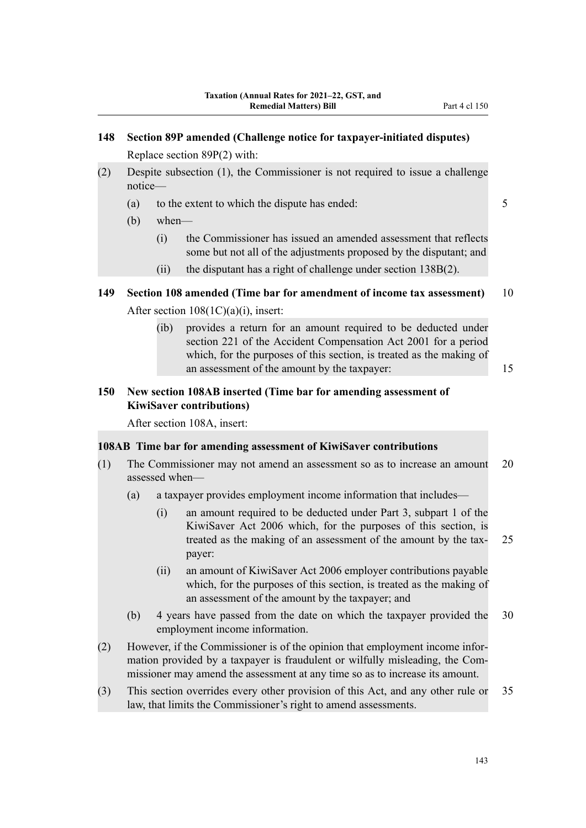- (2) Despite subsection (1), the Commissioner is not required to issue a challenge notice—
	- (a) to the extent to which the dispute has ended: 5
	- (b) when—
		- (i) the Commissioner has issued an amended assessment that reflects some but not all of the adjustments proposed by the disputant; and
		- (ii) the disputant has a right of challenge under section 138B(2).
- **149 Section 108 amended (Time bar for amendment of income tax assessment)** 10 After section 108(1C)(a)(i), insert:
	- (ib) provides a return for an amount required to be deducted under section 221 of the Accident Compensation Act 2001 for a period which, for the purposes of this section, is treated as the making of an assessment of the amount by the taxpayer: 15

# **150 New section 108AB inserted (Time bar for amending assessment of KiwiSaver contributions)**

After section 108A, insert:

#### **108AB Time bar for amending assessment of KiwiSaver contributions**

- (1) The Commissioner may not amend an assessment so as to increase an amount 20 assessed when—
	- (a) a taxpayer provides employment income information that includes—
		- (i) an amount required to be deducted under Part 3, subpart 1 of the KiwiSaver Act 2006 which, for the purposes of this section, is treated as the making of an assessment of the amount by the tax-<br>25 payer:
		- (ii) an amount of KiwiSaver Act 2006 employer contributions payable which, for the purposes of this section, is treated as the making of an assessment of the amount by the taxpayer; and
	- (b) 4 years have passed from the date on which the taxpayer provided the 30 employment income information.
- (2) However, if the Commissioner is of the opinion that employment income infor‐ mation provided by a taxpayer is fraudulent or wilfully misleading, the Commissioner may amend the assessment at any time so as to increase its amount.
- (3) This section overrides every other provision of this Act, and any other rule or 35 law, that limits the Commissioner's right to amend assessments.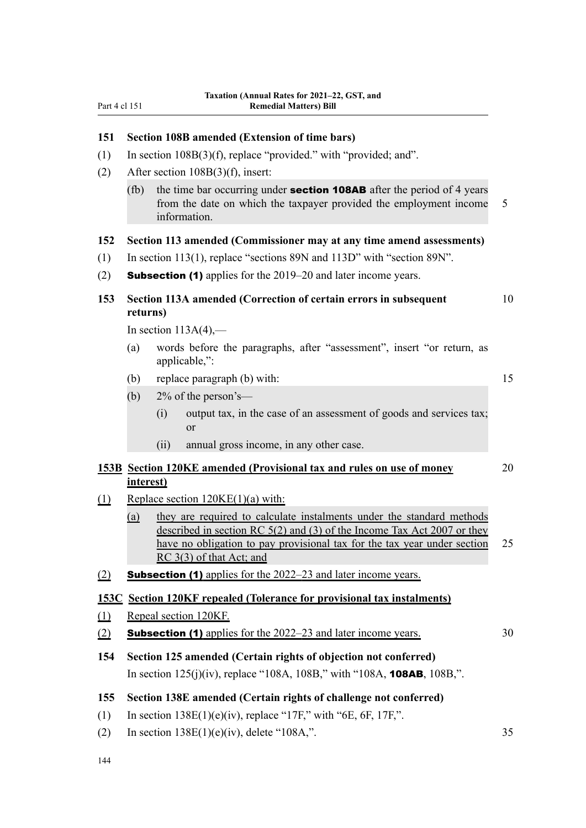| 151        |           | Section 108B amended (Extension of time bars)                                                                                                                                                                                                              |    |
|------------|-----------|------------------------------------------------------------------------------------------------------------------------------------------------------------------------------------------------------------------------------------------------------------|----|
| (1)        |           | In section $108B(3)(f)$ , replace "provided." with "provided; and".                                                                                                                                                                                        |    |
| (2)        |           | After section $108B(3)(f)$ , insert:                                                                                                                                                                                                                       |    |
|            | (fb)      | the time bar occurring under <b>section 108AB</b> after the period of 4 years<br>from the date on which the taxpayer provided the employment income<br>information.                                                                                        | 5  |
| 152        |           | Section 113 amended (Commissioner may at any time amend assessments)                                                                                                                                                                                       |    |
| (1)        |           | In section 113(1), replace "sections 89N and 113D" with "section 89N".                                                                                                                                                                                     |    |
| (2)        |           | <b>Subsection (1)</b> applies for the 2019–20 and later income years.                                                                                                                                                                                      |    |
| 153        | returns)  | Section 113A amended (Correction of certain errors in subsequent                                                                                                                                                                                           | 10 |
|            |           | In section $113A(4)$ ,-                                                                                                                                                                                                                                    |    |
|            | (a)       | words before the paragraphs, after "assessment", insert "or return, as<br>applicable,":                                                                                                                                                                    |    |
|            | (b)       | replace paragraph (b) with:                                                                                                                                                                                                                                | 15 |
|            | (b)       | $2\%$ of the person's—                                                                                                                                                                                                                                     |    |
|            |           | output tax, in the case of an assessment of goods and services tax;<br>(i)<br><sub>or</sub>                                                                                                                                                                |    |
|            |           | (ii)<br>annual gross income, in any other case.                                                                                                                                                                                                            |    |
|            | interest) | 153B Section 120KE amended (Provisional tax and rules on use of money                                                                                                                                                                                      | 20 |
| (1)        |           | Replace section 120KE(1)(a) with:                                                                                                                                                                                                                          |    |
|            | (a)       | they are required to calculate instalments under the standard methods<br>described in section RC $5(2)$ and (3) of the Income Tax Act 2007 or they<br>have no obligation to pay provisional tax for the tax year under section<br>RC 3(3) of that Act; and | 25 |
| (2)        |           | <b>Subsection (1)</b> applies for the 2022–23 and later income years.                                                                                                                                                                                      |    |
|            |           | <b>153C</b> Section 120KF repealed (Tolerance for provisional tax instalments)                                                                                                                                                                             |    |
| $\Omega$   |           | Repeal section 120KF.                                                                                                                                                                                                                                      |    |
| (2)        |           | <b>Subsection (1)</b> applies for the 2022–23 and later income years.                                                                                                                                                                                      | 30 |
|            |           | Section 125 amended (Certain rights of objection not conferred)                                                                                                                                                                                            |    |
|            |           |                                                                                                                                                                                                                                                            |    |
| 154        |           | In section $125(j)(iv)$ , replace "108A, 108B," with "108A, <b>108AB</b> , 108B,".                                                                                                                                                                         |    |
|            |           |                                                                                                                                                                                                                                                            |    |
| 155<br>(1) |           | Section 138E amended (Certain rights of challenge not conferred)<br>In section $138E(1)(e)(iv)$ , replace "17F," with "6E, 6F, 17F,".                                                                                                                      |    |

144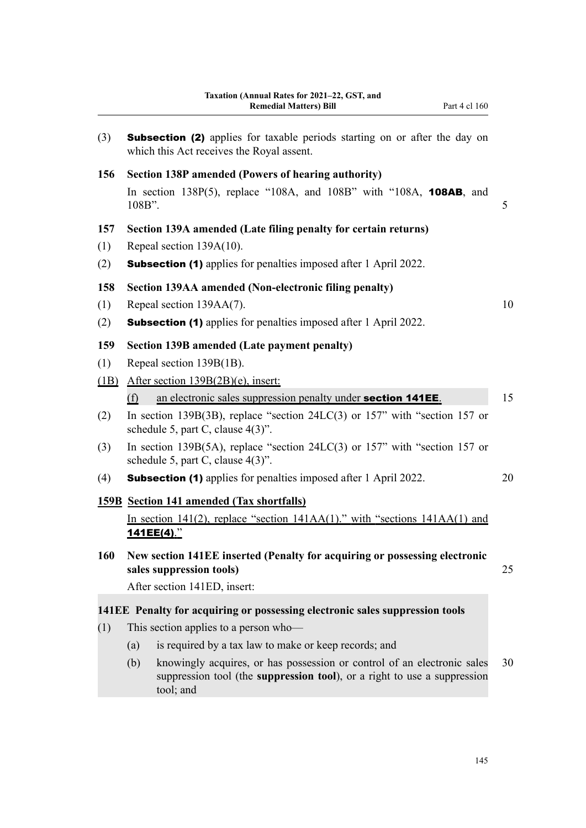| (3)        | <b>Subsection (2)</b> applies for taxable periods starting on or after the day on<br>which this Act receives the Royal assent.                                          |    |
|------------|-------------------------------------------------------------------------------------------------------------------------------------------------------------------------|----|
| 156        | Section 138P amended (Powers of hearing authority)                                                                                                                      |    |
|            | In section 138P(5), replace "108A, and 108B" with "108A, 108AB, and<br>108B".                                                                                           | 5  |
| 157        | Section 139A amended (Late filing penalty for certain returns)                                                                                                          |    |
| (1)        | Repeal section 139A(10).                                                                                                                                                |    |
| (2)        | <b>Subsection (1)</b> applies for penalties imposed after 1 April 2022.                                                                                                 |    |
| 158        | <b>Section 139AA amended (Non-electronic filing penalty)</b>                                                                                                            |    |
| (1)        | Repeal section 139AA(7).                                                                                                                                                | 10 |
| (2)        | <b>Subsection (1)</b> applies for penalties imposed after 1 April 2022.                                                                                                 |    |
| 159        | Section 139B amended (Late payment penalty)                                                                                                                             |    |
| (1)        | Repeal section 139B(1B).                                                                                                                                                |    |
| (1B)       | After section 139B(2B)(e), insert:                                                                                                                                      |    |
|            | an electronic sales suppression penalty under section 141EE.<br>(f)                                                                                                     | 15 |
| (2)        | In section 139B(3B), replace "section $24LC(3)$ or 157" with "section 157 or<br>schedule 5, part C, clause 4(3)".                                                       |    |
| (3)        | In section 139B(5A), replace "section 24LC(3) or 157" with "section 157 or<br>schedule 5, part C, clause 4(3)".                                                         |    |
| (4)        | <b>Subsection (1)</b> applies for penalties imposed after 1 April 2022.                                                                                                 | 20 |
|            | <b>159B</b> Section 141 amended (Tax shortfalls)                                                                                                                        |    |
|            | In section 141(2), replace "section $141AA(1)$ ." with "sections $141AA(1)$ and<br>141EE(4)."                                                                           |    |
| <b>160</b> | New section 141EE inserted (Penalty for acquiring or possessing electronic<br>sales suppression tools)                                                                  | 25 |
|            | After section 141ED, insert:                                                                                                                                            |    |
|            | 141EE Penalty for acquiring or possessing electronic sales suppression tools                                                                                            |    |
| (1)        | This section applies to a person who-                                                                                                                                   |    |
|            | is required by a tax law to make or keep records; and<br>(a)                                                                                                            |    |
|            | (b)<br>knowingly acquires, or has possession or control of an electronic sales<br>suppression tool (the suppression tool), or a right to use a suppression<br>tool; and | 30 |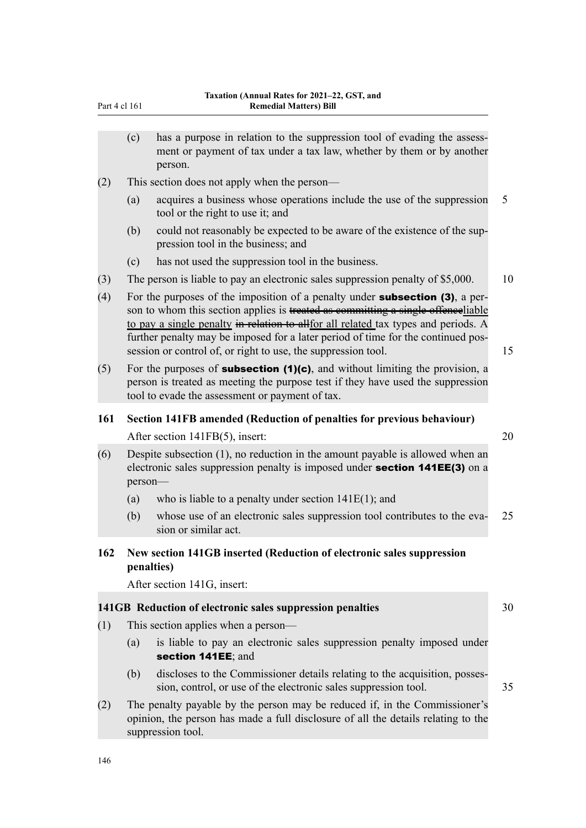|     | Part 4 cl 161 | 1 axauvii (Aliiluai Kates Ivi 2021–22, GST, aliu<br><b>Remedial Matters) Bill</b>                                                                                                                                                                                                                                                                                                                                   |    |
|-----|---------------|---------------------------------------------------------------------------------------------------------------------------------------------------------------------------------------------------------------------------------------------------------------------------------------------------------------------------------------------------------------------------------------------------------------------|----|
|     | (c)           | has a purpose in relation to the suppression tool of evading the assess-<br>ment or payment of tax under a tax law, whether by them or by another<br>person.                                                                                                                                                                                                                                                        |    |
| (2) |               | This section does not apply when the person—                                                                                                                                                                                                                                                                                                                                                                        |    |
|     | (a)           | acquires a business whose operations include the use of the suppression<br>tool or the right to use it; and                                                                                                                                                                                                                                                                                                         | 5  |
|     | (b)           | could not reasonably be expected to be aware of the existence of the sup-<br>pression tool in the business; and                                                                                                                                                                                                                                                                                                     |    |
|     | (c)           | has not used the suppression tool in the business.                                                                                                                                                                                                                                                                                                                                                                  |    |
| (3) |               | The person is liable to pay an electronic sales suppression penalty of \$5,000.                                                                                                                                                                                                                                                                                                                                     | 10 |
| (4) |               | For the purposes of the imposition of a penalty under <b>subsection (3)</b> , a per-<br>son to whom this section applies is treated as committing a single offenceliable<br>to pay a single penalty in relation to allfor all related tax types and periods. A<br>further penalty may be imposed for a later period of time for the continued pos-<br>session or control of, or right to use, the suppression tool. | 15 |
| (5) |               | For the purposes of <b>subsection <math>(1)(c)</math></b> , and without limiting the provision, a<br>person is treated as meeting the purpose test if they have used the suppression<br>tool to evade the assessment or payment of tax.                                                                                                                                                                             |    |
| 161 |               | Section 141FB amended (Reduction of penalties for previous behaviour)                                                                                                                                                                                                                                                                                                                                               |    |
|     |               | After section 141FB(5), insert:                                                                                                                                                                                                                                                                                                                                                                                     | 20 |
| (6) | person-       | Despite subsection $(1)$ , no reduction in the amount payable is allowed when an<br>electronic sales suppression penalty is imposed under <b>section 141EE(3)</b> on a                                                                                                                                                                                                                                              |    |
|     | (a)           | who is liable to a penalty under section $141E(1)$ ; and                                                                                                                                                                                                                                                                                                                                                            |    |
|     | (b)           | whose use of an electronic sales suppression tool contributes to the eva-<br>sion or similar act.                                                                                                                                                                                                                                                                                                                   | 25 |
| 162 |               | New section 141GB inserted (Reduction of electronic sales suppression<br>penalties)                                                                                                                                                                                                                                                                                                                                 |    |
|     |               | After section 141G, insert:                                                                                                                                                                                                                                                                                                                                                                                         |    |
|     |               | 141GB Reduction of electronic sales suppression penalties                                                                                                                                                                                                                                                                                                                                                           | 30 |
| (1) |               | This section applies when a person-                                                                                                                                                                                                                                                                                                                                                                                 |    |
|     | (a)           | is liable to pay an electronic sales suppression penalty imposed under<br>section 141EE; and                                                                                                                                                                                                                                                                                                                        |    |
|     | (b)           | discloses to the Commissioner details relating to the acquisition, posses-<br>sion, control, or use of the electronic sales suppression tool.                                                                                                                                                                                                                                                                       | 35 |
| (2) |               | The penalty payable by the person may be reduced if, in the Commissioner's<br>opinion, the person has made a full disclosure of all the details relating to the                                                                                                                                                                                                                                                     |    |

suppression tool.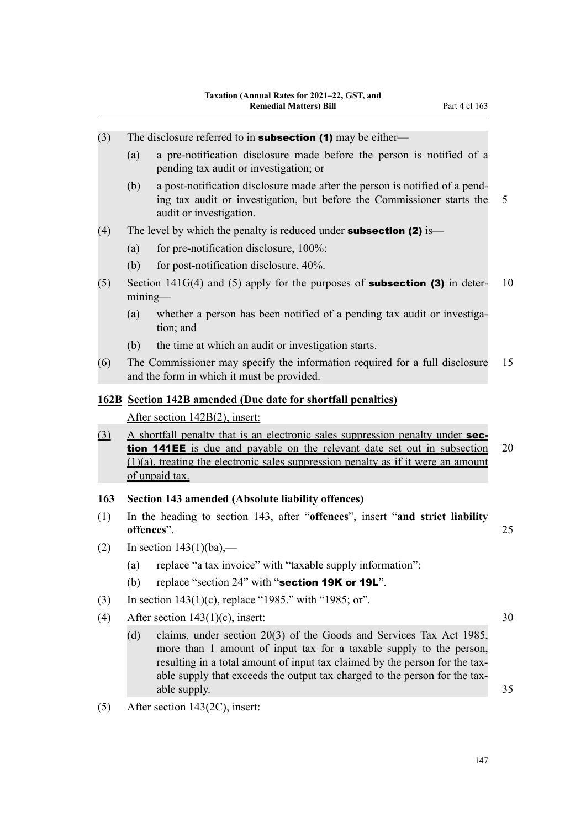- (3) The disclosure referred to in **subsection (1)** may be either—
	- (a) a pre-notification disclosure made before the person is notified of a pending tax audit or investigation; or
	- (b) a post-notification disclosure made after the person is notified of a pend‐ ing tax audit or investigation, but before the Commissioner starts the 5 audit or investigation.
- (4) The level by which the penalty is reduced under **subsection (2)** is—
	- (a) for pre-notification disclosure,  $100\%$ :
	- (b) for post-notification disclosure, 40%.
- (5) Section 141G(4) and (5) apply for the purposes of **subsection (3)** in determining—
	- (a) whether a person has been notified of a pending tax audit or investigation; and
	- (b) the time at which an audit or investigation starts.
- (6) The Commissioner may specify the information required for a full disclosure 15 and the form in which it must be provided.

#### **162B Section 142B amended (Due date for shortfall penalties)**

After section 142B(2), insert:

- (3) A shortfall penalty that is an electronic sales suppression penalty under **sec**tion 141EE is due and payable on the relevant date set out in subsection 20  $(1)(a)$ , treating the electronic sales suppression penalty as if it were an amount of unpaid tax.
- **163 Section 143 amended (Absolute liability offences)**
- (1) In the heading to section 143, after "**offences**", insert "**and strict liability offences**". 25
- (2) In section  $143(1)(ba)$ ,—
	- (a) replace "a tax invoice" with "taxable supply information":
	- (b) replace "section  $24$ " with "section 19K or 19L".
- (3) In section 143(1)(c), replace "1985." with "1985; or".
- (4) After section  $143(1)(c)$ , insert: 30
	- (d) claims, under section 20(3) of the Goods and Services Tax Act 1985, more than 1 amount of input tax for a taxable supply to the person, resulting in a total amount of input tax claimed by the person for the taxable supply that exceeds the output tax charged to the person for the taxable supply. 35
- (5) After section 143(2C), insert: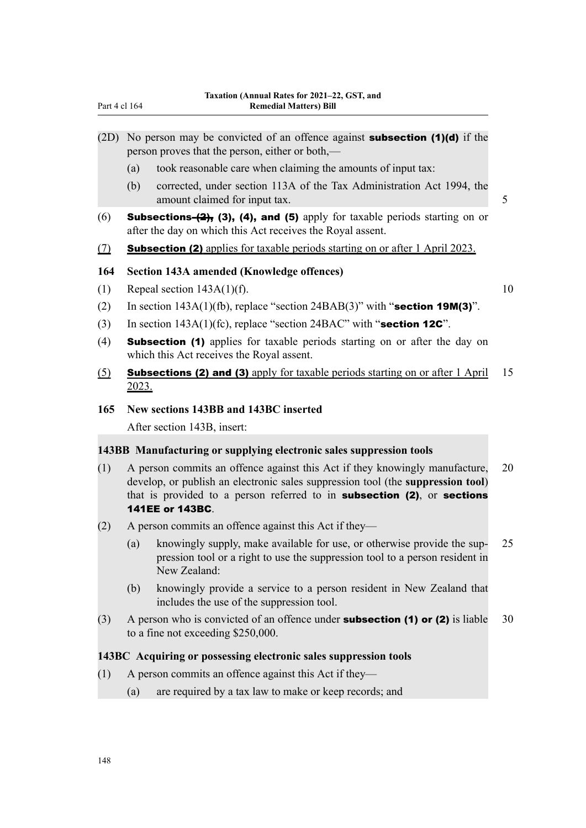| (2D)       | No person may be convicted of an offence against <b>subsection (1)(d)</b> if the<br>person proves that the person, either or both,—                            |    |
|------------|----------------------------------------------------------------------------------------------------------------------------------------------------------------|----|
|            | took reasonable care when claiming the amounts of input tax:<br>(a)                                                                                            |    |
|            | corrected, under section 113A of the Tax Administration Act 1994, the<br>(b)<br>amount claimed for input tax.                                                  | 5  |
| (6)        | <b>Subsections-<math>(2)</math></b> , (3), (4), and (5) apply for taxable periods starting on or<br>after the day on which this Act receives the Royal assent. |    |
| <u>(7)</u> | <b>Subsection (2)</b> applies for taxable periods starting on or after 1 April 2023.                                                                           |    |
| 164        | Section 143A amended (Knowledge offences)                                                                                                                      |    |
| (1)        | Repeal section $143A(1)(f)$ .                                                                                                                                  | 10 |
| (2)        | In section $143A(1)(fb)$ , replace "section $24BAB(3)$ " with "section 19M(3)".                                                                                |    |
| (3)        | In section $143A(1)$ (fc), replace "section $24BAC$ " with "section 12C".                                                                                      |    |
| (4)        | <b>Subsection (1)</b> applies for taxable periods starting on or after the day on<br>which this Act receives the Royal assent.                                 |    |
| (5)        | <b>Subsections (2) and (3)</b> apply for taxable periods starting on or after 1 April                                                                          | 15 |

#### **165 New sections 143BB and 143BC inserted**

After section 143B, insert:

2023.

#### **143BB Manufacturing or supplying electronic sales suppression tools**

- (1) A person commits an offence against this Act if they knowingly manufacture, 20 develop, or publish an electronic sales suppression tool (the **suppression tool**) that is provided to a person referred to in subsection (2), or sections 141EE or 143BC.
- (2) A person commits an offence against this Act if they—
	- (a) knowingly supply, make available for use, or otherwise provide the sup‐ 25 pression tool or a right to use the suppression tool to a person resident in New Zealand:
	- (b) knowingly provide a service to a person resident in New Zealand that includes the use of the suppression tool.
- (3) A person who is convicted of an offence under **subsection (1) or (2)** is liable  $30$ to a fine not exceeding \$250,000.

#### **143BC Acquiring or possessing electronic sales suppression tools**

- (1) A person commits an offence against this Act if they—
	- (a) are required by a tax law to make or keep records; and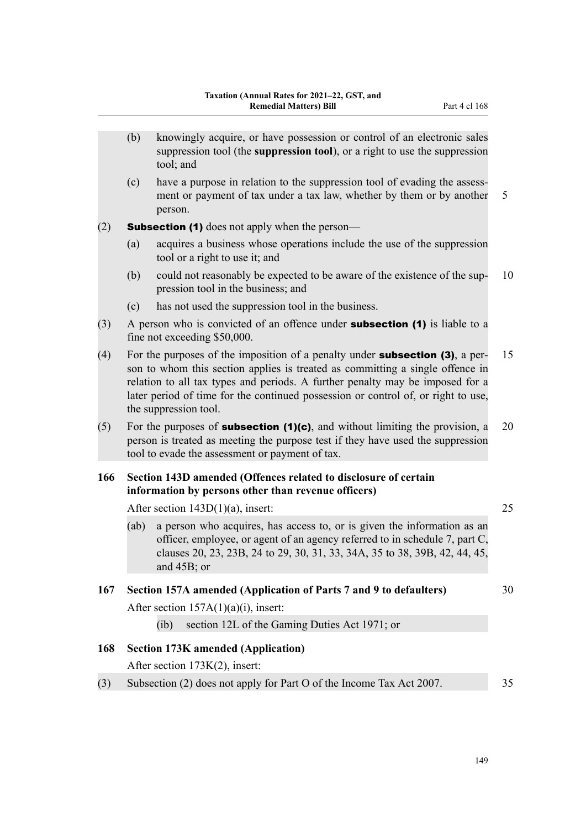- (b) knowingly acquire, or have possession or control of an electronic sales suppression tool (the **suppression tool**), or a right to use the suppression tool; and
- (c) have a purpose in relation to the suppression tool of evading the assess‐ ment or payment of tax under a tax law, whether by them or by another 5 person.

(2) **Subsection (1)** does not apply when the person—

- (a) acquires a business whose operations include the use of the suppression tool or a right to use it; and
- (b) could not reasonably be expected to be aware of the existence of the sup-  $10$ pression tool in the business; and
- (c) has not used the suppression tool in the business.
- $(3)$  A person who is convicted of an offence under **subsection (1)** is liable to a fine not exceeding \$50,000.
- (4) For the purposes of the imposition of a penalty under **subsection (3)**, a per- 15 son to whom this section applies is treated as committing a single offence in relation to all tax types and periods. A further penalty may be imposed for a later period of time for the continued possession or control of, or right to use, the suppression tool.
- (5) For the purposes of **subsection (1)(c)**, and without limiting the provision, a 20 person is treated as meeting the purpose test if they have used the suppression tool to evade the assessment or payment of tax.

#### **166 Section 143D amended (Offences related to disclosure of certain information by persons other than revenue officers)**

After section 143D(1)(a), insert: 25

(ab) a person who acquires, has access to, or is given the information as an officer, employee, or agent of an agency referred to in schedule 7, part C, clauses 20, 23, 23B, 24 to 29, 30, 31, 33, 34A, 35 to 38, 39B, 42, 44, 45, and 45B; or

#### **167 Section 157A amended (Application of Parts 7 and 9 to defaulters)** 30

After section  $157A(1)(a)(i)$ , insert:

(ib) section 12L of the Gaming Duties Act 1971; or

#### **168 Section 173K amended (Application)**

After section 173K(2), insert:

(3) Subsection (2) does not apply for Part O of the Income Tax Act 2007. 35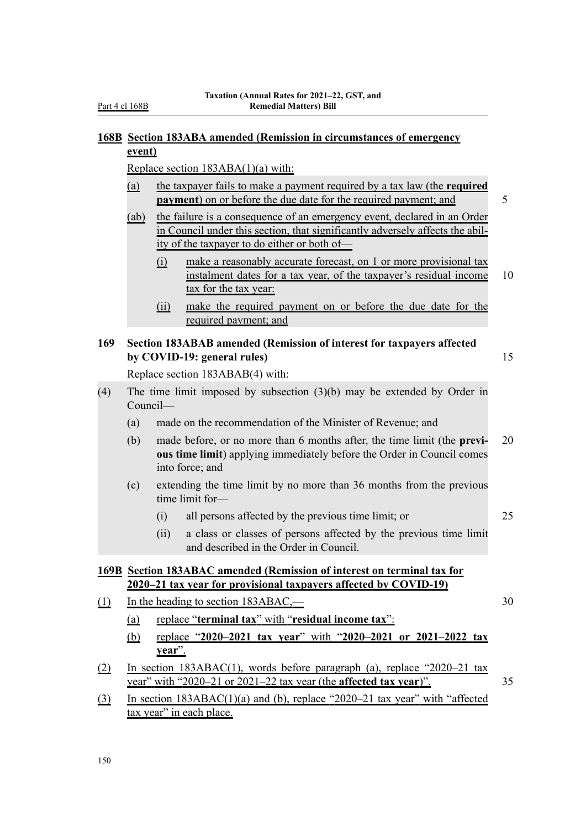# **168B Section 183ABA amended (Remission in circumstances of emergency event)**

Replace section 183ABA(1)(a) with:

| (a) | the taxpayer fails to make a payment required by a tax law (the <b>required</b> |  |  |  |
|-----|---------------------------------------------------------------------------------|--|--|--|
|     | <b>payment</b> ) on or before the due date for the required payment; and        |  |  |  |

- (ab) the failure is a consequence of an emergency event, declared in an Order in Council under this section, that significantly adversely affects the abil‐ ity of the taxpayer to do either or both of—
	- (i) make a reasonably accurate forecast, on 1 or more provisional tax instalment dates for a tax year, of the taxpayer's residual income 10 tax for the tax year:
	- (ii) make the required payment on or before the due date for the required payment; and

#### **169 Section 183ABAB amended (Remission of interest for taxpayers affected by COVID-19: general rules**) 15

Replace section 183ABAB(4) with:

- (4) The time limit imposed by subsection (3)(b) may be extended by Order in Council—
	- (a) made on the recommendation of the Minister of Revenue; and
	- (b) made before, or no more than 6 months after, the time limit (the **previ‐** 20 **ous time limit**) applying immediately before the Order in Council comes into force; and
	- (c) extending the time limit by no more than 36 months from the previous time limit for—
		- (i) all persons affected by the previous time limit; or 25
		- (ii) a class or classes of persons affected by the previous time limit and described in the Order in Council.

### **169B Section 183ABAC amended (Remission of interest on terminal tax for 2020–21 tax year for provisional taxpayers affected by COVID-19)**

- (1) In the heading to section 183ABAC,— 30
	- (a) replace "**terminal tax**" with "**residual income tax**":
	- (b) replace "**2020–2021 tax year**" with "**2020–2021 or 2021–2022 tax year**".
- (2) In section 183ABAC(1), words before paragraph (a), replace "2020–21 tax year" with "2020–21 or 2021–22 tax year (the **affected tax year**)". 35
- (3) In section 183ABAC(1)(a) and (b), replace "2020–21 tax year" with "affected tax year" in each place.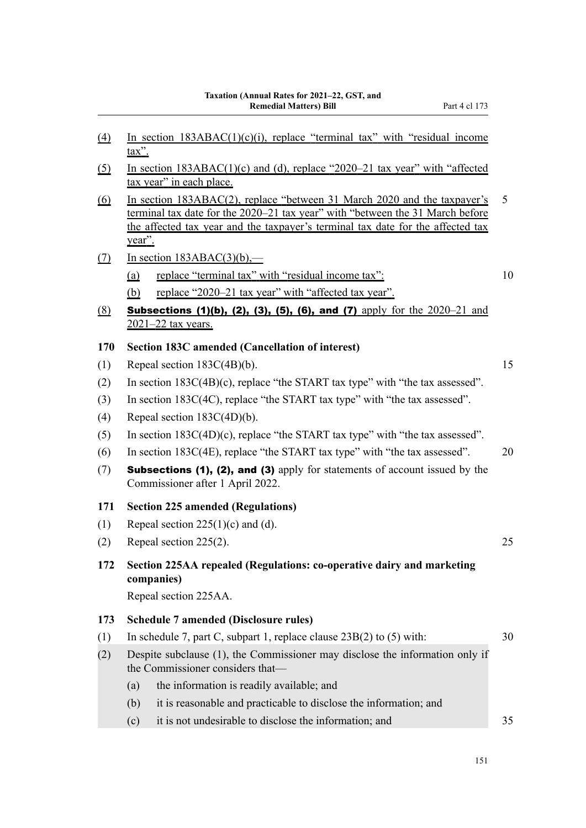- (5) In section  $183ABAC(1)(c)$  and (d), replace "2020–21 tax year" with "affected tax year" in each place.
- (6) In section 183ABAC(2), replace "between 31 March 2020 and the taxpayer's 5 terminal tax date for the 2020–21 tax year" with "between the 31 March before the affected tax year and the taxpayer's terminal tax date for the affected tax year".
- $(7)$  In section 183ABAC(3)(b),—
	- (a) replace "terminal tax" with "residual income tax": 10
	- (b) replace "2020–21 tax year" with "affected tax year".
- (8) Subsections (1)(b), (2), (3), (5), (6), and (7) apply for the  $2020-21$  and 2021–22 tax years.

### **170 Section 183C amended (Cancellation of interest)**

- (1) Repeal section  $183C(4B)(b)$ . 15
- (2) In section 183C(4B)(c), replace "the START tax type" with "the tax assessed".
- (3) In section 183C(4C), replace "the START tax type" with "the tax assessed".
- (4) Repeal section 183C(4D)(b).
- (5) In section 183C(4D)(c), replace "the START tax type" with "the tax assessed".
- (6) In section 183C(4E), replace "the START tax type" with "the tax assessed".  $20$
- (7) Subsections (1), (2), and (3) apply for statements of account issued by the Commissioner after 1 April 2022.

#### **171 Section 225 amended (Regulations)**

- (1) Repeal section  $225(1)(c)$  and (d).
- (2) Repeal section 225(2). 25
- **172 Section 225AA repealed (Regulations: co-operative dairy and marketing companies)**

Repeal section 225AA.

# **173 Schedule 7 amended (Disclosure rules)**

- (1) In schedule 7, part C, subpart 1, replace clause 23B(2) to (5) with: 30 (2) Despite subclause (1), the Commissioner may disclose the information only if
	- the Commissioner considers that—
		- (a) the information is readily available; and
		- (b) it is reasonable and practicable to disclose the information; and
		- (c) it is not undesirable to disclose the information; and 35
			-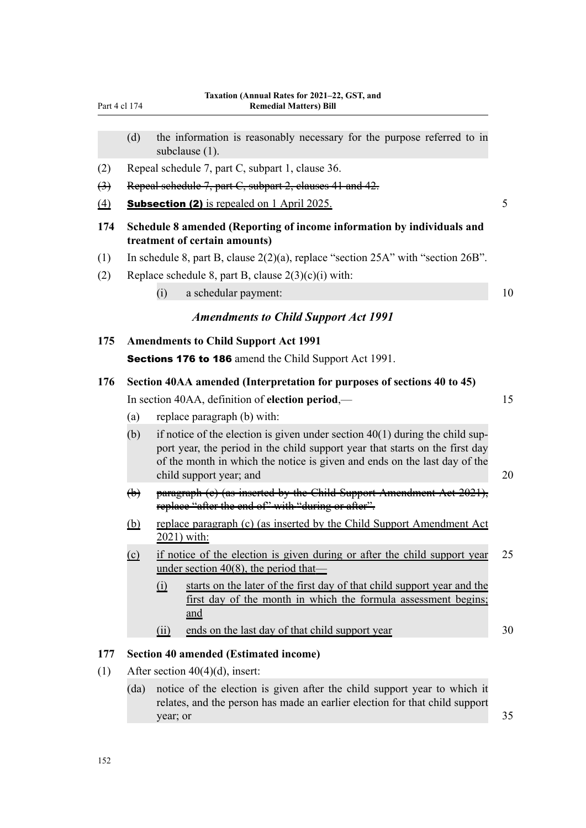| Part 4 cl 174 |  |  |
|---------------|--|--|
|               |  |  |

- (d) the information is reasonably necessary for the purpose referred to in subclause (1).
- (2) Repeal schedule 7, part C, subpart 1, clause 36.
- (3) Repeal schedule 7, part C, subpart 2, clauses 41 and 42.
- (4) **Subsection (2)** is repealed on 1 April 2025.  $\frac{5}{5}$
- **174 Schedule 8 amended (Reporting of income information by individuals and treatment of certain amounts)**
- (1) In schedule 8, part B, clause 2(2)(a), replace "section 25A" with "section 26B".
- (2) Replace schedule 8, part B, clause  $2(3)(c)(i)$  with:
	- (i) a schedular payment: 10

## *Amendments to Child Support Act 1991*

#### **175 Amendments to Child Support Act 1991**

Sections 176 to 186 amend the Child Support Act 1991.

# **176 Section 40AA amended (Interpretation for purposes of sections 40 to 45)**

In section 40AA, definition of **election period**,— 15

- (a) replace paragraph (b) with:
- (b) if notice of the election is given under section  $40(1)$  during the child support year, the period in the child support year that starts on the first day of the month in which the notice is given and ends on the last day of the child support year; and 20
- (b) paragraph (c) (as inserted by the Child Support Amendment Act 2021), replace "after the end of" with "during or after".
- (b) replace paragraph (c) (as inserted by the Child Support Amendment Act 2021) with:
- (c) if notice of the election is given during or after the child support year 25 under section 40(8), the period that—
	- (i) starts on the later of the first day of that child support year and the first day of the month in which the formula assessment begins; and
	- (ii) ends on the last day of that child support year 30

#### **177 Section 40 amended (Estimated income)**

- (1) After section  $40(4)(d)$ , insert:
	- (da) notice of the election is given after the child support year to which it relates, and the person has made an earlier election for that child support  $year; or$  35

152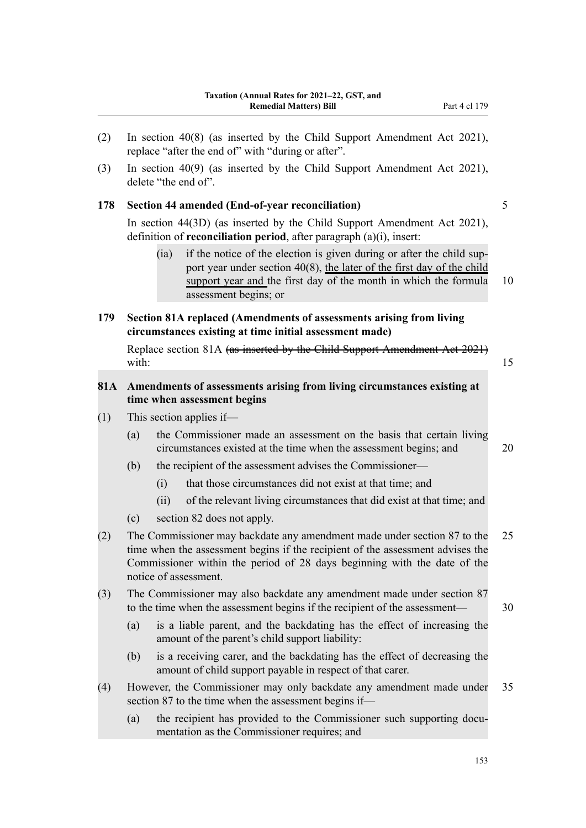(3) In section 40(9) (as inserted by the Child Support Amendment Act 2021), delete "the end of".

#### **178 Section 44 amended (End-of-year reconciliation)** 5

In section 44(3D) (as inserted by the Child Support Amendment Act 2021), definition of **reconciliation period**, after paragraph (a)(i), insert:

- (ia) if the notice of the election is given during or after the child support year under section 40(8), the later of the first day of the child support year and the first day of the month in which the formula 10 assessment begins; or
- **179 Section 81A replaced (Amendments of assessments arising from living circumstances existing at time initial assessment made)**

Replace section 81A (as inserted by the Child Support Amendment Act 2021) with:  $15$ 

#### **81A Amendments of assessments arising from living circumstances existing at time when assessment begins**

- (1) This section applies if—
	- (a) the Commissioner made an assessment on the basis that certain living circumstances existed at the time when the assessment begins; and 20
	- (b) the recipient of the assessment advises the Commissioner—
		- (i) that those circumstances did not exist at that time; and
		- (ii) of the relevant living circumstances that did exist at that time; and
	- (c) section 82 does not apply.
- (2) The Commissioner may backdate any amendment made under section 87 to the 25 time when the assessment begins if the recipient of the assessment advises the Commissioner within the period of 28 days beginning with the date of the notice of assessment.
- (3) The Commissioner may also backdate any amendment made under section 87 to the time when the assessment begins if the recipient of the assessment— 30
	- (a) is a liable parent, and the backdating has the effect of increasing the amount of the parent's child support liability:
	- (b) is a receiving carer, and the backdating has the effect of decreasing the amount of child support payable in respect of that carer.
- (4) However, the Commissioner may only backdate any amendment made under 35 section 87 to the time when the assessment begins if—
	- (a) the recipient has provided to the Commissioner such supporting documentation as the Commissioner requires; and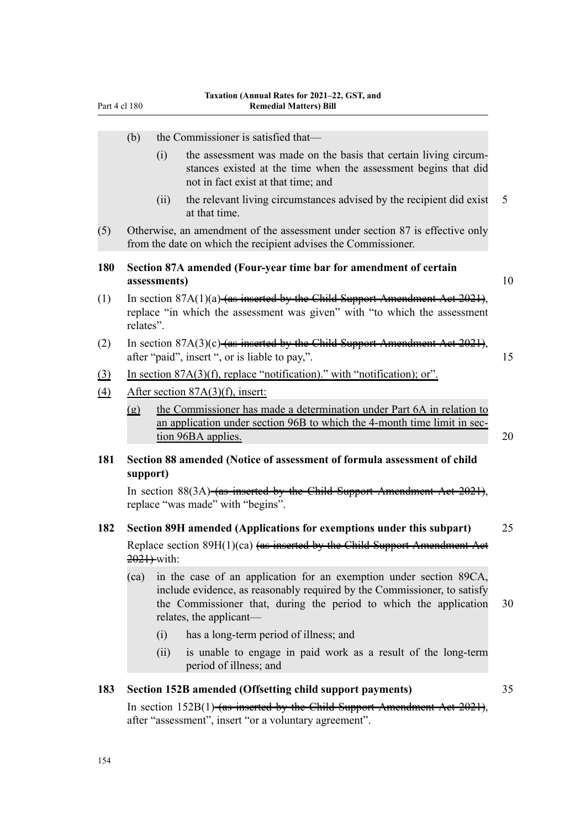| Part 4 cl 180 |                                                                                                                                                                          |      | <b>Remedial Matters) Bill</b>                                                                                                                                                                                                                  |    |  |
|---------------|--------------------------------------------------------------------------------------------------------------------------------------------------------------------------|------|------------------------------------------------------------------------------------------------------------------------------------------------------------------------------------------------------------------------------------------------|----|--|
|               | (b)                                                                                                                                                                      |      | the Commissioner is satisfied that—                                                                                                                                                                                                            |    |  |
|               |                                                                                                                                                                          | (i)  | the assessment was made on the basis that certain living circum-<br>stances existed at the time when the assessment begins that did<br>not in fact exist at that time; and                                                                     |    |  |
|               |                                                                                                                                                                          | (ii) | the relevant living circumstances advised by the recipient did exist<br>at that time.                                                                                                                                                          | 5  |  |
| (5)           |                                                                                                                                                                          |      | Otherwise, an amendment of the assessment under section 87 is effective only<br>from the date on which the recipient advises the Commissioner.                                                                                                 |    |  |
| <b>180</b>    | Section 87A amended (Four-year time bar for amendment of certain<br>assessments)                                                                                         |      |                                                                                                                                                                                                                                                |    |  |
| (1)           | In section $87A(1)(a)$ -(as inserted by the Child Support Amendment Aet 2021),<br>replace "in which the assessment was given" with "to which the assessment<br>relates". |      |                                                                                                                                                                                                                                                |    |  |
| (2)           | In section $87A(3)(c)$ -(as inserted by the Child Support Amendment Aet 2021),<br>after "paid", insert ", or is liable to pay,".                                         |      |                                                                                                                                                                                                                                                |    |  |
| $\Omega$      |                                                                                                                                                                          |      | In section $87A(3)(f)$ , replace "notification)." with "notification); or".                                                                                                                                                                    |    |  |
| $\Delta$      |                                                                                                                                                                          |      | After section 87A(3)(f), insert:                                                                                                                                                                                                               |    |  |
|               | $\Omega$                                                                                                                                                                 |      | the Commissioner has made a determination under Part 6A in relation to<br>an application under section 96B to which the 4-month time limit in sec-<br>tion 96BA applies.                                                                       | 20 |  |
| 181           | support)                                                                                                                                                                 |      | Section 88 amended (Notice of assessment of formula assessment of child                                                                                                                                                                        |    |  |
|               |                                                                                                                                                                          |      | In section 88(3A)-(as inserted by the Child Support Amendment Act 2021),<br>replace "was made" with "begins".                                                                                                                                  |    |  |
| 182           |                                                                                                                                                                          |      | Section 89H amended (Applications for exemptions under this subpart)                                                                                                                                                                           | 25 |  |
|               | Replace section 89H(1)(ca) (as inserted by the Child Support Amendment Aet<br>$2021$ ) with:                                                                             |      |                                                                                                                                                                                                                                                |    |  |
|               | (ca)                                                                                                                                                                     |      | in the case of an application for an exemption under section 89CA,<br>include evidence, as reasonably required by the Commissioner, to satisfy<br>the Commissioner that, during the period to which the application<br>relates, the applicant— | 30 |  |
|               |                                                                                                                                                                          | (i)  | has a long-term period of illness; and                                                                                                                                                                                                         |    |  |
|               |                                                                                                                                                                          | (ii) | is unable to engage in paid work as a result of the long-term<br>period of illness; and                                                                                                                                                        |    |  |
| 183           |                                                                                                                                                                          |      | Section 152B amended (Offsetting child support payments)                                                                                                                                                                                       | 35 |  |
|               |                                                                                                                                                                          |      | In section 152B(1)-(as inserted by the Child Support Amendment Aet                                                                                                                                                                             |    |  |
|               |                                                                                                                                                                          |      | after "assessment", insert "or a voluntary agreement".                                                                                                                                                                                         |    |  |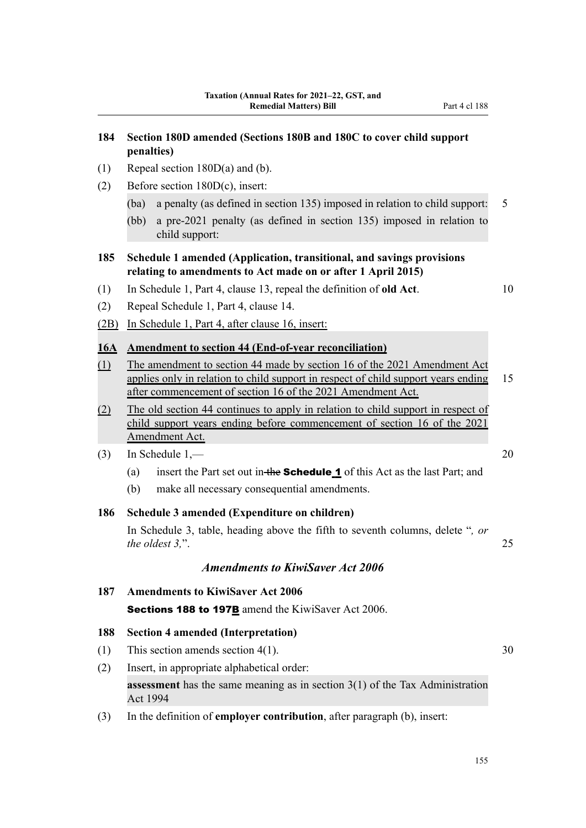# **184 Section 180D amended (Sections 180B and 180C to cover child support penalties)**

- (1) Repeal section 180D(a) and (b).
- (2) Before section 180D(c), insert:
	- (ba) a penalty (as defined in section 135) imposed in relation to child support: 5
	- (bb) a pre-2021 penalty (as defined in section 135) imposed in relation to child support:

#### **185 Schedule 1 amended (Application, transitional, and savings provisions relating to amendments to Act made on or after 1 April 2015)**

- (1) In Schedule 1, Part 4, clause 13, repeal the definition of **old Act**. 10
- (2) Repeal Schedule 1, Part 4, clause 14.
- (2B) In Schedule 1, Part 4, after clause 16, insert:

#### **16A Amendment to section 44 (End-of-year reconciliation)**

- (1) The amendment to section 44 made by section 16 of the 2021 Amendment Act applies only in relation to child support in respect of child support years ending 15 after commencement of section 16 of the 2021 Amendment Act.
- (2) The old section 44 continues to apply in relation to child support in respect of child support years ending before commencement of section 16 of the 2021 Amendment Act.
- (3) In Schedule 1,— 20
	- (a) insert the Part set out in the **Schedule 1** of this Act as the last Part; and
	- (b) make all necessary consequential amendments.

#### **186 Schedule 3 amended (Expenditure on children)**

In Schedule 3, table, heading above the fifth to seventh columns, delete "*, or the oldest 3,*". 25

## *Amendments to KiwiSaver Act 2006*

**187 Amendments to KiwiSaver Act 2006** Sections 188 to 197B amend the KiwiSaver Act 2006.

#### **188 Section 4 amended (Interpretation)**

- (1) This section amends section  $4(1)$ . 30
- (2) Insert, in appropriate alphabetical order: **assessment** has the same meaning as in section 3(1) of the Tax Administration Act 1994
- (3) In the definition of **employer contribution**, after paragraph (b), insert: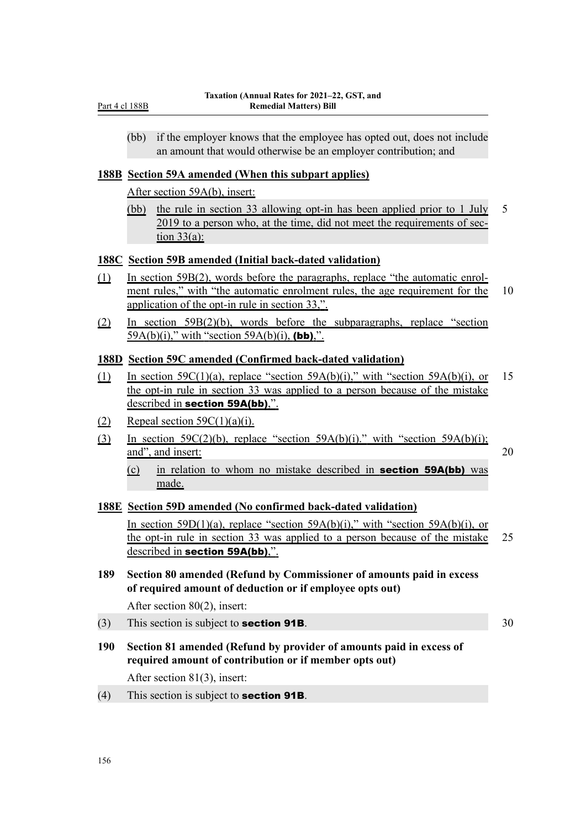(bb) if the employer knows that the employee has opted out, does not include an amount that would otherwise be an employer contribution; and

#### **188B Section 59A amended (When this subpart applies)**

After section 59A(b), insert:

(bb) the rule in section 33 allowing opt-in has been applied prior to 1 July 5 2019 to a person who, at the time, did not meet the requirements of sec‐ tion  $33(a)$ :

#### **188C Section 59B amended (Initial back-dated validation)**

- (1) In section 59B(2), words before the paragraphs, replace "the automatic enrol‐ ment rules," with "the automatic enrolment rules, the age requirement for the 10 application of the opt-in rule in section 33,".
- (2) In section 59B(2)(b), words before the subparagraphs, replace "section 59A(b)(i)," with "section 59A(b)(i), (bb),".

#### **188D Section 59C amended (Confirmed back-dated validation)**

- (1) In section  $59C(1)(a)$ , replace "section  $59A(b)(i)$ ," with "section  $59A(b)(i)$ , or 15 the opt-in rule in section 33 was applied to a person because of the mistake described in section 59A(bb),".
- (2) Repeal section  $59C(1)(a)(i)$ .
- (3) In section 59C(2)(b), replace "section 59A(b)(i)." with "section 59A(b)(i); and", and insert: 20
	- (c) in relation to whom no mistake described in section 59A(bb) was made.

#### **188E Section 59D amended (No confirmed back-dated validation)**

In section 59D(1)(a), replace "section 59A(b)(i)," with "section 59A(b)(i), or the opt-in rule in section 33 was applied to a person because of the mistake 25 described in section 59A(bb),".

**189 Section 80 amended (Refund by Commissioner of amounts paid in excess of required amount of deduction or if employee opts out)**

After section 80(2), insert:

- (3) This section is subject to **section 91B**.  $30$
- **190 Section 81 amended (Refund by provider of amounts paid in excess of required amount of contribution or if member opts out)** After section 81(3), insert:
- (4) This section is subject to **section 91B**.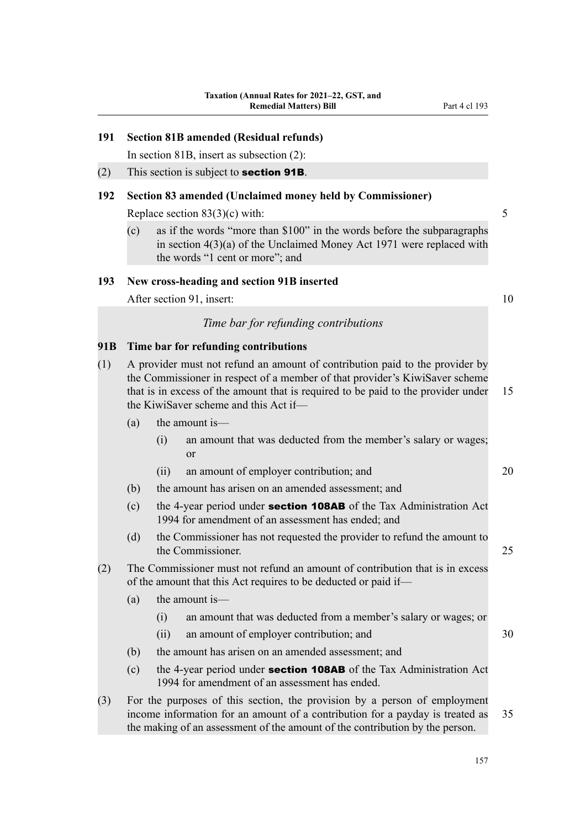#### **191 Section 81B amended (Residual refunds)**

In section 81B, insert as subsection (2):

(2) This section is subject to **section 91B**.

#### **192 Section 83 amended (Unclaimed money held by Commissioner)**

Replace section 83(3)(c) with: 5

(c) as if the words "more than \$100" in the words before the subparagraphs in section 4(3)(a) of the Unclaimed Money Act 1971 were replaced with the words "1 cent or more"; and

#### **193 New cross-heading and section 91B inserted**

After section 91, insert: 10

#### *Time bar for refunding contributions*

#### **91B Time bar for refunding contributions**

- (1) A provider must not refund an amount of contribution paid to the provider by the Commissioner in respect of a member of that provider's KiwiSaver scheme that is in excess of the amount that is required to be paid to the provider under 15 the KiwiSaver scheme and this Act if—
	- (a) the amount is—
		- (i) an amount that was deducted from the member's salary or wages; or
		- (ii) an amount of employer contribution; and 20
	- (b) the amount has arisen on an amended assessment; and
	- (c) the 4-year period under **section 108AB** of the Tax Administration Act 1994 for amendment of an assessment has ended; and
	- (d) the Commissioner has not requested the provider to refund the amount to the Commissioner. 25
- (2) The Commissioner must not refund an amount of contribution that is in excess of the amount that this Act requires to be deducted or paid if—
	- (a) the amount is—
		- (i) an amount that was deducted from a member's salary or wages; or
		- (ii) an amount of employer contribution; and 30
	- (b) the amount has arisen on an amended assessment; and
	- (c) the 4-year period under **section 108AB** of the Tax Administration Act 1994 for amendment of an assessment has ended.
- (3) For the purposes of this section, the provision by a person of employment income information for an amount of a contribution for a payday is treated as 35 the making of an assessment of the amount of the contribution by the person.

157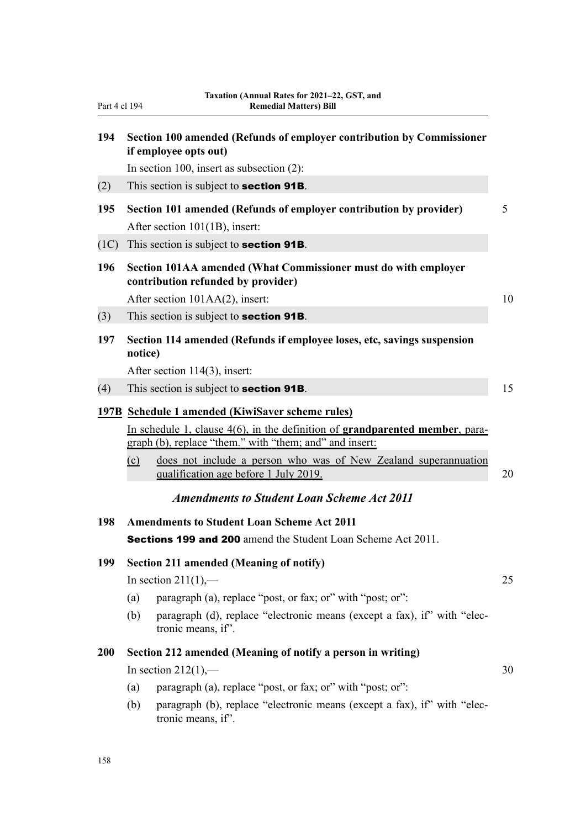| Part 4 cl 194 | 14.44000 (Annual Ratts for 2021–22, OST, and<br><b>Remedial Matters) Bill</b>                                                                                                                                                                                                                                      |    |  |
|---------------|--------------------------------------------------------------------------------------------------------------------------------------------------------------------------------------------------------------------------------------------------------------------------------------------------------------------|----|--|
| 194           | Section 100 amended (Refunds of employer contribution by Commissioner<br>if employee opts out)                                                                                                                                                                                                                     |    |  |
|               | In section 100, insert as subsection $(2)$ :                                                                                                                                                                                                                                                                       |    |  |
| (2)           | This section is subject to section 91B.                                                                                                                                                                                                                                                                            |    |  |
| 195           | Section 101 amended (Refunds of employer contribution by provider)<br>After section 101(1B), insert:                                                                                                                                                                                                               |    |  |
| (1C)          | This section is subject to <b>section 91B</b> .                                                                                                                                                                                                                                                                    |    |  |
| 196           | Section 101AA amended (What Commissioner must do with employer<br>contribution refunded by provider)                                                                                                                                                                                                               |    |  |
|               | After section 101AA(2), insert:                                                                                                                                                                                                                                                                                    | 10 |  |
| (3)           | This section is subject to <b>section 91B</b> .                                                                                                                                                                                                                                                                    |    |  |
| 197           | Section 114 amended (Refunds if employee loses, etc, savings suspension<br>notice)                                                                                                                                                                                                                                 |    |  |
|               | After section 114(3), insert:                                                                                                                                                                                                                                                                                      |    |  |
| (4)           | This section is subject to <b>section 91B</b> .                                                                                                                                                                                                                                                                    | 15 |  |
|               | 197B Schedule 1 amended (KiwiSaver scheme rules)<br>In schedule 1, clause 4(6), in the definition of grandparented member, para-<br>graph (b), replace "them." with "them; and" and insert:<br>does not include a person who was of New Zealand superannuation<br>$\circ$<br>qualification age before 1 July 2019. | 20 |  |
|               | <b>Amendments to Student Loan Scheme Act 2011</b>                                                                                                                                                                                                                                                                  |    |  |
| 198           | <b>Amendments to Student Loan Scheme Act 2011</b>                                                                                                                                                                                                                                                                  |    |  |
|               | Sections 199 and 200 amend the Student Loan Scheme Act 2011.                                                                                                                                                                                                                                                       |    |  |
| 199           | <b>Section 211 amended (Meaning of notify)</b>                                                                                                                                                                                                                                                                     |    |  |
|               | In section $211(1)$ ,—                                                                                                                                                                                                                                                                                             | 25 |  |
|               | paragraph (a), replace "post, or fax; or" with "post; or":<br>(a)                                                                                                                                                                                                                                                  |    |  |
|               | paragraph (d), replace "electronic means (except a fax), if" with "elec-<br>(b)<br>tronic means, if".                                                                                                                                                                                                              |    |  |
| <b>200</b>    | Section 212 amended (Meaning of notify a person in writing)                                                                                                                                                                                                                                                        |    |  |
|               | In section $212(1)$ ,—                                                                                                                                                                                                                                                                                             | 30 |  |
|               | paragraph (a), replace "post, or fax; or" with "post; or":<br>(a)                                                                                                                                                                                                                                                  |    |  |
|               | paragraph (b), replace "electronic means (except a fax), if" with "elec-<br>(b)<br>tronic means, if".                                                                                                                                                                                                              |    |  |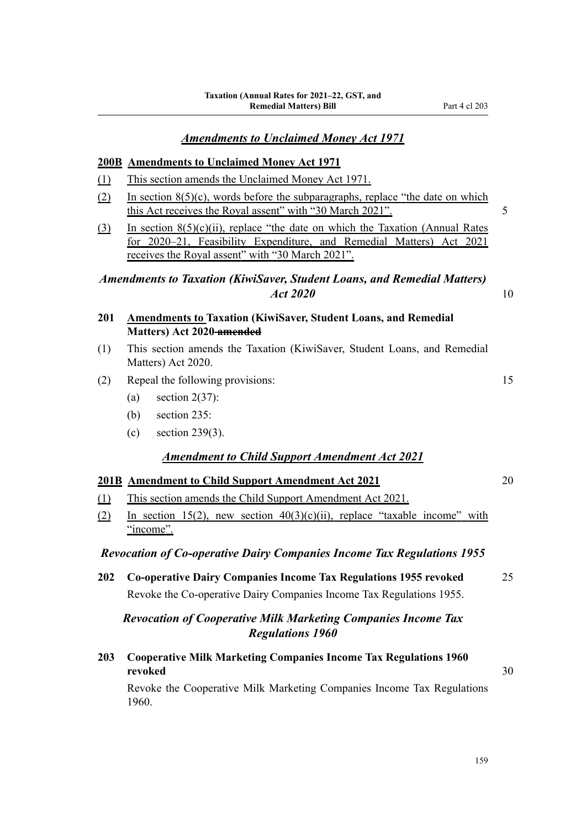#### **200B Amendments to Unclaimed Money Act 1971**

- (1) This section amends the Unclaimed Money Act 1971.
- (2) In section  $8(5)(c)$ , words before the subparagraphs, replace "the date on which this Act receives the Royal assent" with "30 March 2021". 5
- (3) In section  $8(5)(c)(ii)$ , replace "the date on which the Taxation (Annual Rates for 2020–21, Feasibility Expenditure, and Remedial Matters) Act 2021 receives the Royal assent" with "30 March 2021".

# *Amendments to Taxation (KiwiSaver, Student Loans, and Remedial Matters) Act 2020* 10

- **201 Amendments to Taxation (KiwiSaver, Student Loans, and Remedial Matters) Act 2020 amended**
- (1) This section amends the Taxation (KiwiSaver, Student Loans, and Remedial Matters) Act 2020.
- (2) Repeal the following provisions: 15
	- (a) section  $2(37)$ :
	- (b) section 235:
	- (c) section 239(3).

### *Amendment to Child Support Amendment Act 2021*

#### **201B Amendment to Child Support Amendment Act 2021** 20

- (1) This section amends the Child Support Amendment Act 2021.
- (2) In section 15(2), new section  $40(3)(c)(ii)$ , replace "taxable income" with "income".

#### *Revocation of Co-operative Dairy Companies Income Tax Regulations 1955*

**202 Co-operative Dairy Companies Income Tax Regulations 1955 revoked** 25 Revoke the Co-operative Dairy Companies Income Tax Regulations 1955.

# *Revocation of Cooperative Milk Marketing Companies Income Tax Regulations 1960*

**203 Cooperative Milk Marketing Companies Income Tax Regulations 1960 revoked** 30

Revoke the Cooperative Milk Marketing Companies Income Tax Regulations 1960.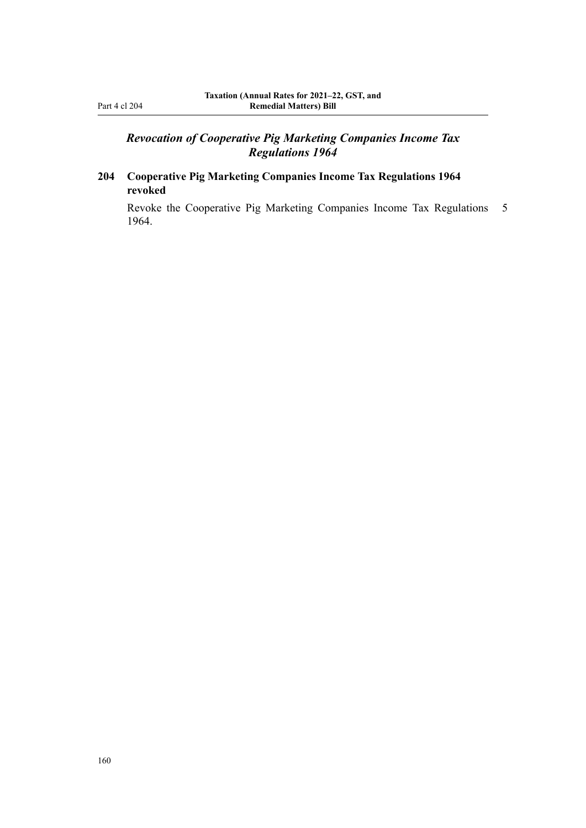# *Revocation of Cooperative Pig Marketing Companies Income Tax Regulations 1964*

# **204 Cooperative Pig Marketing Companies Income Tax Regulations 1964 revoked**

Revoke the Cooperative Pig Marketing Companies Income Tax Regulations 5 1964.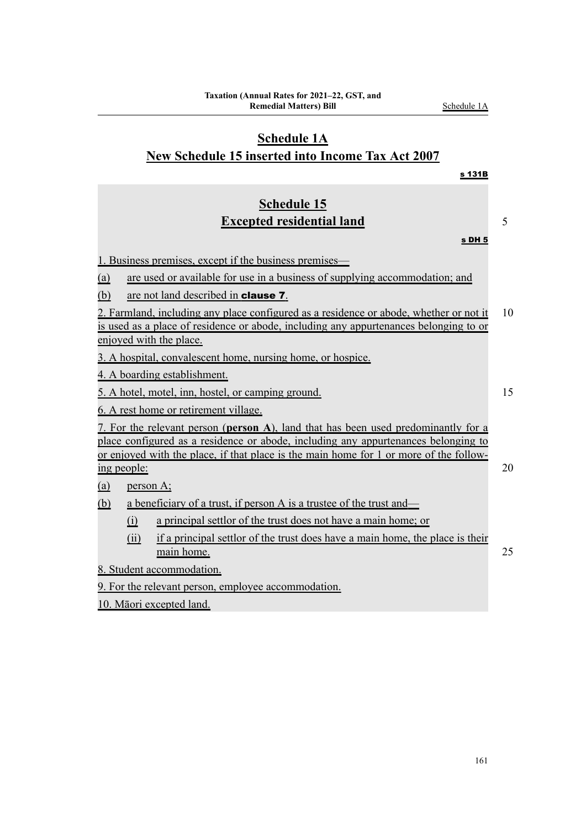is used as a place of residence or abode, including any appurtenances belonging to or enjoyed with the place. 3. A hospital, convalescent home, nursing home, or hospice. 4. A boarding establishment. 5. A hotel, motel, inn, hostel, or camping ground. 15 6. A rest home or retirement village. 7. For the relevant person (**person A**), land that has been used predominantly for a place configured as a residence or abode, including any appurtenances belonging to or enjoyed with the place, if that place is the main home for 1 or more of the follow‐ ing people: 20 (a) person A;

(ii) if a principal settlor of the trust does have a main home, the place is their

main home. 25

(b) a beneficiary of a trust, if person A is a trustee of the trust and—

9. For the relevant person, employee accommodation.

(i) a principal settlor of the trust does not have a main home; or

2. Farmland, including any place configured as a residence or abode, whether or not it 10

# **New Schedule 15 inserted into Income Tax Act 2007**

(a) are used or available for use in a business of supplying accommodation; and

1. Business premises, except if the business premises—

(b) are not land described in **clause 7**.

8. Student accommodation.

10. Māori excepted land.

**Schedule 15**

# **Schedule 1A**

**Remedial Matters) Bill** Schedule 1A

**Taxation (Annual Rates for 2021–22, GST, and**

# s 131B

s DH 5

**Excepted residential land** 5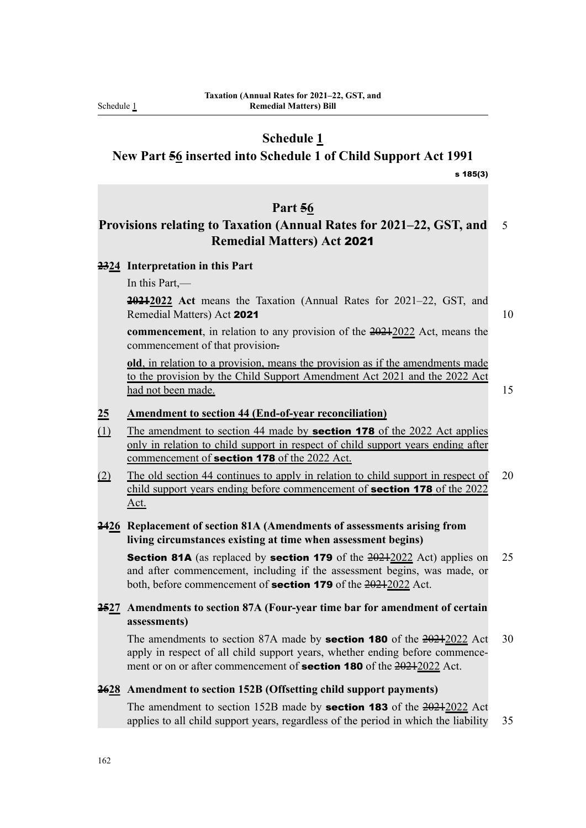Schedule 1

# **Schedule 1**

**New Part 56 inserted into Schedule 1 of Child Support Act 1991**

s 185(3)

#### **Part 56**

# **Provisions relating to Taxation (Annual Rates for 2021–22, GST, and** 5 **Remedial Matters) Act** 2021

#### **2324 Interpretation in this Part**

In this Part,—

**20212022 Act** means the Taxation (Annual Rates for 2021–22, GST, and Remedial Matters) Act 2021 10

**commencement**, in relation to any provision of the 20212022 Act, means the commencement of that provision.

**old**, in relation to a provision, means the provision as if the amendments made to the provision by the Child Support Amendment Act 2021 and the 2022 Act had not been made. 15

#### **25 Amendment to section 44 (End-of-year reconciliation)**

- (1) The amendment to section 44 made by **section 178** of the 2022 Act applies only in relation to child support in respect of child support years ending after commencement of **section 178** of the 2022 Act.
- (2) The old section 44 continues to apply in relation to child support in respect of 20 child support years ending before commencement of **section 178** of the 2022 Act.

#### **2426 Replacement of section 81A (Amendments of assessments arising from living circumstances existing at time when assessment begins)**

**Section 81A** (as replaced by **section 179** of the  $\frac{20212022}{2012}$  Act) applies on 25 and after commencement, including if the assessment begins, was made, or both, before commencement of **section 179** of the 20212022 Act.

# **2527 Amendments to section 87A (Four-year time bar for amendment of certain assessments)**

The amendments to section 87A made by **section 180** of the  $\frac{20212022}{20}$  Act 30 apply in respect of all child support years, whether ending before commencement or on or after commencement of **section 180** of the 20212022 Act.

#### **2628 Amendment to section 152B (Offsetting child support payments)**

The amendment to section 152B made by **section 183** of the  $\frac{20212022}{201}$  Act applies to all child support years, regardless of the period in which the liability 35